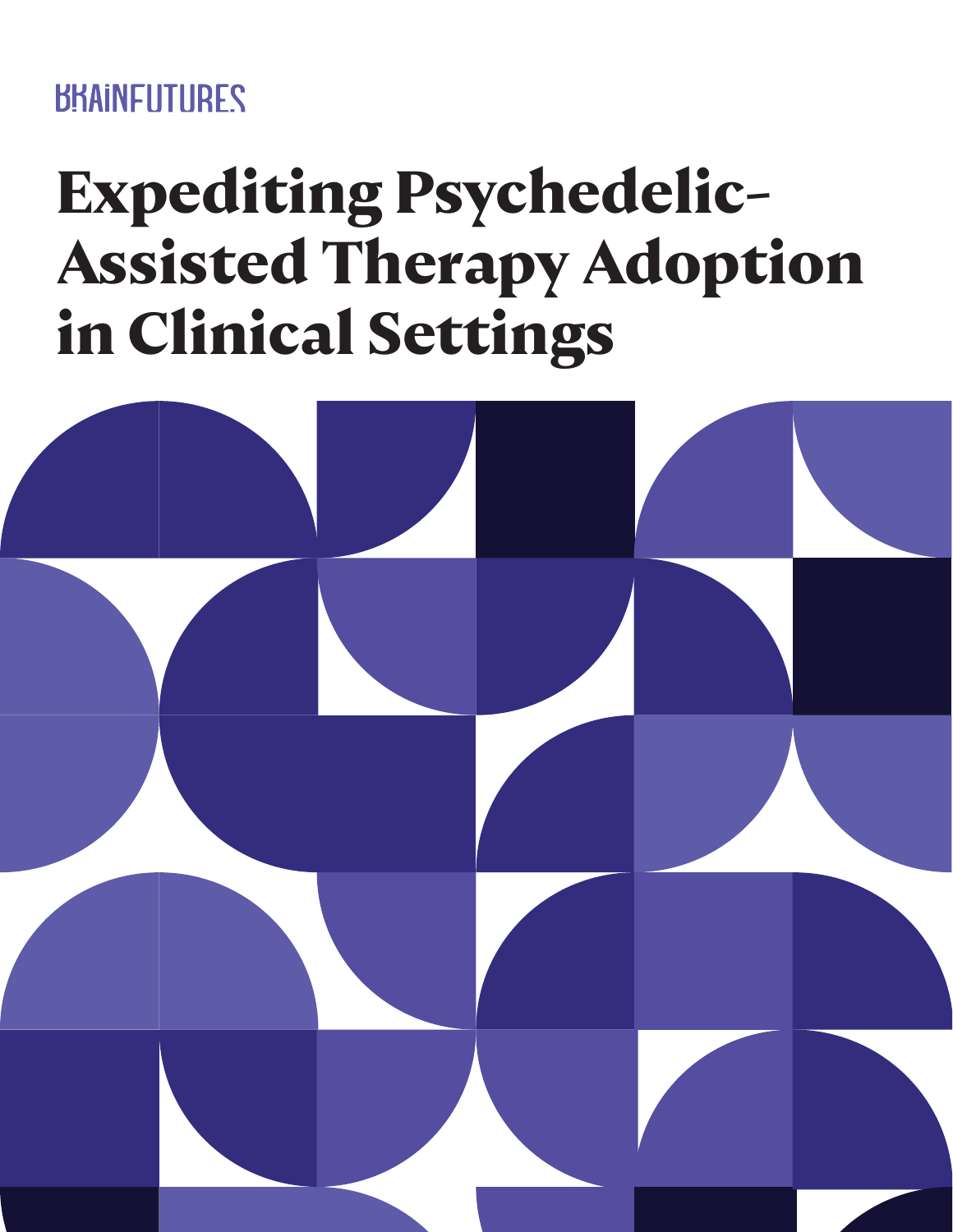## **BRAINFIITURFS**

## **Expediting Psychedelic-Assisted Therapy Adoption in Clinical Settings**

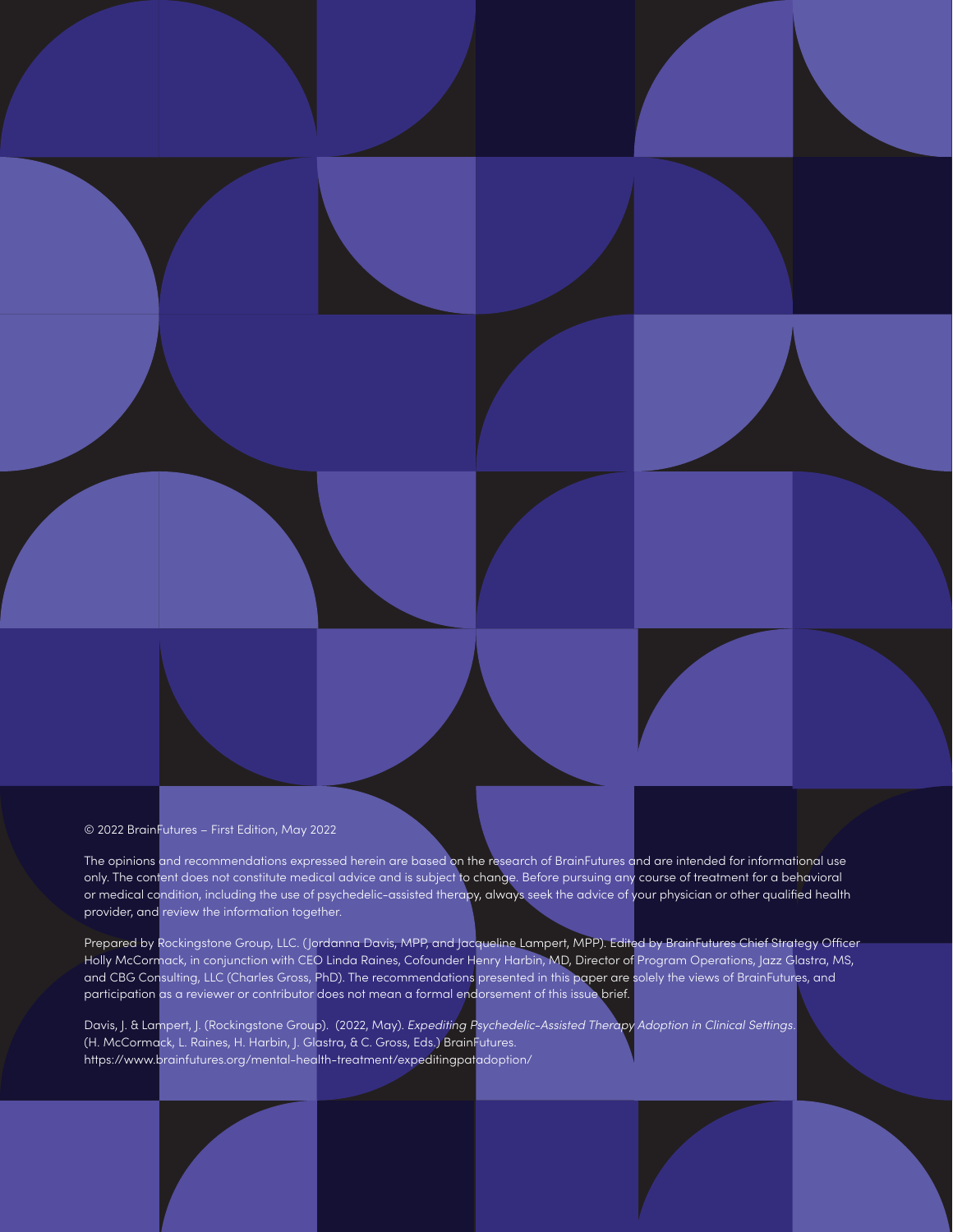#### © 2022 BrainFutures – First Edition, May 2022

The opinions and recommendations expressed herein are based on the research of BrainFutures and are intended for informational use only. The content does not constitute medical advice and is subject to change. Before pursuing any course of treatment for a behavioral or medical condition, including the use of psychedelic-assisted therapy, always seek the advice of your physician or other qualified health provider, and review the information together.

Prepared by Rockingstone Group, LLC. (Jordanna Davis, MPP, and Jacqueline Lampert, MPP). Edited by BrainFutures Chief Strategy Officer Holly McCormack, in conjunction with CEO Linda Raines, Cofounder Henry Harbin, MD, Director of Program Operations, Jazz Glastra, MS, and CBG Consulting, LLC (Charles Gross, PhD). The recommendations presented in this paper are solely the views of BrainFutures, and participation as a reviewer or contributor does not mean a formal endorsement of this issue brief.

Davis, J. & Lampert, J. (Rockingstone Group). (2022, May). *Expediting Psychedelic-Assisted Therapy Adoption in Clinical Settings*. (H. McCormack, L. Raines, H. Harbin, J. Glastra, & C. Gross, Eds.) BrainFutures. <https://www.brainfutures.org/mental-health-treatment/expeditingpatadoption/>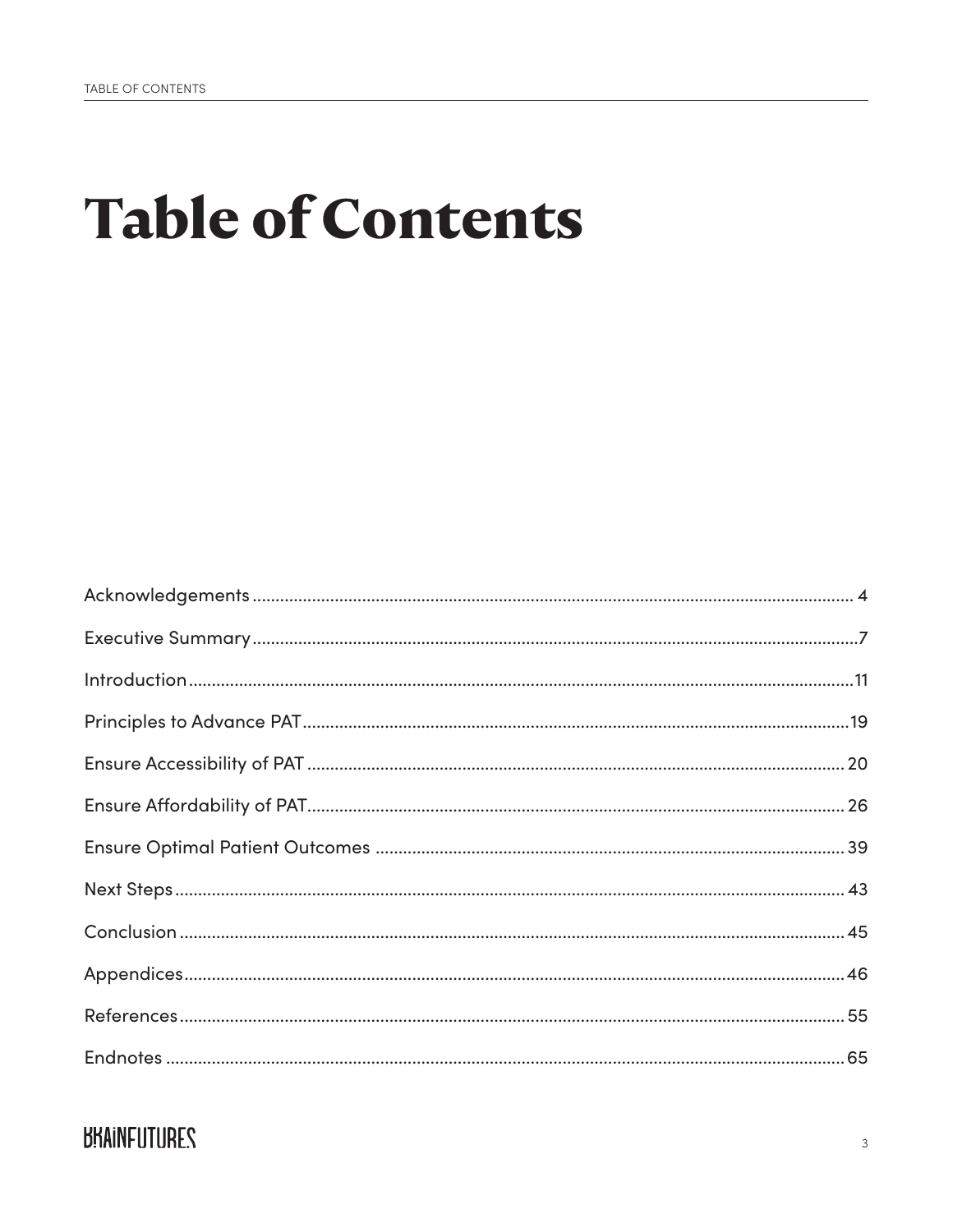## **Table of Contents**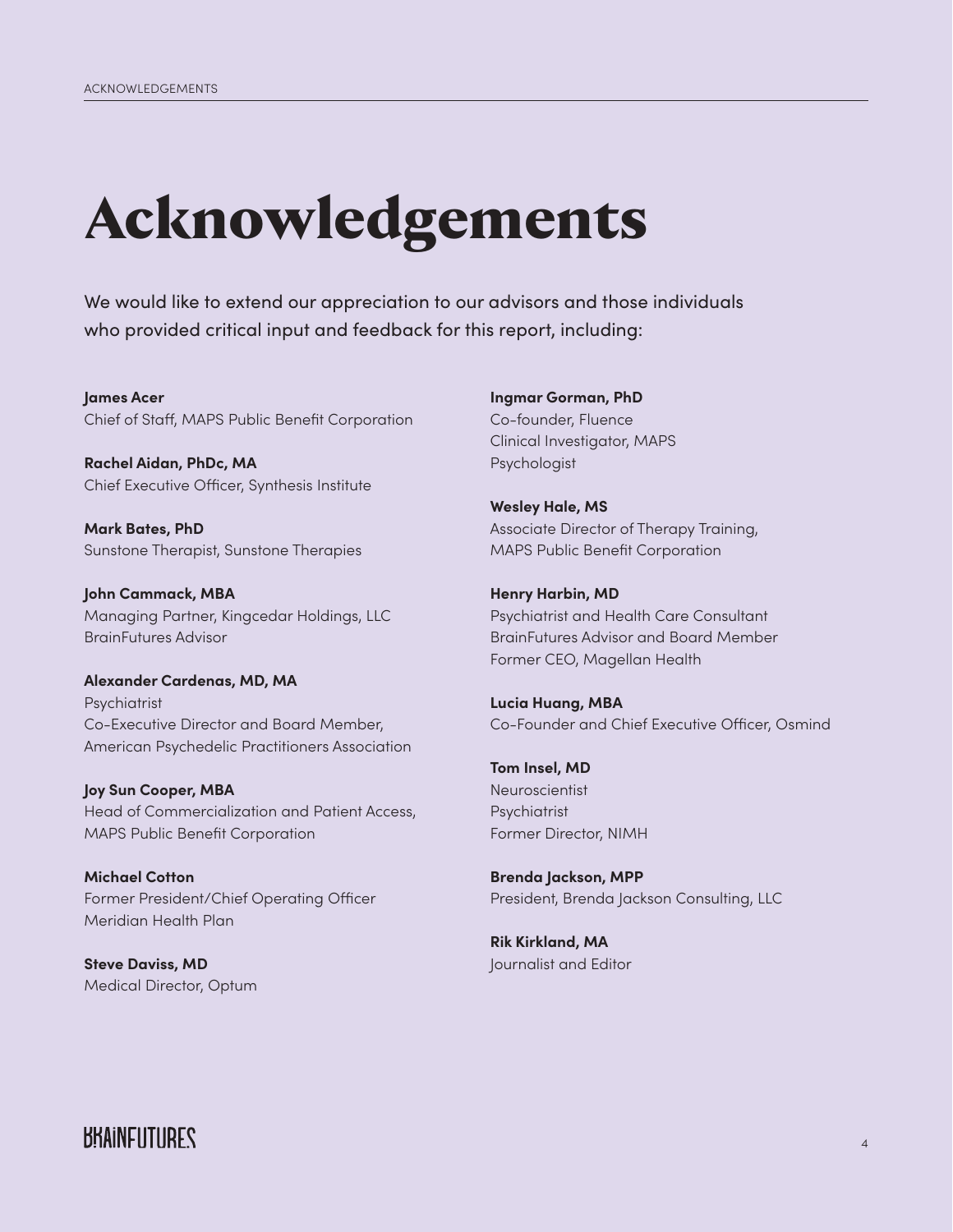## <span id="page-3-0"></span>**Acknowledgements**

We would like to extend our appreciation to our advisors and those individuals who provided critical input and feedback for this report, including:

**James Acer** Chief of Staff, MAPS Public Benefit Corporation

**Rachel Aidan, PhDc, MA** Chief Executive Officer, Synthesis Institute

**Mark Bates, PhD** Sunstone Therapist, Sunstone Therapies

**John Cammack, MBA** Managing Partner, Kingcedar Holdings, LLC BrainFutures Advisor

**Alexander Cardenas, MD, MA Psychiatrist** Co-Executive Director and Board Member, American Psychedelic Practitioners Association

**Joy Sun Cooper, MBA** Head of Commercialization and Patient Access, MAPS Public Benefit Corporation

**Michael Cotton** Former President/Chief Operating Officer Meridian Health Plan

**Steve Daviss, MD** Medical Director, Optum **Ingmar Gorman, PhD** Co-founder, Fluence Clinical Investigator, MAPS Psychologist

**Wesley Hale, MS** Associate Director of Therapy Training, MAPS Public Benefit Corporation

**Henry Harbin, MD** Psychiatrist and Health Care Consultant BrainFutures Advisor and Board Member Former CEO, Magellan Health

**Lucia Huang, MBA** Co-Founder and Chief Executive Officer, Osmind

**Tom Insel, MD** Neuroscientist **Psychiatrist** Former Director, NIMH

**Brenda Jackson, MPP** President, Brenda Jackson Consulting, LLC

**Rik Kirkland, MA** Journalist and Editor

## **BRAINFIITHRFS**

4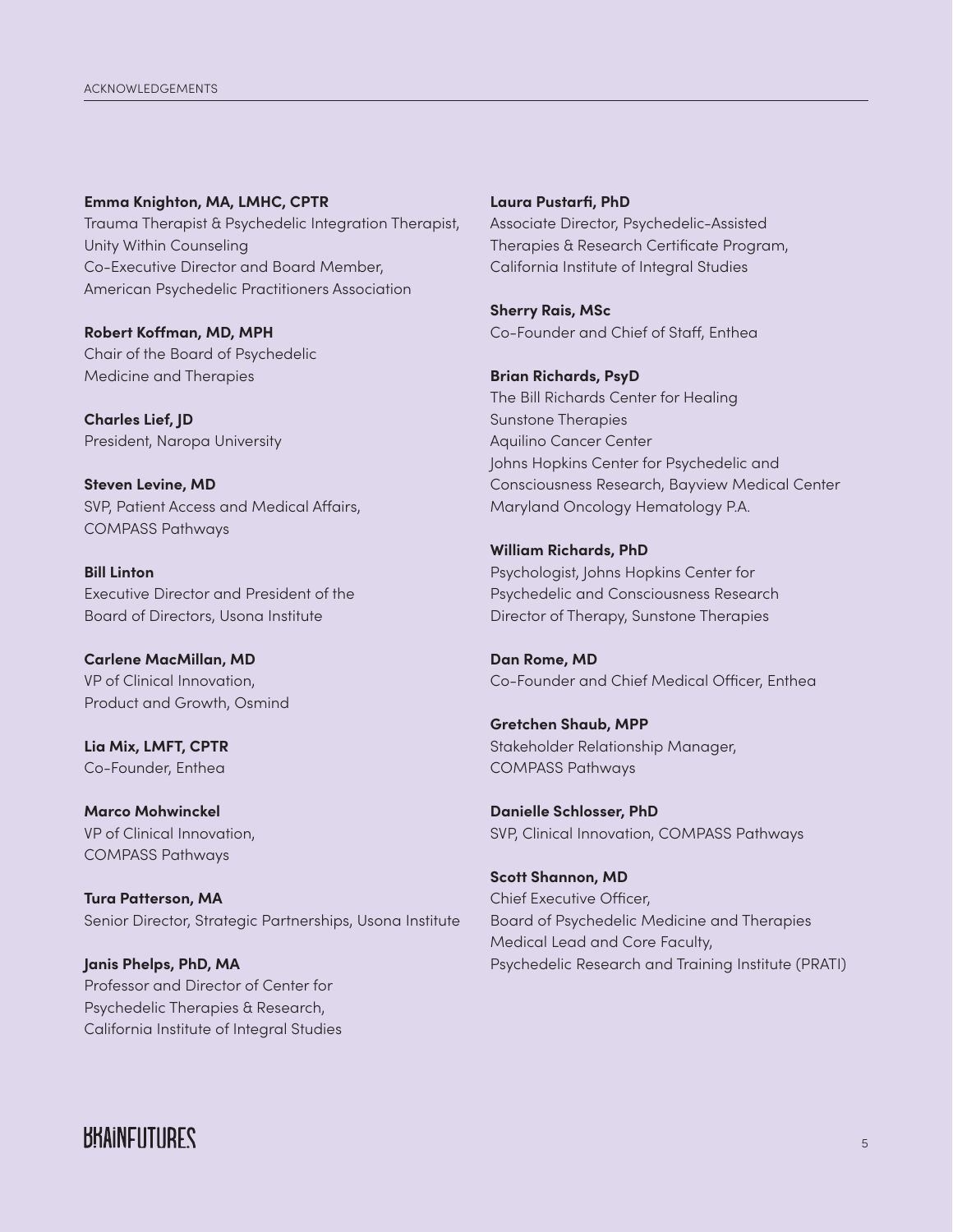**Emma Knighton, MA, LMHC, CPTR** Trauma Therapist & Psychedelic Integration Therapist, Unity Within Counseling Co-Executive Director and Board Member, American Psychedelic Practitioners Association

**Robert Koffman, MD, MPH** Chair of the Board of Psychedelic Medicine and Therapies

**Charles Lief, JD** President, Naropa University

**Steven Levine, MD** SVP, Patient Access and Medical Affairs, COMPASS Pathways

**Bill Linton** Executive Director and President of the Board of Directors, Usona Institute

**Carlene MacMillan, MD** VP of Clinical Innovation, Product and Growth, Osmind

**Lia Mix, LMFT, CPTR** Co-Founder, Enthea

**Marco Mohwinckel** VP of Clinical Innovation, COMPASS Pathways

**Tura Patterson, MA** Senior Director, Strategic Partnerships, Usona Institute

**Janis Phelps, PhD, MA** Professor and Director of Center for Psychedelic Therapies & Research, California Institute of Integral Studies

#### **Laura Pustarfi, PhD**

Associate Director, Psychedelic-Assisted Therapies & Research Certificate Program, California Institute of Integral Studies

**Sherry Rais, MSc** Co-Founder and Chief of Staff, Enthea

**Brian Richards, PsyD**

The Bill Richards Center for Healing Sunstone Therapies Aquilino Cancer Center Johns Hopkins Center for Psychedelic and Consciousness Research, Bayview Medical Center Maryland Oncology Hematology P.A.

#### **William Richards, PhD**

Psychologist, Johns Hopkins Center for Psychedelic and Consciousness Research Director of Therapy, Sunstone Therapies

**Dan Rome, MD** Co-Founder and Chief Medical Officer, Enthea

**Gretchen Shaub, MPP** Stakeholder Relationship Manager, COMPASS Pathways

**Danielle Schlosser, PhD** SVP, Clinical Innovation, COMPASS Pathways

**Scott Shannon, MD** Chief Executive Officer, Board of Psychedelic Medicine and Therapies Medical Lead and Core Faculty, Psychedelic Research and Training Institute (PRATI)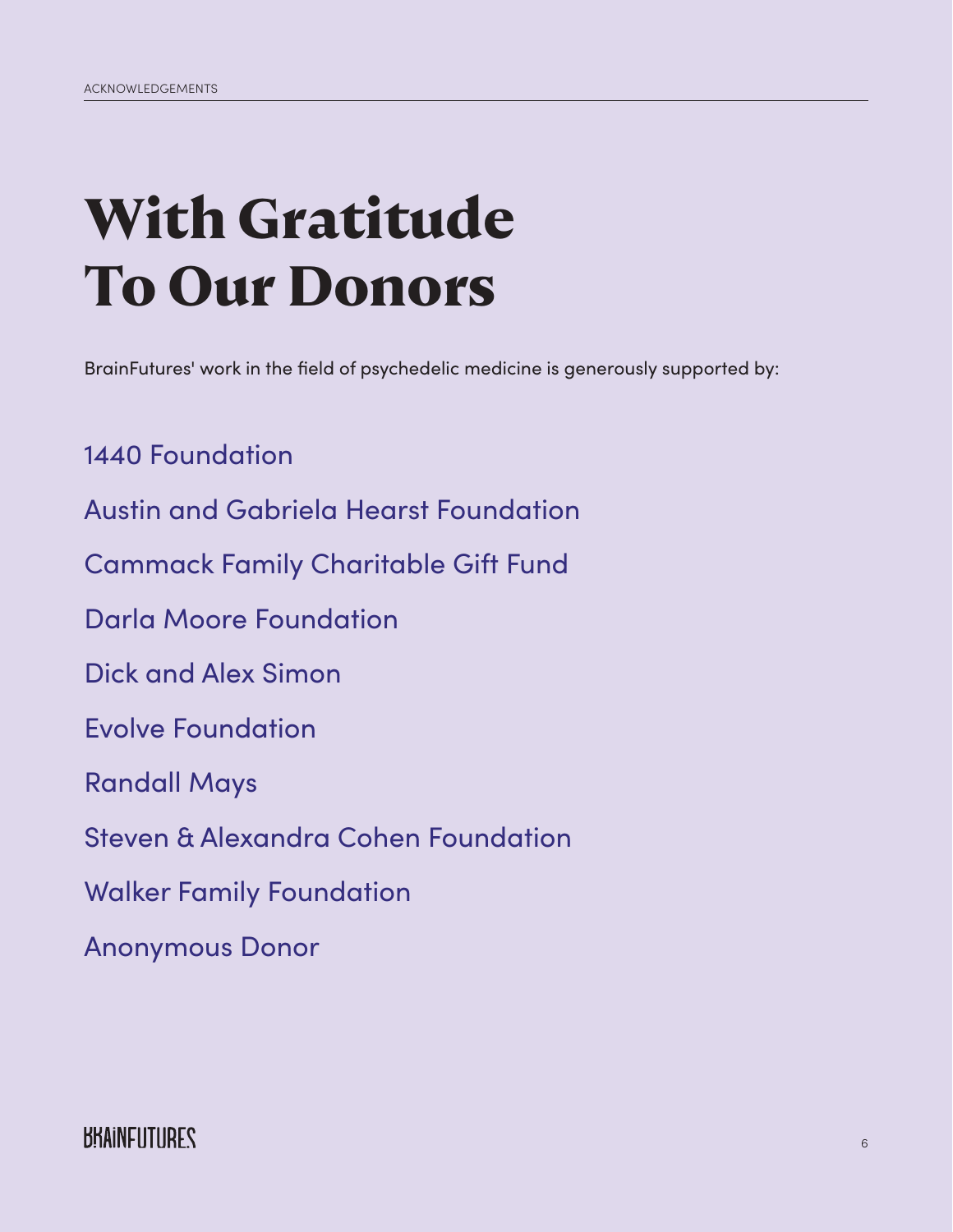## **With Gratitude To Our Donors**

BrainFutures' work in the field of psychedelic medicine is generously supported by:

1440 Foundation Austin and Gabriela Hearst Foundation Cammack Family Charitable Gift Fund Darla Moore Foundation Dick and Alex Simon Evolve Foundation Randall Mays Steven & Alexandra Cohen Foundation Walker Family Foundation Anonymous Donor

## **BRAINFIITIIRFS**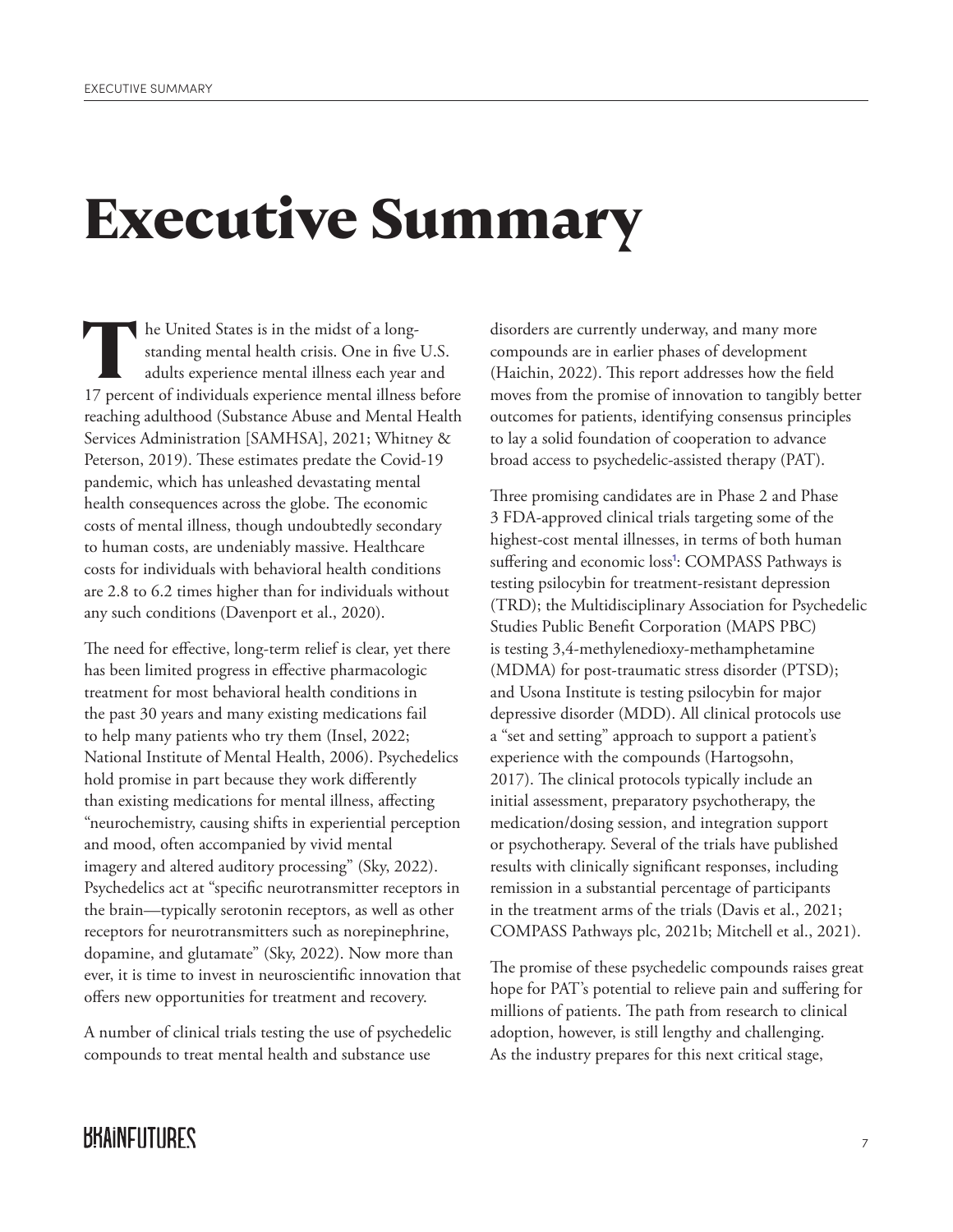## <span id="page-6-0"></span>**Executive Summary**

The United States is in the midst of a long-<br>standing mental health crisis. One in five<br>adults experience mental illness each year<br>17 percent of individuals experience mental illness standing mental health crisis. One in five U.S. adults experience mental illness each year and 17 percent of individuals experience mental illness before reaching adulthood (Substance Abuse and Mental Health Services Administration [SAMHSA], 2021; Whitney & Peterson, 2019). These estimates predate the Covid-19 pandemic, which has unleashed devastating mental health consequences across the globe. The economic costs of mental illness, though undoubtedly secondary to human costs, are undeniably massive. Healthcare costs for individuals with behavioral health conditions are 2.8 to 6.2 times higher than for individuals without any such conditions (Davenport et al., 2020).

The need for effective, long-term relief is clear, yet there has been limited progress in effective pharmacologic treatment for most behavioral health conditions in the past 30 years and many existing medications fail to help many patients who try them (Insel, 2022; National Institute of Mental Health, 2006). Psychedelics hold promise in part because they work differently than existing medications for mental illness, affecting "neurochemistry, causing shifts in experiential perception and mood, often accompanied by vivid mental imagery and altered auditory processing" (Sky, 2022). Psychedelics act at "specific neurotransmitter receptors in the brain—typically serotonin receptors, as well as other receptors for neurotransmitters such as norepinephrine, dopamine, and glutamate" (Sky, 2022). Now more than ever, it is time to invest in neuroscientific innovation that offers new opportunities for treatment and recovery.

A number of clinical trials testing the use of psychedelic compounds to treat mental health and substance use

disorders are currently underway, and many more compounds are in earlier phases of development (Haichin, 2022). This report addresses how the field moves from the promise of innovation to tangibly better outcomes for patients, identifying consensus principles to lay a solid foundation of cooperation to advance broad access to psychedelic-assisted therapy (PAT).

Three promising candidates are in Phase 2 and Phase 3 FDA-approved clinical trials targeting some of the highest-cost mental illnesses, in terms of both human suffering and economic loss**[1](#page-64-0)** : COMPASS Pathways is testing psilocybin for treatment-resistant depression (TRD); the Multidisciplinary Association for Psychedelic Studies Public Benefit Corporation (MAPS PBC) is testing 3,4-methylenedioxy-methamphetamine (MDMA) for post-traumatic stress disorder (PTSD); and Usona Institute is testing psilocybin for major depressive disorder (MDD). All clinical protocols use a "set and setting" approach to support a patient's experience with the compounds (Hartogsohn, 2017). The clinical protocols typically include an initial assessment, preparatory psychotherapy, the medication/dosing session, and integration support or psychotherapy. Several of the trials have published results with clinically significant responses, including remission in a substantial percentage of participants in the treatment arms of the trials (Davis et al., 2021; COMPASS Pathways plc, 2021b; Mitchell et al., 2021).

The promise of these psychedelic compounds raises great hope for PAT's potential to relieve pain and suffering for millions of patients. The path from research to clinical adoption, however, is still lengthy and challenging. As the industry prepares for this next critical stage,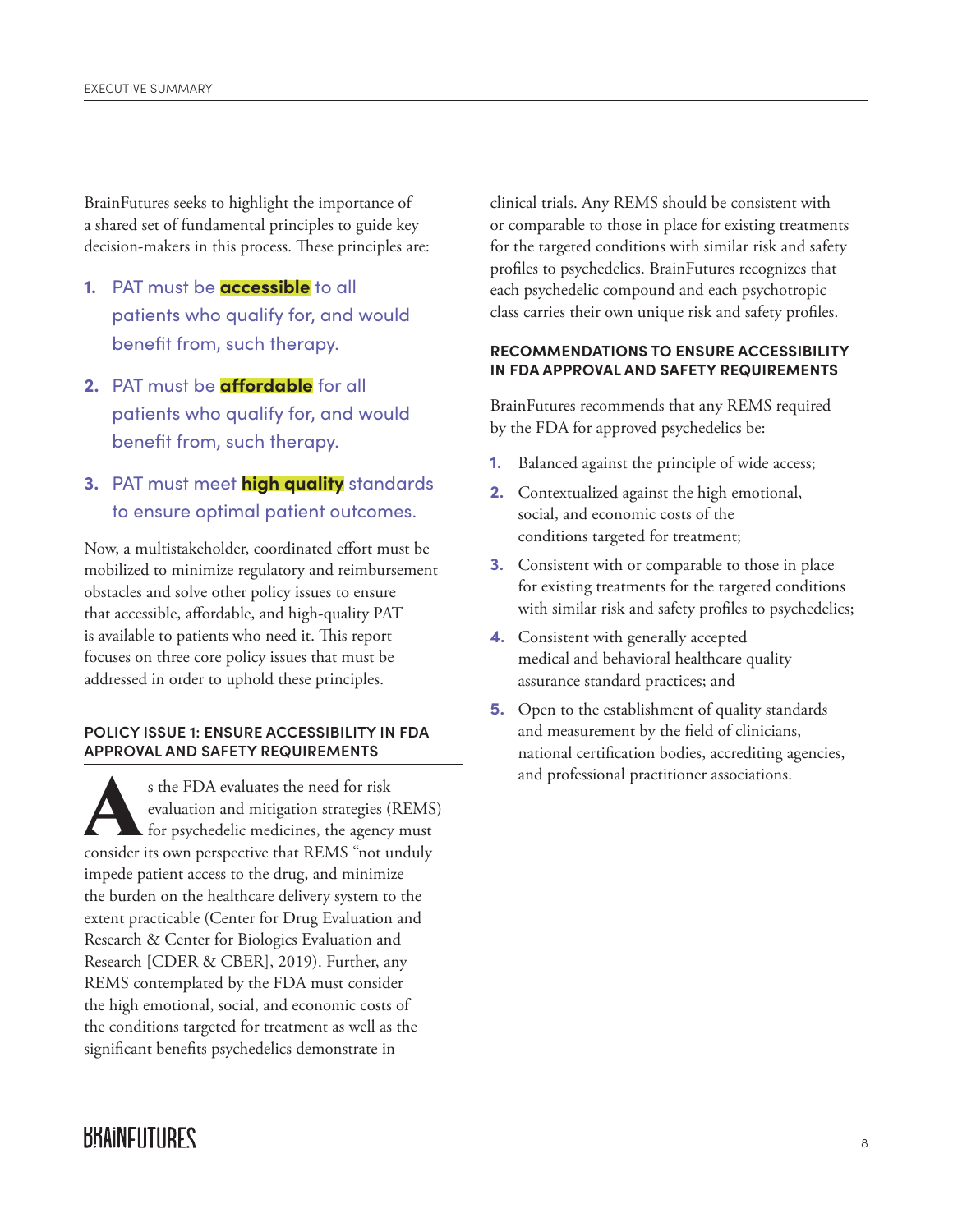BrainFutures seeks to highlight the importance of a shared set of fundamental principles to guide key decision-makers in this process. These principles are:

- **1.** PAT must be **accessible** to all patients who qualify for, and would benefit from, such therapy.
- **2.** PAT must be **affordable** for all patients who qualify for, and would benefit from, such therapy.
- **3.** PAT must meet **high quality** standards to ensure optimal patient outcomes.

Now, a multistakeholder, coordinated effort must be mobilized to minimize regulatory and reimbursement obstacles and solve other policy issues to ensure that accessible, affordable, and high-quality PAT is available to patients who need it. This report focuses on three core policy issues that must be addressed in order to uphold these principles.

#### **POLICY ISSUE 1: ENSURE ACCESSIBILITY IN FDA APPROVAL AND SAFETY REQUIREMENTS**

s the FDA evaluates the need for risk<br>evaluation and mitigation strategies (1)<br>for psychedelic medicines, the agency<br>consider its own perspective that REMS "not u evaluation and mitigation strategies (REMS) for psychedelic medicines, the agency must consider its own perspective that REMS "not unduly impede patient access to the drug, and minimize the burden on the healthcare delivery system to the extent practicable (Center for Drug Evaluation and Research & Center for Biologics Evaluation and Research [CDER & CBER], 2019). Further, any REMS contemplated by the FDA must consider the high emotional, social, and economic costs of the conditions targeted for treatment as well as the significant benefits psychedelics demonstrate in

clinical trials. Any REMS should be consistent with or comparable to those in place for existing treatments for the targeted conditions with similar risk and safety profiles to psychedelics. BrainFutures recognizes that each psychedelic compound and each psychotropic class carries their own unique risk and safety profiles.

#### **RECOMMENDATIONS TO ENSURE ACCESSIBILITY IN FDA APPROVAL AND SAFETY REQUIREMENTS**

BrainFutures recommends that any REMS required by the FDA for approved psychedelics be:

- **1.** Balanced against the principle of wide access;
- **2.** Contextualized against the high emotional, social, and economic costs of the conditions targeted for treatment;
- **3.** Consistent with or comparable to those in place for existing treatments for the targeted conditions with similar risk and safety profiles to psychedelics;
- **4.** Consistent with generally accepted medical and behavioral healthcare quality assurance standard practices; and
- **5.** Open to the establishment of quality standards and measurement by the field of clinicians, national certification bodies, accrediting agencies, and professional practitioner associations.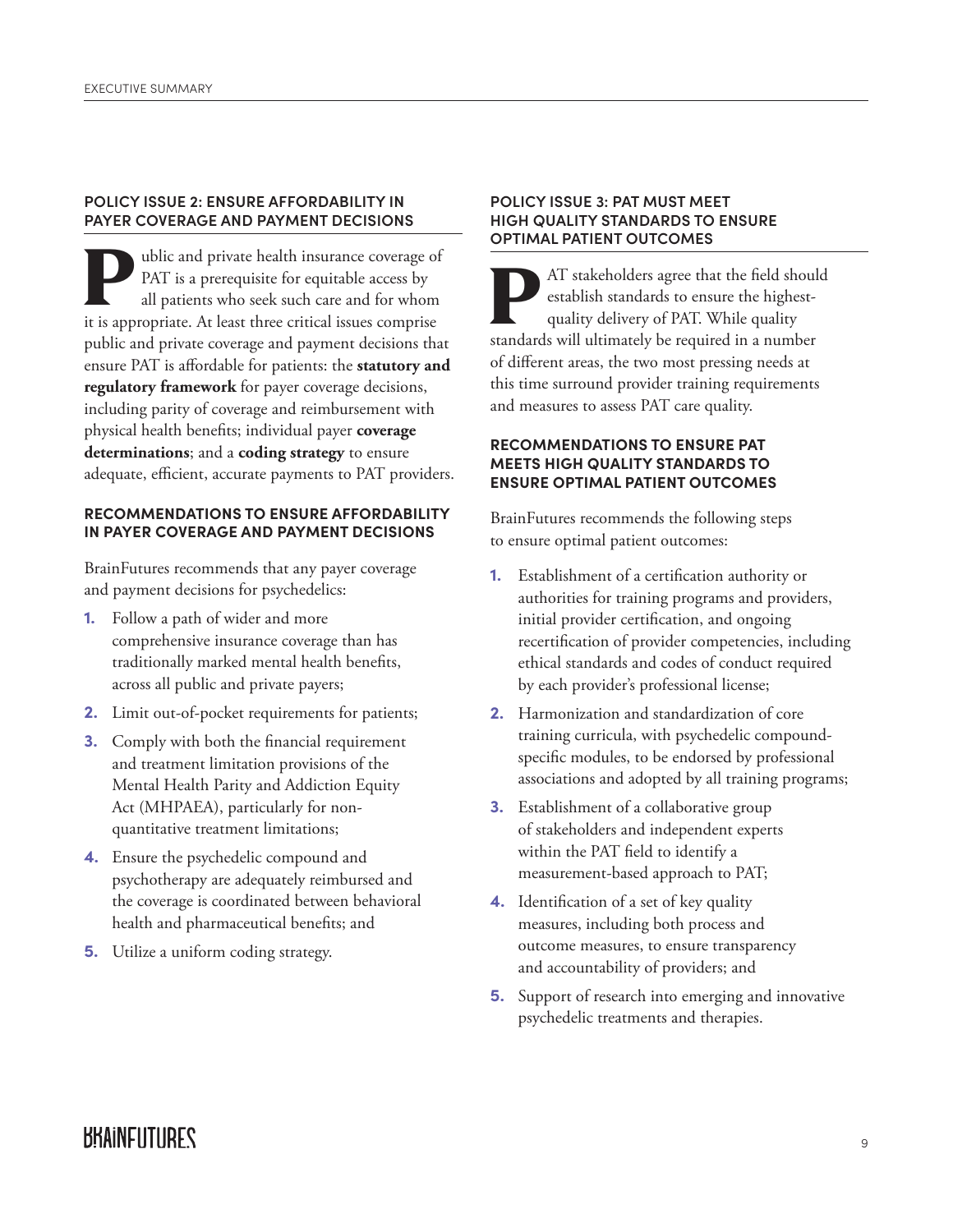#### **POLICY ISSUE 2: ENSURE AFFORDABILITY IN PAYER COVERAGE AND PAYMENT DECISIONS**

**Public and private health insurance coverage of PAT is a prerequisite for equitable access by all patients who seek such care and for whom** PAT is a prerequisite for equitable access by all patients who seek such care and for whom it is appropriate. At least three critical issues comprise public and private coverage and payment decisions that ensure PAT is affordable for patients: the **statutory and regulatory framework** for payer coverage decisions, including parity of coverage and reimbursement with physical health benefits; individual payer **coverage determinations**; and a **coding strategy** to ensure adequate, efficient, accurate payments to PAT providers.

#### **RECOMMENDATIONS TO ENSURE AFFORDABILITY IN PAYER COVERAGE AND PAYMENT DECISIONS**

BrainFutures recommends that any payer coverage and payment decisions for psychedelics:

- **1.** Follow a path of wider and more comprehensive insurance coverage than has traditionally marked mental health benefits, across all public and private payers;
- **2.** Limit out-of-pocket requirements for patients;
- **3.** Comply with both the financial requirement and treatment limitation provisions of the Mental Health Parity and Addiction Equity Act (MHPAEA), particularly for nonquantitative treatment limitations;
- **4.** Ensure the psychedelic compound and psychotherapy are adequately reimbursed and the coverage is coordinated between behavioral health and pharmaceutical benefits; and
- **5.** Utilize a uniform coding strategy.

#### **POLICY ISSUE 3: PAT MUST MEET HIGH QUALITY STANDARDS TO ENSURE OPTIMAL PATIENT OUTCOMES**

**P**AT stakeholders agree that the field should establish standards to ensure the highest-quality delivery of PAT. While quality establish standards to ensure the highestquality delivery of PAT. While quality standards will ultimately be required in a number of different areas, the two most pressing needs at this time surround provider training requirements and measures to assess PAT care quality.

#### **RECOMMENDATIONS TO ENSURE PAT MEETS HIGH QUALITY STANDARDS TO ENSURE OPTIMAL PATIENT OUTCOMES**

BrainFutures recommends the following steps to ensure optimal patient outcomes:

- **1.** Establishment of a certification authority or authorities for training programs and providers, initial provider certification, and ongoing recertification of provider competencies, including ethical standards and codes of conduct required by each provider's professional license;
- **2.** Harmonization and standardization of core training curricula, with psychedelic compoundspecific modules, to be endorsed by professional associations and adopted by all training programs;
- **3.** Establishment of a collaborative group of stakeholders and independent experts within the PAT field to identify a measurement-based approach to PAT;
- **4.** Identification of a set of key quality measures, including both process and outcome measures, to ensure transparency and accountability of providers; and
- **5.** Support of research into emerging and innovative psychedelic treatments and therapies.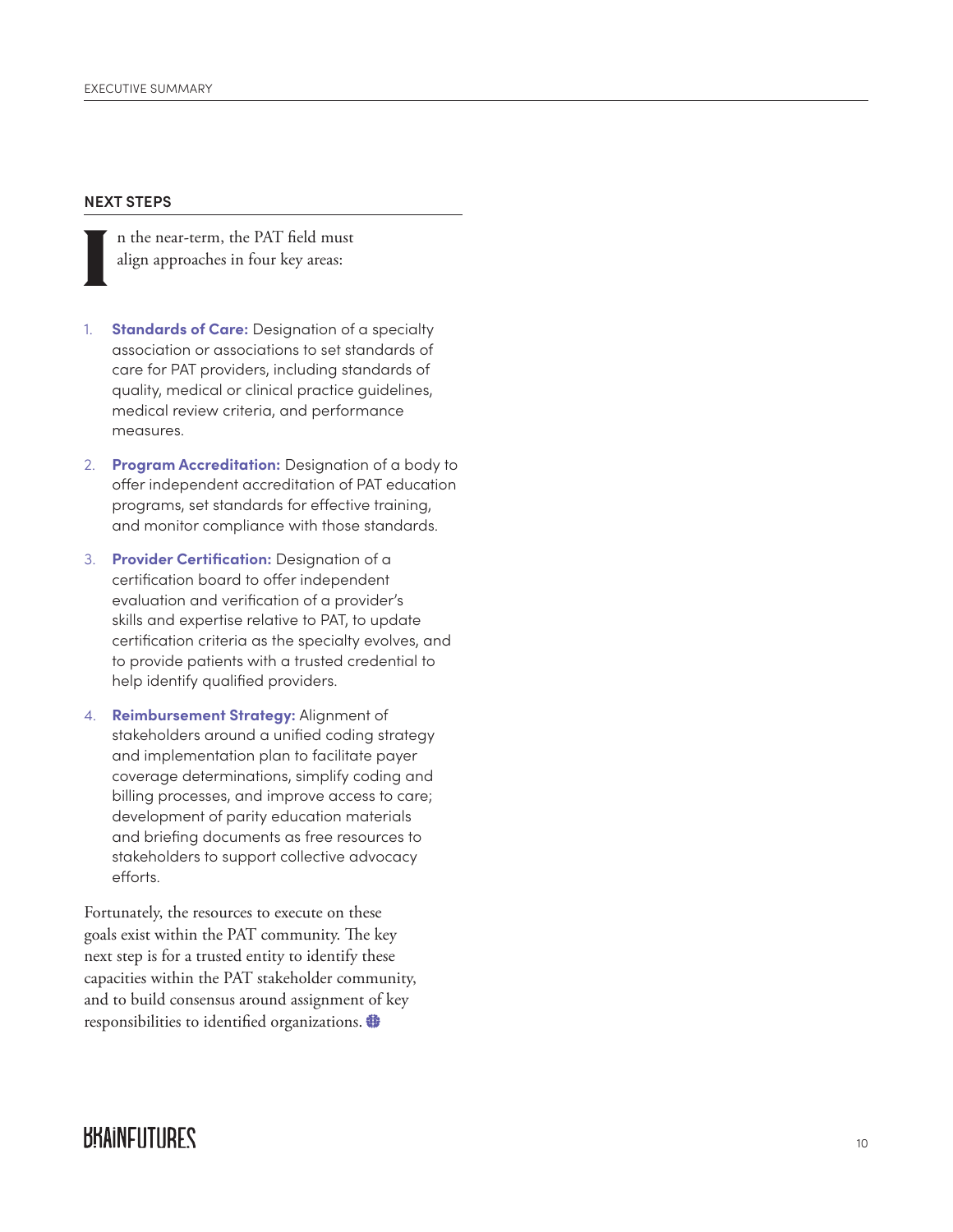#### **NEXT STEPS**

**I** n the near-term, the PAT field must align approaches in four key areas:

- 1. **Standards of Care:** Designation of a specialty association or associations to set standards of care for P AT providers, including standards of quality, medical or clinical practice guidelines, medical review criteria, and performance measures.
- 2. **Program Accreditation:** Designation of a body to offer independent accreditation of P AT education programs, set standards for effective training, and monitor compliance with those standards.
- 3. **Provider Certification:** Designation of a certification board to offer independent evaluation and verification of a provider's skills and expertise relative to P AT, to update certification criteria as the specialty evolves, and to provide patients with a trusted credential to help identify qualified providers.
- 4. **Reimbursement Strategy:** Alignment of stakeholders around a unified coding strategy and implementation plan to facilitate payer coverage determinations, simplify coding and billing processes, and improve access to care; development of parity education materials and briefing documents as free resources to stakeholders to support collective advocacy efforts.

Fortunately, the resources to execute on these goals exist within the PAT community. The key next step is for a trusted entity to identify these capacities within the PAT stakeholder community, and to build consensus around assignment of key responsibilities to identified organizations. <a>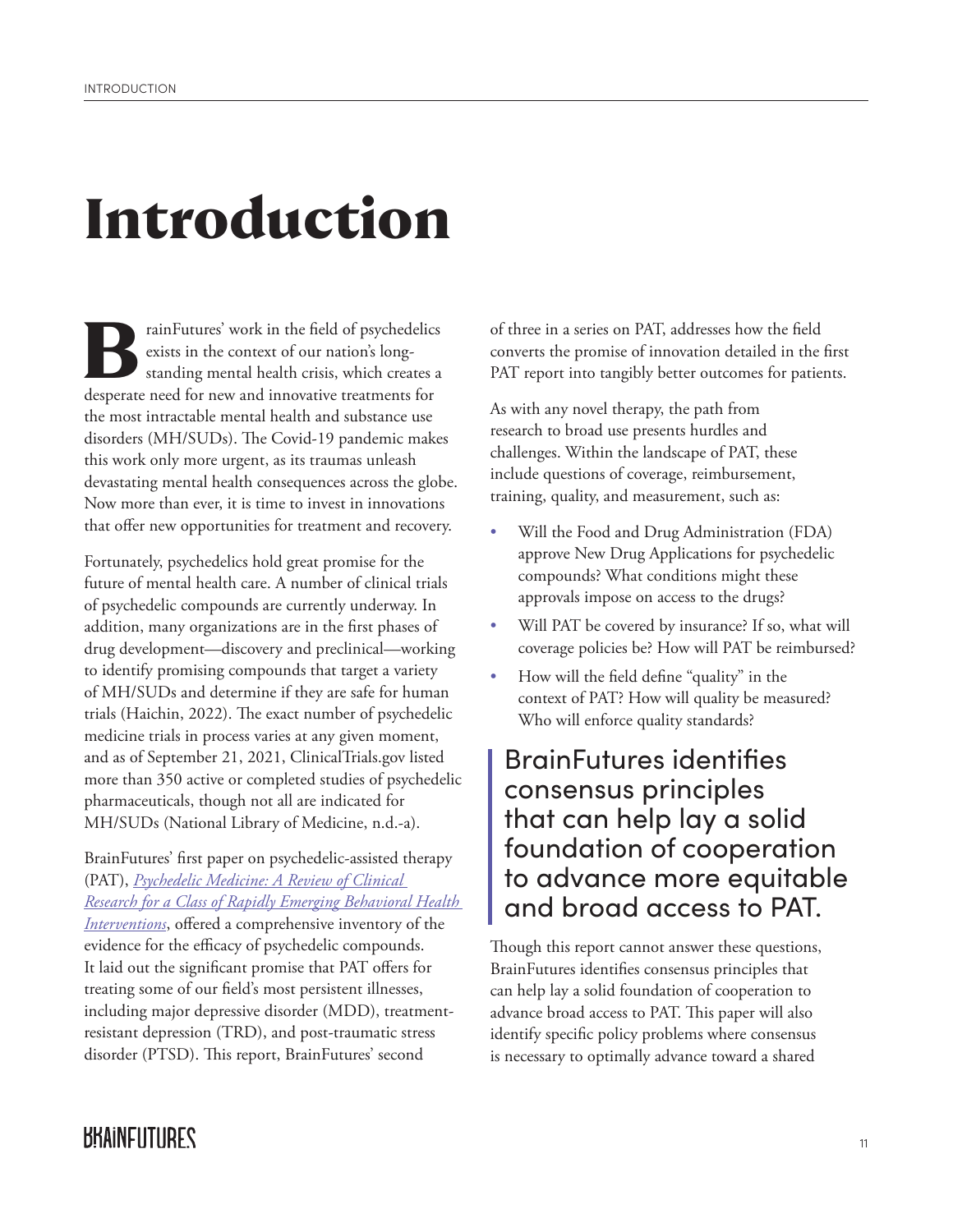## <span id="page-10-0"></span>**Introduction**

**BrainFutures'** work in the field of psychedelics<br>exists in the context of our nation's long-<br>standing mental health crisis, which creates a<br>desperate need for new and innovative treatments for exists in the context of our nation's longstanding mental health crisis, which creates a desperate need for new and innovative treatments for the most intractable mental health and substance use disorders (MH/SUDs). The Covid-19 pandemic makes this work only more urgent, as its traumas unleash devastating mental health consequences across the globe. Now more than ever, it is time to invest in innovations that offer new opportunities for treatment and recovery.

Fortunately, psychedelics hold great promise for the future of mental health care. A number of clinical trials of psychedelic compounds are currently underway. In addition, many organizations are in the first phases of drug development—discovery and preclinical—working to identify promising compounds that target a variety of MH/SUDs and determine if they are safe for human trials (Haichin, 2022). The exact number of psychedelic medicine trials in process varies at any given moment, and as of September 21, 2021, ClinicalTrials.gov listed more than 350 active or completed studies of psychedelic pharmaceuticals, though not all are indicated for MH/SUDs (National Library of Medicine, n.d.-a).

BrainFutures' first paper on psychedelic-assisted therapy (PAT), *[Psychedelic Medicine: A Review of Clinical](https://www.brainfutures.org/mental-health-treatment/patevidence/)  [Research for a Class of Rapidly Emerging Behavioral Health](https://www.brainfutures.org/mental-health-treatment/patevidence/)  [Interventions](https://www.brainfutures.org/mental-health-treatment/patevidence/)*, offered a comprehensive inventory of the evidence for the efficacy of psychedelic compounds. It laid out the significant promise that PAT offers for treating some of our field's most persistent illnesses, including major depressive disorder (MDD), treatmentresistant depression (TRD), and post-traumatic stress disorder (PTSD). This report, BrainFutures' second

of three in a series on PAT, addresses how the field converts the promise of innovation detailed in the first PAT report into tangibly better outcomes for patients.

As with any novel therapy, the path from research to broad use presents hurdles and challenges. Within the landscape of PAT, these include questions of coverage, reimbursement, training, quality, and measurement, such as:

- Will the Food and Drug Administration (FDA) approve New Drug Applications for psychedelic compounds? What conditions might these approvals impose on access to the drugs?
- Will PAT be covered by insurance? If so, what will coverage policies be? How will PAT be reimbursed?
- How will the field define "quality" in the context of PAT? How will quality be measured? Who will enforce quality standards?

## BrainFutures identifies consensus principles that can help lay a solid foundation of cooperation to advance more equitable and broad access to PAT.

Though this report cannot answer these questions, BrainFutures identifies consensus principles that can help lay a solid foundation of cooperation to advance broad access to PAT. This paper will also identify specific policy problems where consensus is necessary to optimally advance toward a shared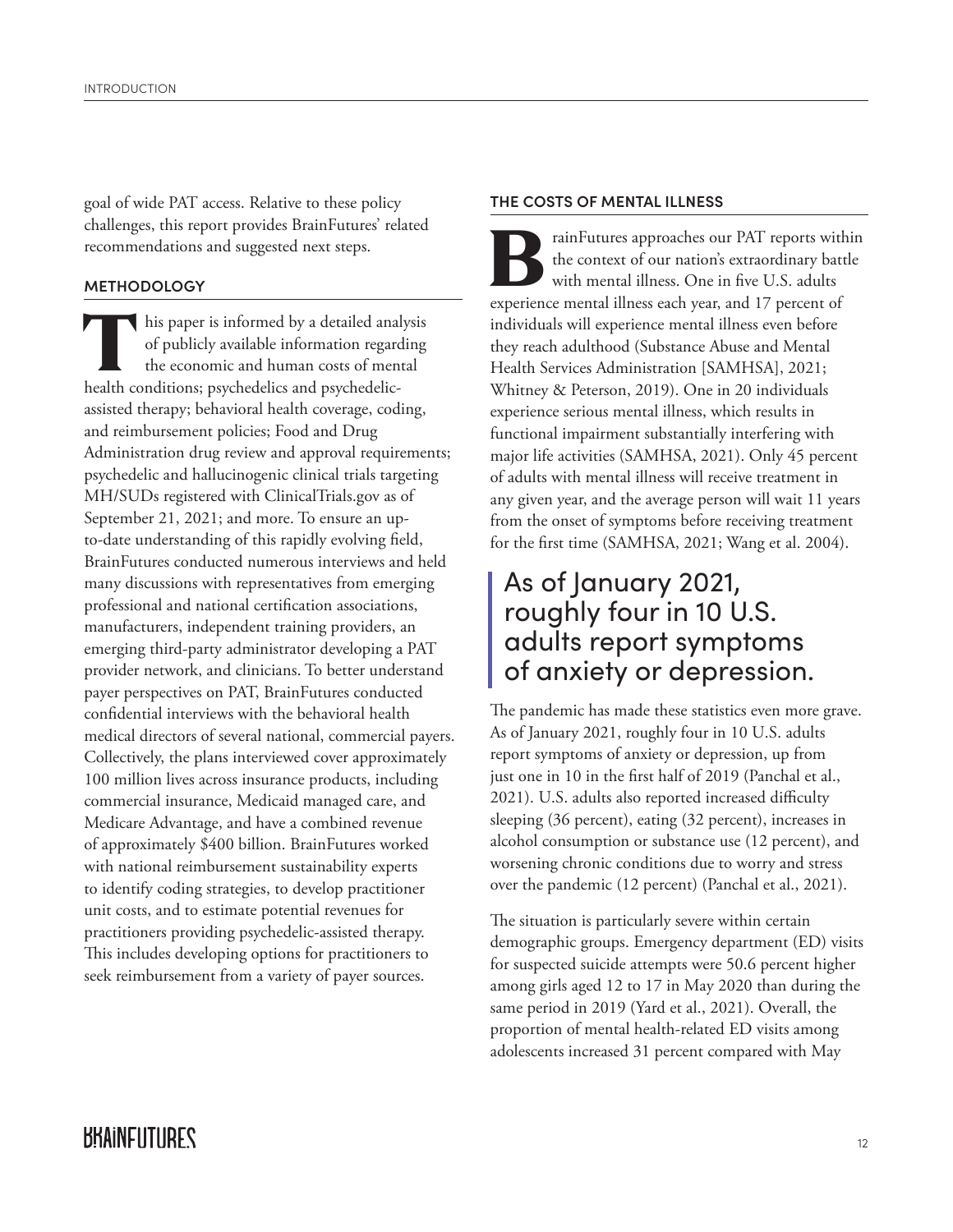goal of wide PAT access. Relative to these policy challenges, this report provides BrainFutures' related recommendations and suggested next steps.

#### **METHODOLOGY**

**T**his paper is informed by a detailed analysis of publicly available information regarding the economic and human costs of mental health conditions; psychedelics and psychedelicassisted therapy; behavioral health coverage, coding, and reimbursement policies; Food and Drug Administration drug review and approval requirements; psychedelic and hallucinogenic clinical trials targeting MH/SUDs registered with ClinicalTrials.gov as of September 21, 2021; and more. To ensure an upto-date understanding of this rapidly evolving field, BrainFutures conducted numerous interviews and held many discussions with representatives from emerging professional and national certification associations, manufacturers, independent training providers, an emerging third-party administrator developing a PAT provider network, and clinicians. To better understand payer perspectives on PAT, BrainFutures conducted confidential interviews with the behavioral health medical directors of several national, commercial payers. Collectively, the plans interviewed cover approximately 100 million lives across insurance products, including commercial insurance, Medicaid managed care, and Medicare Advantage, and have a combined revenue of approximately \$400 billion. BrainFutures worked with national reimbursement sustainability experts to identify coding strategies, to develop practitioner unit costs, and to estimate potential revenues for practitioners providing psychedelic-assisted therapy. This includes developing options for practitioners to seek reimbursement from a variety of payer sources.

#### **THE COSTS OF MENTAL ILLNESS**

rainFutures approaches our PAT reports within the context of our nation's extraordinary battle with mental illness. One in five U.S. adults experience mental illness each year, and 17 percent of individuals will experience mental illness even before they reach adulthood (Substance Abuse and Mental Health Services Administration [SAMHSA], 2021; Whitney & Peterson, 2019). One in 20 individuals experience serious mental illness, which results in functional impairment substantially interfering with major life activities (SAMHSA, 2021). Only 45 percent of adults with mental illness will receive treatment in any given year, and the average person will wait 11 years from the onset of symptoms before receiving treatment for the first time (SAMHSA, 2021; Wang et al. 2004).

## As of January 2021, roughly four in 10 U.S. adults report symptoms of anxiety or depression.

The pandemic has made these statistics even more grave. As of January 2021, roughly four in 10 U.S. adults report symptoms of anxiety or depression, up from just one in 10 in the first half of 2019 (Panchal et al., 2021). U.S. adults also reported increased difficulty sleeping (36 percent), eating (32 percent), increases in alcohol consumption or substance use (12 percent), and worsening chronic conditions due to worry and stress over the pandemic (12 percent) (Panchal et al., 2021).

The situation is particularly severe within certain demographic groups. Emergency department (ED) visits for suspected suicide attempts were 50.6 percent higher among girls aged 12 to 17 in May 2020 than during the same period in 2019 (Yard et al., 2021). Overall, the proportion of mental health-related ED visits among adolescents increased 31 percent compared with May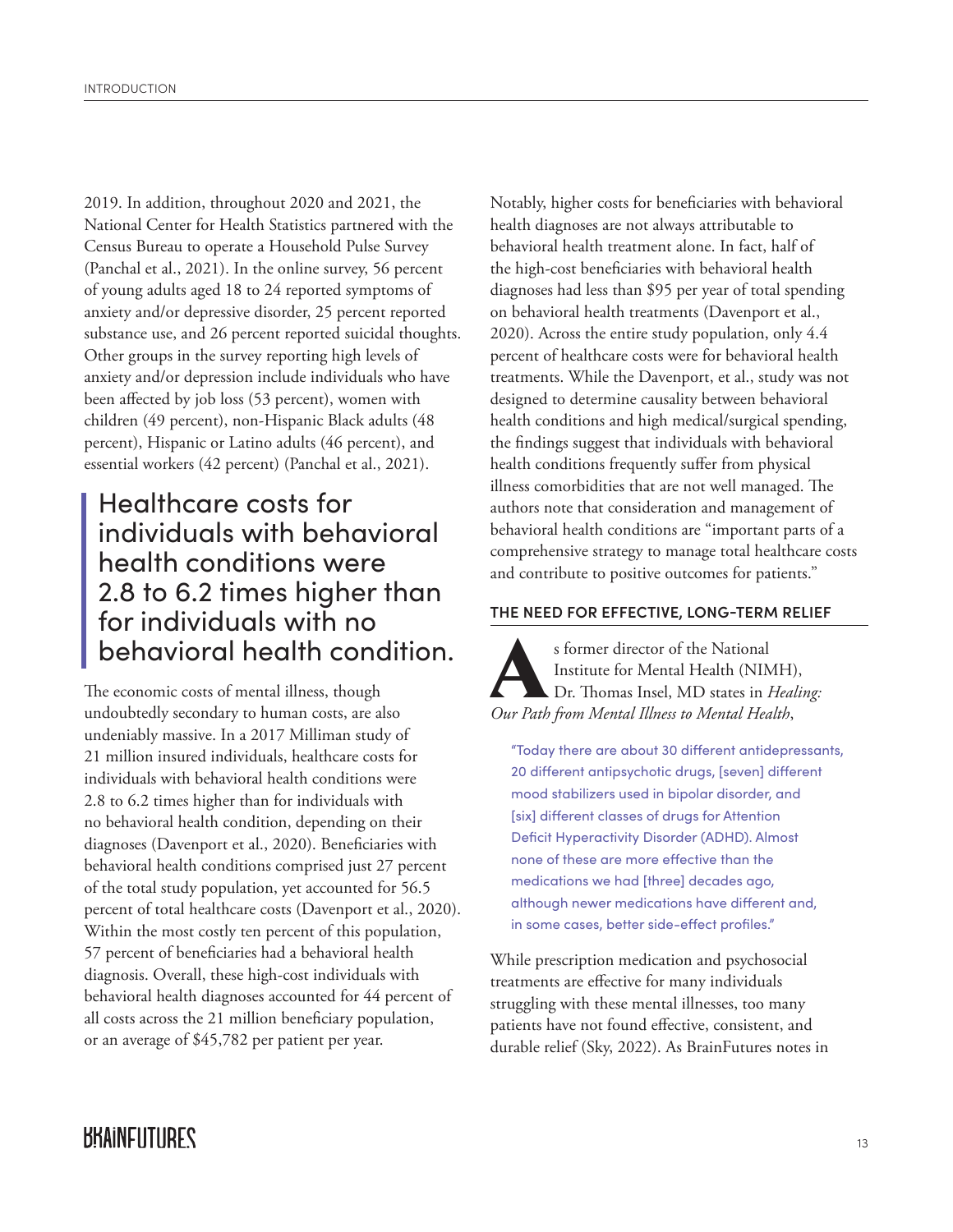2019. In addition, throughout 2020 and 2021, the National Center for Health Statistics partnered with the Census Bureau to operate a Household Pulse Survey (Panchal et al., 2021). In the online survey, 56 percent of young adults aged 18 to 24 reported symptoms of anxiety and/or depressive disorder, 25 percent reported substance use, and 26 percent reported suicidal thoughts. Other groups in the survey reporting high levels of anxiety and/or depression include individuals who have been affected by job loss (53 percent), women with children (49 percent), non-Hispanic Black adults (48 percent), Hispanic or Latino adults (46 percent), and essential workers (42 percent) (Panchal et al., 2021).

## Healthcare costs for individuals with behavioral health conditions were 2.8 to 6.2 times higher than for individuals with no behavioral health condition.

The economic costs of mental illness, though undoubtedly secondary to human costs, are also undeniably massive. In a 2017 Milliman study of 21 million insured individuals, healthcare costs for individuals with behavioral health conditions were 2.8 to 6.2 times higher than for individuals with no behavioral health condition, depending on their diagnoses (Davenport et al., 2020). Beneficiaries with behavioral health conditions comprised just 27 percent of the total study population, yet accounted for 56.5 percent of total healthcare costs (Davenport et al., 2020). Within the most costly ten percent of this population, 57 percent of beneficiaries had a behavioral health diagnosis. Overall, these high-cost individuals with behavioral health diagnoses accounted for 44 percent of all costs across the 21 million beneficiary population, or an average of \$45,782 per patient per year.

Notably, higher costs for beneficiaries with behavioral health diagnoses are not always attributable to behavioral health treatment alone. In fact, half of the high-cost beneficiaries with behavioral health diagnoses had less than \$95 per year of total spending on behavioral health treatments (Davenport et al., 2020). Across the entire study population, only 4.4 percent of healthcare costs were for behavioral health treatments. While the Davenport, et al., study was not designed to determine causality between behavioral health conditions and high medical/surgical spending, the findings suggest that individuals with behavioral health conditions frequently suffer from physical illness comorbidities that are not well managed. The authors note that consideration and management of behavioral health conditions are "important parts of a comprehensive strategy to manage total healthcare costs and contribute to positive outcomes for patients."

#### **THE NEED FOR EFFECTIVE, LONG-TERM RELIEF**

s former director of the National<br>Institute for Mental Health (NIM<br>Dr. Thomas Insel, MD states in *I* Institute for Mental Health (NIMH), Dr. Thomas Insel, MD states in *Healing: Our Path from Mental Illness to Mental Health*,

"Today there are about 30 different antidepressants, 20 different antipsychotic drugs, [seven] different mood stabilizers used in bipolar disorder, and [six] different classes of drugs for Attention Deficit Hyperactivity Disorder (ADHD). Almost none of these are more effective than the medications we had [three] decades ago, although newer medications have different and, in some cases, better side-effect profiles."

While prescription medication and psychosocial treatments are effective for many individuals struggling with these mental illnesses, too many patients have not found effective, consistent, and durable relief (Sky, 2022). As BrainFutures notes in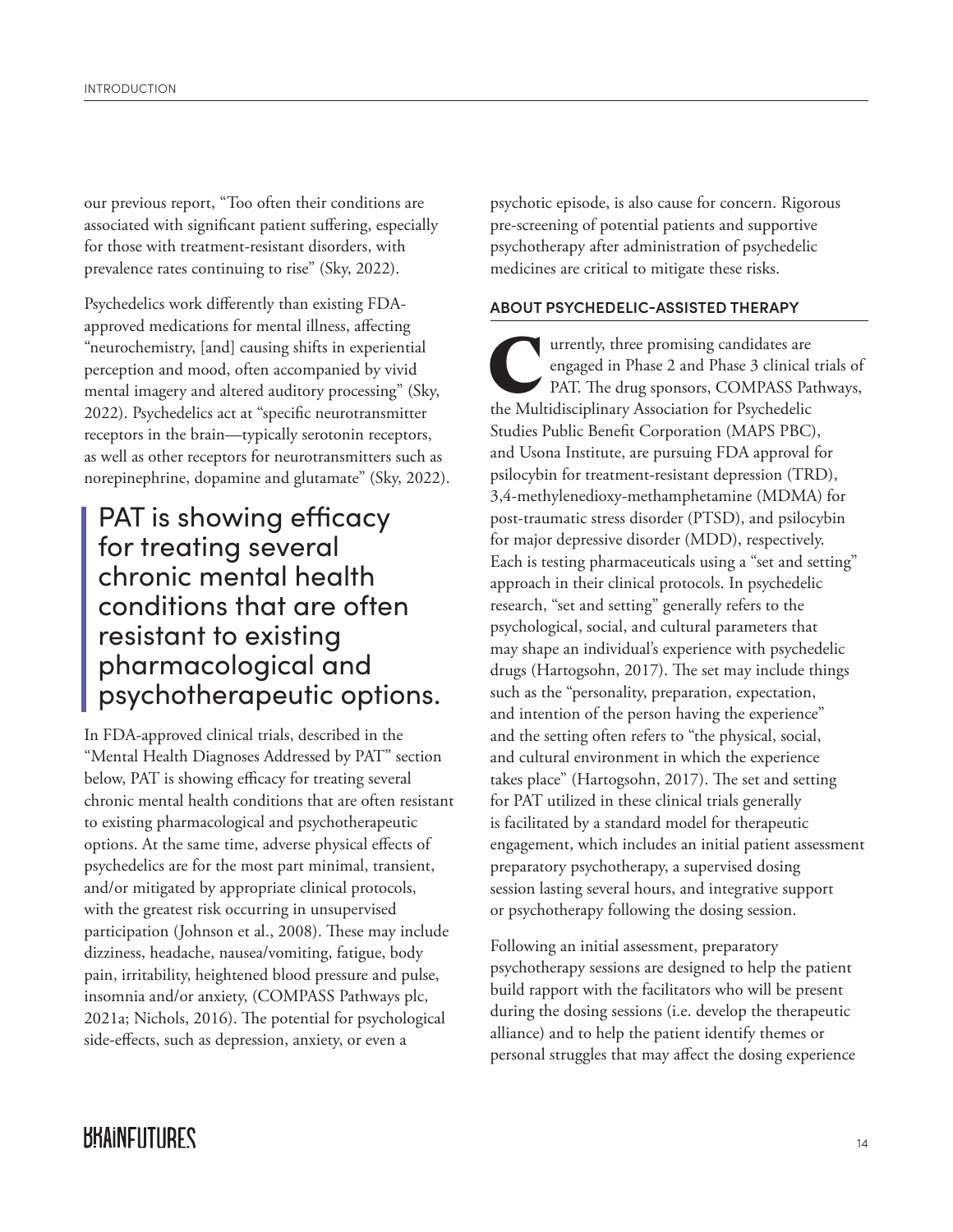our previous report, "Too often their conditions are associated with significant patient suffering, especially for those with treatment-resistant disorders, with prevalence rates continuing to rise" (Sky, 2022).

Psychedelics work differently than existing FDAapproved medications for mental illness, affecting "neurochemistry, [and] causing shifts in experiential perception and mood, often accompanied by vivid mental imagery and altered auditory processing" (Sky, 2022). Psychedelics act at "specific neurotransmitter receptors in the brain—typically serotonin receptors, as well as other receptors for neurotransmitters such as norepinephrine, dopamine and glutamate" (Sky, 2022).

## PAT is showing efficacy for treating several chronic mental health conditions that are often resistant to existing pharmacological and psychotherapeutic options.

In FDA-approved clinical trials, described in the "Mental Health Diagnoses Addressed by PAT" section below, PAT is showing efficacy for treating several chronic mental health conditions that are often resistant to existing pharmacological and psychotherapeutic options. At the same time, adverse physical effects of psychedelics are for the most part minimal, transient, and/or mitigated by appropriate clinical protocols, with the greatest risk occurring in unsupervised participation (Johnson et al., 2008). These may include dizziness, headache, nausea/vomiting, fatigue, body pain, irritability, heightened blood pressure and pulse, insomnia and/or anxiety, (COMPASS Pathways plc, 2021a; Nichols, 2016). The potential for psychological side-effects, such as depression, anxiety, or even a

psychotic episode, is also cause for concern. Rigorous pre-screening of potential patients and supportive psychotherapy after administration of psychedelic medicines are critical to mitigate these risks.

### **ABOUT PSYCHEDELIC-ASSISTED THERAPY**

Turrently, three promising candidates are engaged in Phase 2 and Phase 3 clinical<br>PAT. The drug sponsors, COMPASS Parthe Multidisciplinary Association for Psychodelic engaged in Phase 2 and Phase 3 clinical trials of PAT. The drug sponsors, COMPASS Pathways, the Multidisciplinary Association for Psychedelic Studies Public Benefit Corporation (MAPS PBC), and Usona Institute, are pursuing FDA approval for psilocybin for treatment-resistant depression (TRD), 3,4-methylenedioxy-methamphetamine (MDMA) for post-traumatic stress disorder (PTSD), and psilocybin for major depressive disorder (MDD), respectively. Each is testing pharmaceuticals using a "set and setting" approach in their clinical protocols. In psychedelic research, "set and setting" generally refers to the psychological, social, and cultural parameters that may shape an individual's experience with psychedelic drugs (Hartogsohn, 2017). The set may include things such as the "personality, preparation, expectation, and intention of the person having the experience" and the setting often refers to "the physical, social, and cultural environment in which the experience takes place" (Hartogsohn, 2017). The set and setting for PAT utilized in these clinical trials generally is facilitated by a standard model for therapeutic engagement, which includes an initial patient assessment preparatory psychotherapy, a supervised dosing session lasting several hours, and integrative support or psychotherapy following the dosing session.

Following an initial assessment, preparatory psychotherapy sessions are designed to help the patient build rapport with the facilitators who will be present during the dosing sessions (i.e. develop the therapeutic alliance) and to help the patient identify themes or personal struggles that may affect the dosing experience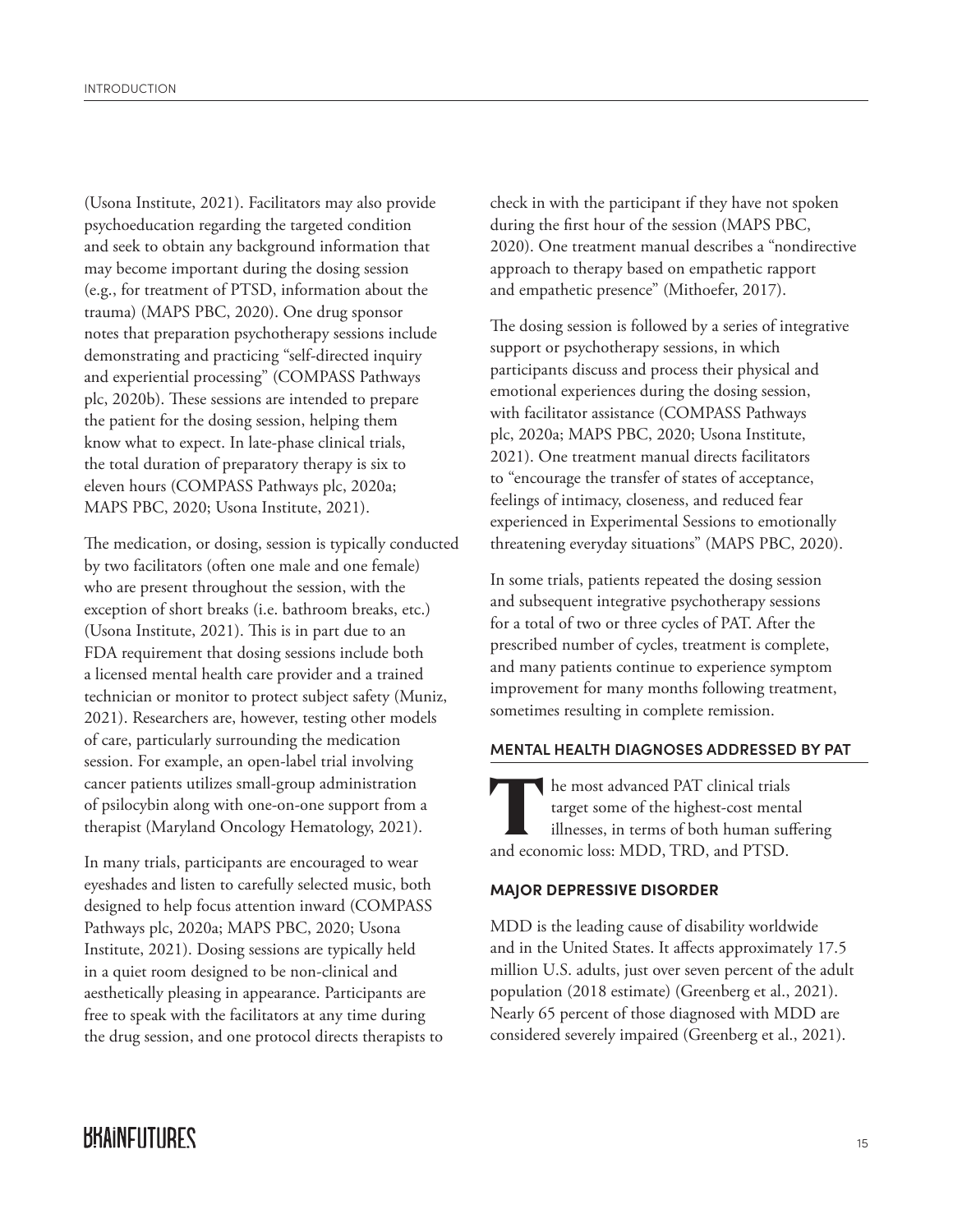(Usona Institute, 2021). Facilitators may also provide psychoeducation regarding the targeted condition and seek to obtain any background information that may become important during the dosing session (e.g., for treatment of PTSD, information about the trauma) (MAPS PBC, 2020). One drug sponsor notes that preparation psychotherapy sessions include demonstrating and practicing "self-directed inquiry and experiential processing" (COMPASS Pathways plc, 2020b). These sessions are intended to prepare the patient for the dosing session, helping them know what to expect. In late-phase clinical trials, the total duration of preparatory therapy is six to eleven hours (COMPASS Pathways plc, 2020a; MAPS PBC, 2020; Usona Institute, 2021).

The medication, or dosing, session is typically conducted by two facilitators (often one male and one female) who are present throughout the session, with the exception of short breaks (i.e. bathroom breaks, etc.) (Usona Institute, 2021). This is in part due to an FDA requirement that dosing sessions include both a licensed mental health care provider and a trained technician or monitor to protect subject safety (Muniz, 2021). Researchers are, however, testing other models of care, particularly surrounding the medication session. For example, an open-label trial involving cancer patients utilizes small-group administration of psilocybin along with one-on-one support from a therapist (Maryland Oncology Hematology, 2021).

In many trials, participants are encouraged to wear eyeshades and listen to carefully selected music, both designed to help focus attention inward (COMPASS Pathways plc, 2020a; MAPS PBC, 2020; Usona Institute, 2021). Dosing sessions are typically held in a quiet room designed to be non-clinical and aesthetically pleasing in appearance. Participants are free to speak with the facilitators at any time during the drug session, and one protocol directs therapists to check in with the participant if they have not spoken during the first hour of the session (MAPS PBC, 2020). One treatment manual describes a "nondirective approach to therapy based on empathetic rapport and empathetic presence" (Mithoefer, 2017).

The dosing session is followed by a series of integrative support or psychotherapy sessions, in which participants discuss and process their physical and emotional experiences during the dosing session, with facilitator assistance (COMPASS Pathways plc, 2020a; MAPS PBC, 2020; Usona Institute, 2021). One treatment manual directs facilitators to "encourage the transfer of states of acceptance, feelings of intimacy, closeness, and reduced fear experienced in Experimental Sessions to emotionally threatening everyday situations" (MAPS PBC, 2020).

In some trials, patients repeated the dosing session and subsequent integrative psychotherapy sessions for a total of two or three cycles of PAT. After the prescribed number of cycles, treatment is complete, and many patients continue to experience symptom improvement for many months following treatment, sometimes resulting in complete remission.

#### **MENTAL HEALTH DIAGNOSES ADDRESSED BY PAT**

**T**he most advanced PAT clinical trials target some of the highest-cost mental illnesses, in terms of both human suffering and economic loss: MDD, TRD, and PTSD.

#### **MAJOR DEPRESSIVE DISORDER**

MDD is the leading cause of disability worldwide and in the United States. It affects approximately 17.5 million U.S. adults, just over seven percent of the adult population (2018 estimate) (Greenberg et al., 2021). Nearly 65 percent of those diagnosed with MDD are considered severely impaired (Greenberg et al., 2021).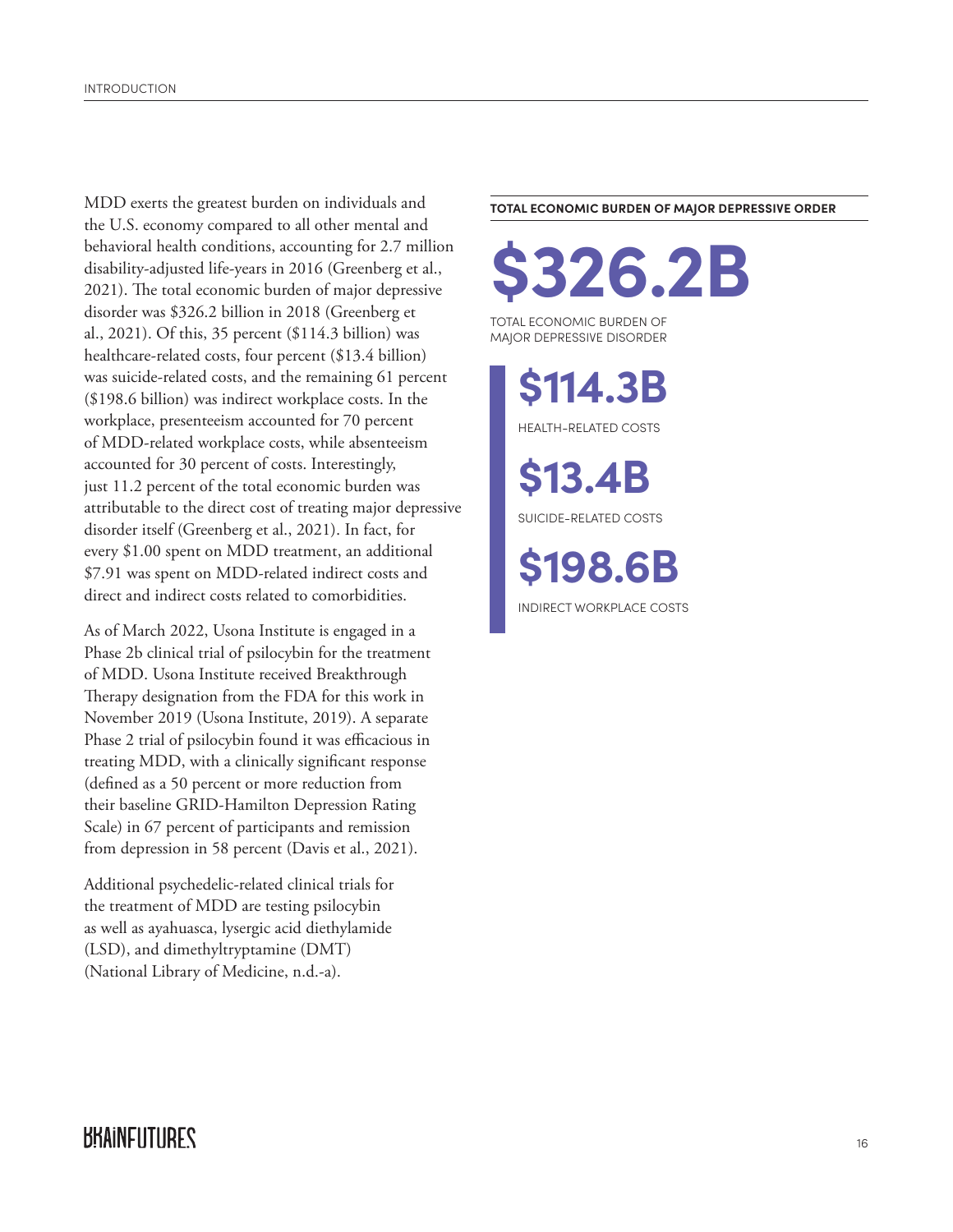MDD exerts the greatest burden on individuals and the U.S. economy compared to all other mental and behavioral health conditions, accounting for 2.7 million disability-adjusted life-years in 2016 (Greenberg et al., 2021). The total economic burden of major depressive disorder was \$326.2 billion in 2018 (Greenberg et al., 2021). Of this, 35 percent (\$114.3 billion) was healthcare-related costs, four percent (\$13.4 billion) was suicide-related costs, and the remaining 61 percent (\$198.6 billion) was indirect workplace costs. In the workplace, presenteeism accounted for 70 percent of MDD-related workplace costs, while absenteeism accounted for 30 percent of costs. Interestingly, just 11.2 percent of the total economic burden was attributable to the direct cost of treating major depressive disorder itself (Greenberg et al., 2021). In fact, for every \$1.00 spent on MDD treatment, an additional \$7.91 was spent on MDD-related indirect costs and direct and indirect costs related to comorbidities.

As of March 2022, Usona Institute is engaged in a Phase 2b clinical trial of psilocybin for the treatment of MDD. Usona Institute received Breakthrough Therapy designation from the FDA for this work in November 2019 (Usona Institute, 2019). A separate Phase 2 trial of psilocybin found it was efficacious in treating MDD, with a clinically significant response (defined as a 50 percent or more reduction from their baseline GRID-Hamilton Depression Rating Scale) in 67 percent of participants and remission from depression in 58 percent (Davis et al., 2021).

Additional psychedelic-related clinical trials for the treatment of MDD are testing psilocybin as well as ayahuasca, lysergic acid diethylamide (LSD), and dimethyltryptamine (DMT) (National Library of Medicine, n.d.-a).

**TOTAL ECONOMIC BURDEN OF MAJOR DEPRESSIVE ORDER**

**\$326.2B** TOTAL ECONOMIC BURDEN OF MAJOR DEPRESSIVE DISORDER **\$114.3B** HEALTH-RELATED COSTS **\$13.4B** SUICIDE-RELATED COSTS **\$198.6B** INDIRECT WORKPLACE COSTS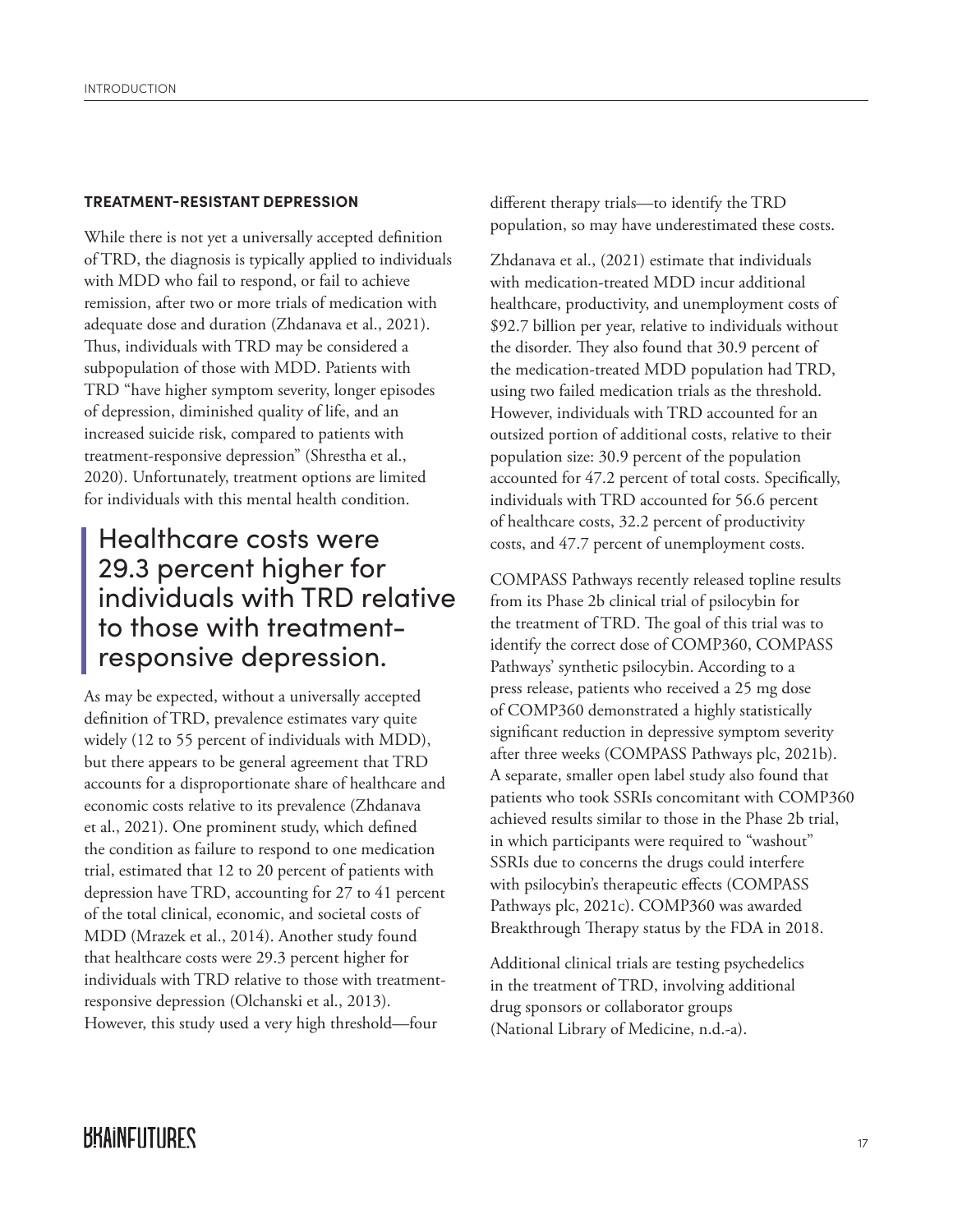#### **TREATMENT-RESISTANT DEPRESSION**

While there is not yet a universally accepted definition of TRD, the diagnosis is typically applied to individuals with MDD who fail to respond, or fail to achieve remission, after two or more trials of medication with adequate dose and duration (Zhdanava et al., 2021). Thus, individuals with TRD may be considered a subpopulation of those with MDD. Patients with TRD "have higher symptom severity, longer episodes of depression, diminished quality of life, and an increased suicide risk, compared to patients with treatment-responsive depression" (Shrestha et al., 2020). Unfortunately, treatment options are limited for individuals with this mental health condition.

## Healthcare costs were 29.3 percent higher for individuals with TRD relative to those with treatmentresponsive depression.

As may be expected, without a universally accepted definition of TRD, prevalence estimates vary quite widely (12 to 55 percent of individuals with MDD), but there appears to be general agreement that TRD accounts for a disproportionate share of healthcare and economic costs relative to its prevalence (Zhdanava et al., 2021). One prominent study, which defined the condition as failure to respond to one medication trial, estimated that 12 to 20 percent of patients with depression have TRD, accounting for 27 to 41 percent of the total clinical, economic, and societal costs of MDD (Mrazek et al., 2014). Another study found that healthcare costs were 29.3 percent higher for individuals with TRD relative to those with treatmentresponsive depression (Olchanski et al., 2013). However, this study used a very high threshold—four

different therapy trials—to identify the TRD population, so may have underestimated these costs.

Zhdanava et al., (2021) estimate that individuals with medication-treated MDD incur additional healthcare, productivity, and unemployment costs of \$92.7 billion per year, relative to individuals without the disorder. They also found that 30.9 percent of the medication-treated MDD population had TRD, using two failed medication trials as the threshold. However, individuals with TRD accounted for an outsized portion of additional costs, relative to their population size: 30.9 percent of the population accounted for 47.2 percent of total costs. Specifically, individuals with TRD accounted for 56.6 percent of healthcare costs, 32.2 percent of productivity costs, and 47.7 percent of unemployment costs.

COMPASS Pathways recently released topline results from its Phase 2b clinical trial of psilocybin for the treatment of TRD. The goal of this trial was to identify the correct dose of COMP360, COMPASS Pathways' synthetic psilocybin. According to a press release, patients who received a 25 mg dose of COMP360 demonstrated a highly statistically significant reduction in depressive symptom severity after three weeks (COMPASS Pathways plc, 2021b). A separate, smaller open label study also found that patients who took SSRIs concomitant with COMP360 achieved results similar to those in the Phase 2b trial, in which participants were required to "washout" SSRIs due to concerns the drugs could interfere with psilocybin's therapeutic effects (COMPASS Pathways plc, 2021c). COMP360 was awarded Breakthrough Therapy status by the FDA in 2018.

Additional clinical trials are testing psychedelics in the treatment of TRD, involving additional drug sponsors or collaborator groups (National Library of Medicine, n.d.-a).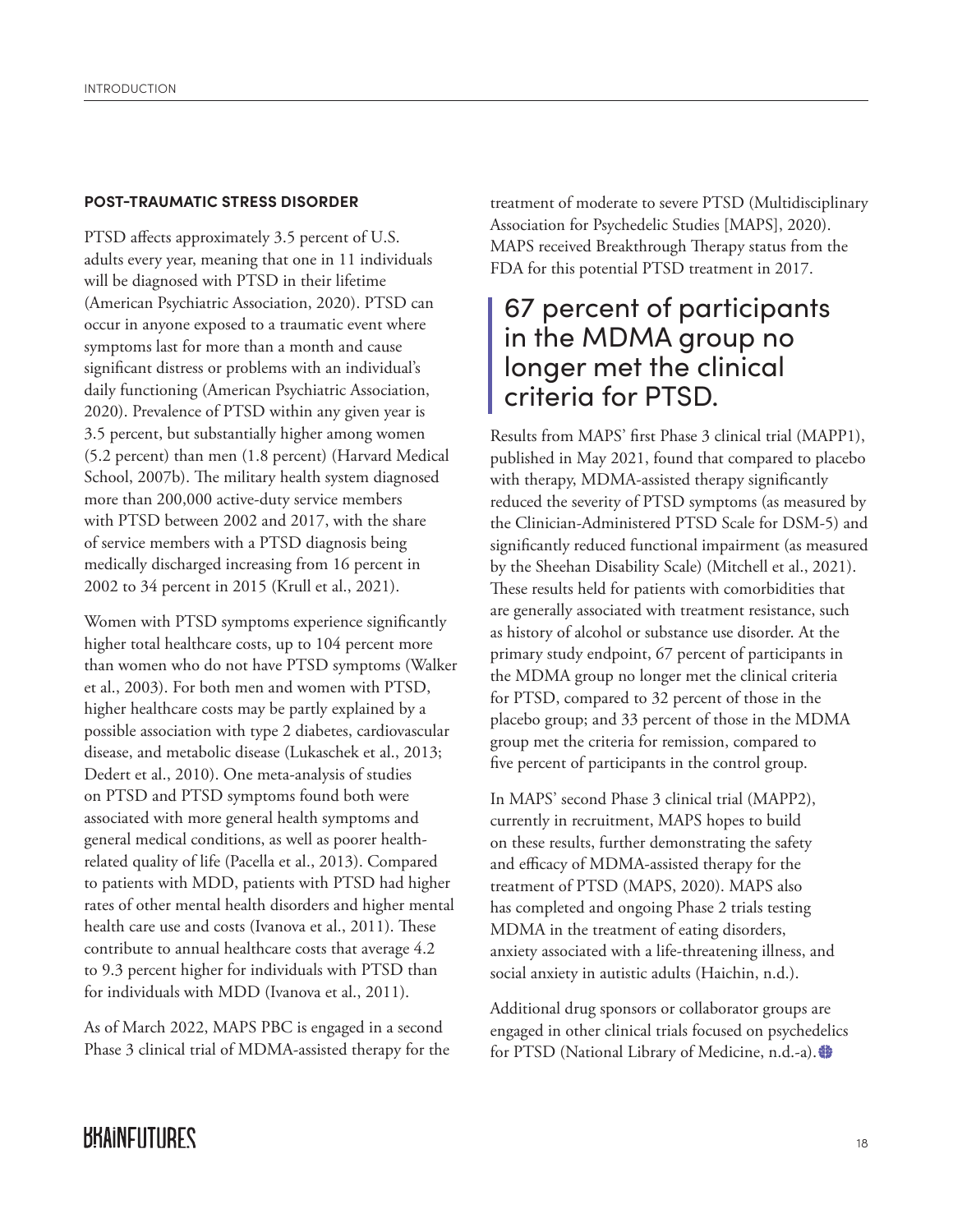#### **POST-TRAUMATIC STRESS DISORDER**

PTSD affects approximately 3.5 percent of U.S. adults every year, meaning that one in 11 individuals will be diagnosed with PTSD in their lifetime (American Psychiatric Association, 2020). PTSD can occur in anyone exposed to a traumatic event where symptoms last for more than a month and cause significant distress or problems with an individual's daily functioning (American Psychiatric Association, 2020). Prevalence of PTSD within any given year is 3.5 percent, but substantially higher among women (5.2 percent) than men (1.8 percent) (Harvard Medical School, 2007b). The military health system diagnosed more than 200,000 active-duty service members with PTSD between 2002 and 2017, with the share of service members with a PTSD diagnosis being medically discharged increasing from 16 percent in 2002 to 34 percent in 2015 (Krull et al., 2021).

Women with PTSD symptoms experience significantly higher total healthcare costs, up to 104 percent more than women who do not have PTSD symptoms (Walker et al., 2003). For both men and women with PTSD, higher healthcare costs may be partly explained by a possible association with type 2 diabetes, cardiovascular disease, and metabolic disease (Lukaschek et al., 2013; Dedert et al., 2010). One meta-analysis of studies on PTSD and PTSD symptoms found both were associated with more general health symptoms and general medical conditions, as well as poorer healthrelated quality of life (Pacella et al., 2013). Compared to patients with MDD, patients with PTSD had higher rates of other mental health disorders and higher mental health care use and costs (Ivanova et al., 2011). These contribute to annual healthcare costs that average 4.2 to 9.3 percent higher for individuals with PTSD than for individuals with MDD (Ivanova et al., 2011).

As of March 2022, MAPS PBC is engaged in a second Phase 3 clinical trial of MDMA-assisted therapy for the treatment of moderate to severe PTSD (Multidisciplinary Association for Psychedelic Studies [MAPS], 2020). MAPS received Breakthrough Therapy status from the FDA for this potential PTSD treatment in 2017.

## 67 percent of participants in the MDMA group no longer met the clinical criteria for PTSD.

Results from MAPS' first Phase 3 clinical trial (MAPP1), published in May 2021, found that compared to placebo with therapy, MDMA-assisted therapy significantly reduced the severity of PTSD symptoms (as measured by the Clinician-Administered PTSD Scale for DSM-5) and significantly reduced functional impairment (as measured by the Sheehan Disability Scale) (Mitchell et al., 2021). These results held for patients with comorbidities that are generally associated with treatment resistance, such as history of alcohol or substance use disorder. At the primary study endpoint, 67 percent of participants in the MDMA group no longer met the clinical criteria for PTSD, compared to 32 percent of those in the placebo group; and 33 percent of those in the MDMA group met the criteria for remission, compared to five percent of participants in the control group.

In MAPS' second Phase 3 clinical trial (MAPP2), currently in recruitment, MAPS hopes to build on these results, further demonstrating the safety and efficacy of MDMA-assisted therapy for the treatment of PTSD (MAPS, 2020). MAPS also has completed and ongoing Phase 2 trials testing MDMA in the treatment of eating disorders, anxiety associated with a life-threatening illness, and social anxiety in autistic adults (Haichin, n.d.).

Additional drug sponsors or collaborator groups are engaged in other clinical trials focused on psychedelics for PTSD (National Library of Medicine, n.d.-a).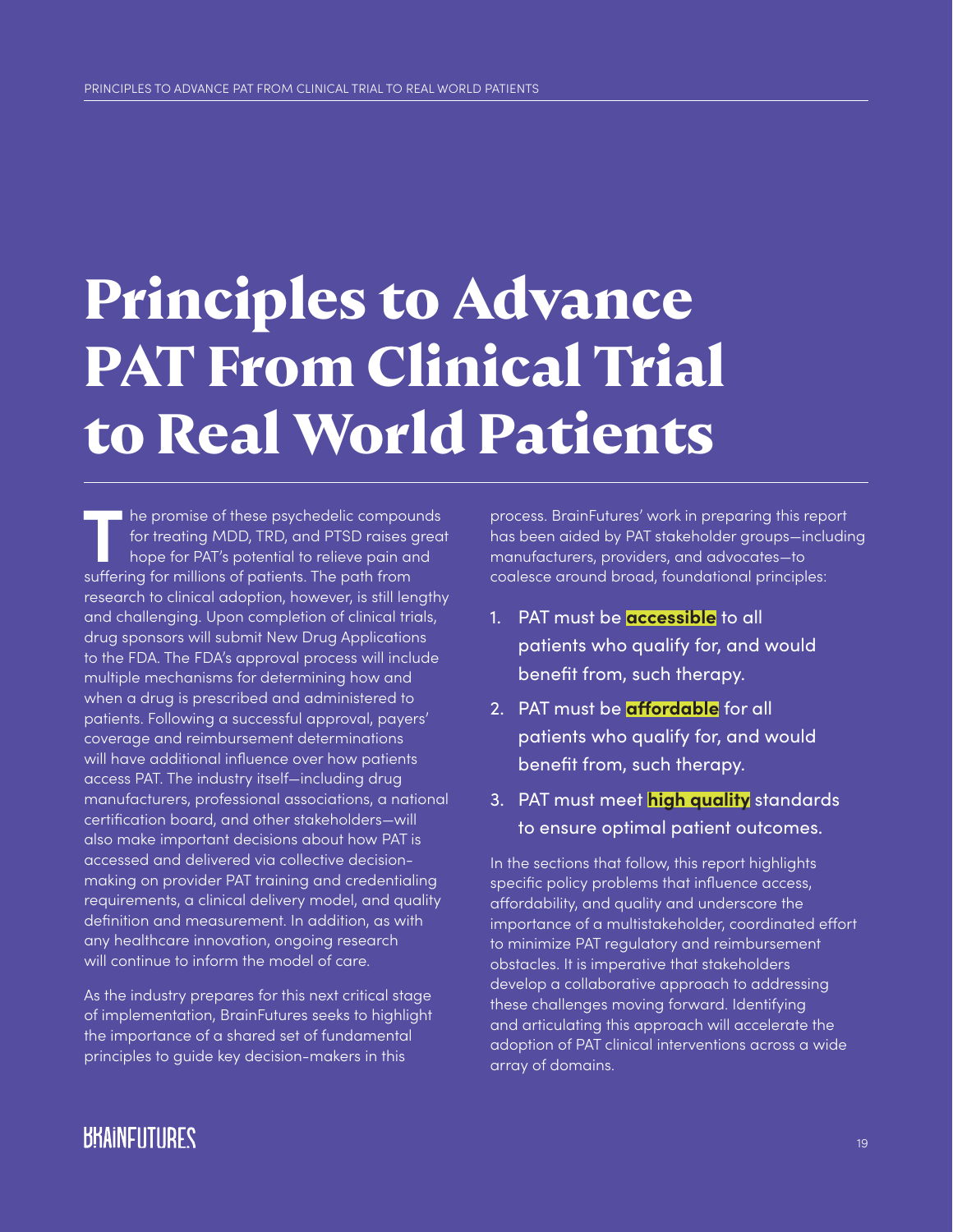## <span id="page-18-0"></span>**Principles to Advance PAT From Clinical Trial to Real World Patients**

TTP he promise of these psychedelic compounds<br>for treating MDD, TRD, and PTSD raises grea<br>hope for PAT's potential to relieve pain and for treating MDD, TRD, and PTSD raises great hope for PAT's potential to relieve pain and suffering for millions of patients. The path from research to clinical adoption, however, is still lengthy and challenging. Upon completion of clinical trials, drug sponsors will submit New Drug Applications to the FDA. The FDA's approval process will include multiple mechanisms for determining how and when a drug is prescribed and administered to patients. Following a successful approval, payers' coverage and reimbursement determinations will have additional influence over how patients access PAT. The industry itself—including drug manufacturers, professional associations, a national certification board, and other stakeholders—will also make important decisions about how PAT is accessed and delivered via collective decisionmaking on provider PAT training and credentialing requirements, a clinical delivery model, and quality definition and measurement. In addition, as with any healthcare innovation, ongoing research will continue to inform the model of care.

As the industry prepares for this next critical stage of implementation, BrainFutures seeks to highlight the importance of a shared set of fundamental principles to guide key decision-makers in this

process. BrainFutures' work in preparing this report has been aided by PAT stakeholder groups—including manufacturers, providers, and advocates—to coalesce around broad, foundational principles:

- 1. PAT must be **accessible** to all patients who qualify for, and would benefit from, such therapy.
- 2. PAT must be **affordable** for all patients who qualify for, and would benefit from, such therapy.
- 3. PAT must meet **high quality** standards to ensure optimal patient outcomes.

In the sections that follow, this report highlights specific policy problems that influence access, affordability, and quality and underscore the importance of a multistakeholder, coordinated effort to minimize PAT regulatory and reimbursement obstacles. It is imperative that stakeholders develop a collaborative approach to addressing these challenges moving forward. Identifying and articulating this approach will accelerate the adoption of PAT clinical interventions across a wide array of domains.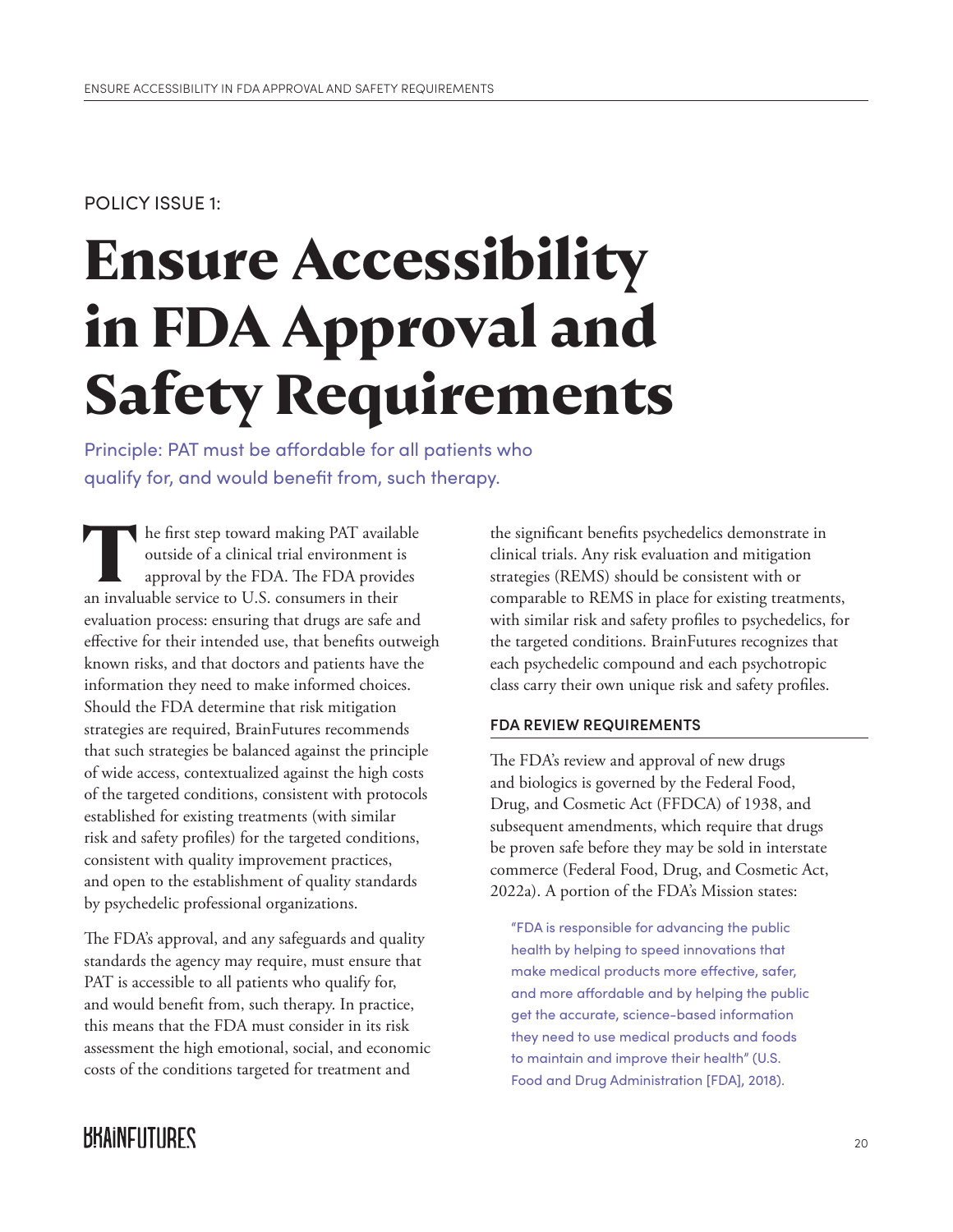### <span id="page-19-0"></span>POLICY ISSUE 1:

## **Ensure Accessibility in FDA Approval and Safety Requirements**

Principle: PAT must be affordable for all patients who qualify for, and would benefit from, such therapy.

The first step toward making PAT available<br>outside of a clinical trial environment is<br>approval by the FDA. The FDA provides<br>an invaluable service to U.S. consumers in their outside of a clinical trial environment is approval by the FDA. The FDA provides an invaluable service to U.S. consumers in their evaluation process: ensuring that drugs are safe and effective for their intended use, that benefits outweigh known risks, and that doctors and patients have the information they need to make informed choices. Should the FDA determine that risk mitigation strategies are required, BrainFutures recommends that such strategies be balanced against the principle of wide access, contextualized against the high costs of the targeted conditions, consistent with protocols established for existing treatments (with similar risk and safety profiles) for the targeted conditions, consistent with quality improvement practices, and open to the establishment of quality standards by psychedelic professional organizations.

The FDA's approval, and any safeguards and quality standards the agency may require, must ensure that PAT is accessible to all patients who qualify for, and would benefit from, such therapy. In practice, this means that the FDA must consider in its risk assessment the high emotional, social, and economic costs of the conditions targeted for treatment and

the significant benefits psychedelics demonstrate in clinical trials. Any risk evaluation and mitigation strategies (REMS) should be consistent with or comparable to REMS in place for existing treatments, with similar risk and safety profiles to psychedelics, for the targeted conditions. BrainFutures recognizes that each psychedelic compound and each psychotropic class carry their own unique risk and safety profiles.

### **FDA REVIEW REQUIREMENTS**

The FDA's review and approval of new drugs and biologics is governed by the Federal Food, Drug, and Cosmetic Act (FFDCA) of 1938, and subsequent amendments, which require that drugs be proven safe before they may be sold in interstate commerce (Federal Food, Drug, and Cosmetic Act, 2022a). A portion of the FDA's Mission states:

"FDA is responsible for advancing the public health by helping to speed innovations that make medical products more effective, safer, and more affordable and by helping the public get the accurate, science-based information they need to use medical products and foods to maintain and improve their health" (U.S. Food and Drug Administration [FDA], 2018).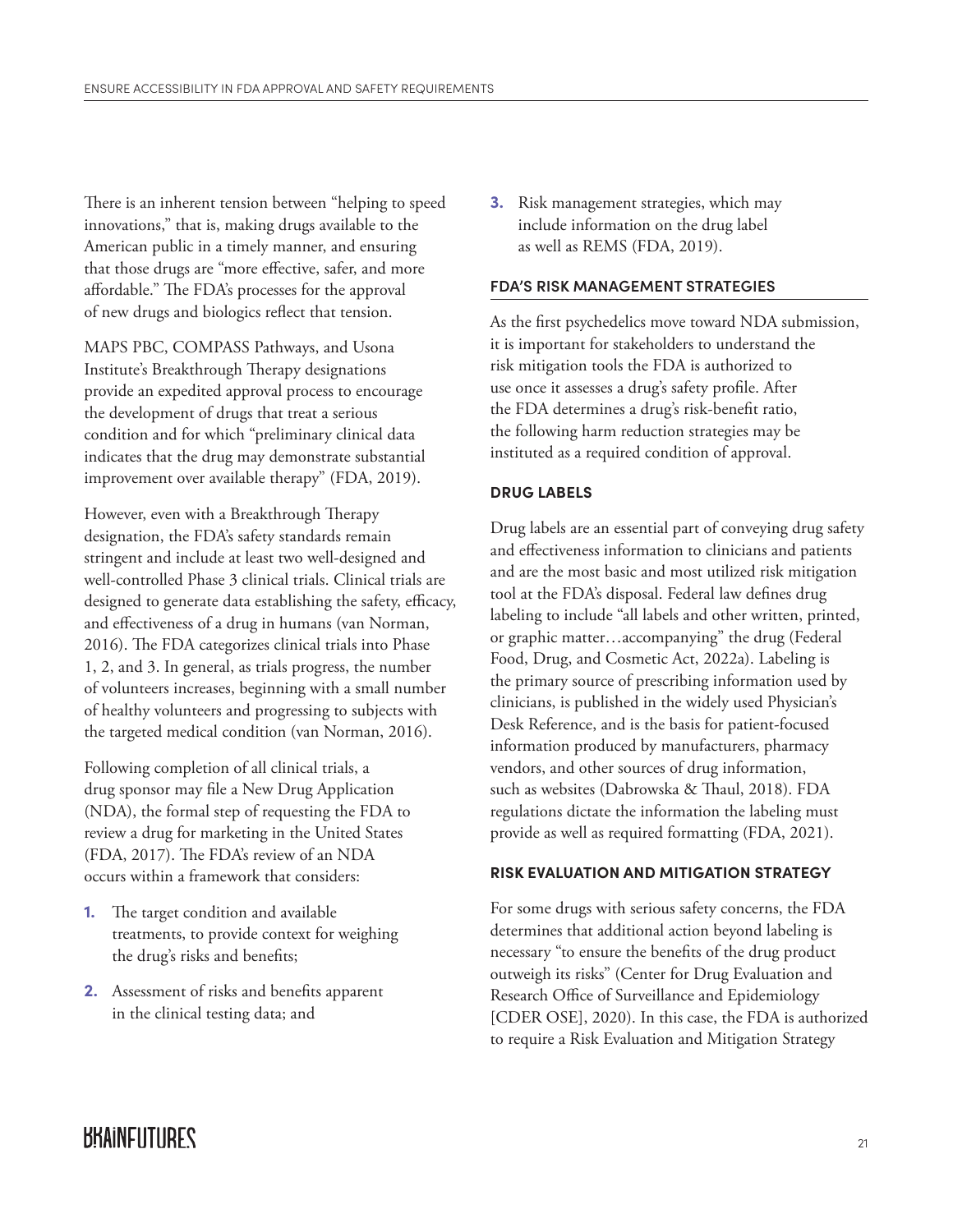There is an inherent tension between "helping to speed innovations," that is, making drugs available to the American public in a timely manner, and ensuring that those drugs are "more effective, safer, and more affordable." The FDA's processes for the approval of new drugs and biologics reflect that tension.

MAPS PBC, COMPASS Pathways, and Usona Institute's Breakthrough Therapy designations provide an expedited approval process to encourage the development of drugs that treat a serious condition and for which "preliminary clinical data indicates that the drug may demonstrate substantial improvement over available therapy" (FDA, 2019).

However, even with a Breakthrough Therapy designation, the FDA's safety standards remain stringent and include at least two well-designed and well-controlled Phase 3 clinical trials. Clinical trials are designed to generate data establishing the safety, efficacy, and effectiveness of a drug in humans (van Norman, 2016). The FDA categorizes clinical trials into Phase 1, 2, and 3. In general, as trials progress, the number of volunteers increases, beginning with a small number of healthy volunteers and progressing to subjects with the targeted medical condition (van Norman, 2016).

Following completion of all clinical trials, a drug sponsor may file a New Drug Application (NDA), the formal step of requesting the FDA to review a drug for marketing in the United States (FDA, 2017). The FDA's review of an NDA occurs within a framework that considers:

- **1.** The target condition and available treatments, to provide context for weighing the drug's risks and benefits;
- **2.** Assessment of risks and benefits apparent in the clinical testing data; and

**3.** Risk management strategies, which may include information on the drug label as well as REMS (FDA, 2019).

### **FDA'S RISK MANAGEMENT STRATEGIES**

As the first psychedelics move toward NDA submission, it is important for stakeholders to understand the risk mitigation tools the FDA is authorized to use once it assesses a drug's safety profile. After the FDA determines a drug's risk-benefit ratio, the following harm reduction strategies may be instituted as a required condition of approval.

#### **DRUG LABELS**

Drug labels are an essential part of conveying drug safety and effectiveness information to clinicians and patients and are the most basic and most utilized risk mitigation tool at the FDA's disposal. Federal law defines drug labeling to include "all labels and other written, printed, or graphic matter…accompanying" the drug (Federal Food, Drug, and Cosmetic Act, 2022a). Labeling is the primary source of prescribing information used by clinicians, is published in the widely used Physician's Desk Reference, and is the basis for patient-focused information produced by manufacturers, pharmacy vendors, and other sources of drug information, such as websites (Dabrowska & Thaul, 2018). FDA regulations dictate the information the labeling must provide as well as required formatting (FDA, 2021).

#### **RISK EVALUATION AND MITIGATION STRATEGY**

For some drugs with serious safety concerns, the FDA determines that additional action beyond labeling is necessary "to ensure the benefits of the drug product outweigh its risks" (Center for Drug Evaluation and Research Office of Surveillance and Epidemiology [CDER OSE], 2020). In this case, the FDA is authorized to require a Risk Evaluation and Mitigation Strategy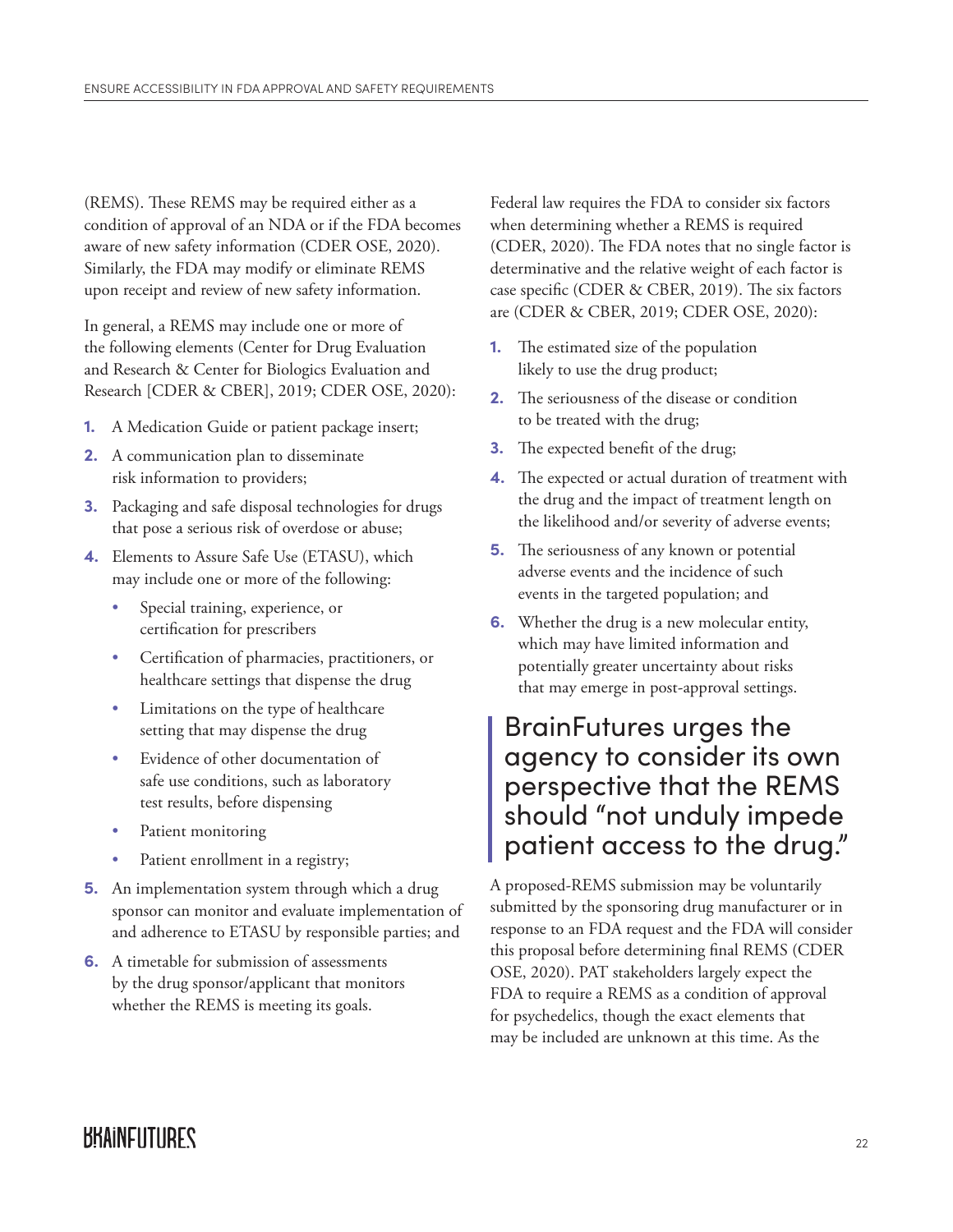(REMS). These REMS may be required either as a condition of approval of an NDA or if the FDA becomes aware of new safety information (CDER OSE, 2020). Similarly, the FDA may modify or eliminate REMS upon receipt and review of new safety information.

In general, a REMS may include one or more of the following elements (Center for Drug Evaluation and Research & Center for Biologics Evaluation and Research [CDER & CBER], 2019; CDER OSE, 2020):

- **1.** A Medication Guide or patient package insert;
- **2.** A communication plan to disseminate risk information to providers;
- **3.** Packaging and safe disposal technologies for drugs that pose a serious risk of overdose or abuse;
- **4.** Elements to Assure Safe Use (ETASU), which may include one or more of the following:
	- Special training, experience, or certification for prescribers
	- Certification of pharmacies, practitioners, or healthcare settings that dispense the drug
	- Limitations on the type of healthcare setting that may dispense the drug
	- Evidence of other documentation of safe use conditions, such as laboratory test results, before dispensing
	- Patient monitoring
	- Patient enrollment in a registry;
- **5.** An implementation system through which a drug sponsor can monitor and evaluate implementation of and adherence to ETASU by responsible parties; and
- **6.** A timetable for submission of assessments by the drug sponsor/applicant that monitors whether the REMS is meeting its goals.

Federal law requires the FDA to consider six factors when determining whether a REMS is required (CDER, 2020). The FDA notes that no single factor is determinative and the relative weight of each factor is case specific (CDER & CBER, 2019). The six factors are (CDER & CBER, 2019; CDER OSE, 2020):

- **1.** The estimated size of the population likely to use the drug product;
- **2.** The seriousness of the disease or condition to be treated with the drug;
- **3.** The expected benefit of the drug;
- **4.** The expected or actual duration of treatment with the drug and the impact of treatment length on the likelihood and/or severity of adverse events;
- **5.** The seriousness of any known or potential adverse events and the incidence of such events in the targeted population; and
- **6.** Whether the drug is a new molecular entity, which may have limited information and potentially greater uncertainty about risks that may emerge in post-approval settings.

## BrainFutures urges the agency to consider its own perspective that the REMS should "not unduly impede patient access to the drug."

A proposed-REMS submission may be voluntarily submitted by the sponsoring drug manufacturer or in response to an FDA request and the FDA will consider this proposal before determining final REMS (CDER OSE, 2020). PAT stakeholders largely expect the FDA to require a REMS as a condition of approval for psychedelics, though the exact elements that may be included are unknown at this time. As the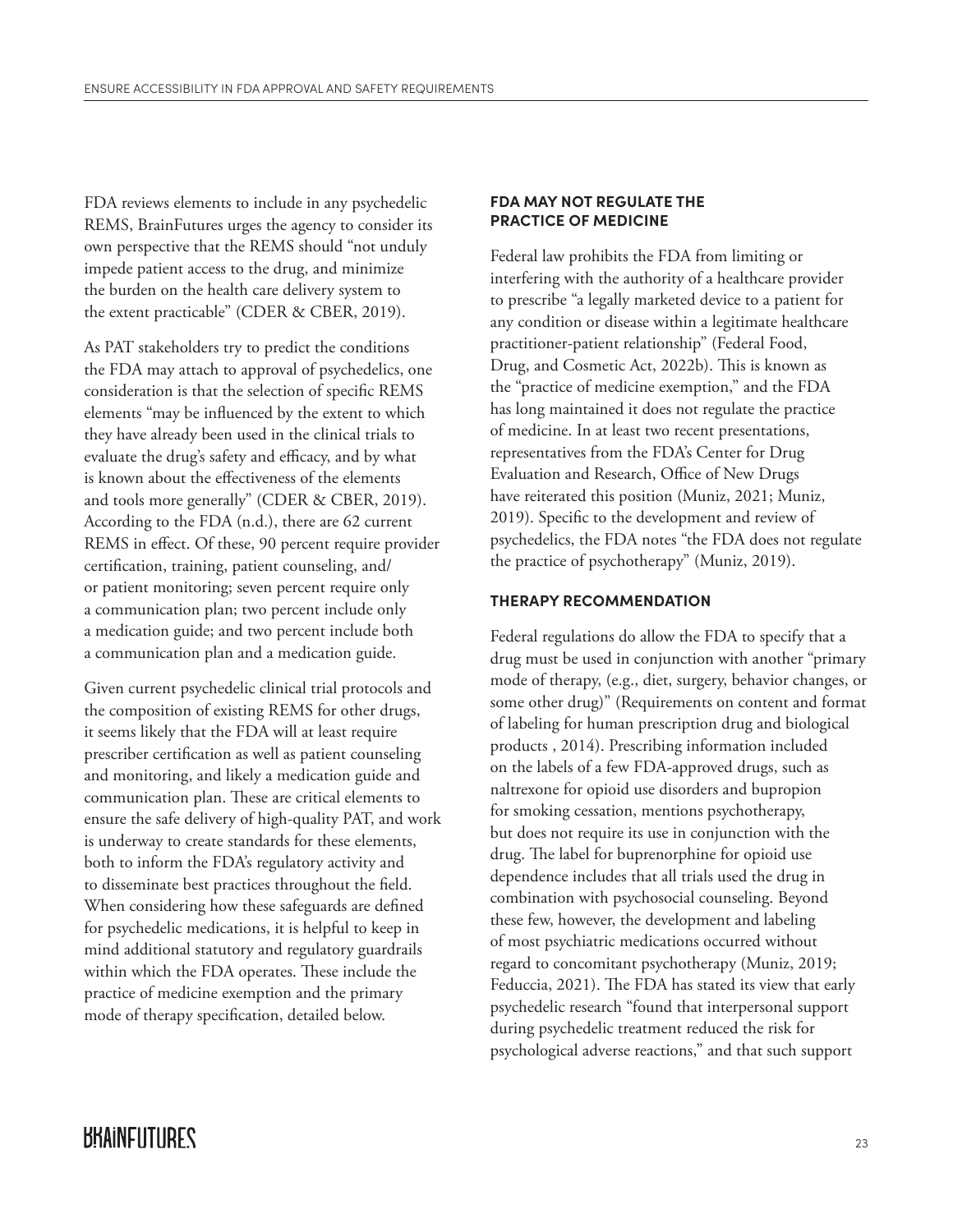FDA reviews elements to include in any psychedelic REMS, BrainFutures urges the agency to consider its own perspective that the REMS should "not unduly impede patient access to the drug, and minimize the burden on the health care delivery system to the extent practicable" (CDER & CBER, 2019).

As PAT stakeholders try to predict the conditions the FDA may attach to approval of psychedelics, one consideration is that the selection of specific REMS elements "may be influenced by the extent to which they have already been used in the clinical trials to evaluate the drug's safety and efficacy, and by what is known about the effectiveness of the elements and tools more generally" (CDER & CBER, 2019). According to the FDA (n.d.), there are 62 current REMS in effect. Of these, 90 percent require provider certification, training, patient counseling, and/ or patient monitoring; seven percent require only a communication plan; two percent include only a medication guide; and two percent include both a communication plan and a medication guide.

Given current psychedelic clinical trial protocols and the composition of existing REMS for other drugs, it seems likely that the FDA will at least require prescriber certification as well as patient counseling and monitoring, and likely a medication guide and communication plan. These are critical elements to ensure the safe delivery of high-quality PAT, and work is underway to create standards for these elements, both to inform the FDA's regulatory activity and to disseminate best practices throughout the field. When considering how these safeguards are defined for psychedelic medications, it is helpful to keep in mind additional statutory and regulatory guardrails within which the FDA operates. These include the practice of medicine exemption and the primary mode of therapy specification, detailed below.

### **FDA MAY NOT REGULATE THE PRACTICE OF MEDICINE**

Federal law prohibits the FDA from limiting or interfering with the authority of a healthcare provider to prescribe "a legally marketed device to a patient for any condition or disease within a legitimate healthcare practitioner-patient relationship" (Federal Food, Drug, and Cosmetic Act, 2022b). This is known as the "practice of medicine exemption," and the FDA has long maintained it does not regulate the practice of medicine. In at least two recent presentations, representatives from the FDA's Center for Drug Evaluation and Research, Office of New Drugs have reiterated this position (Muniz, 2021; Muniz, 2019). Specific to the development and review of psychedelics, the FDA notes "the FDA does not regulate the practice of psychotherapy" (Muniz, 2019).

### **THERAPY RECOMMENDATION**

Federal regulations do allow the FDA to specify that a drug must be used in conjunction with another "primary mode of therapy, (e.g., diet, surgery, behavior changes, or some other drug)" (Requirements on content and format of labeling for human prescription drug and biological products , 2014). Prescribing information included on the labels of a few FDA-approved drugs, such as naltrexone for opioid use disorders and bupropion for smoking cessation, mentions psychotherapy, but does not require its use in conjunction with the drug. The label for buprenorphine for opioid use dependence includes that all trials used the drug in combination with psychosocial counseling. Beyond these few, however, the development and labeling of most psychiatric medications occurred without regard to concomitant psychotherapy (Muniz, 2019; Feduccia, 2021). The FDA has stated its view that early psychedelic research "found that interpersonal support during psychedelic treatment reduced the risk for psychological adverse reactions," and that such support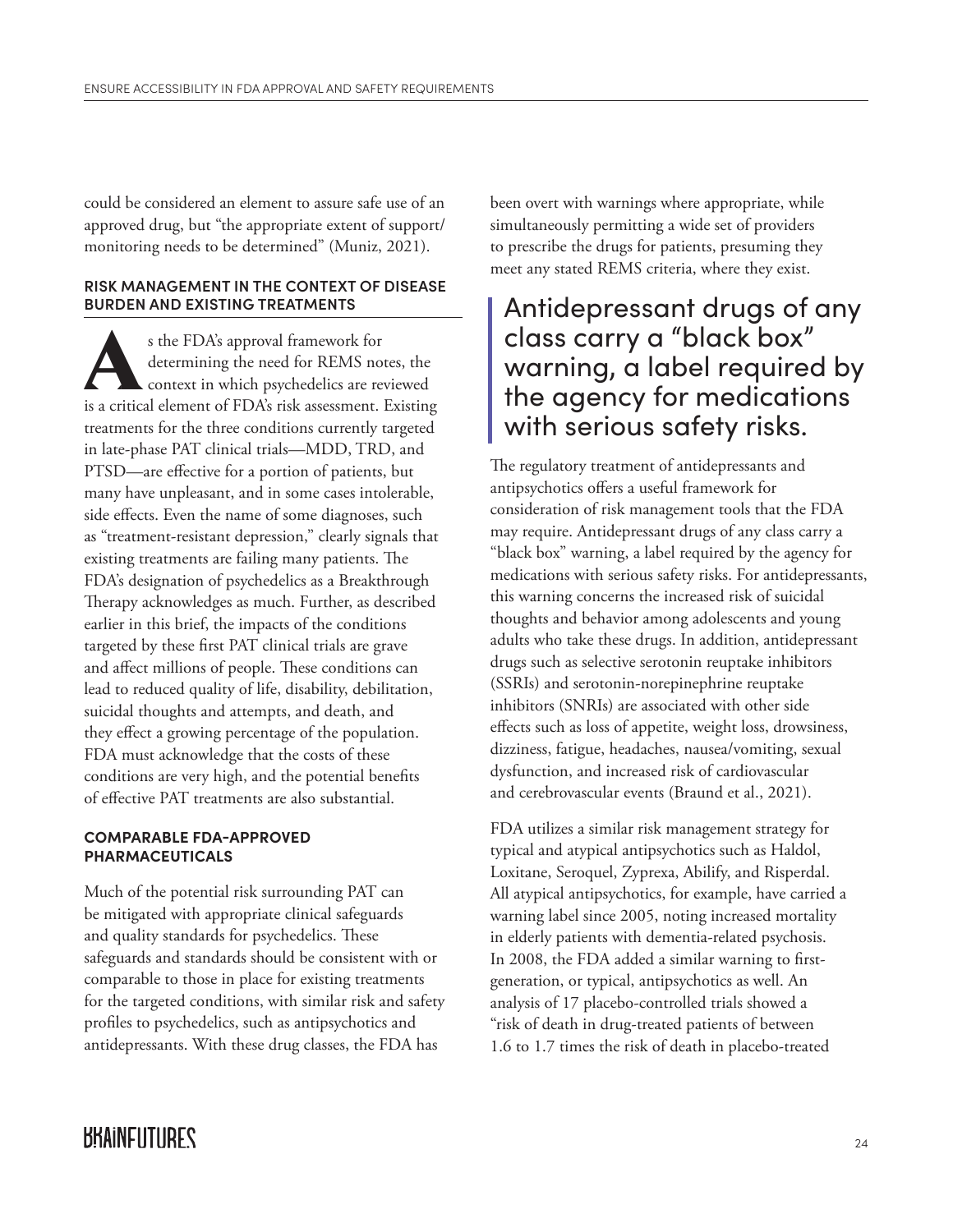could be considered an element to assure safe use of an approved drug, but "the appropriate extent of support/ monitoring needs to be determined" (Muniz, 2021).

#### **RISK MANAGEMENT IN THE CONTEXT OF DISEASE BURDEN AND EXISTING TREATMENTS**

s the FDA's approval framework for<br>determining the need for REMS not<br>context in which psychedelics are revised at the system of FDA's risk assessment determining the need for REMS notes, the context in which psychedelics are reviewed is a critical element of FDA's risk assessment. Existing treatments for the three conditions currently targeted in late-phase PAT clinical trials—MDD, TRD, and PTSD—are effective for a portion of patients, but many have unpleasant, and in some cases intolerable, side effects. Even the name of some diagnoses, such as "treatment-resistant depression," clearly signals that existing treatments are failing many patients. The FDA's designation of psychedelics as a Breakthrough Therapy acknowledges as much. Further, as described earlier in this brief, the impacts of the conditions targeted by these first PAT clinical trials are grave and affect millions of people. These conditions can lead to reduced quality of life, disability, debilitation, suicidal thoughts and attempts, and death, and they effect a growing percentage of the population. FDA must acknowledge that the costs of these conditions are very high, and the potential benefits of effective PAT treatments are also substantial.

### **COMPARABLE FDA-APPROVED PHARMACEUTICALS**

Much of the potential risk surrounding PAT can be mitigated with appropriate clinical safeguards and quality standards for psychedelics. These safeguards and standards should be consistent with or comparable to those in place for existing treatments for the targeted conditions, with similar risk and safety profiles to psychedelics, such as antipsychotics and antidepressants. With these drug classes, the FDA has

been overt with warnings where appropriate, while simultaneously permitting a wide set of providers to prescribe the drugs for patients, presuming they meet any stated REMS criteria, where they exist.

## Antidepressant drugs of any class carry a "black box" warning, a label required by the agency for medications with serious safety risks.

The regulatory treatment of antidepressants and antipsychotics offers a useful framework for consideration of risk management tools that the FDA may require. Antidepressant drugs of any class carry a "black box" warning, a label required by the agency for medications with serious safety risks. For antidepressants, this warning concerns the increased risk of suicidal thoughts and behavior among adolescents and young adults who take these drugs. In addition, antidepressant drugs such as selective serotonin reuptake inhibitors (SSRIs) and serotonin-norepinephrine reuptake inhibitors (SNRIs) are associated with other side effects such as loss of appetite, weight loss, drowsiness, dizziness, fatigue, headaches, nausea/vomiting, sexual dysfunction, and increased risk of cardiovascular and cerebrovascular events (Braund et al., 2021).

FDA utilizes a similar risk management strategy for typical and atypical antipsychotics such as Haldol, Loxitane, Seroquel, Zyprexa, Abilify, and Risperdal. All atypical antipsychotics, for example, have carried a warning label since 2005, noting increased mortality in elderly patients with dementia-related psychosis. In 2008, the FDA added a similar warning to firstgeneration, or typical, antipsychotics as well. An analysis of 17 placebo-controlled trials showed a "risk of death in drug-treated patients of between 1.6 to 1.7 times the risk of death in placebo-treated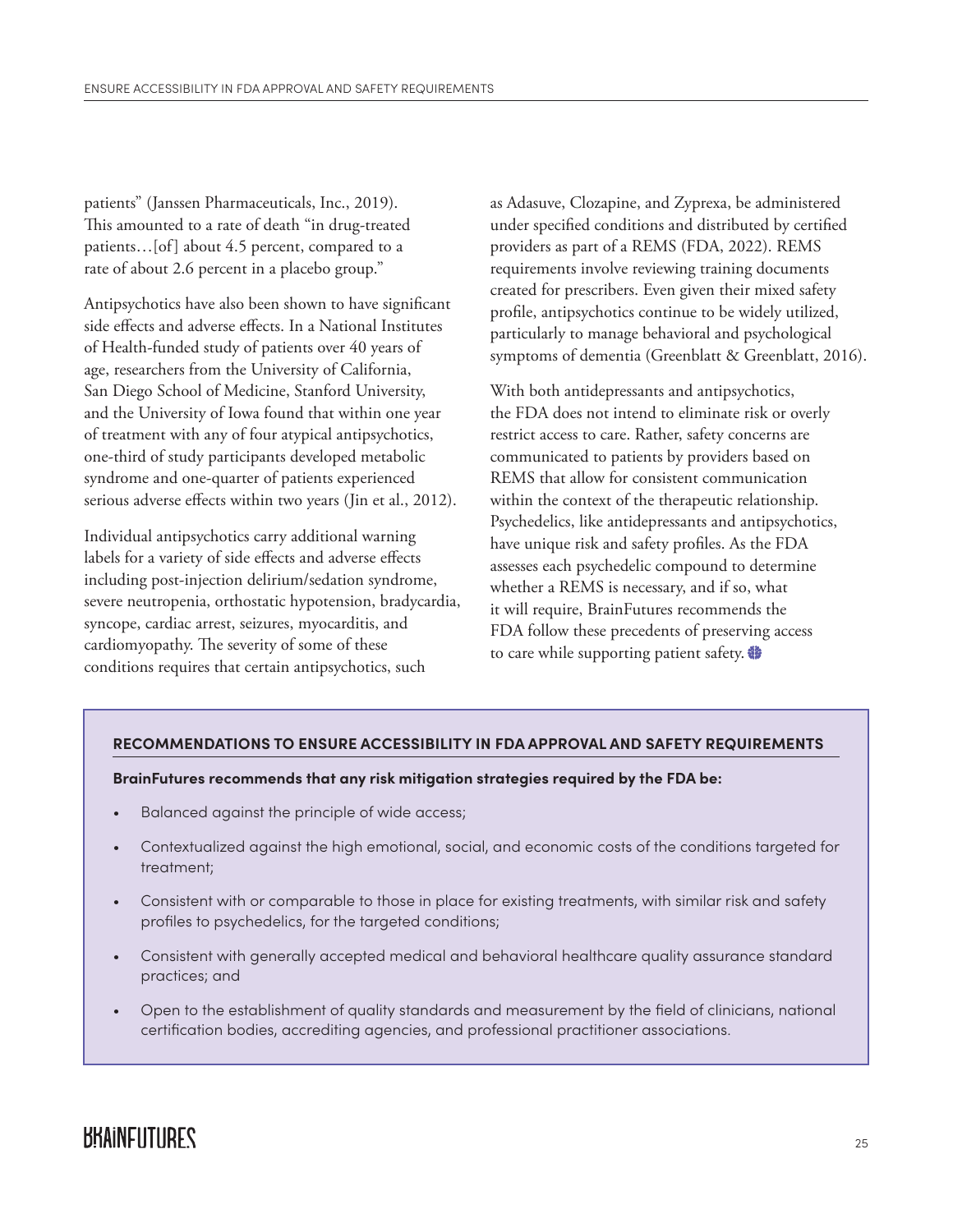patients" (Janssen Pharmaceuticals, Inc., 2019). This amounted to a rate of death "in drug-treated patients…[of] about 4.5 percent, compared to a rate of about 2.6 percent in a placebo group."

Antipsychotics have also been shown to have significant side effects and adverse effects. In a National Institutes of Health-funded study of patients over 40 years of age, researchers from the University of California, San Diego School of Medicine, Stanford University, and the University of Iowa found that within one year of treatment with any of four atypical antipsychotics, one-third of study participants developed metabolic syndrome and one-quarter of patients experienced serious adverse effects within two years (Jin et al., 2012).

Individual antipsychotics carry additional warning labels for a variety of side effects and adverse effects including post-injection delirium/sedation syndrome, severe neutropenia, orthostatic hypotension, bradycardia, syncope, cardiac arrest, seizures, myocarditis, and cardiomyopathy. The severity of some of these conditions requires that certain antipsychotics, such

as Adasuve, Clozapine, and Zyprexa, be administered under specified conditions and distributed by certified providers as part of a REMS (FDA, 2022). REMS requirements involve reviewing training documents created for prescribers. Even given their mixed safety profile, antipsychotics continue to be widely utilized, particularly to manage behavioral and psychological symptoms of dementia (Greenblatt & Greenblatt, 2016).

With both antidepressants and antipsychotics, the FDA does not intend to eliminate risk or overly restrict access to care. Rather, safety concerns are communicated to patients by providers based on REMS that allow for consistent communication within the context of the therapeutic relationship. Psychedelics, like antidepressants and antipsychotics, have unique risk and safety profiles. As the FDA assesses each psychedelic compound to determine whether a REMS is necessary, and if so, what it will require, BrainFutures recommends the FDA follow these precedents of preserving access to care while supporting patient safety. <sup>3</sup>

#### **RECOMMENDATIONS TO ENSURE ACCESSIBILITY IN FDA APPROVAL AND SAFETY REQUIREMENTS**

#### **BrainFutures recommends that any risk mitigation strategies required by the FDA be:**

- Balanced against the principle of wide access;
- Contextualized against the high emotional, social, and economic costs of the conditions targeted for treatment;
- Consistent with or comparable to those in place for existing treatments, with similar risk and safety profiles to psychedelics, for the targeted conditions;
- Consistent with generally accepted medical and behavioral healthcare quality assurance standard practices; and
- Open to the establishment of quality standards and measurement by the field of clinicians, national certification bodies, accrediting agencies, and professional practitioner associations.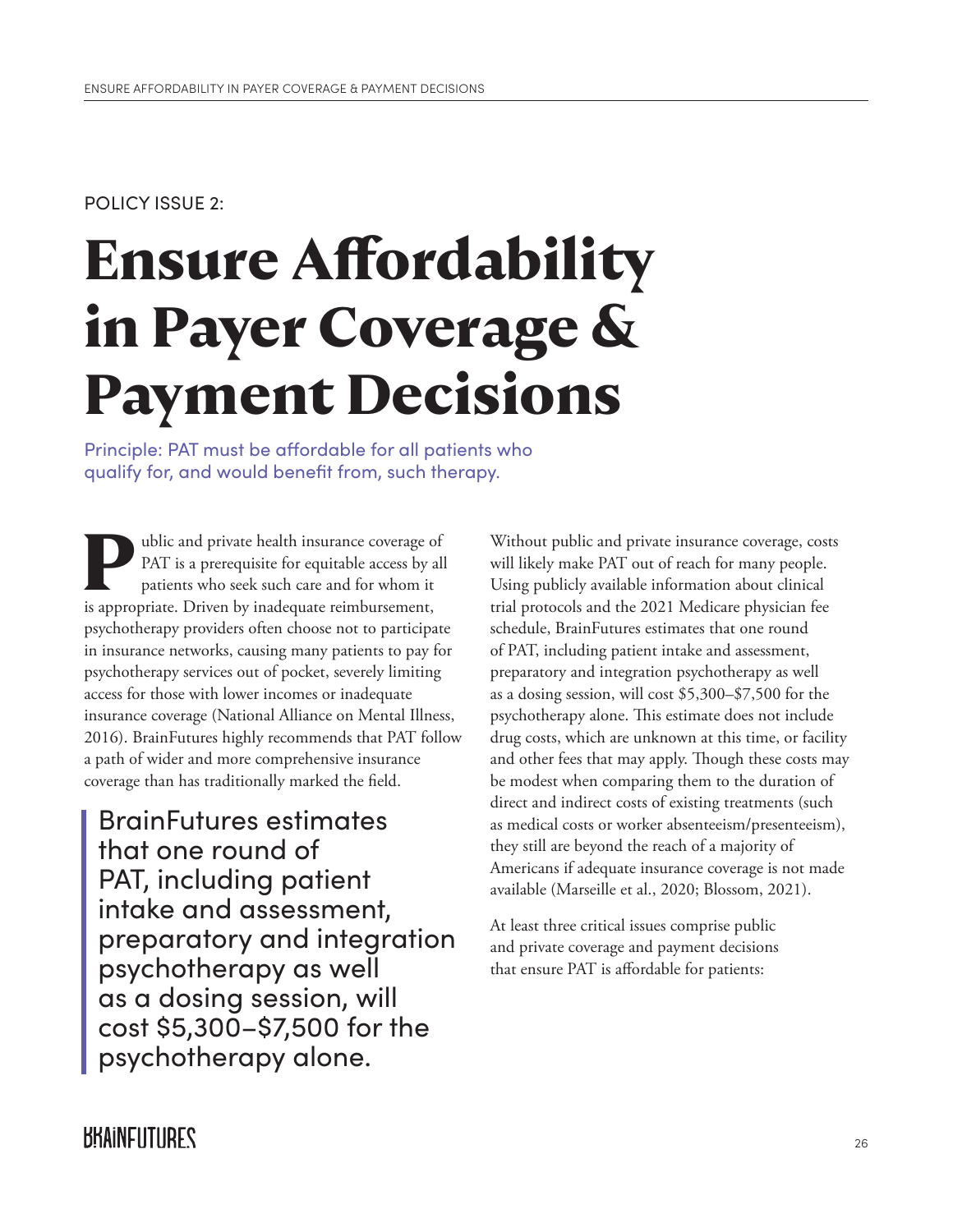### <span id="page-25-0"></span>POLICY ISSUE 2:

## **Ensure Affordability in Payer Coverage & Payment Decisions**

Principle: PAT must be affordable for all patients who qualify for, and would benefit from, such therapy.

**Public and private health insurance coverage of PAT is a prerequisite for equitable access by all patients who seek such care and for whom it is appropriate Driven by inadequate reimbursement** PAT is a prerequisite for equitable access by all patients who seek such care and for whom it is appropriate. Driven by inadequate reimbursement, psychotherapy providers often choose not to participate in insurance networks, causing many patients to pay for psychotherapy services out of pocket, severely limiting access for those with lower incomes or inadequate insurance coverage (National Alliance on Mental Illness, 2016). BrainFutures highly recommends that PAT follow a path of wider and more comprehensive insurance coverage than has traditionally marked the field.

BrainFutures estimates that one round of PAT, including patient intake and assessment, preparatory and integration psychotherapy as well as a dosing session, will cost \$5,300–\$7,500 for the psychotherapy alone.

Without public and private insurance coverage, costs will likely make PAT out of reach for many people. Using publicly available information about clinical trial protocols and the 2021 Medicare physician fee schedule, BrainFutures estimates that one round of PAT, including patient intake and assessment, preparatory and integration psychotherapy as well as a dosing session, will cost \$5,300–\$7,500 for the psychotherapy alone. This estimate does not include drug costs, which are unknown at this time, or facility and other fees that may apply. Though these costs may be modest when comparing them to the duration of direct and indirect costs of existing treatments (such as medical costs or worker absenteeism/presenteeism), they still are beyond the reach of a majority of Americans if adequate insurance coverage is not made available (Marseille et al., 2020; Blossom, 2021).

At least three critical issues comprise public and private coverage and payment decisions that ensure PAT is affordable for patients: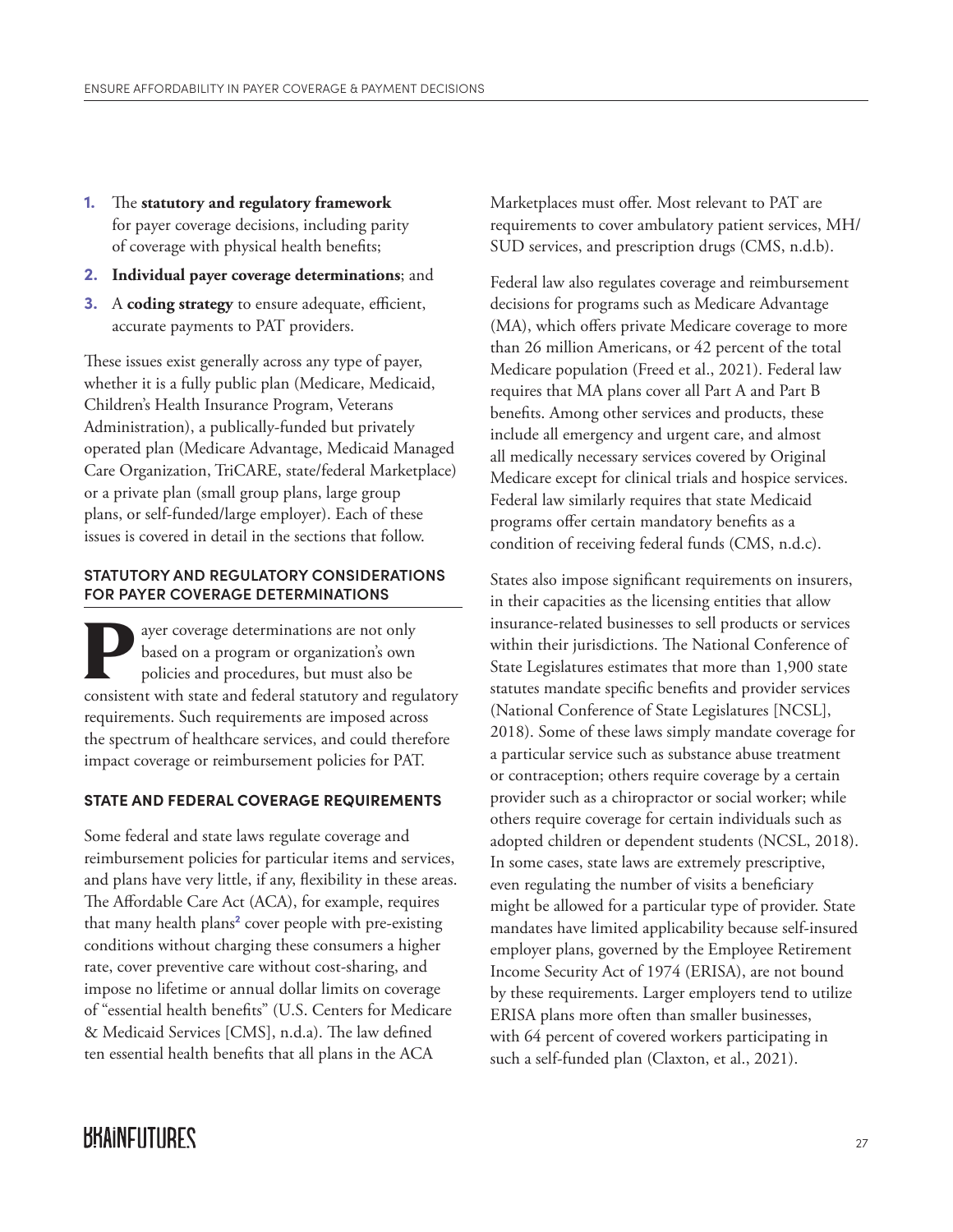- **1.** The **statutory and regulatory framework** for payer coverage decisions, including parity of coverage with physical health benefits;
- **2. Individual payer coverage determinations**; and
- **3.** A **coding strategy** to ensure adequate, efficient, accurate payments to PAT providers.

These issues exist generally across any type of payer, whether it is a fully public plan (Medicare, Medicaid, Children's Health Insurance Program, Veterans Administration), a publically-funded but privately operated plan (Medicare Advantage, Medicaid Managed Care Organization, TriCARE, state/federal Marketplace) or a private plan (small group plans, large group plans, or self-funded/large employer). Each of these issues is covered in detail in the sections that follow.

### **STATUTORY AND REGULATORY CONSIDERATIONS FOR PAYER COVERAGE DETERMINATIONS**

ayer coverage determinations are not only based on a program or organization's own policies and procedures, but must also be consistent with state and federal statutory and requi based on a program or organization's own policies and procedures, but must also be consistent with state and federal statutory and regulatory requirements. Such requirements are imposed across the spectrum of healthcare services, and could therefore impact coverage or reimbursement policies for PAT.

### **STATE AND FEDERAL COVERAGE REQUIREMENTS**

Some federal and state laws regulate coverage and reimbursement policies for particular items and services, and plans have very little, if any, flexibility in these areas. The Affordable Care Act (ACA), for example, requires that many health plans**[2](#page-64-0)** cover people with pre-existing conditions without charging these consumers a higher rate, cover preventive care without cost-sharing, and impose no lifetime or annual dollar limits on coverage of "essential health benefits" (U.S. Centers for Medicare & Medicaid Services [CMS], n.d.a). The law defined ten essential health benefits that all plans in the ACA

Marketplaces must offer. Most relevant to PAT are requirements to cover ambulatory patient services, MH/ SUD services, and prescription drugs (CMS, n.d.b).

Federal law also regulates coverage and reimbursement decisions for programs such as Medicare Advantage (MA), which offers private Medicare coverage to more than 26 million Americans, or 42 percent of the total Medicare population (Freed et al., 2021). Federal law requires that MA plans cover all Part A and Part B benefits. Among other services and products, these include all emergency and urgent care, and almost all medically necessary services covered by Original Medicare except for clinical trials and hospice services. Federal law similarly requires that state Medicaid programs offer certain mandatory benefits as a condition of receiving federal funds (CMS, n.d.c).

States also impose significant requirements on insurers, in their capacities as the licensing entities that allow insurance-related businesses to sell products or services within their jurisdictions. The National Conference of State Legislatures estimates that more than 1,900 state statutes mandate specific benefits and provider services (National Conference of State Legislatures [NCSL], 2018). Some of these laws simply mandate coverage for a particular service such as substance abuse treatment or contraception; others require coverage by a certain provider such as a chiropractor or social worker; while others require coverage for certain individuals such as adopted children or dependent students (NCSL, 2018). In some cases, state laws are extremely prescriptive, even regulating the number of visits a beneficiary might be allowed for a particular type of provider. State mandates have limited applicability because self-insured employer plans, governed by the Employee Retirement Income Security Act of 1974 (ERISA), are not bound by these requirements. Larger employers tend to utilize ERISA plans more often than smaller businesses, with 64 percent of covered workers participating in such a self-funded plan (Claxton, et al., 2021).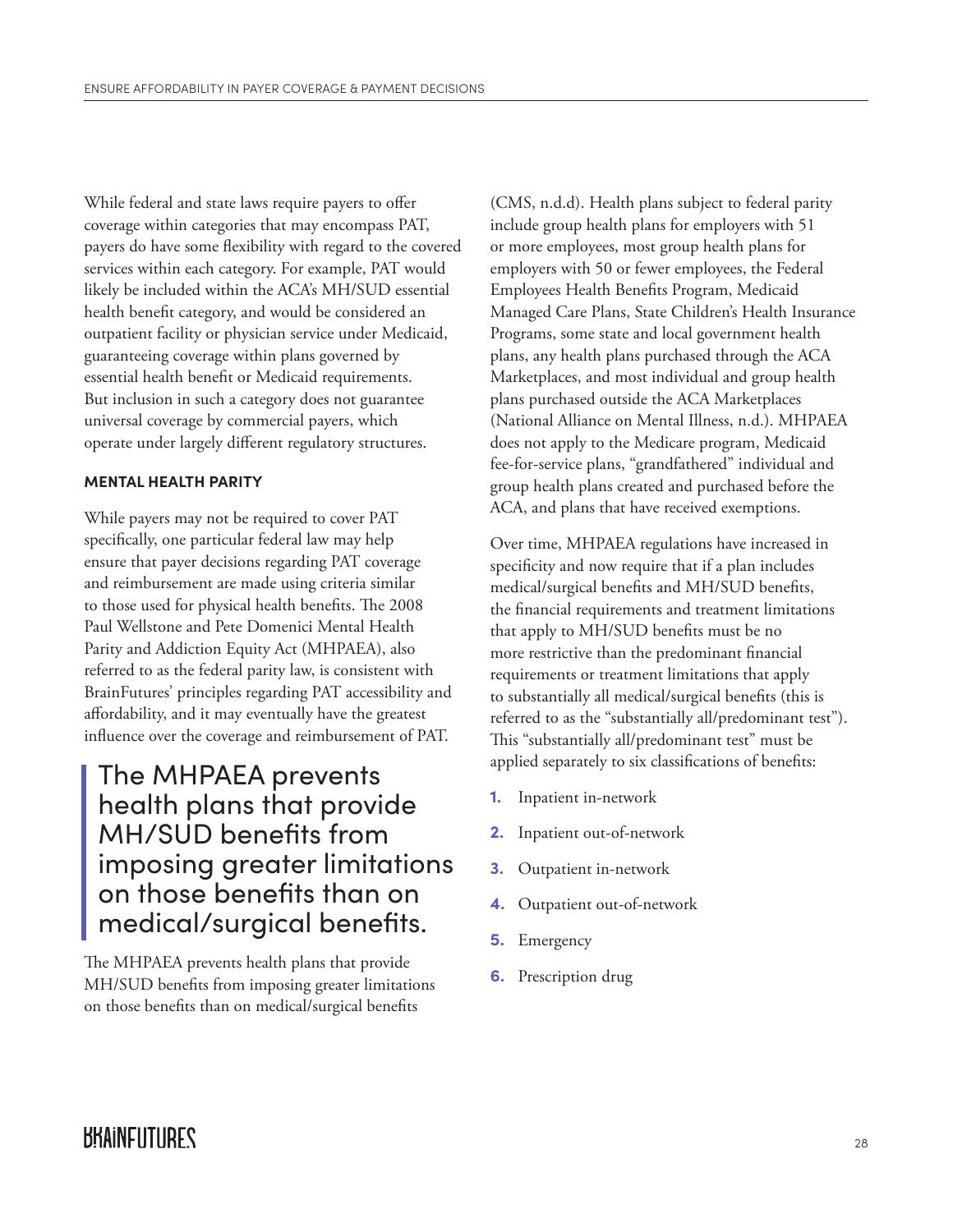While federal and state laws require payers to offer coverage within categories that may encompass PAT, payers do have some flexibility with regard to the covered services within each category. For example, PAT would likely be included within the ACA's MH/SUD essential health benefit category, and would be considered an outpatient facility or physician service under Medicaid, guaranteeing coverage within plans governed by essential health benefit or Medicaid requirements. But inclusion in such a category does not guarantee universal coverage by commercial payers, which operate under largely different regulatory structures.

### **MENTAL HEALTH PARITY**

While payers may not be required to cover PAT specifically, one particular federal law may help ensure that payer decisions regarding PAT coverage and reimbursement are made using criteria similar to those used for physical health benefits. The 2008 Paul Wellstone and Pete Domenici Mental Health Parity and Addiction Equity Act (MHPAEA), also referred to as the federal parity law, is consistent with BrainFutures' principles regarding PAT accessibility and affordability, and it may eventually have the greatest influence over the coverage and reimbursement of PAT.

## The MHPAEA prevents health plans that provide MH/SUD benefits from imposing greater limitations on those benefits than on medical/surgical benefits.

The MHPAEA prevents health plans that provide MH/SUD benefits from imposing greater limitations on those benefits than on medical/surgical benefits

(CMS, n.d.d). Health plans subject to federal parity include group health plans for employers with 51 or more employees, most group health plans for employers with 50 or fewer employees, the Federal Employees Health Benefits Program, Medicaid Managed Care Plans, State Children's Health Insurance Programs, some state and local government health plans, any health plans purchased through the ACA Marketplaces, and most individual and group health plans purchased outside the ACA Marketplaces (National Alliance on Mental Illness, n.d.). MHPAEA does not apply to the Medicare program, Medicaid fee-for-service plans, "grandfathered" individual and group health plans created and purchased before the ACA, and plans that have received exemptions.

Over time, MHPAEA regulations have increased in specificity and now require that if a plan includes medical/surgical benefits and MH/SUD benefits, the financial requirements and treatment limitations that apply to MH/SUD benefits must be no more restrictive than the predominant financial requirements or treatment limitations that apply to substantially all medical/surgical benefits (this is referred to as the "substantially all/predominant test"). This "substantially all/predominant test" must be applied separately to six classifications of benefits:

- **1.** Inpatient in-network
- **2.** Inpatient out-of-network
- **3.** Outpatient in-network
- **4.** Outpatient out-of-network
- **5.** Emergency
- **6.** Prescription drug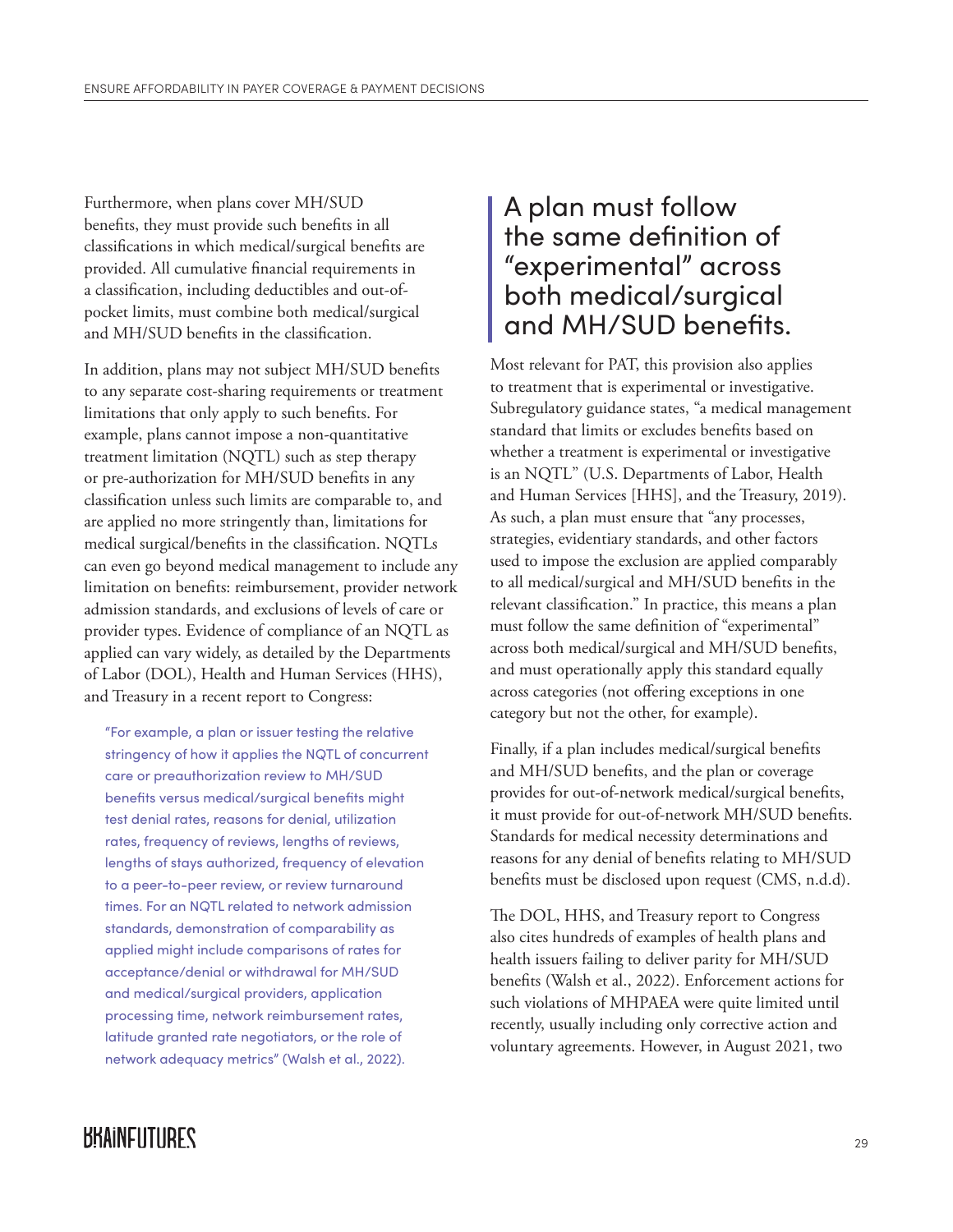Furthermore, when plans cover MH/SUD benefits, they must provide such benefits in all classifications in which medical/surgical benefits are provided. All cumulative financial requirements in a classification, including deductibles and out-ofpocket limits, must combine both medical/surgical and MH/SUD benefits in the classification.

In addition, plans may not subject MH/SUD benefits to any separate cost-sharing requirements or treatment limitations that only apply to such benefits. For example, plans cannot impose a non-quantitative treatment limitation (NQTL) such as step therapy or pre-authorization for MH/SUD benefits in any classification unless such limits are comparable to, and are applied no more stringently than, limitations for medical surgical/benefits in the classification. NQTLs can even go beyond medical management to include any limitation on benefits: reimbursement, provider network admission standards, and exclusions of levels of care or provider types. Evidence of compliance of an NQTL as applied can vary widely, as detailed by the Departments of Labor (DOL), Health and Human Services (HHS), and Treasury in a recent report to Congress:

"For example, a plan or issuer testing the relative stringency of how it applies the NQTL of concurrent care or preauthorization review to MH/SUD benefits versus medical/surgical benefits might test denial rates, reasons for denial, utilization rates, frequency of reviews, lengths of reviews, lengths of stays authorized, frequency of elevation to a peer-to-peer review, or review turnaround times. For an NQTL related to network admission standards, demonstration of comparability as applied might include comparisons of rates for acceptance/denial or withdrawal for MH/SUD and medical/surgical providers, application processing time, network reimbursement rates, latitude granted rate negotiators, or the role of network adequacy metrics" (Walsh et al., 2022).

## A plan must follow the same definition of "experimental" across both medical/surgical and MH/SUD benefits.

Most relevant for PAT, this provision also applies to treatment that is experimental or investigative. Subregulatory guidance states, "a medical management standard that limits or excludes benefits based on whether a treatment is experimental or investigative is an NQTL" (U.S. Departments of Labor, Health and Human Services [HHS], and the Treasury, 2019). As such, a plan must ensure that "any processes, strategies, evidentiary standards, and other factors used to impose the exclusion are applied comparably to all medical/surgical and MH/SUD benefits in the relevant classification." In practice, this means a plan must follow the same definition of "experimental" across both medical/surgical and MH/SUD benefits, and must operationally apply this standard equally across categories (not offering exceptions in one category but not the other, for example).

Finally, if a plan includes medical/surgical benefits and MH/SUD benefits, and the plan or coverage provides for out-of-network medical/surgical benefits, it must provide for out-of-network MH/SUD benefits. Standards for medical necessity determinations and reasons for any denial of benefits relating to MH/SUD benefits must be disclosed upon request (CMS, n.d.d).

The DOL, HHS, and Treasury report to Congress also cites hundreds of examples of health plans and health issuers failing to deliver parity for MH/SUD benefits (Walsh et al., 2022). Enforcement actions for such violations of MHPAEA were quite limited until recently, usually including only corrective action and voluntary agreements. However, in August 2021, two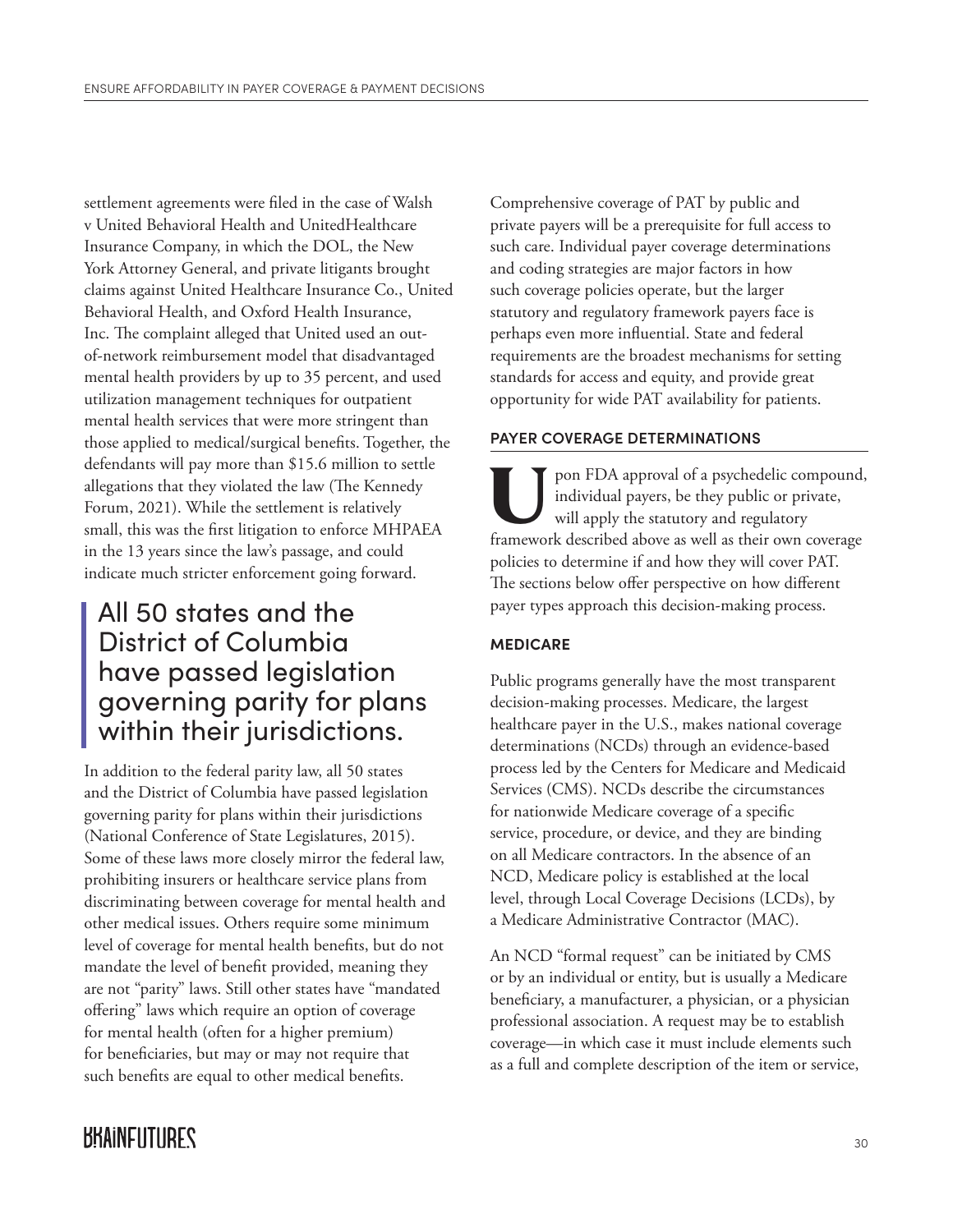settlement agreements were filed in the case of Walsh v United Behavioral Health and UnitedHealthcare Insurance Company, in which the DOL, the New York Attorney General, and private litigants brought claims against United Healthcare Insurance Co., United Behavioral Health, and Oxford Health Insurance, Inc. The complaint alleged that United used an outof-network reimbursement model that disadvantaged mental health providers by up to 35 percent, and used utilization management techniques for outpatient mental health services that were more stringent than those applied to medical/surgical benefits. Together, the defendants will pay more than \$15.6 million to settle allegations that they violated the law (The Kennedy Forum, 2021). While the settlement is relatively small, this was the first litigation to enforce MHPAEA in the 13 years since the law's passage, and could indicate much stricter enforcement going forward.

## All 50 states and the District of Columbia have passed legislation governing parity for plans within their jurisdictions.

In addition to the federal parity law, all 50 states and the District of Columbia have passed legislation governing parity for plans within their jurisdictions (National Conference of State Legislatures, 2015). Some of these laws more closely mirror the federal law, prohibiting insurers or healthcare service plans from discriminating between coverage for mental health and other medical issues. Others require some minimum level of coverage for mental health benefits, but do not mandate the level of benefit provided, meaning they are not "parity" laws. Still other states have "mandated offering" laws which require an option of coverage for mental health (often for a higher premium) for beneficiaries, but may or may not require that such benefits are equal to other medical benefits.

such care. Individual payer coverage determinations and coding strategies are major factors in how such coverage policies operate, but the larger statutory and regulatory framework payers face is perhaps even more influential. State and federal requirements are the broadest mechanisms for setting standards for access and equity, and provide great opportunity for wide PAT availability for patients. **PAYER COVERAGE DETERMINATIONS** pon FDA approval of a psychedelic compound,

Comprehensive coverage of PAT by public and private payers will be a prerequisite for full access to

individual payers, be they public or private, will apply the statutory and regulatory framework described above as well as their own coverage policies to determine if and how they will cover PAT. The sections below offer perspective on how different payer types approach this decision-making process.

### **MEDICARE**

Public programs generally have the most transparent decision-making processes. Medicare, the largest healthcare payer in the U.S., makes national coverage determinations (NCDs) through an evidence-based process led by the Centers for Medicare and Medicaid Services (CMS). NCDs describe the circumstances for nationwide Medicare coverage of a specific service, procedure, or device, and they are binding on all Medicare contractors. In the absence of an NCD, Medicare policy is established at the local level, through Local Coverage Decisions (LCDs), by a Medicare Administrative Contractor (MAC).

An NCD "formal request" can be initiated by CMS or by an individual or entity, but is usually a Medicare beneficiary, a manufacturer, a physician, or a physician professional association. A request may be to establish coverage—in which case it must include elements such as a full and complete description of the item or service,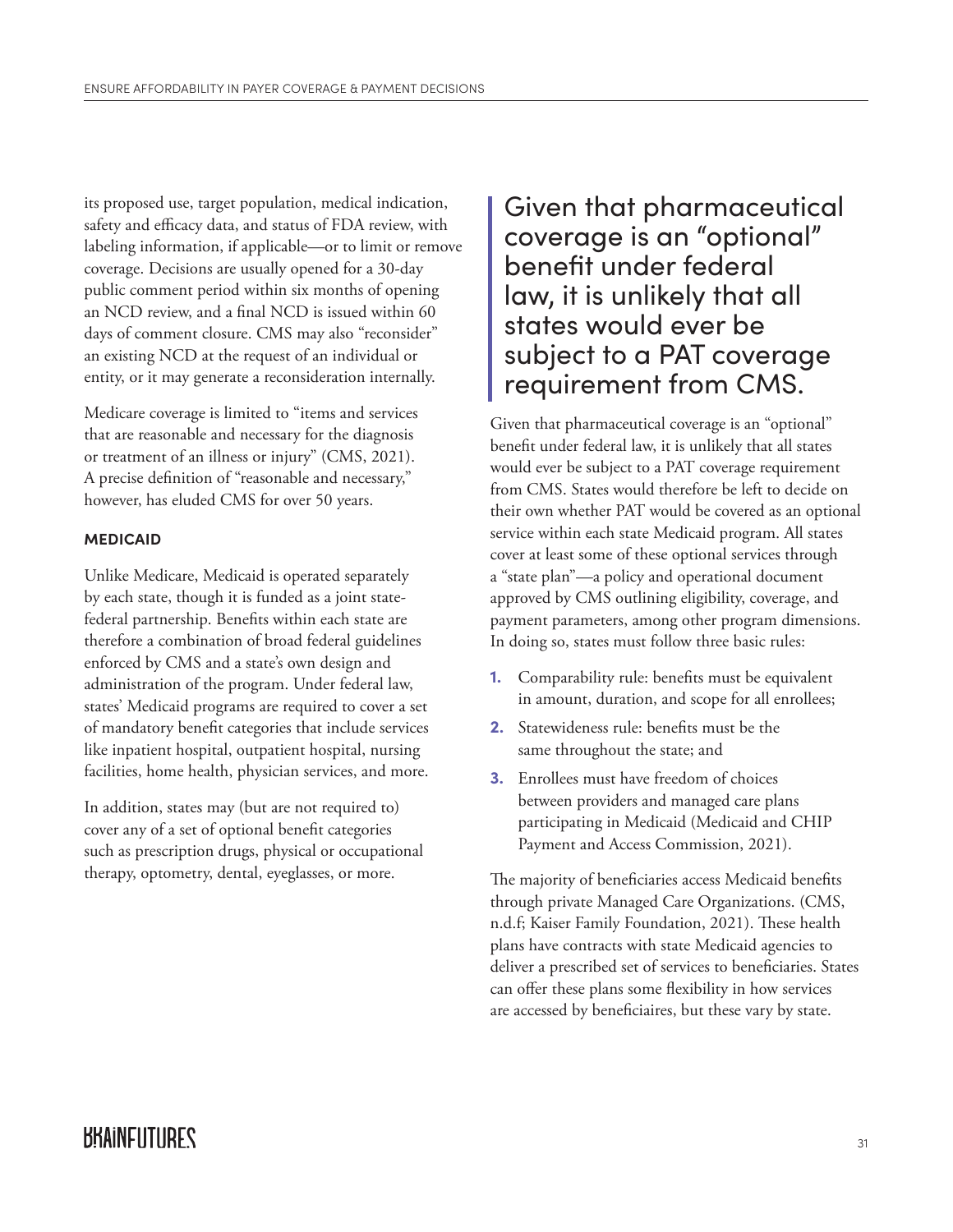its proposed use, target population, medical indication, safety and efficacy data, and status of FDA review, with labeling information, if applicable—or to limit or remove coverage. Decisions are usually opened for a 30-day public comment period within six months of opening an NCD review, and a final NCD is issued within 60 days of comment closure. CMS may also "reconsider" an existing NCD at the request of an individual or entity, or it may generate a reconsideration internally.

Medicare coverage is limited to "items and services that are reasonable and necessary for the diagnosis or treatment of an illness or injury" (CMS, 2021). A precise definition of "reasonable and necessary," however, has eluded CMS for over 50 years.

### **MEDICAID**

Unlike Medicare, Medicaid is operated separately by each state, though it is funded as a joint statefederal partnership. Benefits within each state are therefore a combination of broad federal guidelines enforced by CMS and a state's own design and administration of the program. Under federal law, states' Medicaid programs are required to cover a set of mandatory benefit categories that include services like inpatient hospital, outpatient hospital, nursing facilities, home health, physician services, and more.

In addition, states may (but are not required to) cover any of a set of optional benefit categories such as prescription drugs, physical or occupational therapy, optometry, dental, eyeglasses, or more.

Given that pharmaceutical coverage is an "optional" benefit under federal law, it is unlikely that all states would ever be subject to a PAT coverage requirement from CMS.

Given that pharmaceutical coverage is an "optional" benefit under federal law, it is unlikely that all states would ever be subject to a PAT coverage requirement from CMS. States would therefore be left to decide on their own whether PAT would be covered as an optional service within each state Medicaid program. All states cover at least some of these optional services through a "state plan"—a policy and operational document approved by CMS outlining eligibility, coverage, and payment parameters, among other program dimensions. In doing so, states must follow three basic rules:

- **1.** Comparability rule: benefits must be equivalent in amount, duration, and scope for all enrollees;
- **2.** Statewideness rule: benefits must be the same throughout the state; and
- **3.** Enrollees must have freedom of choices between providers and managed care plans participating in Medicaid (Medicaid and CHIP Payment and Access Commission, 2021).

The majority of beneficiaries access Medicaid benefits through private Managed Care Organizations. (CMS, n.d.f; Kaiser Family Foundation, 2021). These health plans have contracts with state Medicaid agencies to deliver a prescribed set of services to beneficiaries. States can offer these plans some flexibility in how services are accessed by beneficiaires, but these vary by state.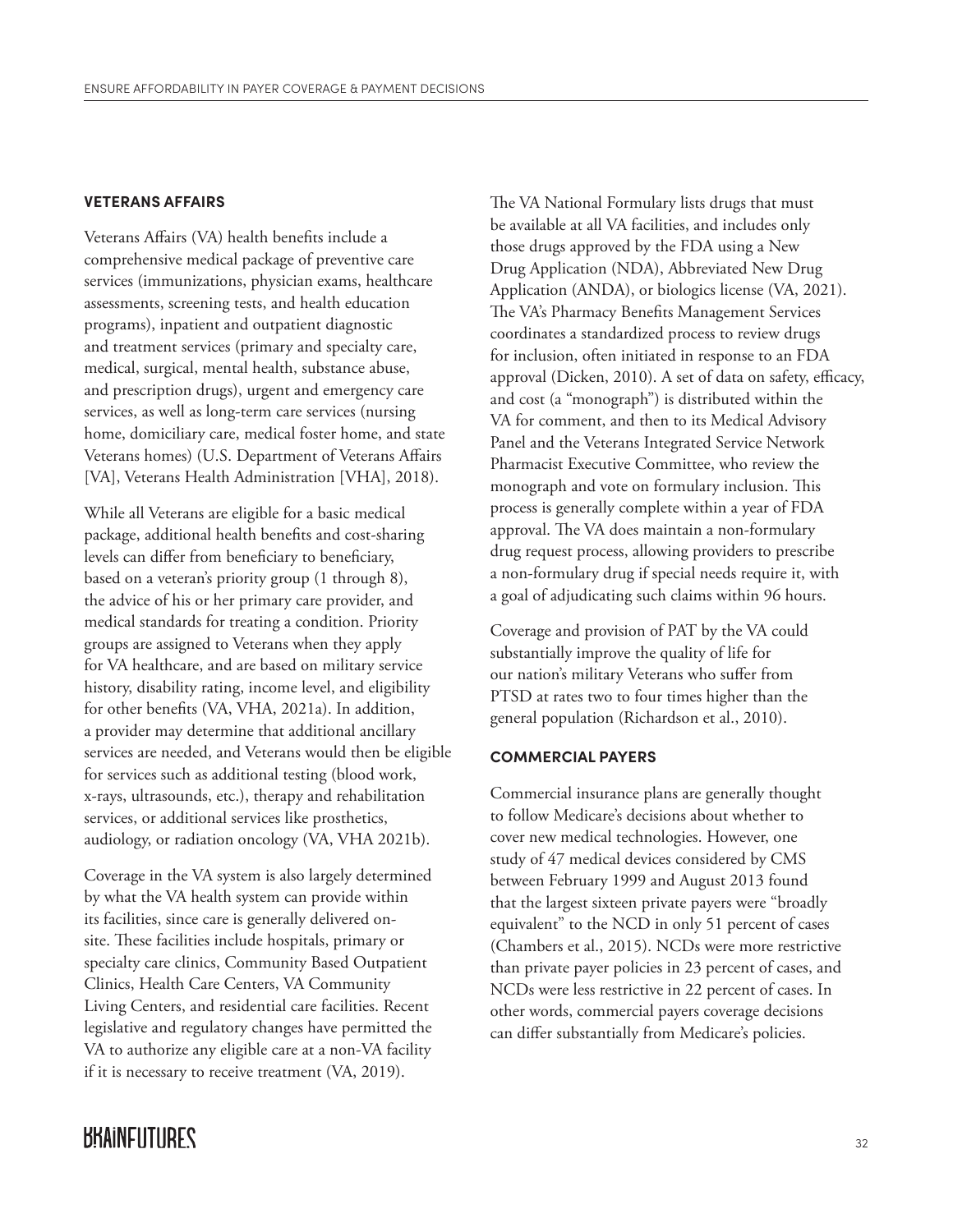#### **VETERANS AFFAIRS**

Veterans Affairs (VA) health benefits include a comprehensive medical package of preventive care services (immunizations, physician exams, healthcare assessments, screening tests, and health education programs), inpatient and outpatient diagnostic and treatment services (primary and specialty care, medical, surgical, mental health, substance abuse, and prescription drugs), urgent and emergency care services, as well as long-term care services (nursing home, domiciliary care, medical foster home, and state Veterans homes) (U.S. Department of Veterans Affairs [VA], Veterans Health Administration [VHA], 2018).

While all Veterans are eligible for a basic medical package, additional health benefits and cost-sharing levels can differ from beneficiary to beneficiary, based on a veteran's priority group (1 through 8), the advice of his or her primary care provider, and medical standards for treating a condition. Priority groups are assigned to Veterans when they apply for VA healthcare, and are based on military service history, disability rating, income level, and eligibility for other benefits (VA, VHA, 2021a). In addition, a provider may determine that additional ancillary services are needed, and Veterans would then be eligible for services such as additional testing (blood work, x-rays, ultrasounds, etc.), therapy and rehabilitation services, or additional services like prosthetics, audiology, or radiation oncology (VA, VHA 2021b).

Coverage in the VA system is also largely determined by what the VA health system can provide within its facilities, since care is generally delivered onsite. These facilities include hospitals, primary or specialty care clinics, Community Based Outpatient Clinics, Health Care Centers, VA Community Living Centers, and residential care facilities. Recent legislative and regulatory changes have permitted the VA to authorize any eligible care at a non-VA facility if it is necessary to receive treatment (VA, 2019).

The VA National Formulary lists drugs that must be available at all VA facilities, and includes only those drugs approved by the FDA using a New Drug Application (NDA), Abbreviated New Drug Application (ANDA), or biologics license (VA, 2021). The VA's Pharmacy Benefits Management Services coordinates a standardized process to review drugs for inclusion, often initiated in response to an FDA approval (Dicken, 2010). A set of data on safety, efficacy, and cost (a "monograph") is distributed within the VA for comment, and then to its Medical Advisory Panel and the Veterans Integrated Service Network Pharmacist Executive Committee, who review the monograph and vote on formulary inclusion. This process is generally complete within a year of FDA approval. The VA does maintain a non-formulary drug request process, allowing providers to prescribe a non-formulary drug if special needs require it, with a goal of adjudicating such claims within 96 hours.

Coverage and provision of PAT by the VA could substantially improve the quality of life for our nation's military Veterans who suffer from PTSD at rates two to four times higher than the general population (Richardson et al., 2010).

#### **COMMERCIAL PAYERS**

Commercial insurance plans are generally thought to follow Medicare's decisions about whether to cover new medical technologies. However, one study of 47 medical devices considered by CMS between February 1999 and August 2013 found that the largest sixteen private payers were "broadly equivalent" to the NCD in only 51 percent of cases (Chambers et al., 2015). NCDs were more restrictive than private payer policies in 23 percent of cases, and NCDs were less restrictive in 22 percent of cases. In other words, commercial payers coverage decisions can differ substantially from Medicare's policies.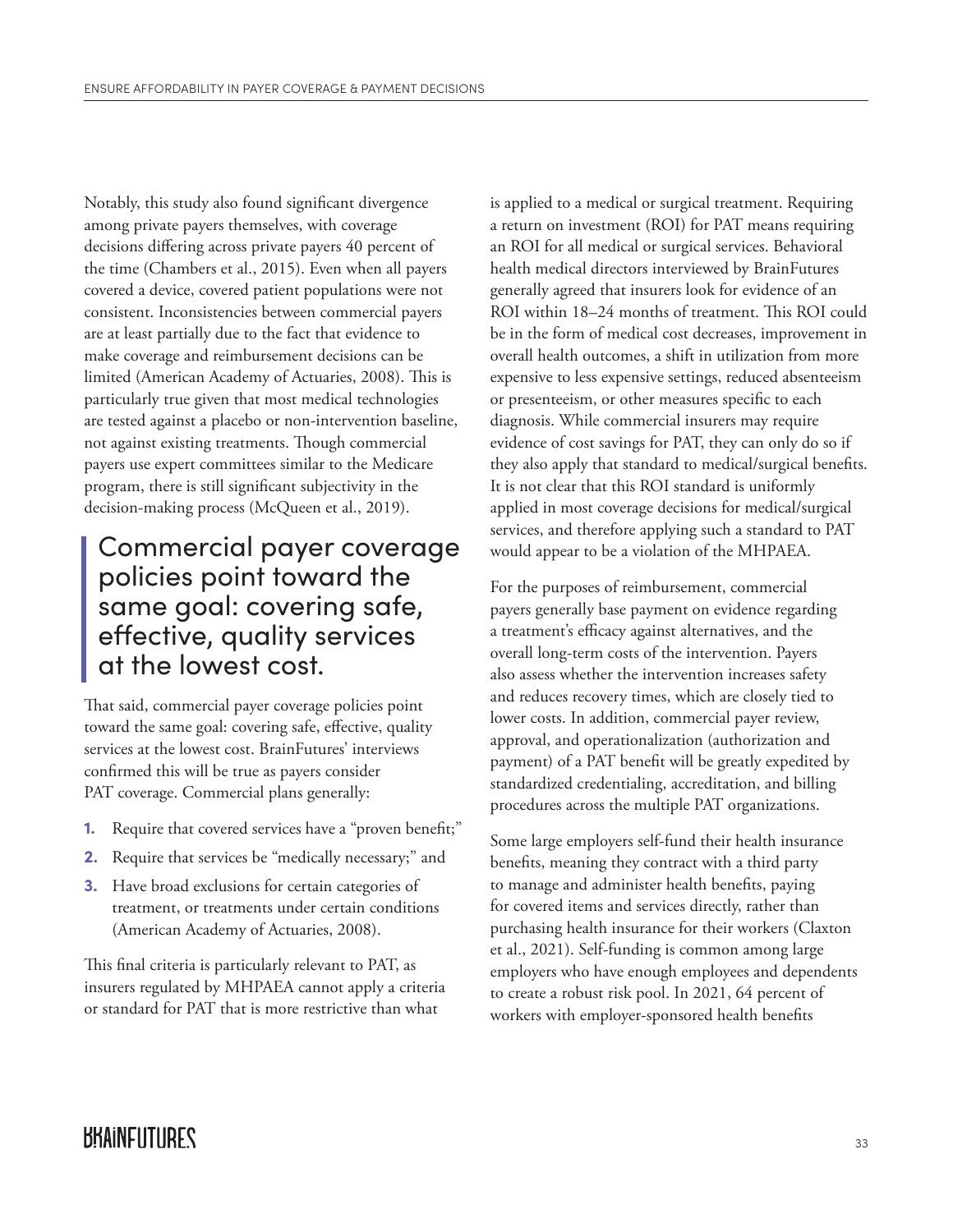Notably, this study also found significant divergence among private payers themselves, with coverage decisions differing across private payers 40 percent of the time (Chambers et al., 2015). Even when all payers covered a device, covered patient populations were not consistent. Inconsistencies between commercial payers are at least partially due to the fact that evidence to make coverage and reimbursement decisions can be limited (American Academy of Actuaries, 2008). This is particularly true given that most medical technologies are tested against a placebo or non-intervention baseline, not against existing treatments. Though commercial payers use expert committees similar to the Medicare program, there is still significant subjectivity in the decision-making process (McQueen et al., 2019).

## Commercial payer coverage policies point toward the same goal: covering safe, effective, quality services at the lowest cost.

That said, commercial payer coverage policies point toward the same goal: covering safe, effective, quality services at the lowest cost. BrainFutures' interviews confirmed this will be true as payers consider PAT coverage. Commercial plans generally:

- **1.** Require that covered services have a "proven benefit;"
- **2.** Require that services be "medically necessary;" and
- **3.** Have broad exclusions for certain categories of treatment, or treatments under certain conditions (American Academy of Actuaries, 2008).

This final criteria is particularly relevant to PAT, as insurers regulated by MHPAEA cannot apply a criteria or standard for PAT that is more restrictive than what

is applied to a medical or surgical treatment. Requiring a return on investment (ROI) for PAT means requiring an ROI for all medical or surgical services. Behavioral health medical directors interviewed by BrainFutures generally agreed that insurers look for evidence of an ROI within 18–24 months of treatment. This ROI could be in the form of medical cost decreases, improvement in overall health outcomes, a shift in utilization from more expensive to less expensive settings, reduced absenteeism or presenteeism, or other measures specific to each diagnosis. While commercial insurers may require evidence of cost savings for PAT, they can only do so if they also apply that standard to medical/surgical benefits. It is not clear that this ROI standard is uniformly applied in most coverage decisions for medical/surgical services, and therefore applying such a standard to PAT would appear to be a violation of the MHPAEA.

For the purposes of reimbursement, commercial payers generally base payment on evidence regarding a treatment's efficacy against alternatives, and the overall long-term costs of the intervention. Payers also assess whether the intervention increases safety and reduces recovery times, which are closely tied to lower costs. In addition, commercial payer review, approval, and operationalization (authorization and payment) of a PAT benefit will be greatly expedited by standardized credentialing, accreditation, and billing procedures across the multiple PAT organizations.

Some large employers self-fund their health insurance benefits, meaning they contract with a third party to manage and administer health benefits, paying for covered items and services directly, rather than purchasing health insurance for their workers (Claxton et al., 2021). Self-funding is common among large employers who have enough employees and dependents to create a robust risk pool. In 2021, 64 percent of workers with employer-sponsored health benefits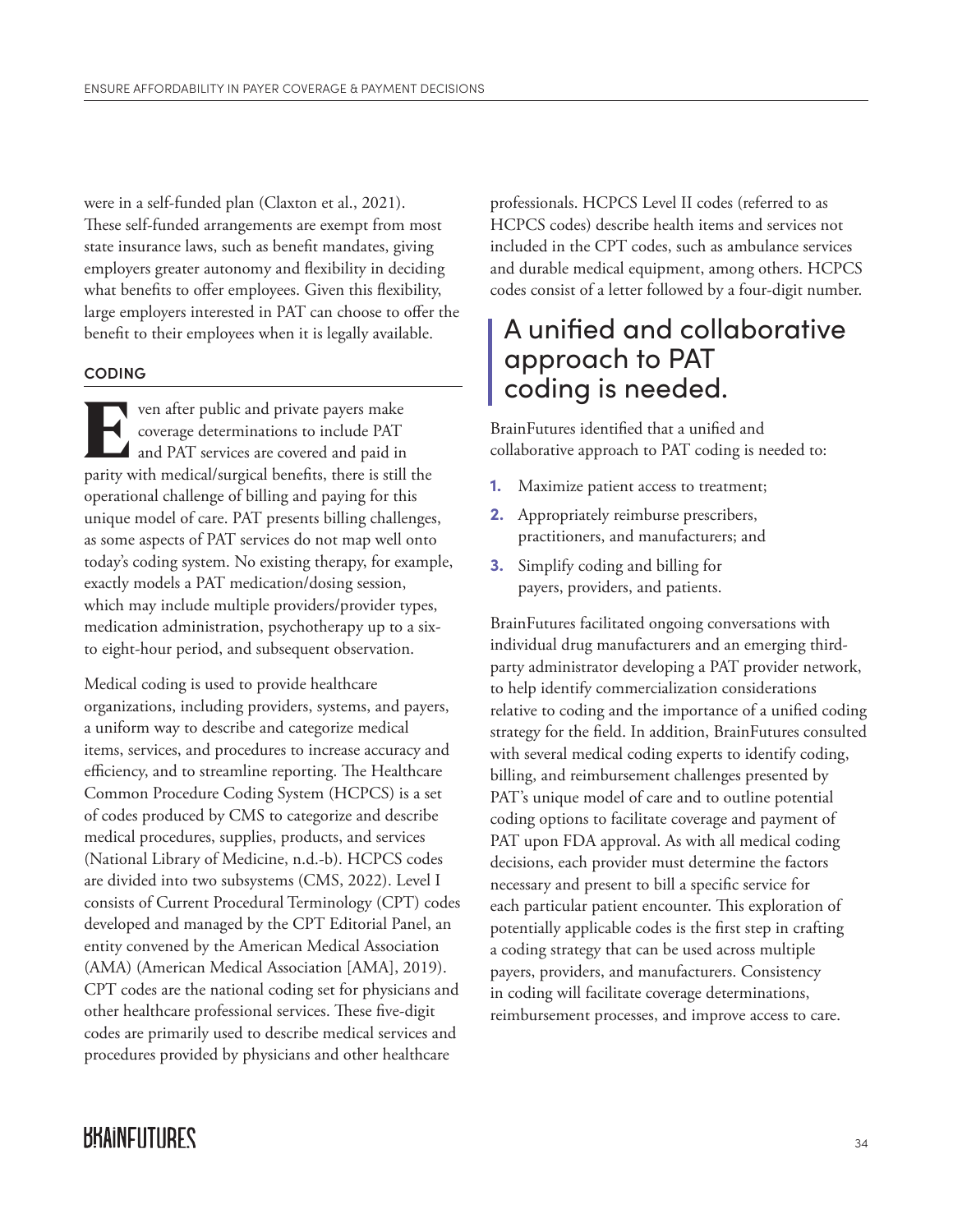were in a self-funded plan (Claxton et al., 2021). These self-funded arrangements are exempt from most state insurance laws, such as benefit mandates, giving employers greater autonomy and flexibility in deciding what benefits to offer employees. Given this flexibility, large employers interested in PAT can choose to offer the benefit to their employees when it is legally available.

#### **CODING**

**EVALUATE:** ven after public and private payers make<br>coverage determinations to include PAT<br>and PAT services are covered and paid in<br>parity with medical/surgical benefits, there is still coverage determinations to include PAT and PAT services are covered and paid in parity with medical/surgical benefits, there is still the operational challenge of billing and paying for this unique model of care. PAT presents billing challenges, as some aspects of PAT services do not map well onto today's coding system. No existing therapy, for example, exactly models a PAT medication/dosing session, which may include multiple providers/provider types, medication administration, psychotherapy up to a sixto eight-hour period, and subsequent observation.

Medical coding is used to provide healthcare organizations, including providers, systems, and payers, a uniform way to describe and categorize medical items, services, and procedures to increase accuracy and efficiency, and to streamline reporting. The Healthcare Common Procedure Coding System (HCPCS) is a set of codes produced by CMS to categorize and describe medical procedures, supplies, products, and services (National Library of Medicine, n.d.-b). HCPCS codes are divided into two subsystems (CMS, 2022). Level I consists of Current Procedural Terminology (CPT) codes developed and managed by the CPT Editorial Panel, an entity convened by the American Medical Association (AMA) (American Medical Association [AMA], 2019). CPT codes are the national coding set for physicians and other healthcare professional services. These five-digit codes are primarily used to describe medical services and procedures provided by physicians and other healthcare

professionals. HCPCS Level II codes (referred to as HCPCS codes) describe health items and services not included in the CPT codes, such as ambulance services and durable medical equipment, among others. HCPCS codes consist of a letter followed by a four-digit number.

## A unified and collaborative approach to PAT coding is needed.

BrainFutures identified that a unified and collaborative approach to PAT coding is needed to:

- **1.** Maximize patient access to treatment;
- **2.** Appropriately reimburse prescribers, practitioners, and manufacturers; and
- **3.** Simplify coding and billing for payers, providers, and patients.

BrainFutures facilitated ongoing conversations with individual drug manufacturers and an emerging thirdparty administrator developing a PAT provider network, to help identify commercialization considerations relative to coding and the importance of a unified coding strategy for the field. In addition, BrainFutures consulted with several medical coding experts to identify coding, billing, and reimbursement challenges presented by PAT's unique model of care and to outline potential coding options to facilitate coverage and payment of PAT upon FDA approval. As with all medical coding decisions, each provider must determine the factors necessary and present to bill a specific service for each particular patient encounter. This exploration of potentially applicable codes is the first step in crafting a coding strategy that can be used across multiple payers, providers, and manufacturers. Consistency in coding will facilitate coverage determinations, reimbursement processes, and improve access to care.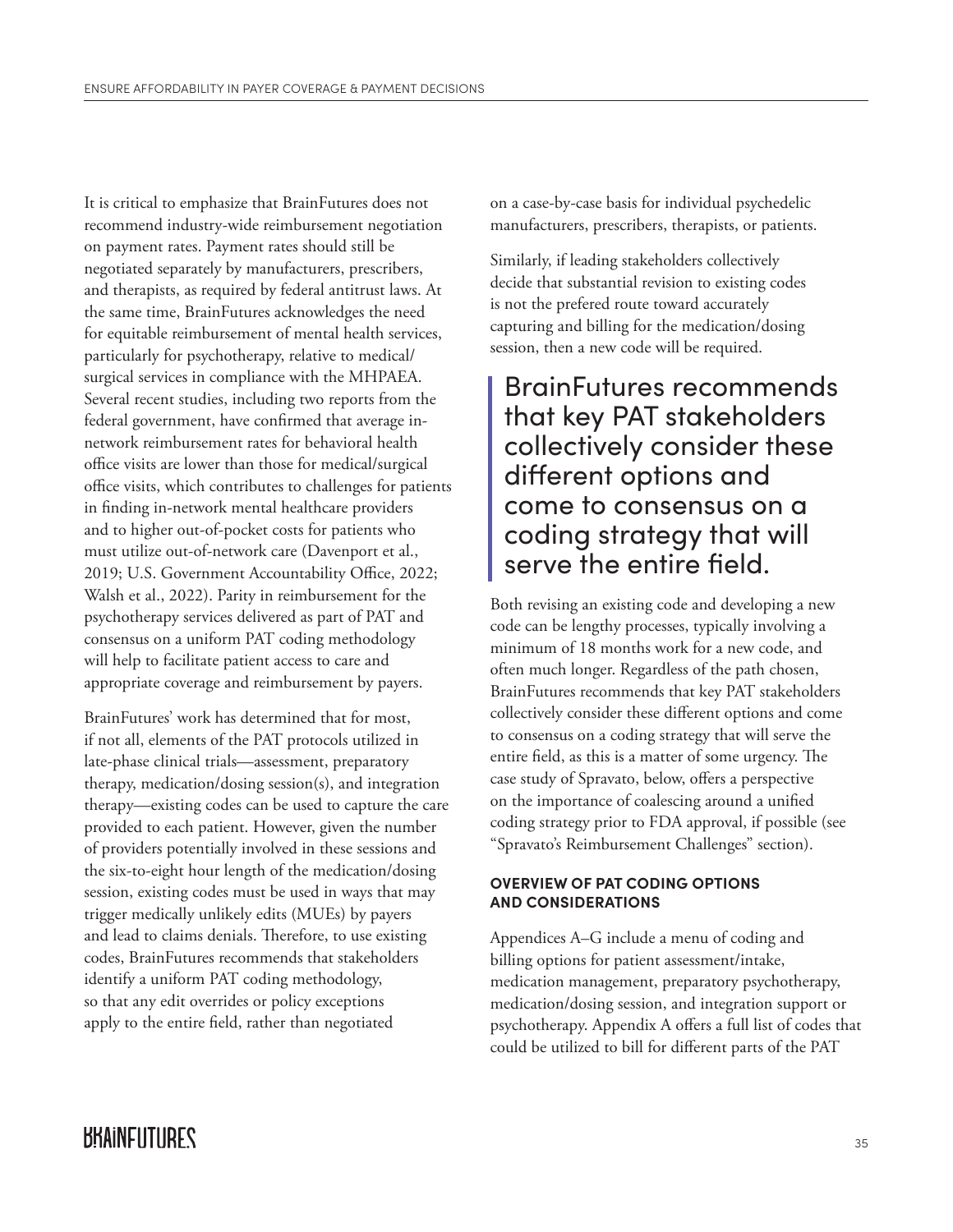It is critical to emphasize that BrainFutures does not recommend industry-wide reimbursement negotiation on payment rates. Payment rates should still be negotiated separately by manufacturers, prescribers, and therapists, as required by federal antitrust laws. At the same time, BrainFutures acknowledges the need for equitable reimbursement of mental health services, particularly for psychotherapy, relative to medical/ surgical services in compliance with the MHPAEA. Several recent studies, including two reports from the federal government, have confirmed that average innetwork reimbursement rates for behavioral health office visits are lower than those for medical/surgical office visits, which contributes to challenges for patients in finding in-network mental healthcare providers and to higher out-of-pocket costs for patients who must utilize out-of-network care (Davenport et al., 2019; U.S. Government Accountability Office, 2022; Walsh et al., 2022). Parity in reimbursement for the psychotherapy services delivered as part of PAT and consensus on a uniform PAT coding methodology will help to facilitate patient access to care and appropriate coverage and reimbursement by payers.

BrainFutures' work has determined that for most, if not all, elements of the PAT protocols utilized in late-phase clinical trials—assessment, preparatory therapy, medication/dosing session(s), and integration therapy—existing codes can be used to capture the care provided to each patient. However, given the number of providers potentially involved in these sessions and the six-to-eight hour length of the medication/dosing session, existing codes must be used in ways that may trigger medically unlikely edits (MUEs) by payers and lead to claims denials. Therefore, to use existing codes, BrainFutures recommends that stakeholders identify a uniform PAT coding methodology, so that any edit overrides or policy exceptions apply to the entire field, rather than negotiated

on a case-by-case basis for individual psychedelic manufacturers, prescribers, therapists, or patients.

Similarly, if leading stakeholders collectively decide that substantial revision to existing codes is not the prefered route toward accurately capturing and billing for the medication/dosing session, then a new code will be required.

BrainFutures recommends that key PAT stakeholders collectively consider these different options and come to consensus on a coding strategy that will serve the entire field.

Both revising an existing code and developing a new code can be lengthy processes, typically involving a minimum of 18 months work for a new code, and often much longer. Regardless of the path chosen, BrainFutures recommends that key PAT stakeholders collectively consider these different options and come to consensus on a coding strategy that will serve the entire field, as this is a matter of some urgency. The case study of Spravato, below, offers a perspective on the importance of coalescing around a unified coding strategy prior to FDA approval, if possible (see "Spravato's Reimbursement Challenges" section).

#### **OVERVIEW OF PAT CODING OPTIONS AND CONSIDERATIONS**

Appendices A–G include a menu of coding and billing options for patient assessment/intake, medication management, preparatory psychotherapy, medication/dosing session, and integration support or psychotherapy. Appendix A offers a full list of codes that could be utilized to bill for different parts of the PAT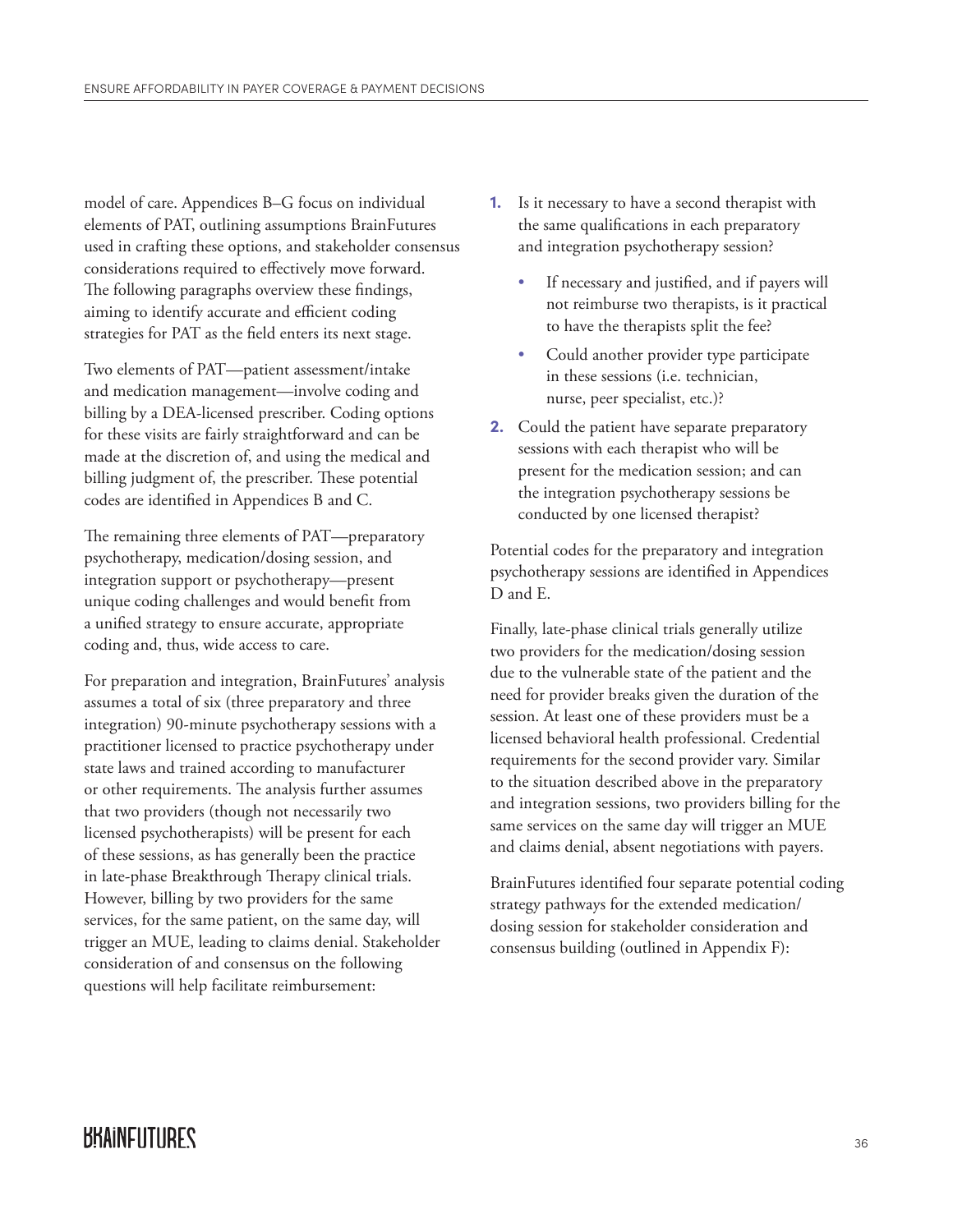model of care. Appendices B–G focus on individual elements of PAT, outlining assumptions BrainFutures used in crafting these options, and stakeholder consensus considerations required to effectively move forward. The following paragraphs overview these findings, aiming to identify accurate and efficient coding strategies for PAT as the field enters its next stage.

Two elements of PAT—patient assessment/intake and medication management—involve coding and billing by a DEA-licensed prescriber. Coding options for these visits are fairly straightforward and can be made at the discretion of, and using the medical and billing judgment of, the prescriber. These potential codes are identified in Appendices B and C.

The remaining three elements of PAT—preparatory psychotherapy, medication/dosing session, and integration support or psychotherapy—present unique coding challenges and would benefit from a unified strategy to ensure accurate, appropriate coding and, thus, wide access to care.

For preparation and integration, BrainFutures' analysis assumes a total of six (three preparatory and three integration) 90-minute psychotherapy sessions with a practitioner licensed to practice psychotherapy under state laws and trained according to manufacturer or other requirements. The analysis further assumes that two providers (though not necessarily two licensed psychotherapists) will be present for each of these sessions, as has generally been the practice in late-phase Breakthrough Therapy clinical trials. However, billing by two providers for the same services, for the same patient, on the same day, will trigger an MUE, leading to claims denial. Stakeholder consideration of and consensus on the following questions will help facilitate reimbursement:

- **1.** Is it necessary to have a second therapist with the same qualifications in each preparatory and integration psychotherapy session?
	- If necessary and justified, and if payers will not reimburse two therapists, is it practical to have the therapists split the fee?
	- Could another provider type participate in these sessions (i.e. technician, nurse, peer specialist, etc.)?
- **2.** Could the patient have separate preparatory sessions with each therapist who will be present for the medication session; and can the integration psychotherapy sessions be conducted by one licensed therapist?

Potential codes for the preparatory and integration psychotherapy sessions are identified in Appendices D and E.

Finally, late-phase clinical trials generally utilize two providers for the medication/dosing session due to the vulnerable state of the patient and the need for provider breaks given the duration of the session. At least one of these providers must be a licensed behavioral health professional. Credential requirements for the second provider vary. Similar to the situation described above in the preparatory and integration sessions, two providers billing for the same services on the same day will trigger an MUE and claims denial, absent negotiations with payers.

BrainFutures identified four separate potential coding strategy pathways for the extended medication/ dosing session for stakeholder consideration and consensus building (outlined in Appendix F):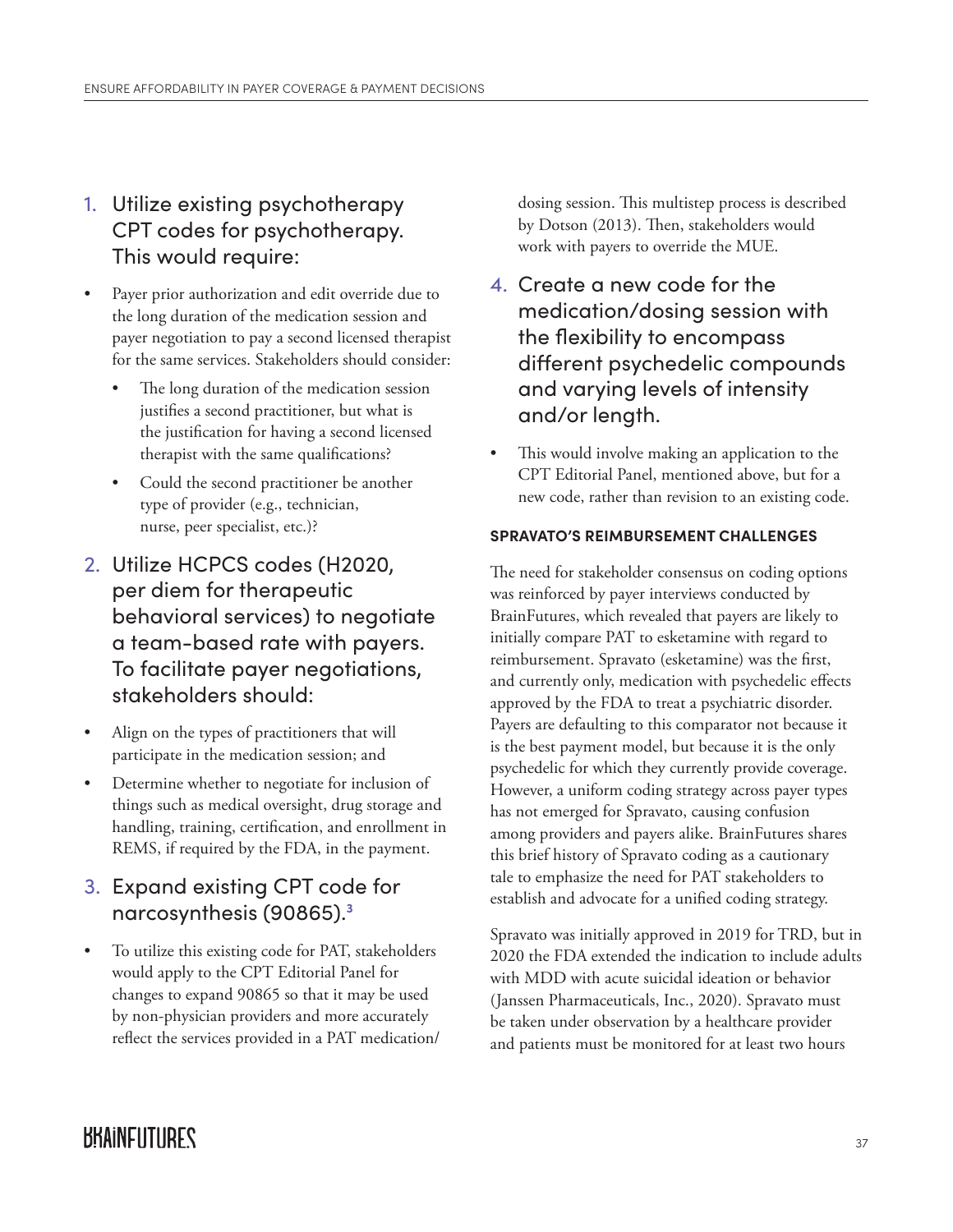### 1. Utilize existing psychotherapy CPT codes for psychotherapy. This would require:

- Payer prior authorization and edit override due to the long duration of the medication session and payer negotiation to pay a second licensed therapist for the same services. Stakeholders should consider:
	- The long duration of the medication session justifies a second practitioner, but what is the justification for having a second licensed therapist with the same qualifications?
	- Could the second practitioner be another type of provider (e.g., technician, nurse, peer specialist, etc.)?
- 2. Utilize HCPCS codes (H2020, per diem for therapeutic behavioral services) to negotiate a team-based rate with payers. To facilitate payer negotiations, stakeholders should:
- Align on the types of practitioners that will participate in the medication session; and
- Determine whether to negotiate for inclusion of things such as medical oversight, drug storage and handling, training, certification, and enrollment in REMS, if required by the FDA, in the payment.

### 3. Expand existing CPT code for narcosynthesis (90865).**[3](#page-64-0)**

To utilize this existing code for PAT, stakeholders would apply to the CPT Editorial Panel for changes to expand 90865 so that it may be used by non-physician providers and more accurately reflect the services provided in a PAT medication/ dosing session. This multistep process is described by Dotson (2013). Then, stakeholders would work with payers to override the MUE.

- 4. Create a new code for the medication/dosing session with the flexibility to encompass different psychedelic compounds and varying levels of intensity and/or length.
- This would involve making an application to the CPT Editorial Panel, mentioned above, but for a new code, rather than revision to an existing code.

### **SPRAVATO'S REIMBURSEMENT CHALLENGES**

The need for stakeholder consensus on coding options was reinforced by payer interviews conducted by BrainFutures, which revealed that payers are likely to initially compare PAT to esketamine with regard to reimbursement. Spravato (esketamine) was the first, and currently only, medication with psychedelic effects approved by the FDA to treat a psychiatric disorder. Payers are defaulting to this comparator not because it is the best payment model, but because it is the only psychedelic for which they currently provide coverage. However, a uniform coding strategy across payer types has not emerged for Spravato, causing confusion among providers and payers alike. BrainFutures shares this brief history of Spravato coding as a cautionary tale to emphasize the need for PAT stakeholders to establish and advocate for a unified coding strategy.

Spravato was initially approved in 2019 for TRD, but in 2020 the FDA extended the indication to include adults with MDD with acute suicidal ideation or behavior (Janssen Pharmaceuticals, Inc., 2020). Spravato must be taken under observation by a healthcare provider and patients must be monitored for at least two hours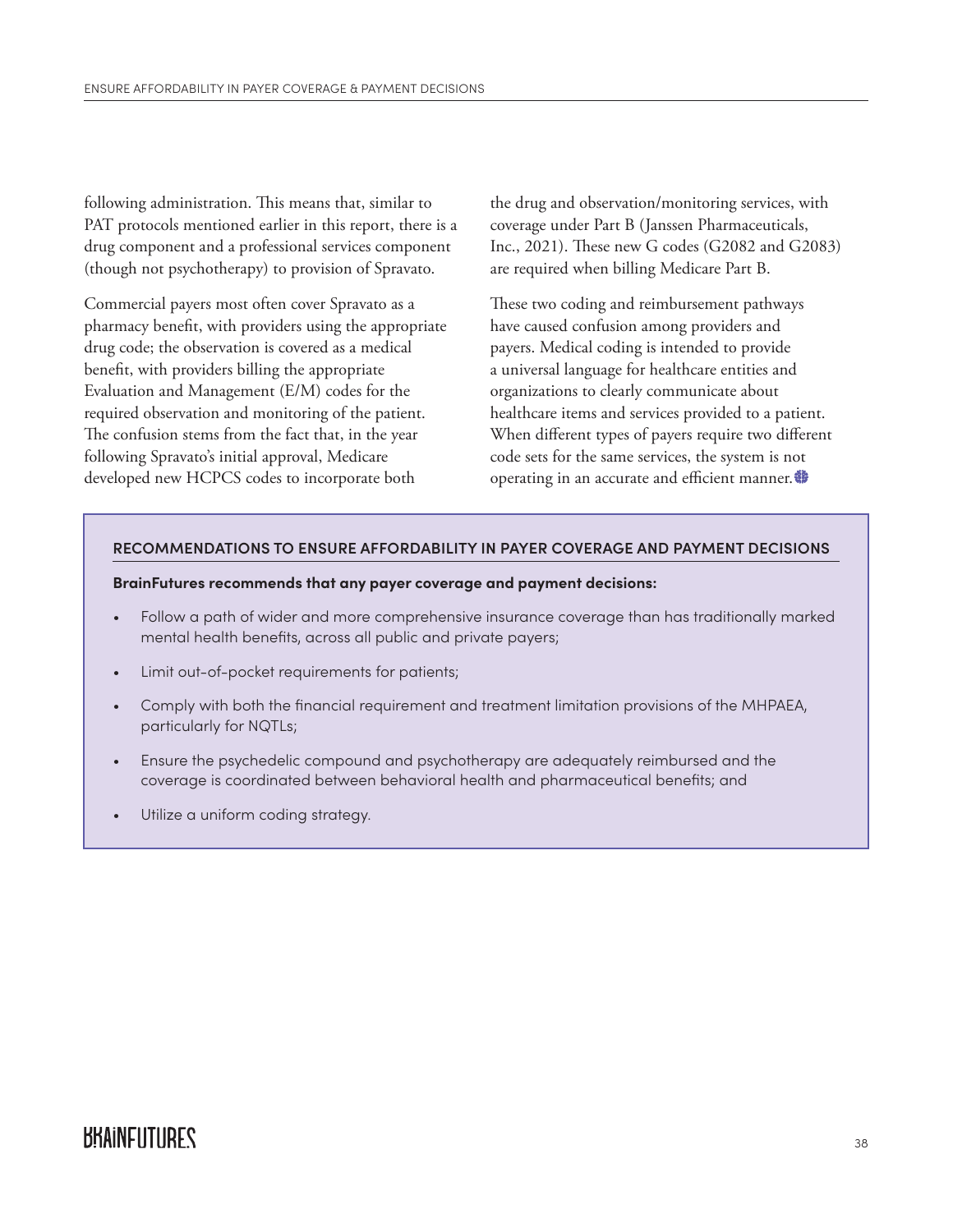following administration. This means that, similar to PAT protocols mentioned earlier in this report, there is a drug component and a professional services component (though not psychotherapy) to provision of Spravato.

Commercial payers most often cover Spravato as a pharmacy benefit, with providers using the appropriate drug code; the observation is covered as a medical benefit, with providers billing the appropriate Evaluation and Management (E/M) codes for the required observation and monitoring of the patient. The confusion stems from the fact that, in the year following Spravato's initial approval, Medicare developed new HCPCS codes to incorporate both

the drug and observation/monitoring services, with coverage under Part B (Janssen Pharmaceuticals, Inc., 2021). These new G codes (G2082 and G2083) are required when billing Medicare Part B.

These two coding and reimbursement pathways have caused confusion among providers and payers. Medical coding is intended to provide a universal language for healthcare entities and organizations to clearly communicate about healthcare items and services provided to a patient. When different types of payers require two different code sets for the same services, the system is not operating in an accurate and efficient manner.

#### **RECOMMENDATIONS TO ENSURE AFFORDABILITY IN PAYER COVERAGE AND PAYMENT DECISIONS**

#### **BrainFutures recommends that any payer coverage and payment decisions:**

- Follow a path of wider and more comprehensive insurance coverage than has traditionally marked mental health benefits, across all public and private payers;
- Limit out-of-pocket requirements for patients;
- Comply with both the financial requirement and treatment limitation provisions of the MHPAEA, particularly for NQTLs;
- Ensure the psychedelic compound and psychotherapy are adequately reimbursed and the coverage is coordinated between behavioral health and pharmaceutical benefits; and
- Utilize a uniform coding strategy.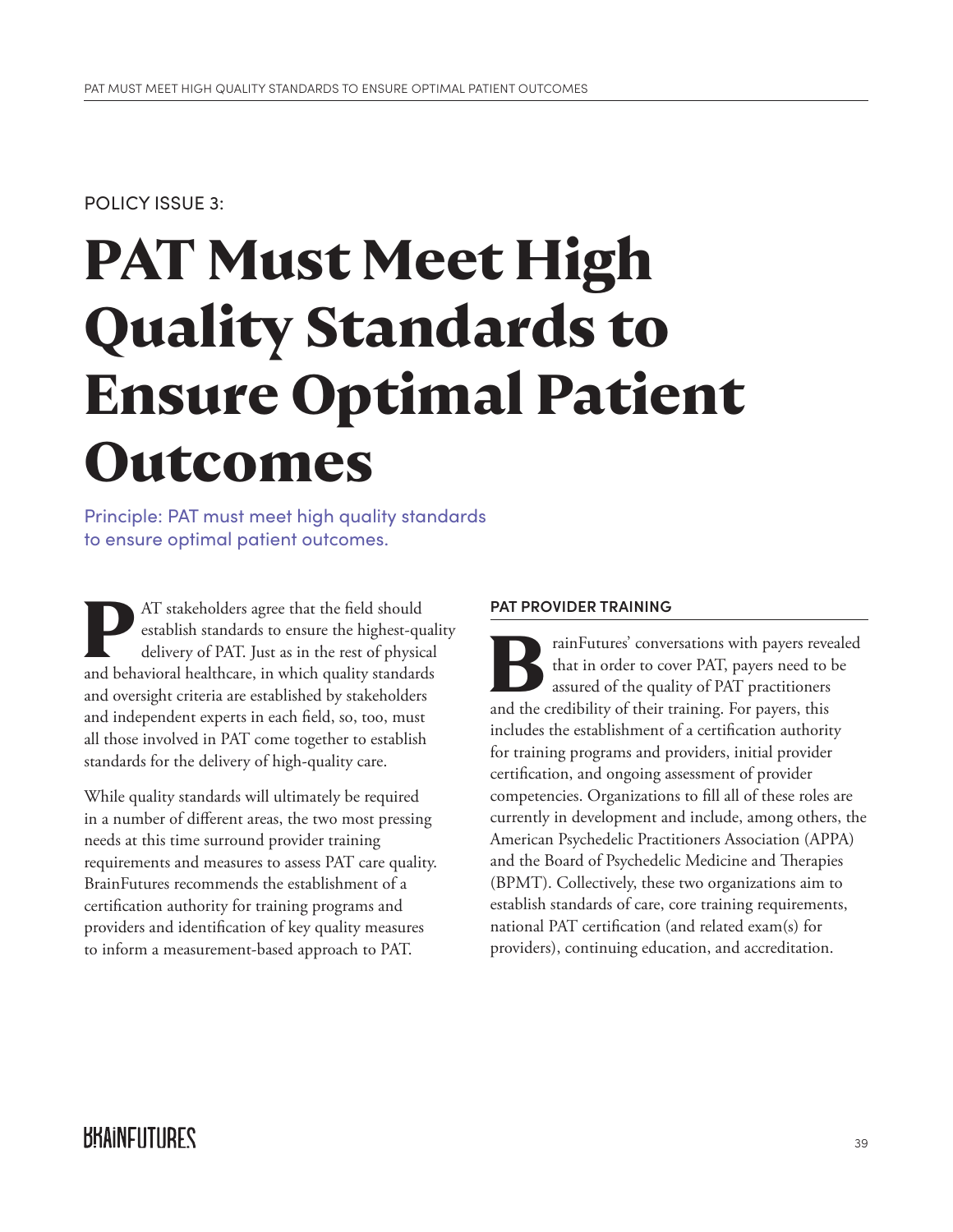<span id="page-38-0"></span>POLICY ISSUE 3:

## **PAT Must Meet High Quality Standards to Ensure Optimal Patient Outcomes**

Principle: PAT must meet high quality standards to ensure optimal patient outcomes.

**PAT** stakeholders agree that the field should<br>establish standards to ensure the highest-qu<br>delivery of PAT. Just as in the rest of physic<br>and behavioral healthcare in which quality standard establish standards to ensure the highest-quality delivery of PAT. Just as in the rest of physical and behavioral healthcare, in which quality standards and oversight criteria are established by stakeholders and independent experts in each field, so, too, must all those involved in PAT come together to establish standards for the delivery of high-quality care.

While quality standards will ultimately be required in a number of different areas, the two most pressing needs at this time surround provider training requirements and measures to assess PAT care quality. BrainFutures recommends the establishment of a certification authority for training programs and providers and identification of key quality measures to inform a measurement-based approach to PAT.

#### **PAT PROVIDER TRAINING**

FrainFutures' conversations with payers revealed<br>that in order to cover PAT, payers need to be<br>assured of the quality of PAT practitioners<br>and the credibility of their training. For payers, this that in order to cover PAT, payers need to be assured of the quality of PAT practitioners and the credibility of their training. For payers, this includes the establishment of a certification authority for training programs and providers, initial provider certification, and ongoing assessment of provider competencies. Organizations to fill all of these roles are currently in development and include, among others, the American Psychedelic Practitioners Association (APPA) and the Board of Psychedelic Medicine and Therapies (BPMT). Collectively, these two organizations aim to establish standards of care, core training requirements, national PAT certification (and related exam(s) for providers), continuing education, and accreditation.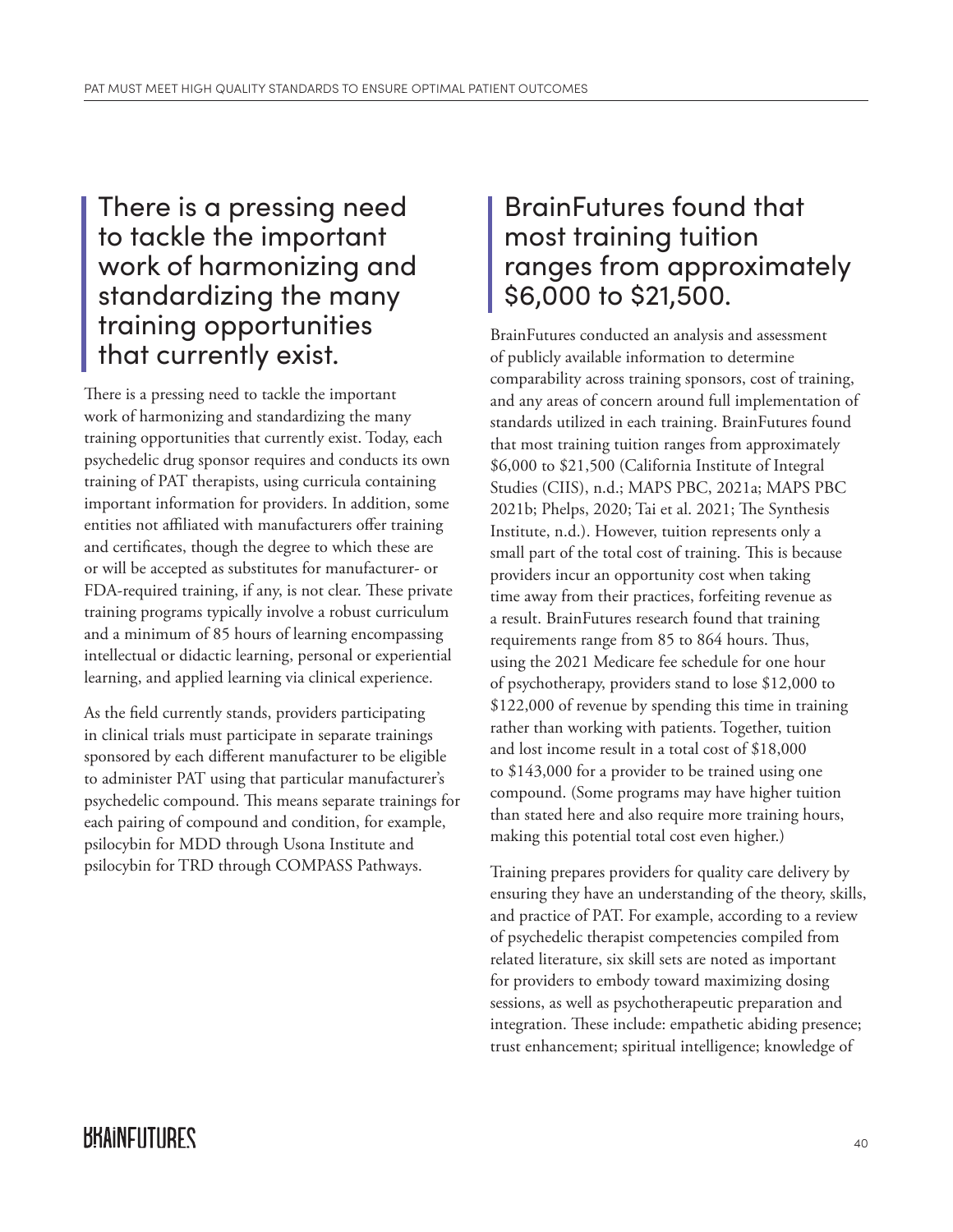## There is a pressing need to tackle the important work of harmonizing and standardizing the many training opportunities that currently exist.

There is a pressing need to tackle the important work of harmonizing and standardizing the many training opportunities that currently exist. Today, each psychedelic drug sponsor requires and conducts its own training of PAT therapists, using curricula containing important information for providers. In addition, some entities not affiliated with manufacturers offer training and certificates, though the degree to which these are or will be accepted as substitutes for manufacturer- or FDA-required training, if any, is not clear. These private training programs typically involve a robust curriculum and a minimum of 85 hours of learning encompassing intellectual or didactic learning, personal or experiential learning, and applied learning via clinical experience.

As the field currently stands, providers participating in clinical trials must participate in separate trainings sponsored by each different manufacturer to be eligible to administer PAT using that particular manufacturer's psychedelic compound. This means separate trainings for each pairing of compound and condition, for example, psilocybin for MDD through Usona Institute and psilocybin for TRD through COMPASS Pathways.

## BrainFutures found that most training tuition ranges from approximately \$6,000 to \$21,500.

BrainFutures conducted an analysis and assessment of publicly available information to determine comparability across training sponsors, cost of training, and any areas of concern around full implementation of standards utilized in each training. BrainFutures found that most training tuition ranges from approximately \$6,000 to \$21,500 (California Institute of Integral Studies (CIIS), n.d.; MAPS PBC, 2021a; MAPS PBC 2021b; Phelps, 2020; Tai et al. 2021; The Synthesis Institute, n.d.). However, tuition represents only a small part of the total cost of training. This is because providers incur an opportunity cost when taking time away from their practices, forfeiting revenue as a result. BrainFutures research found that training requirements range from 85 to 864 hours. Thus, using the 2021 Medicare fee schedule for one hour of psychotherapy, providers stand to lose \$12,000 to \$122,000 of revenue by spending this time in training rather than working with patients. Together, tuition and lost income result in a total cost of \$18,000 to \$143,000 for a provider to be trained using one compound. (Some programs may have higher tuition than stated here and also require more training hours, making this potential total cost even higher.)

Training prepares providers for quality care delivery by ensuring they have an understanding of the theory, skills, and practice of PAT. For example, according to a review of psychedelic therapist competencies compiled from related literature, six skill sets are noted as important for providers to embody toward maximizing dosing sessions, as well as psychotherapeutic preparation and integration. These include: empathetic abiding presence; trust enhancement; spiritual intelligence; knowledge of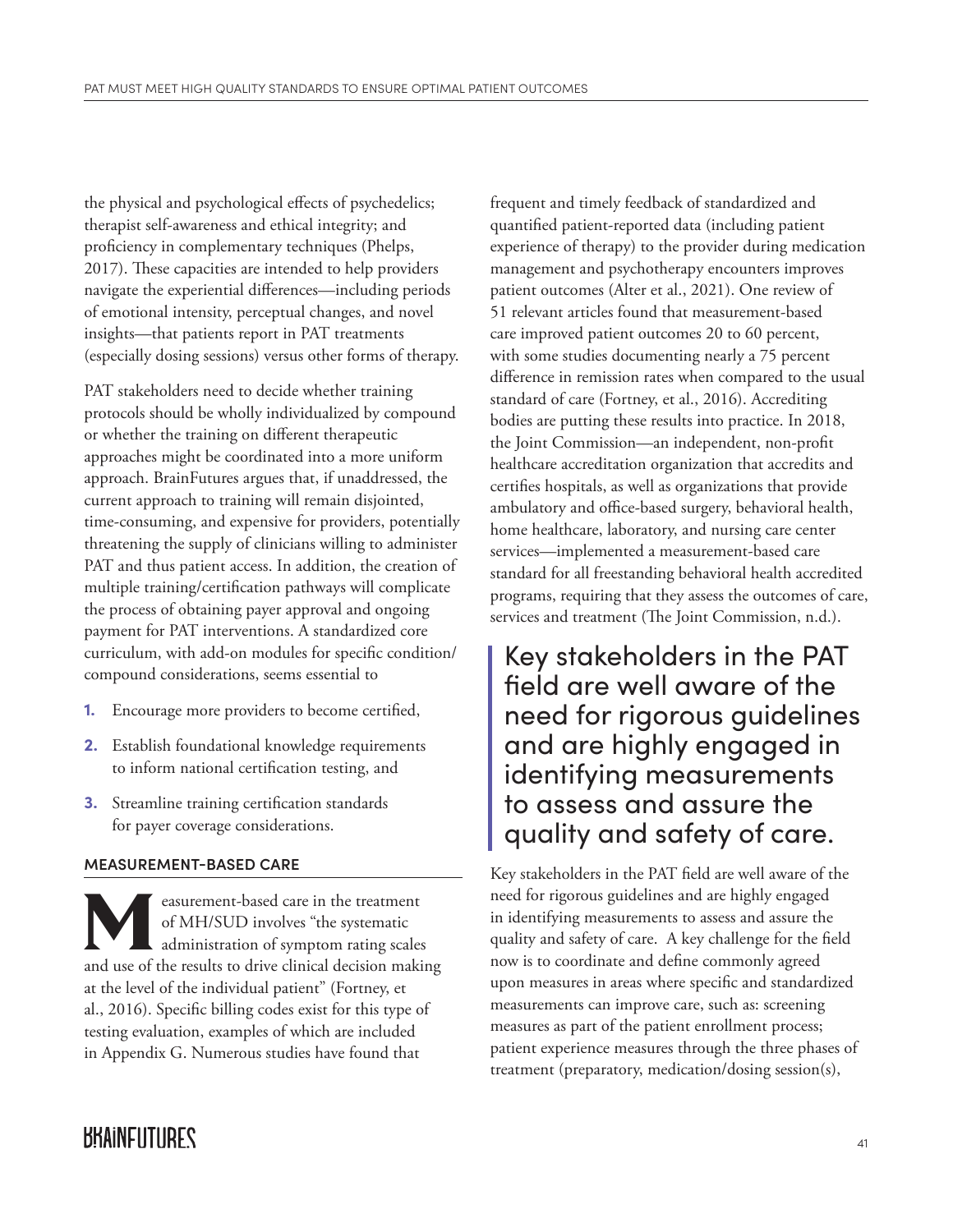the physical and psychological effects of psychedelics; therapist self-awareness and ethical integrity; and proficiency in complementary techniques (Phelps, 2017). These capacities are intended to help providers navigate the experiential differences—including periods of emotional intensity, perceptual changes, and novel insights—that patients report in PAT treatments (especially dosing sessions) versus other forms of therapy.

PAT stakeholders need to decide whether training protocols should be wholly individualized by compound or whether the training on different therapeutic approaches might be coordinated into a more uniform approach. BrainFutures argues that, if unaddressed, the current approach to training will remain disjointed, time-consuming, and expensive for providers, potentially threatening the supply of clinicians willing to administer PAT and thus patient access. In addition, the creation of multiple training/certification pathways will complicate the process of obtaining payer approval and ongoing payment for PAT interventions. A standardized core curriculum, with add-on modules for specific condition/ compound considerations, seems essential to

- **1.** Encourage more providers to become certified,
- **2.** Establish foundational knowledge requirements to inform national certification testing, and
- **3.** Streamline training certification standards for payer coverage considerations.

#### **MEASUREMENT-BASED CARE**

Examples and use of the results to drive clinical decision make of MH/SUD involves "the systematic administration of symptom rating scales and use of the results to drive clinical decision making at the level of the individual patient" (Fortney, et al., 2016). Specific billing codes exist for this type of testing evaluation, examples of which are included in Appendix G. Numerous studies have found that

frequent and timely feedback of standardized and quantified patient-reported data (including patient experience of therapy) to the provider during medication management and psychotherapy encounters improves patient outcomes (Alter et al., 2021). One review of 51 relevant articles found that measurement-based care improved patient outcomes 20 to 60 percent, with some studies documenting nearly a 75 percent difference in remission rates when compared to the usual standard of care (Fortney, et al., 2016). Accrediting bodies are putting these results into practice. In 2018, the Joint Commission—an independent, non-profit healthcare accreditation organization that accredits and certifies hospitals, as well as organizations that provide ambulatory and office-based surgery, behavioral health, home healthcare, laboratory, and nursing care center services—implemented a measurement-based care standard for all freestanding behavioral health accredited programs, requiring that they assess the outcomes of care, services and treatment (The Joint Commission, n.d.).

Key stakeholders in the PAT field are well aware of the need for rigorous guidelines and are highly engaged in identifying measurements to assess and assure the quality and safety of care.

Key stakeholders in the PAT field are well aware of the need for rigorous guidelines and are highly engaged in identifying measurements to assess and assure the quality and safety of care. A key challenge for the field now is to coordinate and define commonly agreed upon measures in areas where specific and standardized measurements can improve care, such as: screening measures as part of the patient enrollment process; patient experience measures through the three phases of treatment (preparatory, medication/dosing session(s),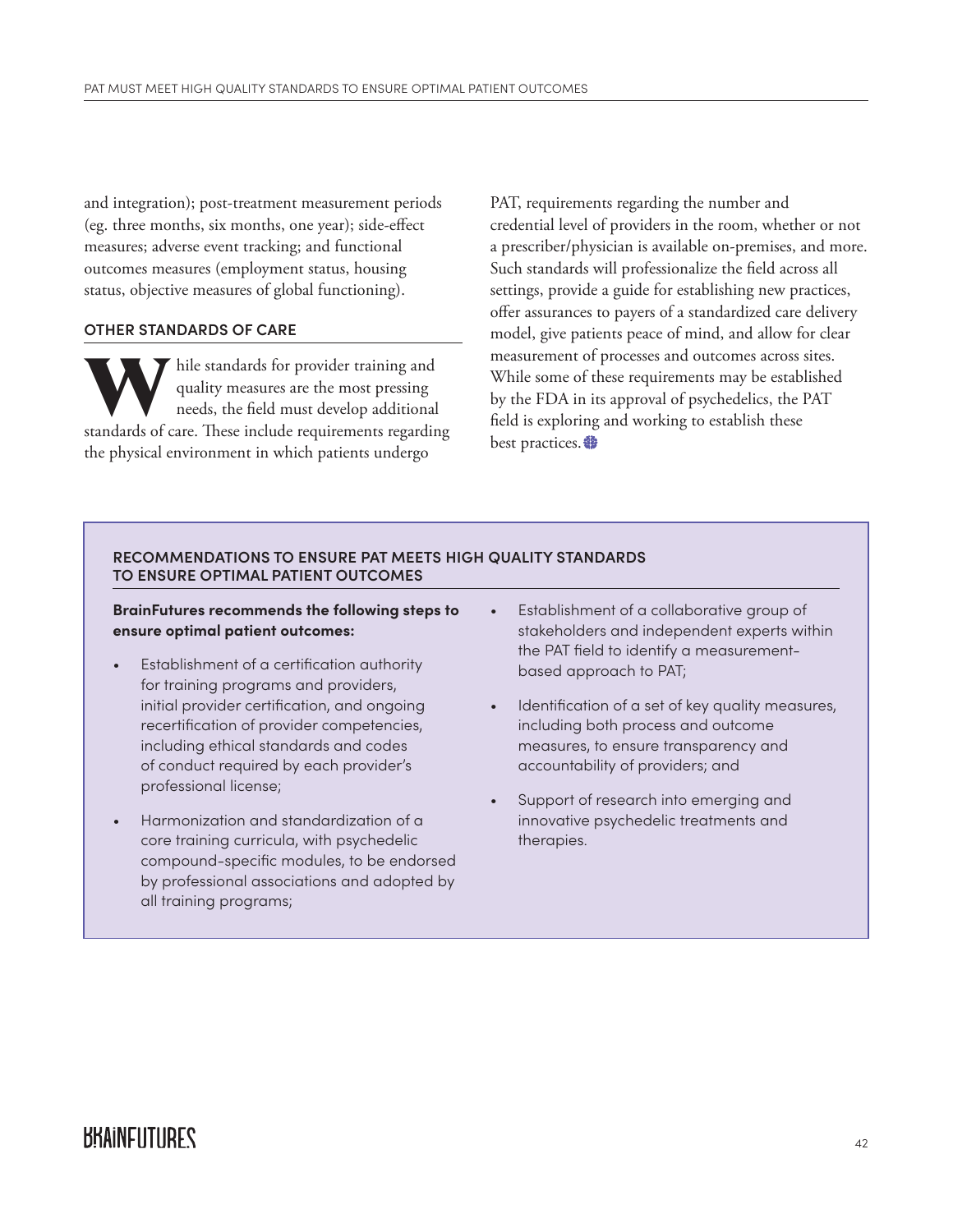and integration); post-treatment measurement periods (eg. three months, six months, one year); side-effect measures; adverse event tracking; and functional outcomes measures (employment status, housing status, objective measures of global functioning).

#### **OTHER STANDARDS OF CARE**

hile standards for provider training and quality measures are the most pressing needs, the field must develop additional standards of care. These include requirements regarding the physical environment in which patients undergo

PAT, requirements regarding the number and credential level of providers in the room, whether or not a prescriber/physician is available on-premises, and more. Such standards will professionalize the field across all settings, provide a guide for establishing new practices, offer assurances to payers of a standardized care delivery model, give patients peace of mind, and allow for clear measurement of processes and outcomes across sites. While some of these requirements may be established by the FDA in its approval of psychedelics, the PAT field is exploring and working to establish these best practices. **●** 

#### **RECOMMENDATIONS TO ENSURE PAT MEETS HIGH QUALITY STANDARDS TO ENSURE OPTIMAL PATIENT OUTCOMES**

**BrainFutures recommends the following steps to ensure optimal patient outcomes:**

- Establishment of a certification authority for training programs and providers, initial provider certification, and ongoing recertification of provider competencies, including ethical standards and codes of conduct required by each provider's professional license;
- Harmonization and standardization of a core training curricula, with psychedelic compound-specific modules, to be endorsed by professional associations and adopted by all training programs;
- Establishment of a collaborative group of stakeholders and independent experts within the PAT field to identify a measurementbased approach to PAT;
- Identification of a set of key quality measures, including both process and outcome measures, to ensure transparency and accountability of providers; and
- Support of research into emerging and innovative psychedelic treatments and therapies.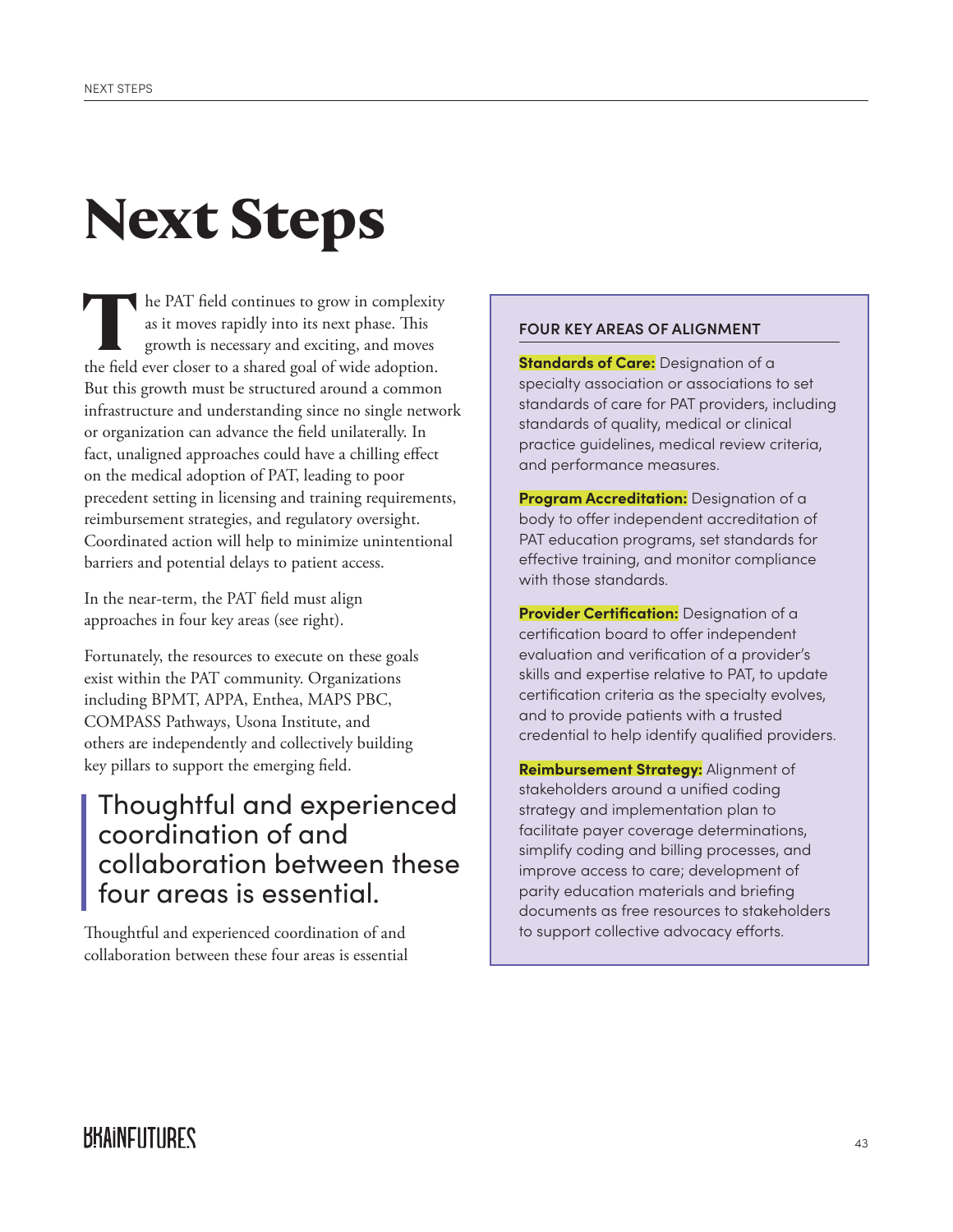## <span id="page-42-0"></span>**Next Steps**

**The PAT field continues to grow in complexity** as it moves rapidly into its next phase. This growth is necessary and exciting, and moves the field ever closer to a shared goal of wide adoption. But this growth must be structured around a common infrastructure and understanding since no single network or organization can advance the field unilaterally. In fact, unaligned approaches could have a chilling effect on the medical adoption of PAT, leading to poor precedent setting in licensing and training requirements, reimbursement strategies, and regulatory oversight. Coordinated action will help to minimize unintentional barriers and potential delays to patient access.

In the near-term, the PAT field must align approaches in four key areas (see right).

Fortunately, the resources to execute on these goals exist within the PAT community. Organizations including BPMT, APPA, Enthea, MAPS PBC, COMPASS Pathways, Usona Institute, and others are independently and collectively building key pillars to support the emerging field.

## Thoughtful and experienced coordination of and collaboration between these four areas is essential.

Thoughtful and experienced coordination of and collaboration between these four areas is essential

#### **FOUR KEY AREAS OF ALIGNMENT**

**Standards of Care:** Designation of a specialty association or associations to set standards of care for PAT providers, including standards of quality, medical or clinical practice guidelines, medical review criteria, and performance measures.

**Program Accreditation:** Designation of a body to offer independent accreditation of PAT education programs, set standards for effective training, and monitor compliance with those standards.

**Provider Certification:** Designation of a certification board to offer independent evaluation and verification of a provider's skills and expertise relative to PAT, to update certification criteria as the specialty evolves, and to provide patients with a trusted credential to help identify qualified providers.

**Reimbursement Strategy:** Alignment of stakeholders around a unified coding strategy and implementation plan to facilitate payer coverage determinations, simplify coding and billing processes, and improve access to care; development of parity education materials and briefing documents as free resources to stakeholders to support collective advocacy efforts.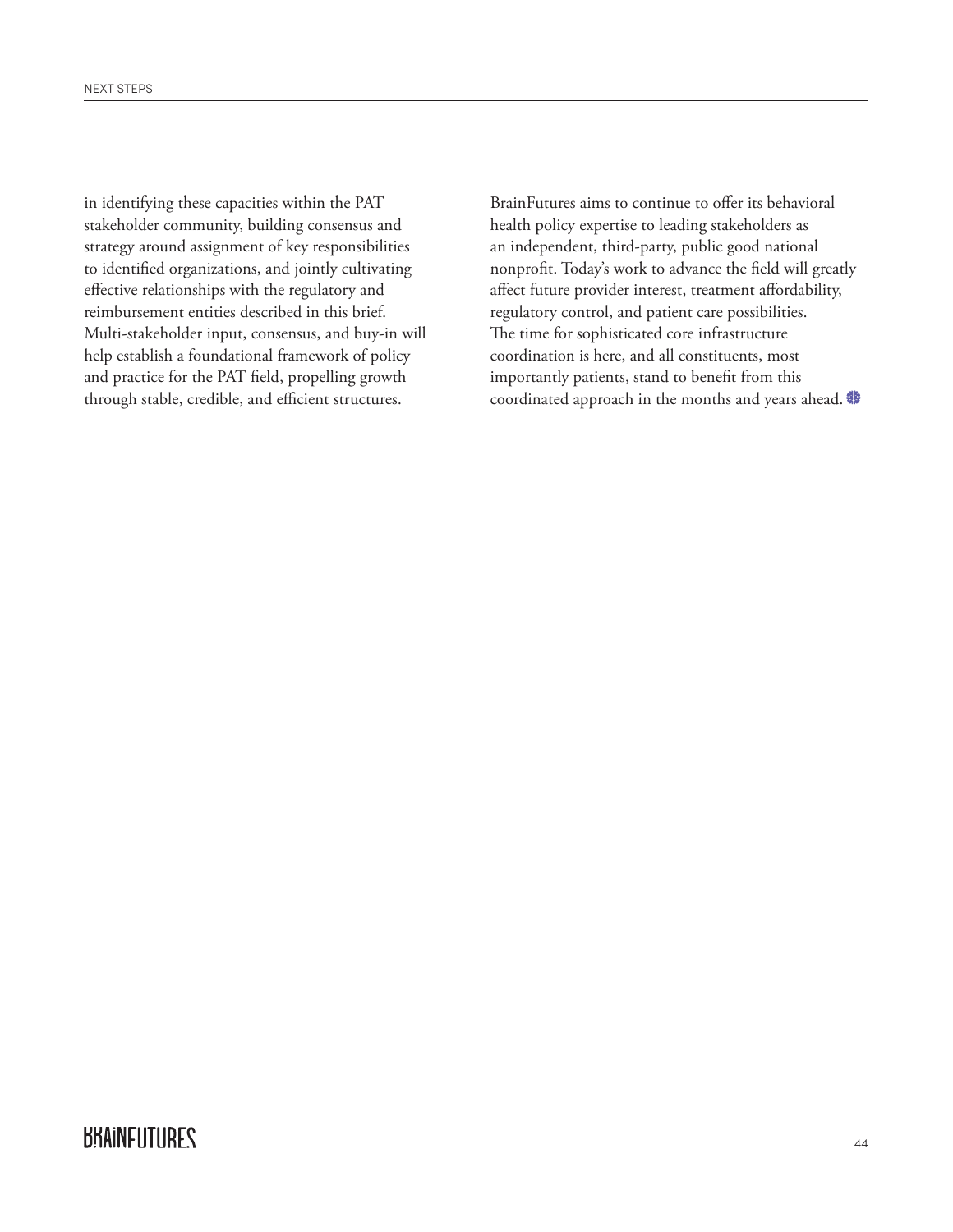in identifying these capacities within the PAT stakeholder community, building consensus and strategy around assignment of key responsibilities to identified organizations, and jointly cultivating effective relationships with the regulatory and reimbursement entities described in this brief. Multi-stakeholder input, consensus, and buy-in will help establish a foundational framework of policy and practice for the PAT field, propelling growth through stable, credible, and efficient structures.

BrainFutures aims to continue to offer its behavioral health policy expertise to leading stakeholders as an independent, third-party, public good national nonprofit. Today's work to advance the field will greatly affect future provider interest, treatment affordability, regulatory control, and patient care possibilities. The time for sophisticated core infrastructure coordination is here, and all constituents, most importantly patients, stand to benefit from this coordinated approach in the months and years ahead.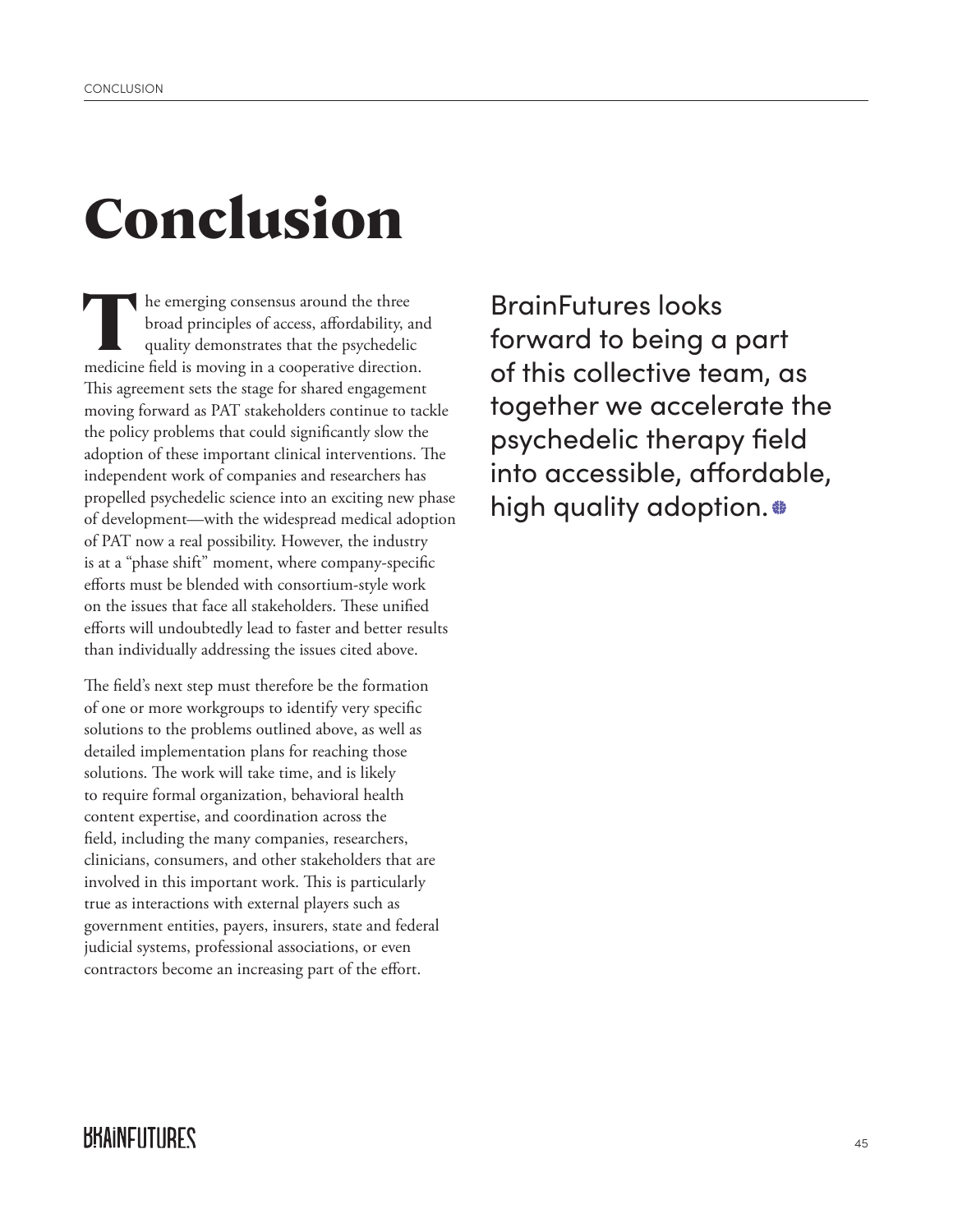## <span id="page-44-0"></span>**Conclusion**

The emerging consensus around the three<br>broad principles of access, affordability, a<br>quality demonstrates that the psychedelic<br>medicine field is moving in a cooperative direction broad principles of access, affordability, and quality demonstrates that the psychedelic medicine field is moving in a cooperative direction. This agreement sets the stage for shared engagement moving forward as PAT stakeholders continue to tackle the policy problems that could significantly slow the adoption of these important clinical interventions. The independent work of companies and researchers has propelled psychedelic science into an exciting new phase of development—with the widespread medical adoption of PAT now a real possibility. However, the industry is at a "phase shift" moment, where company-specific efforts must be blended with consortium-style work on the issues that face all stakeholders. These unified efforts will undoubtedly lead to faster and better results than individually addressing the issues cited above.

The field's next step must therefore be the formation of one or more workgroups to identify very specific solutions to the problems outlined above, as well as detailed implementation plans for reaching those solutions. The work will take time, and is likely to require formal organization, behavioral health content expertise, and coordination across the field, including the many companies, researchers, clinicians, consumers, and other stakeholders that are involved in this important work. This is particularly true as interactions with external players such as government entities, payers, insurers, state and federal judicial systems, professional associations, or even contractors become an increasing part of the effort.

BrainFutures looks forward to being a part of this collective team, as together we accelerate the psychedelic therapy field into accessible, affordable, high quality adoption.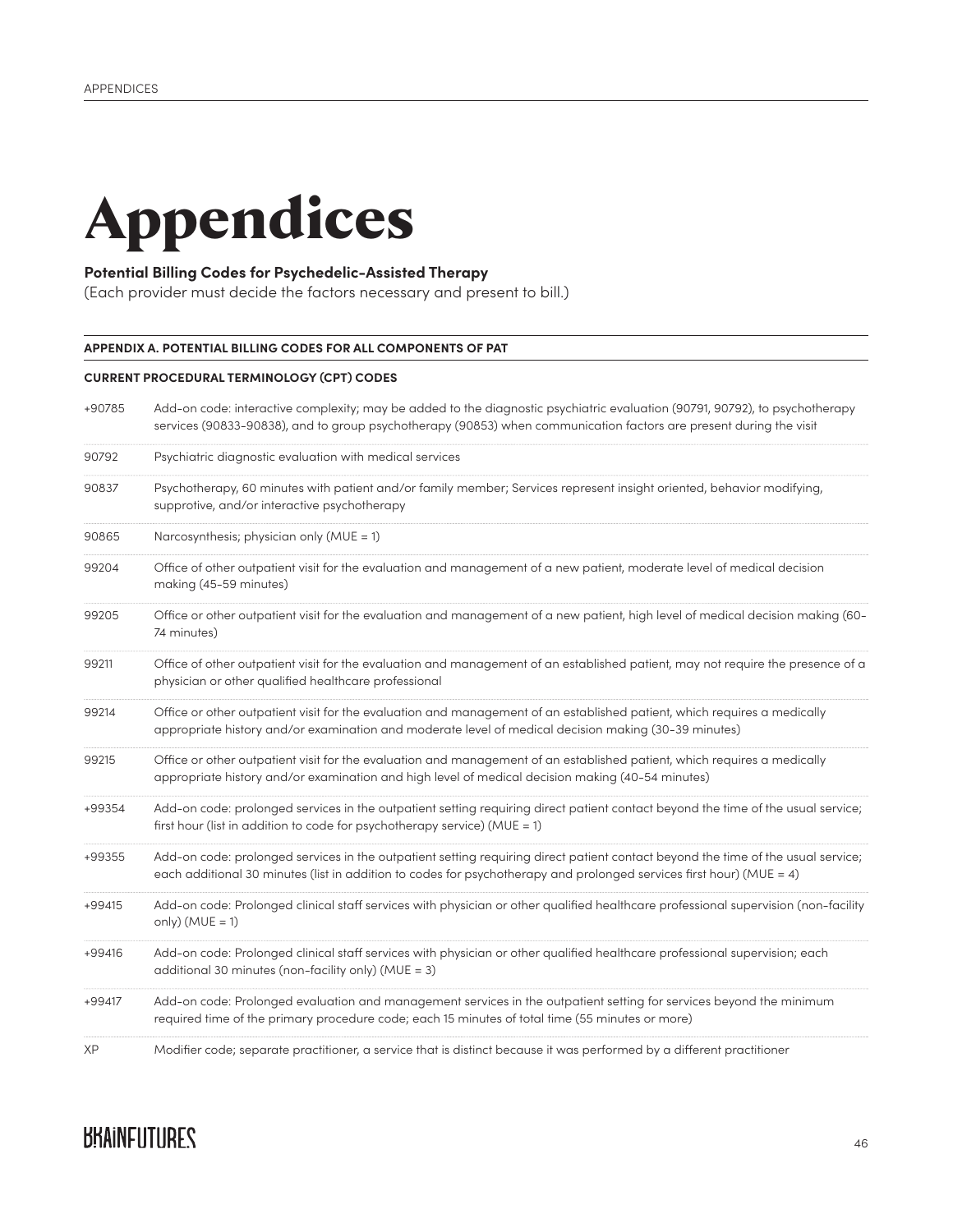## <span id="page-45-0"></span>**Appendices**

#### **Potential Billing Codes for Psychedelic-Assisted Therapy**

(Each provider must decide the factors necessary and present to bill.)

#### **APPENDIX A. POTENTIAL BILLING CODES FOR ALL COMPONENTS OF PAT**

#### **CURRENT PROCEDURAL TERMINOLOGY (CPT) CODES**

| +90785    | Add-on code: interactive complexity; may be added to the diagnostic psychiatric evaluation (90791, 90792), to psychotherapy<br>services (90833-90838), and to group psychotherapy (90853) when communication factors are present during the visit        |
|-----------|----------------------------------------------------------------------------------------------------------------------------------------------------------------------------------------------------------------------------------------------------------|
| 90792     | Psychiatric diagnostic evaluation with medical services                                                                                                                                                                                                  |
| 90837     | Psychotherapy, 60 minutes with patient and/or family member; Services represent insight oriented, behavior modifying,<br>supprotive, and/or interactive psychotherapy                                                                                    |
| 90865     | Narcosynthesis; physician only $(MUE = 1)$                                                                                                                                                                                                               |
| 99204     | Office of other outpatient visit for the evaluation and management of a new patient, moderate level of medical decision<br>making (45-59 minutes)                                                                                                        |
| 99205     | Office or other outpatient visit for the evaluation and management of a new patient, high level of medical decision making (60-<br>74 minutes)                                                                                                           |
| 99211     | Office of other outpatient visit for the evaluation and management of an established patient, may not require the presence of a<br>physician or other qualified healthcare professional                                                                  |
| 99214     | Office or other outpatient visit for the evaluation and management of an established patient, which requires a medically<br>appropriate history and/or examination and moderate level of medical decision making (30-39 minutes)                         |
| 99215     | Office or other outpatient visit for the evaluation and management of an established patient, which requires a medically<br>appropriate history and/or examination and high level of medical decision making (40-54 minutes)                             |
| +99354    | Add-on code: prolonged services in the outpatient setting requiring direct patient contact beyond the time of the usual service;<br>first hour (list in addition to code for psychotherapy service) ( $MUE = 1$ )                                        |
| +99355    | Add-on code: prolonged services in the outpatient setting requiring direct patient contact beyond the time of the usual service;<br>each additional 30 minutes (list in addition to codes for psychotherapy and prolonged services first hour) (MUE = 4) |
| +99415    | Add-on code: Prolonged clinical staff services with physician or other qualified healthcare professional supervision (non-facility<br>only) $(MUE = 1)$                                                                                                  |
| +99416    | Add-on code: Prolonged clinical staff services with physician or other qualified healthcare professional supervision; each<br>additional 30 minutes (non-facility only) (MUE = 3)                                                                        |
| +99417    | Add-on code: Prolonged evaluation and management services in the outpatient setting for services beyond the minimum<br>required time of the primary procedure code; each 15 minutes of total time (55 minutes or more)                                   |
| <b>XP</b> | Modifier code; separate practitioner, a service that is distinct because it was performed by a different practitioner                                                                                                                                    |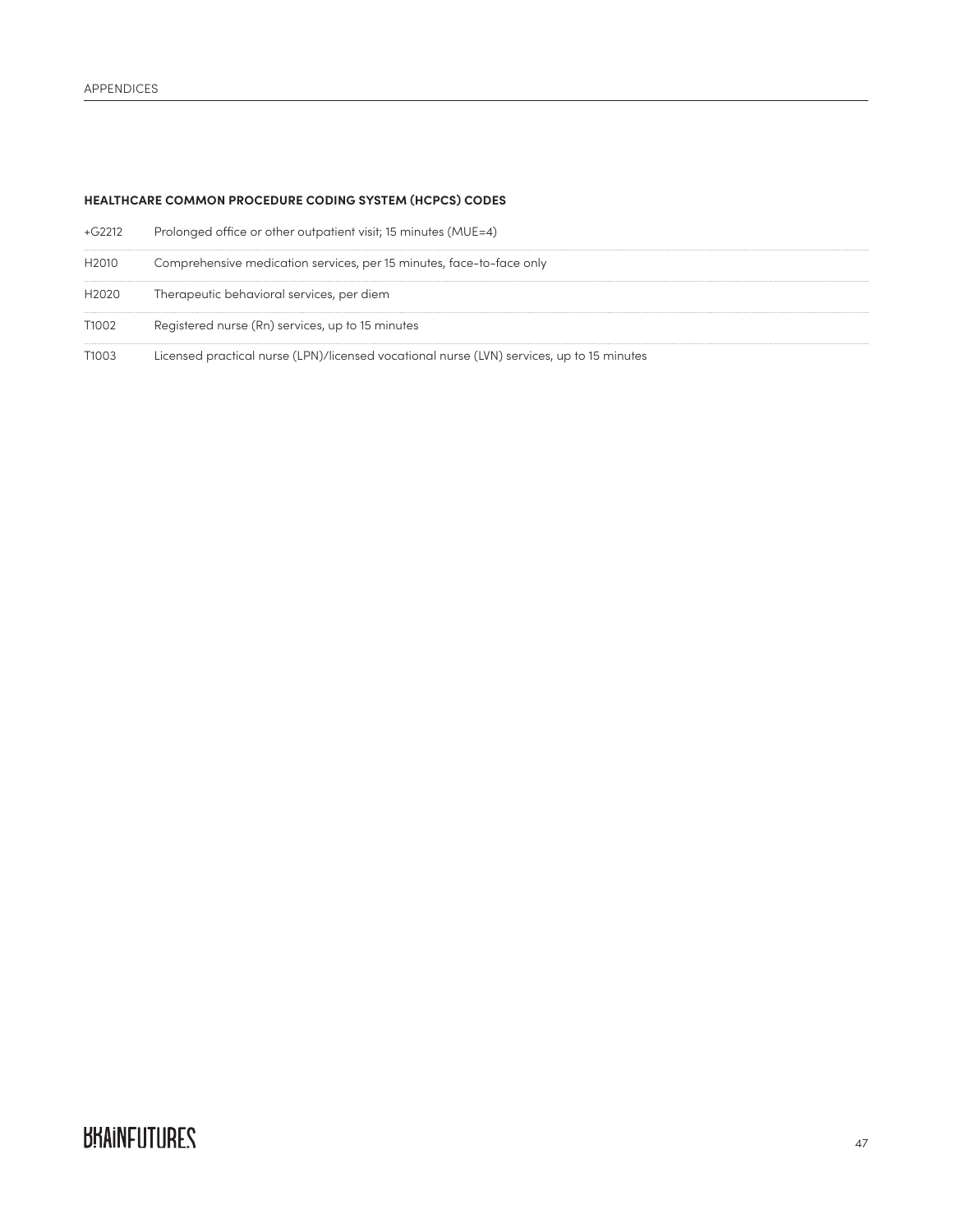#### **HEALTHCARE COMMON PROCEDURE CODING SYSTEM (HCPCS) CODES**

| $+G2212$           | Prolonged office or other outpatient visit; 15 minutes (MUE=4)                            |
|--------------------|-------------------------------------------------------------------------------------------|
| H <sub>2010</sub>  | Comprehensive medication services, per 15 minutes, face-to-face only                      |
| H <sub>2</sub> 020 | Therapeutic behavioral services, per diem                                                 |
| T1002              | Registered nurse (Rn) services, up to 15 minutes                                          |
| T <sub>1003</sub>  | Licensed practical nurse (LPN)/licensed vocational nurse (LVN) services, up to 15 minutes |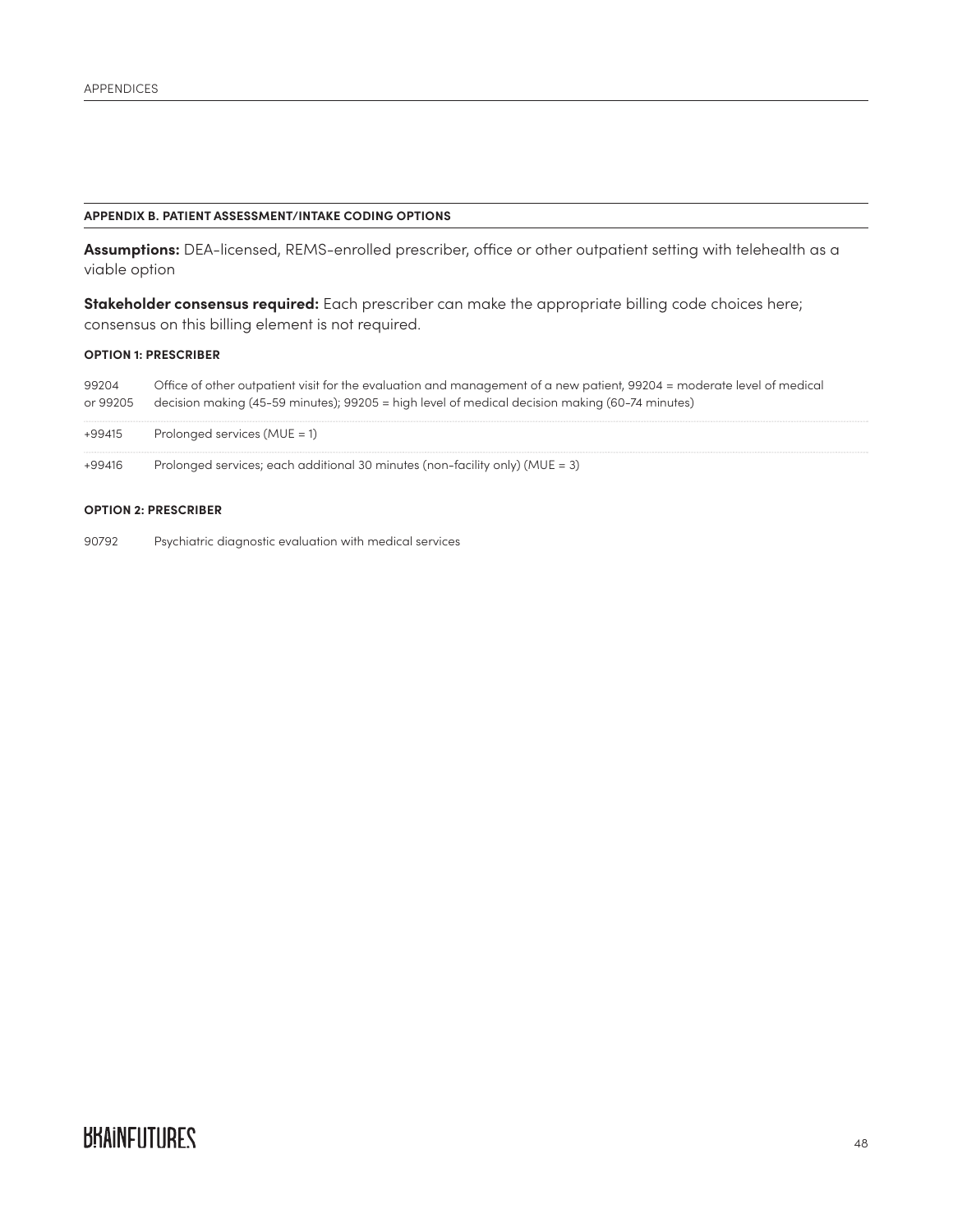#### **APPENDIX B. PATIENT ASSESSMENT/INTAKE CODING OPTIONS**

Assumptions: DEA-licensed, REMS-enrolled prescriber, office or other outpatient setting with telehealth as a viable option

**Stakeholder consensus required:** Each prescriber can make the appropriate billing code choices here; consensus on this billing element is not required.

#### **OPTION 1: PRESCRIBER**

| 99204<br>or 99205 | Office of other outpatient visit for the evaluation and management of a new patient, 99204 = moderate level of medical<br>decision making (45-59 minutes); 99205 = high level of medical decision making (60-74 minutes) |
|-------------------|--------------------------------------------------------------------------------------------------------------------------------------------------------------------------------------------------------------------------|
| +99415            | Prolonged services $(MUE = 1)$                                                                                                                                                                                           |
| +99416            | Prolonged services; each additional 30 minutes (non-facility only) (MUE = 3)                                                                                                                                             |

#### **OPTION 2: PRESCRIBER**

90792 Psychiatric diagnostic evaluation with medical services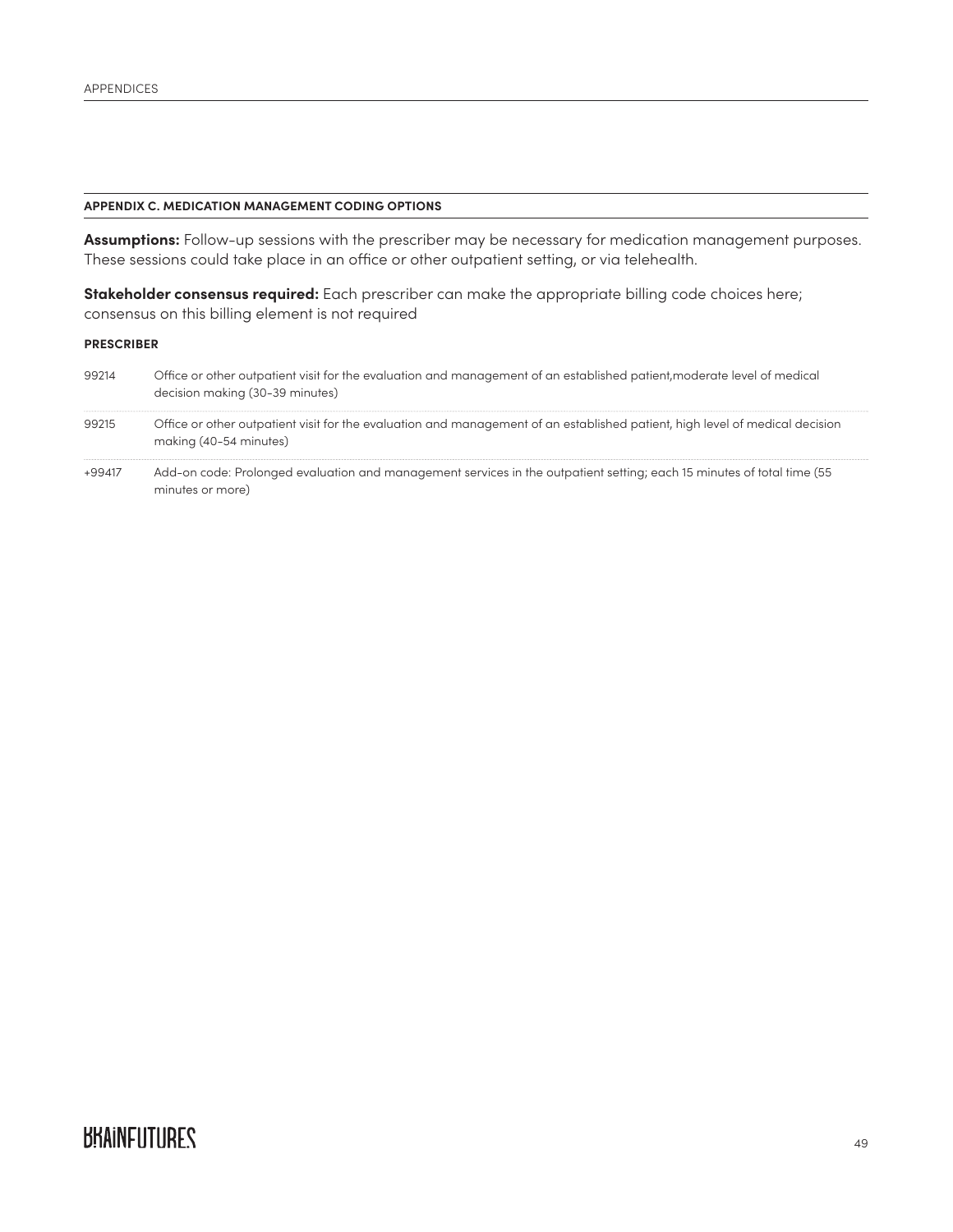#### **APPENDIX C. MEDICATION MANAGEMENT CODING OPTIONS**

**Assumptions:** Follow-up sessions with the prescriber may be necessary for medication management purposes. These sessions could take place in an office or other outpatient setting, or via telehealth.

**Stakeholder consensus required:** Each prescriber can make the appropriate billing code choices here; consensus on this billing element is not required

#### **PRESCRIBER**

| 99214  | Office or other outpatient visit for the evaluation and management of an established patient, moderate level of medical<br>decision making (30-39 minutes) |
|--------|------------------------------------------------------------------------------------------------------------------------------------------------------------|
| 99215  | Office or other outpatient visit for the evaluation and management of an established patient, high level of medical decision<br>making (40-54 minutes)     |
| +99417 | Add-on code: Prolonged evaluation and management services in the outpatient setting; each 15 minutes of total time (55<br>minutes or more)                 |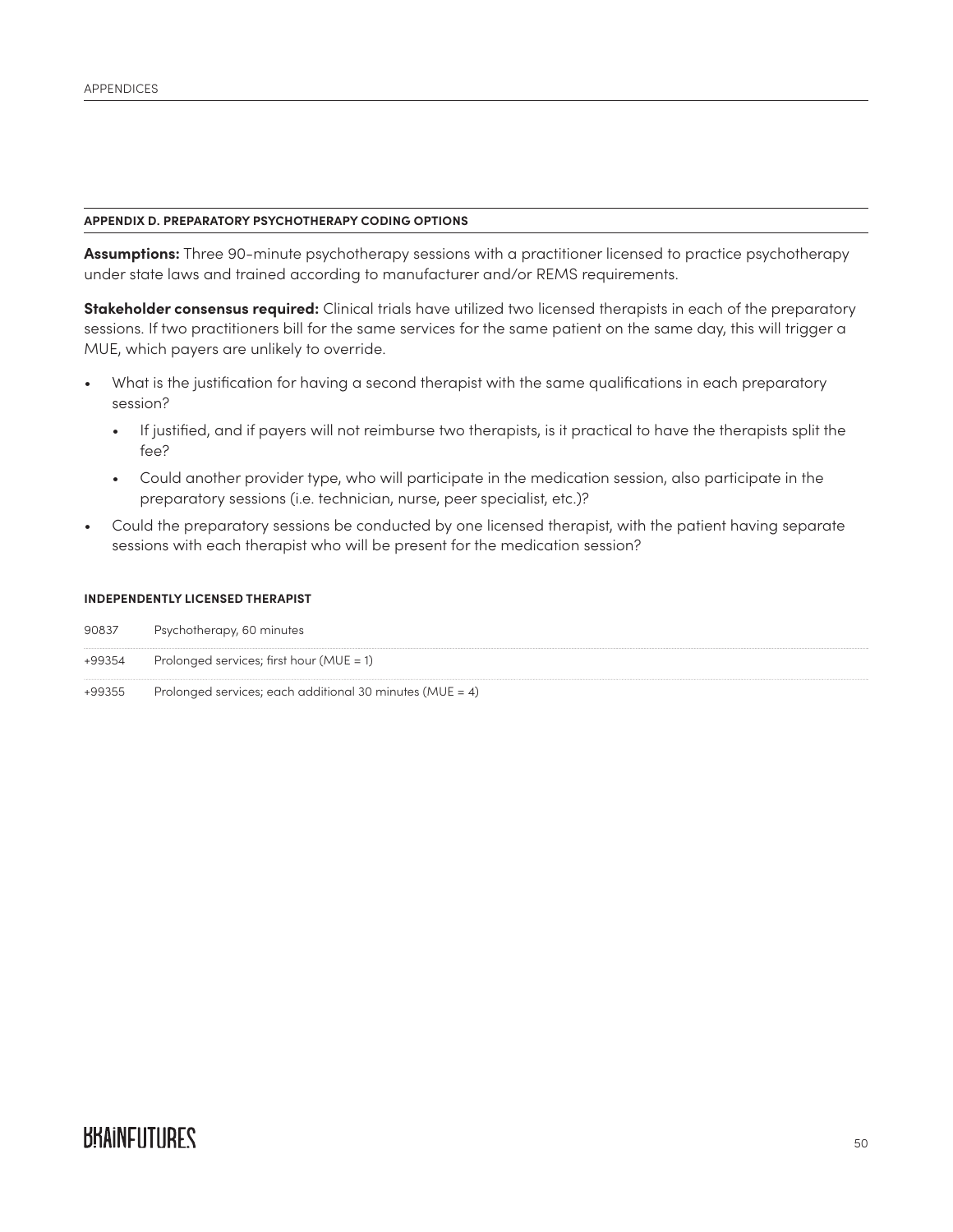#### **APPENDIX D. PREPARATORY PSYCHOTHERAPY CODING OPTIONS**

**Assumptions:** Three 90-minute psychotherapy sessions with a practitioner licensed to practice psychotherapy under state laws and trained according to manufacturer and/or REMS requirements.

**Stakeholder consensus required:** Clinical trials have utilized two licensed therapists in each of the preparatory sessions. If two practitioners bill for the same services for the same patient on the same day, this will trigger a MUE, which payers are unlikely to override.

- What is the justification for having a second therapist with the same qualifications in each preparatory session?
	- If justified, and if payers will not reimburse two therapists, is it practical to have the therapists split the fee?
	- Could another provider type, who will participate in the medication session, also participate in the preparatory sessions (i.e. technician, nurse, peer specialist, etc.)?
- Could the preparatory sessions be conducted by one licensed therapist, with the patient having separate sessions with each therapist who will be present for the medication session?

#### **INDEPENDENTLY LICENSED THERAPIST**

| 90837  | Psychotherapy, 60 minutes                                |
|--------|----------------------------------------------------------|
| +99354 | Prolonged services; first hour $(MUE = 1)$               |
| +99355 | Prolonged services; each additional 30 minutes (MUE = 4) |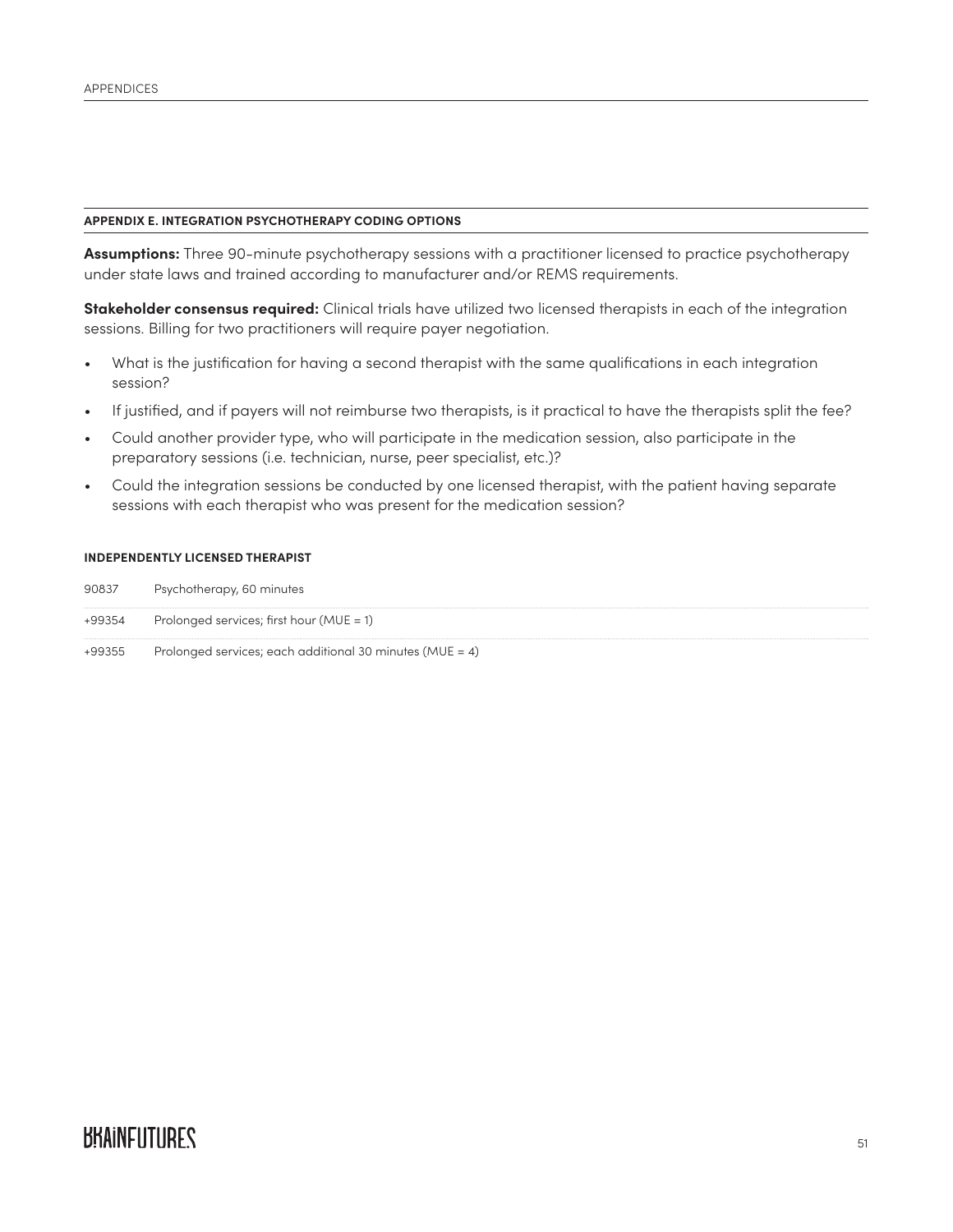#### **APPENDIX E. INTEGRATION PSYCHOTHERAPY CODING OPTIONS**

**Assumptions:** Three 90-minute psychotherapy sessions with a practitioner licensed to practice psychotherapy under state laws and trained according to manufacturer and/or REMS requirements.

**Stakeholder consensus required:** Clinical trials have utilized two licensed therapists in each of the integration sessions. Billing for two practitioners will require payer negotiation.

- What is the justification for having a second therapist with the same qualifications in each integration session?
- If justified, and if payers will not reimburse two therapists, is it practical to have the therapists split the fee?
- Could another provider type, who will participate in the medication session, also participate in the preparatory sessions (i.e. technician, nurse, peer specialist, etc.)?
- Could the integration sessions be conducted by one licensed therapist, with the patient having separate sessions with each therapist who was present for the medication session?

#### **INDEPENDENTLY LICENSED THERAPIST**

| 90837  | Psychotherapy, 60 minutes                                    |
|--------|--------------------------------------------------------------|
| +99354 | Prolonged services; first hour ( $MUE = 1$ )                 |
| +99355 | Prolonged services; each additional 30 minutes ( $MUE = 4$ ) |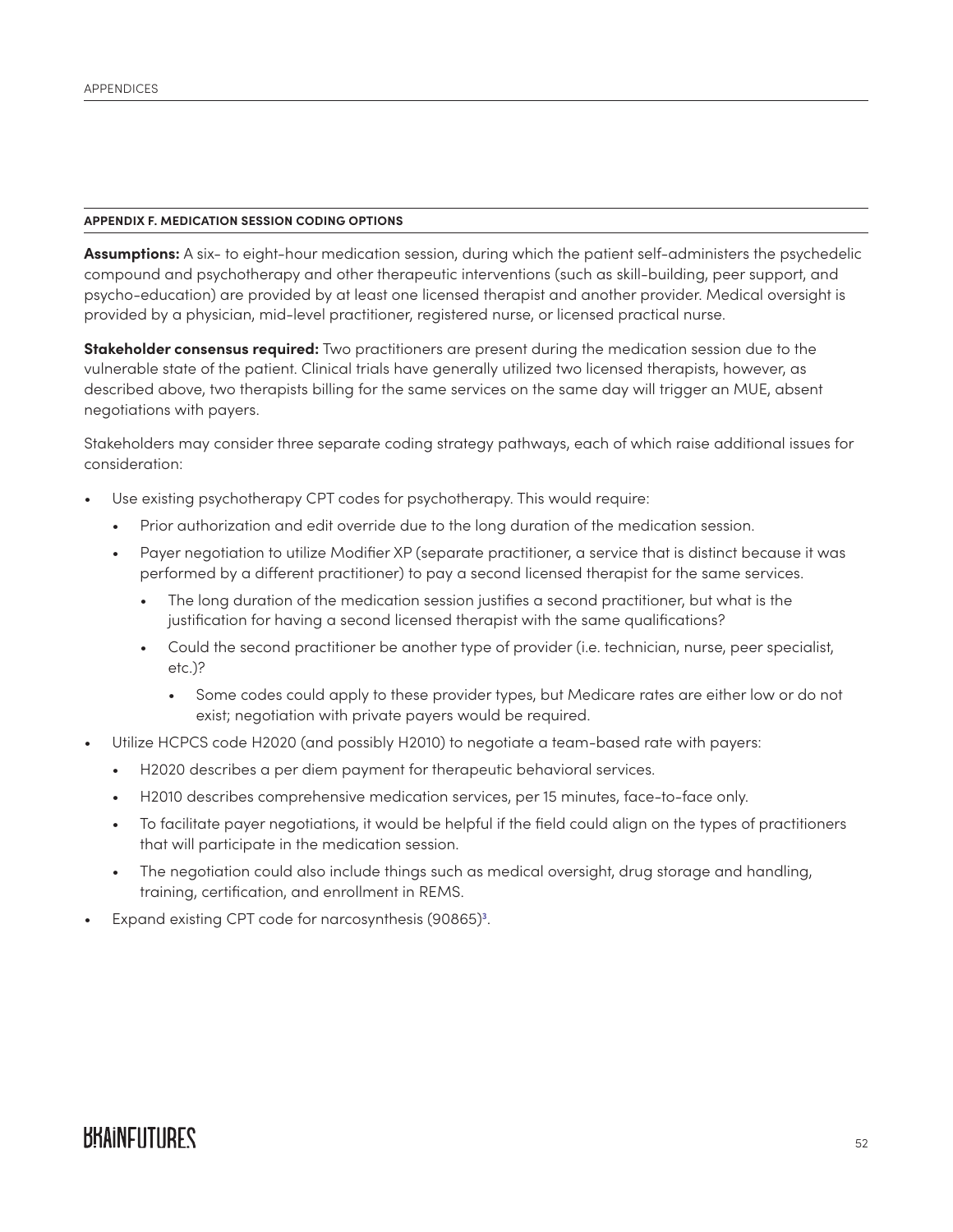#### **APPENDIX F. MEDICATION SESSION CODING OPTIONS**

**Assumptions:** A six- to eight-hour medication session, during which the patient self-administers the psychedelic compound and psychotherapy and other therapeutic interventions (such as skill-building, peer support, and psycho-education) are provided by at least one licensed therapist and another provider. Medical oversight is provided by a physician, mid-level practitioner, registered nurse, or licensed practical nurse.

**Stakeholder consensus required:** Two practitioners are present during the medication session due to the vulnerable state of the patient. Clinical trials have generally utilized two licensed therapists, however, as described above, two therapists billing for the same services on the same day will trigger an MUE, absent negotiations with payers.

Stakeholders may consider three separate coding strategy pathways, each of which raise additional issues for consideration:

- Use existing psychotherapy CPT codes for psychotherapy. This would require:
	- Prior authorization and edit override due to the long duration of the medication session.
	- Payer negotiation to utilize Modifier XP (separate practitioner, a service that is distinct because it was performed by a different practitioner) to pay a second licensed therapist for the same services.
		- The long duration of the medication session justifies a second practitioner, but what is the justification for having a second licensed therapist with the same qualifications?
		- Could the second practitioner be another type of provider (i.e. technician, nurse, peer specialist, etc.)?
			- Some codes could apply to these provider types, but Medicare rates are either low or do not exist; negotiation with private payers would be required.
- Utilize HCPCS code H2020 (and possibly H2010) to negotiate a team-based rate with payers:
	- H2020 describes a per diem payment for therapeutic behavioral services.
	- H2010 describes comprehensive medication services, per 15 minutes, face-to-face only.
	- To facilitate payer negotiations, it would be helpful if the field could align on the types of practitioners that will participate in the medication session.
	- The negotiation could also include things such as medical oversight, drug storage and handling, training, certification, and enrollment in REMS.
- Expand existing CPT code for narcosynthesis (90865)**<sup>3</sup>** .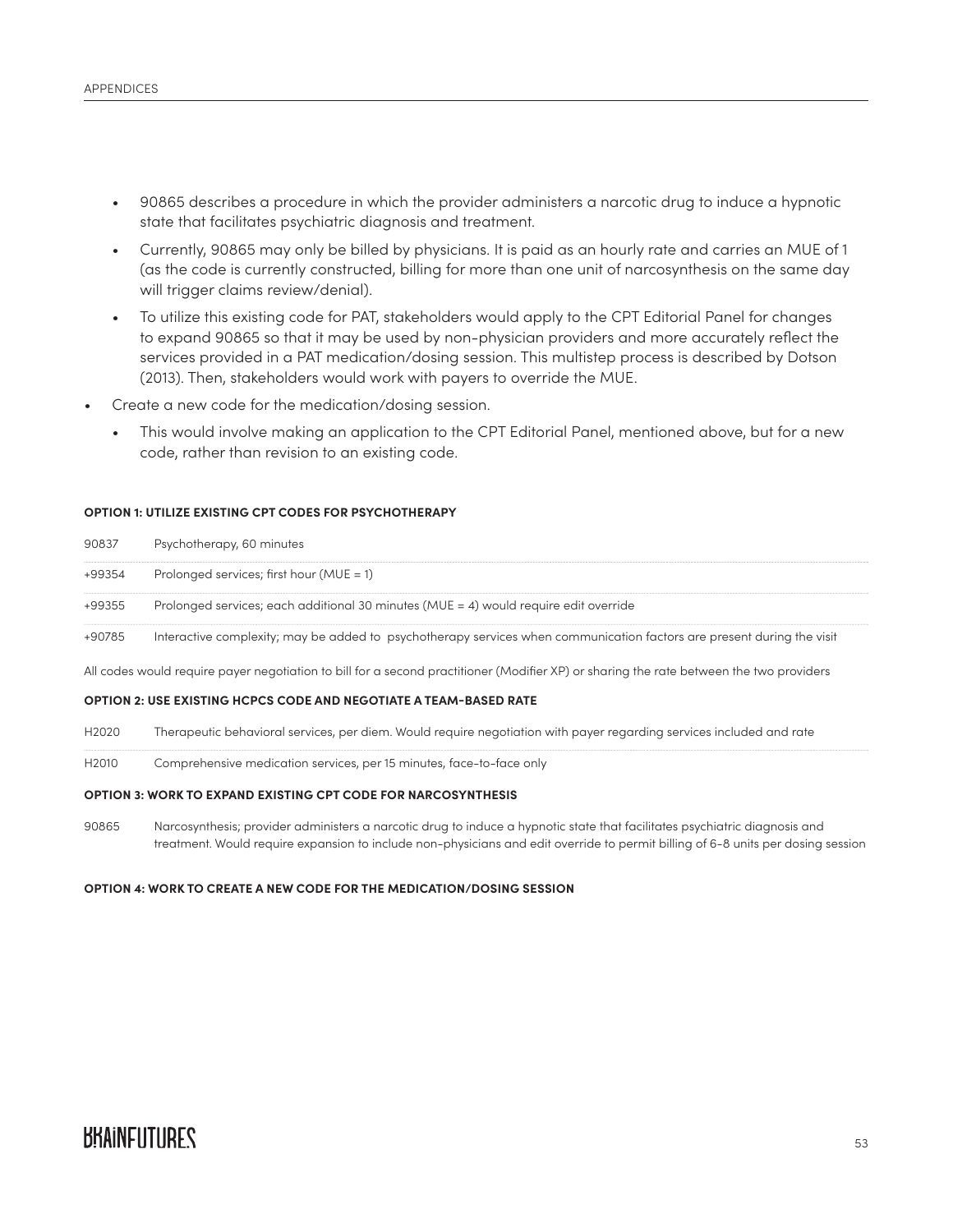- 90865 describes a procedure in which the provider administers a narcotic drug to induce a hypnotic state that facilitates psychiatric diagnosis and treatment.
- Currently, 90865 may only be billed by physicians. It is paid as an hourly rate and carries an MUE of 1 (as the code is currently constructed, billing for more than one unit of narcosynthesis on the same day will trigger claims review/denial).
- To utilize this existing code for PAT, stakeholders would apply to the CPT Editorial Panel for changes to expand 90865 so that it may be used by non-physician providers and more accurately reflect the services provided in a PAT medication/dosing session. This multistep process is described by Dotson (2013). Then, stakeholders would work with payers to override the MUE.
- Create a new code for the medication/dosing session.
	- This would involve making an application to the CPT Editorial Panel, mentioned above, but for a new code, rather than revision to an existing code.

#### **OPTION 1: UTILIZE EXISTING CPT CODES FOR PSYCHOTHERAPY**

| 90837                                                                    | Psychotherapy, 60 minutes                                                                                                               |
|--------------------------------------------------------------------------|-----------------------------------------------------------------------------------------------------------------------------------------|
| +99354                                                                   | Prolonged services; first hour $(MUE = 1)$                                                                                              |
| +99355                                                                   | Prolonged services; each additional 30 minutes ( $MUE = 4$ ) would require edit override                                                |
| +90785                                                                   | Interactive complexity; may be added to psychotherapy services when communication factors are present during the visit                  |
|                                                                          | All codes would require payer negotiation to bill for a second practitioner (Modifier XP) or sharing the rate between the two providers |
| <b>OPTION 2: USE EXISTING HCPCS CODE AND NEGOTIATE A TEAM-BASED RATE</b> |                                                                                                                                         |
| H2020                                                                    | Therapeutic behavioral services, per diem. Would require negotiation with payer regarding services included and rate                    |

H2010 Comprehensive medication services, per 15 minutes, face-to-face only

#### **OPTION 3: WORK TO EXPAND EXISTING CPT CODE FOR NARCOSYNTHESIS**

90865 Narcosynthesis; provider administers a narcotic drug to induce a hypnotic state that facilitates psychiatric diagnosis and treatment. Would require expansion to include non-physicians and edit override to permit billing of 6-8 units per dosing session

#### **OPTION 4: WORK TO CREATE A NEW CODE FOR THE MEDICATION/DOSING SESSION**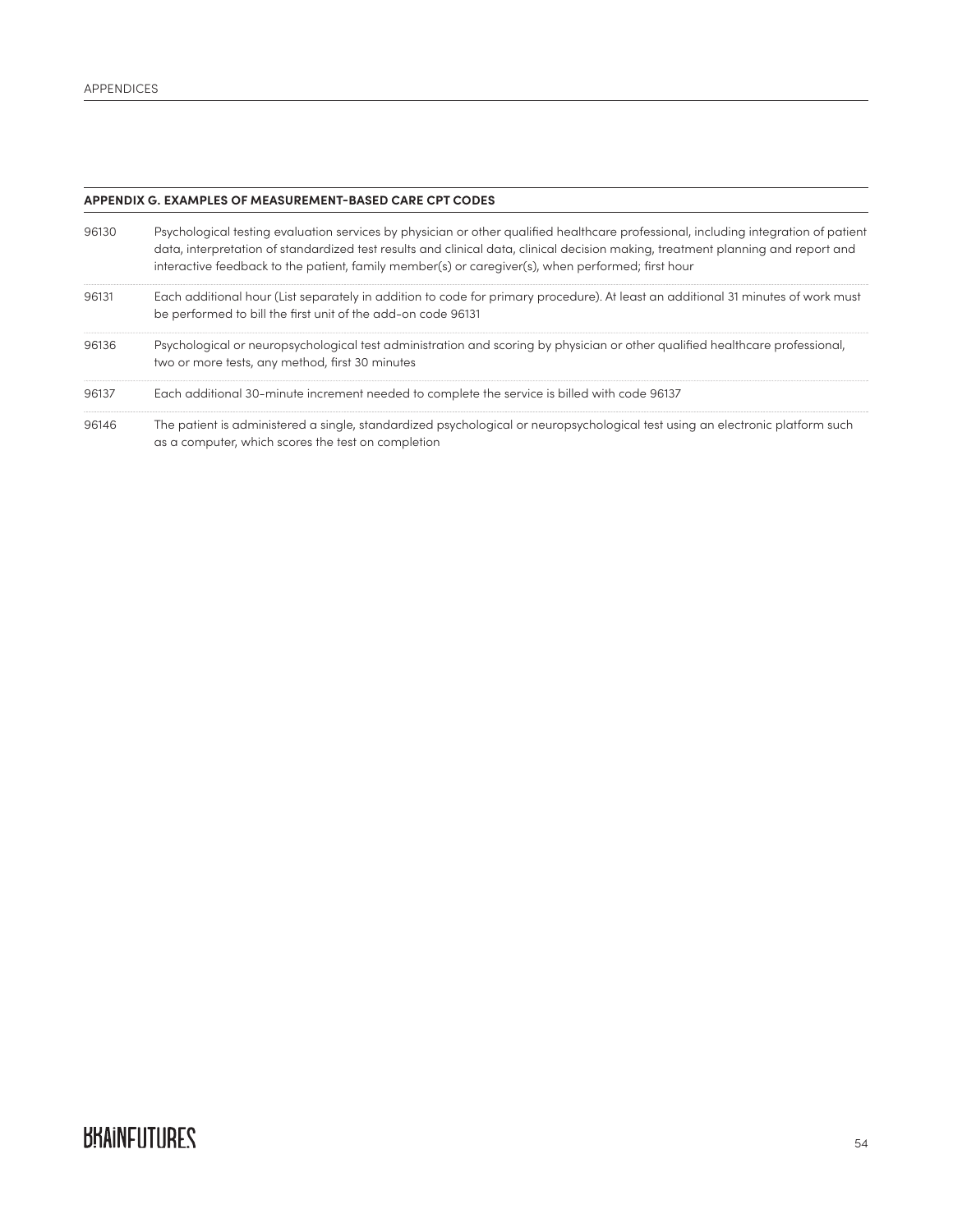| APPENDIX G. EXAMPLES OF MEASUREMENT-BASED CARE CPT CODES |                                                                                                                                                                                                                                                                                                                                                                              |
|----------------------------------------------------------|------------------------------------------------------------------------------------------------------------------------------------------------------------------------------------------------------------------------------------------------------------------------------------------------------------------------------------------------------------------------------|
| 96130                                                    | Psychological testing evaluation services by physician or other qualified healthcare professional, including integration of patient<br>data, interpretation of standardized test results and clinical data, clinical decision making, treatment planning and report and<br>interactive feedback to the patient, family member(s) or caregiver(s), when performed; first hour |
| 96131                                                    | Each additional hour (List separately in addition to code for primary procedure). At least an additional 31 minutes of work must<br>be performed to bill the first unit of the add-on code 96131                                                                                                                                                                             |
| 96136                                                    | Psychological or neuropsychological test administration and scoring by physician or other qualified healthcare professional,<br>two or more tests, any method, first 30 minutes                                                                                                                                                                                              |
| 96137                                                    | Each additional 30-minute increment needed to complete the service is billed with code 96137                                                                                                                                                                                                                                                                                 |
| 96146                                                    | The patient is administered a single, standardized psychological or neuropsychological test using an electronic platform such<br>as a computer, which scores the test on completion                                                                                                                                                                                          |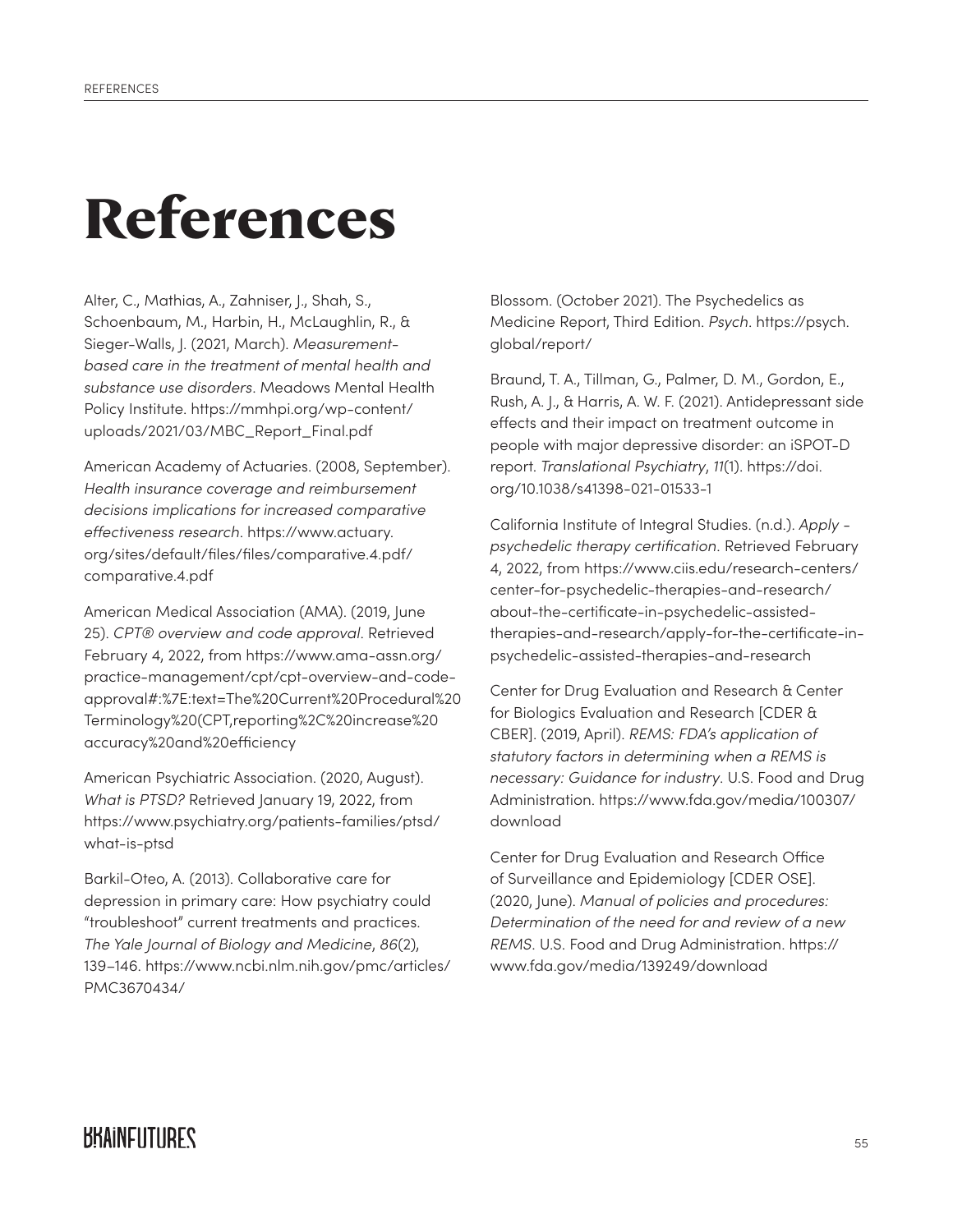## <span id="page-54-0"></span>**References**

Alter, C., Mathias, A., Zahniser, J., Shah, S., Schoenbaum, M., Harbin, H., McLaughlin, R., & Sieger-Walls, J. (2021, March). *Measurementbased care in the treatment of mental health and substance use disorders*. Meadows Mental Health Policy Institute. [https://mmhpi.org/wp-content/](https://mmhpi.org/wp-content/uploads/2021/03/MBC_Report_Final.pdf) [uploads/2021/03/MBC\\_Report\\_Final.pdf](https://mmhpi.org/wp-content/uploads/2021/03/MBC_Report_Final.pdf)

American Academy of Actuaries. (2008, September). *Health insurance coverage and reimbursement decisions implications for increased comparative effectiveness research*. [https://www.actuary.](https://www.actuary.org/sites/default/files/files/comparative.4.pdf/comparative.4.pdf) [org/sites/default/files/files/comparative.4.pdf/](https://www.actuary.org/sites/default/files/files/comparative.4.pdf/comparative.4.pdf) [comparative.4.pdf](https://www.actuary.org/sites/default/files/files/comparative.4.pdf/comparative.4.pdf)

American Medical Association (AMA). (2019, June 25). *CPT® overview and code approval*. Retrieved February 4, 2022, from [https://www.ama-assn.org/](https://www.ama-assn.org/practice-management/cpt/cpt-overview-and-code-approval#:%7E:text=The%20Curr) [practice-management/cpt/cpt-overview-and-code](https://www.ama-assn.org/practice-management/cpt/cpt-overview-and-code-approval#:%7E:text=The%20Curr)[approval#:%7E:text=The%20Current%20Procedural%20](https://www.ama-assn.org/practice-management/cpt/cpt-overview-and-code-approval#:%7E:text=The%20Curr) [Terminology%20\(CPT,reporting%2C%20increase%20](https://www.ama-assn.org/practice-management/cpt/cpt-overview-and-code-approval#:%7E:text=The%20Curr) [accuracy%20and%20efficiency](https://www.ama-assn.org/practice-management/cpt/cpt-overview-and-code-approval#:%7E:text=The%20Curr)

American Psychiatric Association. (2020, August). *What is PTSD?* Retrieved January 19, 2022, from [https://www.psychiatry.org/patients-families/ptsd/](https://www.psychiatry.org/patients-families/ptsd/what-is-ptsd) [what-is-ptsd](https://www.psychiatry.org/patients-families/ptsd/what-is-ptsd)

Barkil-Oteo, A. (2013). Collaborative care for depression in primary care: How psychiatry could "troubleshoot" current treatments and practices. *The Yale Journal of Biology and Medicine*, *86*(2), 139–146. [https://www.ncbi.nlm.nih.gov/pmc/articles/](https://www.ncbi.nlm.nih.gov/pmc/articles/PMC3670434/) [PMC3670434/](https://www.ncbi.nlm.nih.gov/pmc/articles/PMC3670434/)

Blossom. (October 2021). The Psychedelics as Medicine Report, Third Edition. *Psych*. [https://psych.](https://psych.global/report/) [global/report/](https://psych.global/report/)

Braund, T. A., Tillman, G., Palmer, D. M., Gordon, E., Rush, A. J., & Harris, A. W. F. (2021). Antidepressant side effects and their impact on treatment outcome in people with major depressive disorder: an iSPOT-D report. *Translational Psychiatry*, *11*(1). [https://doi.](https://doi.org/10.1038/s41398-021-01533-1) [org/10.1038/s41398-021-01533-1](https://doi.org/10.1038/s41398-021-01533-1)

California Institute of Integral Studies. (n.d.). *Apply psychedelic therapy certification*. Retrieved February 4, 2022, from [https://www.ciis.edu/research-centers/](https://www.ciis.edu/research-centers/center-for-psychedelic-therapies-and-research/about-the-certificate-in-psychedelic-assisted-therapies-and-research/apply-for-the-certificate-in-psychedelic-assisted-therapies-and-research) [center-for-psychedelic-therapies-and-research/](https://www.ciis.edu/research-centers/center-for-psychedelic-therapies-and-research/about-the-certificate-in-psychedelic-assisted-therapies-and-research/apply-for-the-certificate-in-psychedelic-assisted-therapies-and-research) [about-the-certificate-in-psychedelic-assisted](https://www.ciis.edu/research-centers/center-for-psychedelic-therapies-and-research/about-the-certificate-in-psychedelic-assisted-therapies-and-research/apply-for-the-certificate-in-psychedelic-assisted-therapies-and-research)[therapies-and-research/apply-for-the-certificate-in](https://www.ciis.edu/research-centers/center-for-psychedelic-therapies-and-research/about-the-certificate-in-psychedelic-assisted-therapies-and-research/apply-for-the-certificate-in-psychedelic-assisted-therapies-and-research)[psychedelic-assisted-therapies-and-research](https://www.ciis.edu/research-centers/center-for-psychedelic-therapies-and-research/about-the-certificate-in-psychedelic-assisted-therapies-and-research/apply-for-the-certificate-in-psychedelic-assisted-therapies-and-research)

Center for Drug Evaluation and Research & Center for Biologics Evaluation and Research [CDER & CBER]. (2019, April). *REMS: FDA's application of statutory factors in determining when a REMS is necessary: Guidance for industry*. U.S. Food and Drug Administration. [https://www.fda.gov/media/100307/](https://www.fda.gov/media/100307/download) [download](https://www.fda.gov/media/100307/download)

Center for Drug Evaluation and Research Office of Surveillance and Epidemiology [CDER OSE]. (2020, June). *Manual of policies and procedures: Determination of the need for and review of a new REMS*. U.S. Food and Drug Administration. [https://](https://www.fda.gov/media/139249/download) [www.fda.gov/media/139249/download](https://www.fda.gov/media/139249/download)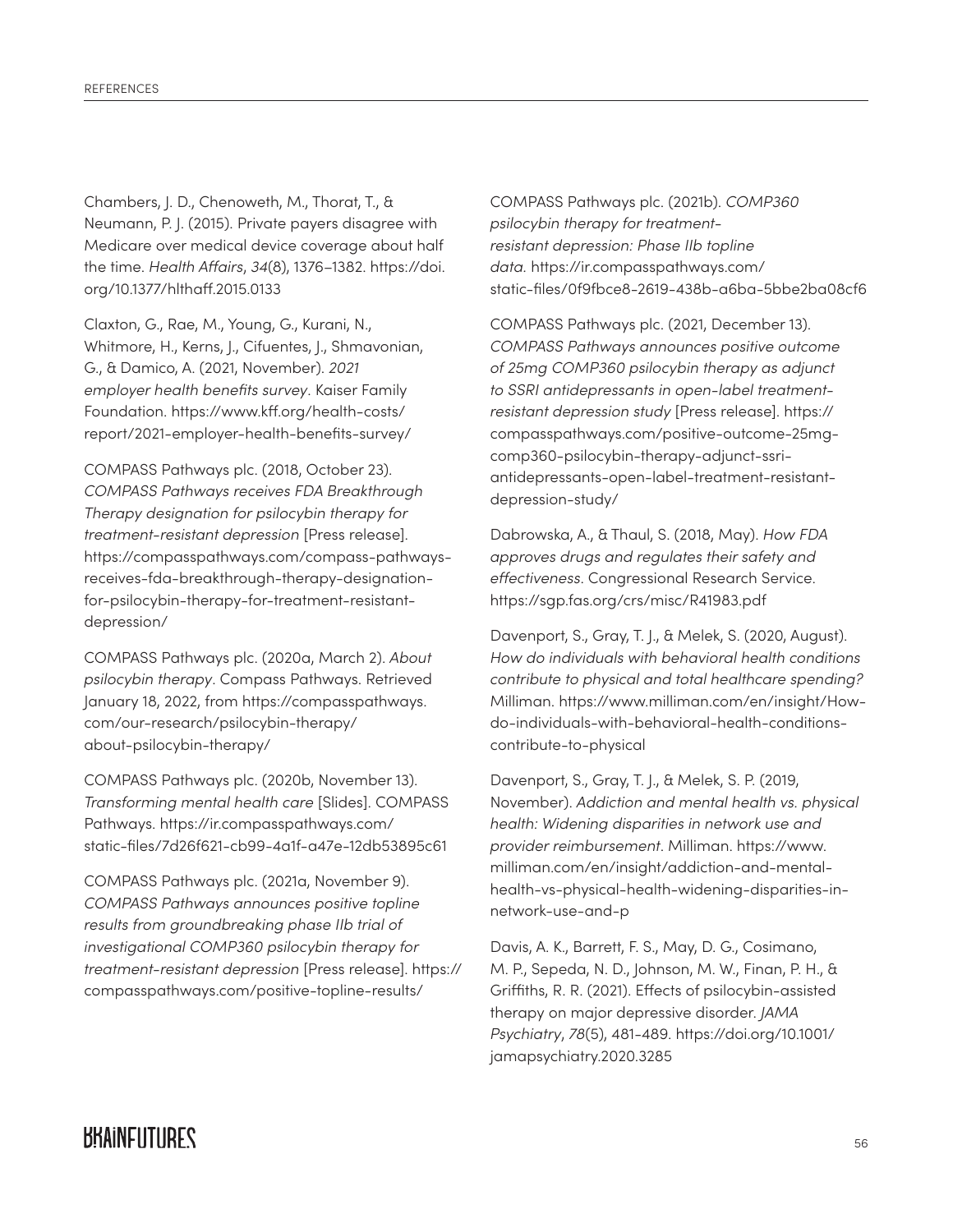Chambers, J. D., Chenoweth, M., Thorat, T., & Neumann, P. J. (2015). Private payers disagree with Medicare over medical device coverage about half the time. *Health Affairs*, *34*(8), 1376–1382. [https://doi.](https://doi.org/10.1377/hlthaff.2015.0133) [org/10.1377/hlthaff.2015.0133](https://doi.org/10.1377/hlthaff.2015.0133)

Claxton, G., Rae, M., Young, G., Kurani, N., Whitmore, H., Kerns, J., Cifuentes, J., Shmavonian, G., & Damico, A. (2021, November). *2021 employer health benefits survey*. Kaiser Family Foundation. [https://www.kff.org/health-costs/](https://www.kff.org/health-costs/report/2021-employer-health-benefits-survey/) [report/2021-employer-health-benefits-survey/](https://www.kff.org/health-costs/report/2021-employer-health-benefits-survey/)

COMPASS Pathways plc. (2018, October 23). *COMPASS Pathways receives FDA Breakthrough Therapy designation for psilocybin therapy for treatment-resistant depression* [Press release]. [https://compasspathways.com/compass-pathways](https://compasspathways.com/compass-pathways-receives-fda-breakthrough-therapy-designation-for-psilo)[receives-fda-breakthrough-therapy-designation](https://compasspathways.com/compass-pathways-receives-fda-breakthrough-therapy-designation-for-psilo)[for-psilocybin-therapy-for-treatment-resistant](https://compasspathways.com/compass-pathways-receives-fda-breakthrough-therapy-designation-for-psilo)[depression/](https://compasspathways.com/compass-pathways-receives-fda-breakthrough-therapy-designation-for-psilo)

COMPASS Pathways plc. (2020a, March 2). *About psilocybin therapy*. Compass Pathways. Retrieved January 18, 2022, from [https://compasspathways.](https://compasspathways.com/our-research/psilocybin-therapy/about-psilocybin-therapy/) [com/our-research/psilocybin-therapy/](https://compasspathways.com/our-research/psilocybin-therapy/about-psilocybin-therapy/) [about-psilocybin-therapy/](https://compasspathways.com/our-research/psilocybin-therapy/about-psilocybin-therapy/)

COMPASS Pathways plc. (2020b, November 13). *Transforming mental health care* [Slides]. COMPASS Pathways. [https://ir.compasspathways.com/](https://ir.compasspathways.com/static-files/7d26f621-cb99-4a1f-a47e-12db53895c61) [static-files/7d26f621-cb99-4a1f-a47e-12db53895c61](https://ir.compasspathways.com/static-files/7d26f621-cb99-4a1f-a47e-12db53895c61)

COMPASS Pathways plc. (2021a, November 9). *COMPASS Pathways announces positive topline results from groundbreaking phase IIb trial of investigational COMP360 psilocybin therapy for treatment-resistant depression* [Press release]. [https://](https://compasspathways.com/positive-topline-results/) [compasspathways.com/positive-topline-results/](https://compasspathways.com/positive-topline-results/)

COMPASS Pathways plc. (2021b). *COMP360 psilocybin therapy for treatmentresistant depression: Phase IIb topline data.* [https://ir.compasspathways.com/](https://ir.compasspathways.com/static-files/0f9fbce8-2619-438b-a6ba-5bbe2ba08cf6) [static-files/0f9fbce8-2619-438b-a6ba-5bbe2ba08cf6](https://ir.compasspathways.com/static-files/0f9fbce8-2619-438b-a6ba-5bbe2ba08cf6)

COMPASS Pathways plc. (2021, December 13). *COMPASS Pathways announces positive outcome of 25mg COMP360 psilocybin therapy as adjunct to SSRI antidepressants in open-label treatmentresistant depression study* [Press release]. [https://](https://compasspathways.com/positive-outcome-25mg-comp360-psilocybin-therapy-adjunct-ssri-antidepres) [compasspathways.com/positive-outcome-25mg](https://compasspathways.com/positive-outcome-25mg-comp360-psilocybin-therapy-adjunct-ssri-antidepres)[comp360-psilocybin-therapy-adjunct-ssri](https://compasspathways.com/positive-outcome-25mg-comp360-psilocybin-therapy-adjunct-ssri-antidepres)[antidepressants-open-label-treatment-resistant](https://compasspathways.com/positive-outcome-25mg-comp360-psilocybin-therapy-adjunct-ssri-antidepres)[depression-study/](https://compasspathways.com/positive-outcome-25mg-comp360-psilocybin-therapy-adjunct-ssri-antidepres)

Dabrowska, A., & Thaul, S. (2018, May). *How FDA approves drugs and regulates their safety and effectiveness*. Congressional Research Service. <https://sgp.fas.org/crs/misc/R41983.pdf>

Davenport, S., Gray, T. J., & Melek, S. (2020, August). *How do individuals with behavioral health conditions contribute to physical and total healthcare spending?* Milliman. [https://www.milliman.com/en/insight/How](https://www.milliman.com/en/insight/How-do-individuals-with-behavioral-health-conditions-contribute-to-physical)[do-individuals-with-behavioral-health-conditions](https://www.milliman.com/en/insight/How-do-individuals-with-behavioral-health-conditions-contribute-to-physical)[contribute-to-physical](https://www.milliman.com/en/insight/How-do-individuals-with-behavioral-health-conditions-contribute-to-physical)

Davenport, S., Gray, T. J., & Melek, S. P. (2019, November). *Addiction and mental health vs. physical health: Widening disparities in network use and provider reimbursement*. Milliman. [https://www.](https://www.milliman.com/en/insight/addiction-and-mental-health-vs-physical-health-widening-disparities-in-network-use-and-p) [milliman.com/en/insight/addiction-and-mental](https://www.milliman.com/en/insight/addiction-and-mental-health-vs-physical-health-widening-disparities-in-network-use-and-p)[health-vs-physical-health-widening-disparities-in](https://www.milliman.com/en/insight/addiction-and-mental-health-vs-physical-health-widening-disparities-in-network-use-and-p)[network-use-and-p](https://www.milliman.com/en/insight/addiction-and-mental-health-vs-physical-health-widening-disparities-in-network-use-and-p)

Davis, A. K., Barrett, F. S., May, D. G., Cosimano, M. P., Sepeda, N. D., Johnson, M. W., Finan, P. H., & Griffiths, R. R. (2021). Effects of psilocybin-assisted therapy on major depressive disorder. *JAMA Psychiatry*, *78*(5), 481-489. [https://doi.org/10.1001/](https://doi.org/10.1001/jamapsychiatry.2020.3285) [jamapsychiatry.2020.3285](https://doi.org/10.1001/jamapsychiatry.2020.3285)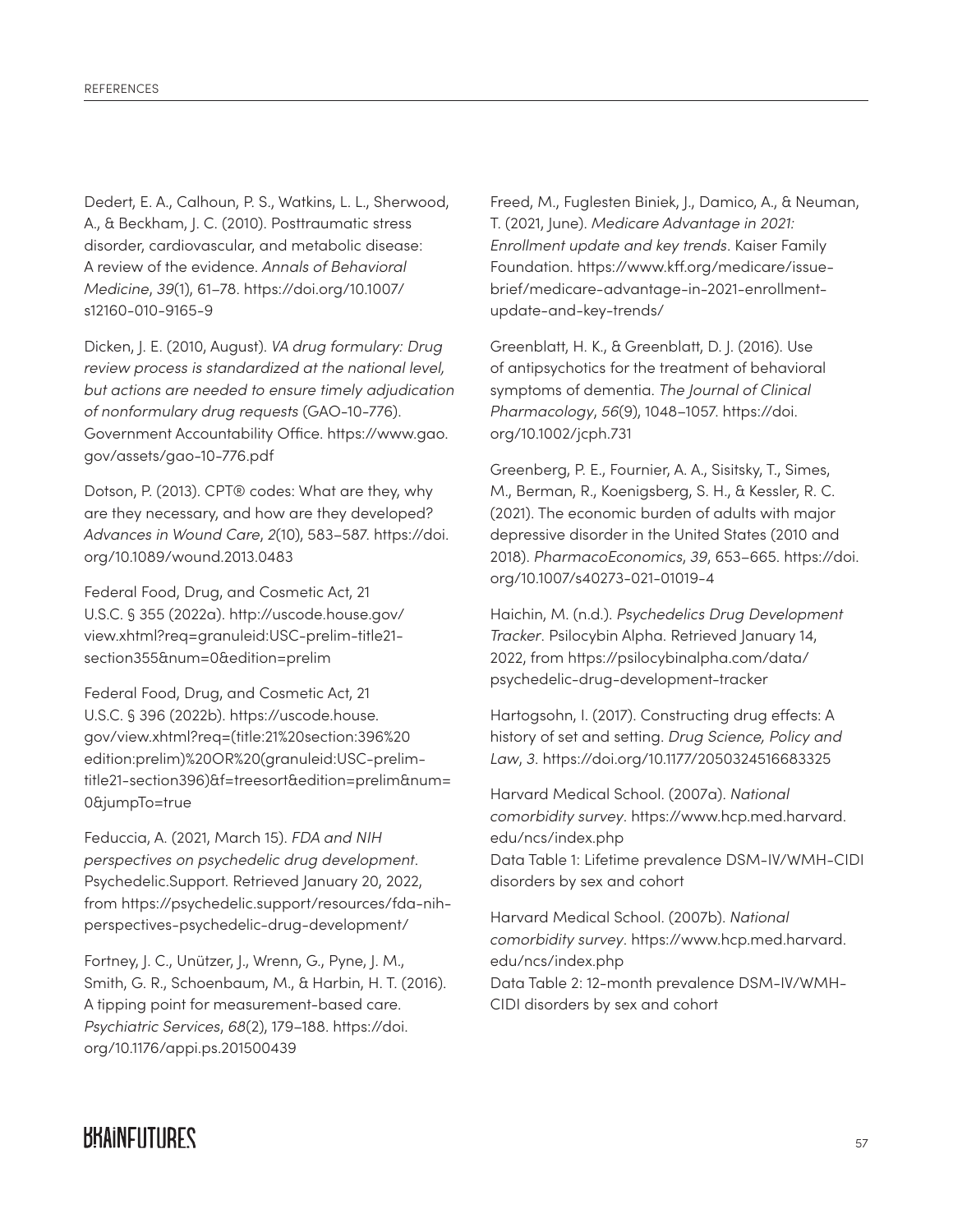Dedert, E. A., Calhoun, P. S., Watkins, L. L., Sherwood, A., & Beckham, J. C. (2010). Posttraumatic stress disorder, cardiovascular, and metabolic disease: A review of the evidence. *Annals of Behavioral Medicine*, *39*(1), 61–78. [https://doi.org/10.1007/](https://doi.org/10.1007/s12160-010-9165-9) [s12160-010-9165-9](https://doi.org/10.1007/s12160-010-9165-9)

Dicken, J. E. (2010, August). *VA drug formulary: Drug review process is standardized at the national level, but actions are needed to ensure timely adjudication of nonformulary drug requests* (GAO-10-776). Government Accountability Office. [https://www.gao.](https://www.gao.gov/assets/gao-10-776.pdf) [gov/assets/gao-10-776.pdf](https://www.gao.gov/assets/gao-10-776.pdf)

Dotson, P. (2013). CPT® codes: What are they, why are they necessary, and how are they developed? *Advances in Wound Care*, *2*(10), 583–587. [https://doi.](https://doi.org/10.1089/wound.2013.0483) [org/10.1089/wound.2013.0483](https://doi.org/10.1089/wound.2013.0483)

Federal Food, Drug, and Cosmetic Act, 21 U.S.C. § 355 (2022a). [http://uscode.house.gov/](http://uscode.house.gov/view.xhtml?req=granuleid:USC-prelim-title21-section355&num=0&edition=prelim) [view.xhtml?req=granuleid:USC-prelim-title21](http://uscode.house.gov/view.xhtml?req=granuleid:USC-prelim-title21-section355&num=0&edition=prelim) [section355&num=0&edition=prelim](http://uscode.house.gov/view.xhtml?req=granuleid:USC-prelim-title21-section355&num=0&edition=prelim)

Federal Food, Drug, and Cosmetic Act, 21 U.S.C. § 396 (2022b). [https://uscode.house.](https://uscode.house.gov/view.xhtml?req=(title:21%20section:396%20edition:prelim)%20OR%20(granuleid:USC-prelim-title21-section396)&f=treesort&edition=prelim&num=
0&jumpTo=true) [gov/view.xhtml?req=\(title:21%20section:396%20](https://uscode.house.gov/view.xhtml?req=(title:21%20section:396%20edition:prelim)%20OR%20(granuleid:USC-prelim-title21-section396)&f=treesort&edition=prelim&num=
0&jumpTo=true) [edition:prelim\)%20OR%20\(granuleid:USC-prelim](https://uscode.house.gov/view.xhtml?req=(title:21%20section:396%20edition:prelim)%20OR%20(granuleid:USC-prelim-title21-section396)&f=treesort&edition=prelim&num=
0&jumpTo=true)[title21-section396\)&f=treesort&edition=prelim&num=](https://uscode.house.gov/view.xhtml?req=(title:21%20section:396%20edition:prelim)%20OR%20(granuleid:USC-prelim-title21-section396)&f=treesort&edition=prelim&num=
0&jumpTo=true) [0&jumpTo=true](https://uscode.house.gov/view.xhtml?req=(title:21%20section:396%20edition:prelim)%20OR%20(granuleid:USC-prelim-title21-section396)&f=treesort&edition=prelim&num=
0&jumpTo=true)

Feduccia, A. (2021, March 15). *FDA and NIH perspectives on psychedelic drug development*. Psychedelic.Support. Retrieved January 20, 2022, from [https://psychedelic.support/resources/fda-nih](https://psychedelic.support/resources/fda-nih-perspectives-psychedelic-drug-development/)[perspectives-psychedelic-drug-development/](https://psychedelic.support/resources/fda-nih-perspectives-psychedelic-drug-development/)

Fortney, J. C., Unützer, J., Wrenn, G., Pyne, J. M., Smith, G. R., Schoenbaum, M., & Harbin, H. T. (2016). A tipping point for measurement-based care. *Psychiatric Services*, *68*(2), 179–188. [https://doi.](https://doi.org/10.1176/appi.ps.201500439) [org/10.1176/appi.ps.201500439](https://doi.org/10.1176/appi.ps.201500439)

Freed, M., Fuglesten Biniek, J., Damico, A., & Neuman, T. (2021, June). *Medicare Advantage in 2021: Enrollment update and key trends*. Kaiser Family Foundation. [https://www.kff.org/medicare/issue](https://www.kff.org/medicare/issue-brief/medicare-advantage-in-2021-enrollment-update-and-key-trends/)[brief/medicare-advantage-in-2021-enrollment](https://www.kff.org/medicare/issue-brief/medicare-advantage-in-2021-enrollment-update-and-key-trends/)[update-and-key-trends/](https://www.kff.org/medicare/issue-brief/medicare-advantage-in-2021-enrollment-update-and-key-trends/)

Greenblatt, H. K., & Greenblatt, D. J. (2016). Use of antipsychotics for the treatment of behavioral symptoms of dementia. *The Journal of Clinical Pharmacology*, *56*(9), 1048–1057. [https://doi.](https://doi.org/10.1002/jcph.731) [org/10.1002/jcph.731](https://doi.org/10.1002/jcph.731)

Greenberg, P. E., Fournier, A. A., Sisitsky, T., Simes, M., Berman, R., Koenigsberg, S. H., & Kessler, R. C. (2021). The economic burden of adults with major depressive disorder in the United States (2010 and 2018). *PharmacoEconomics*, *39*, 653–665. [https://doi.](https://doi.org/10.1007/s40273-021-01019-4) [org/10.1007/s40273-021-01019-4](https://doi.org/10.1007/s40273-021-01019-4)

Haichin, M. (n.d.). *Psychedelics Drug Development Tracker*. Psilocybin Alpha. Retrieved January 14, 2022, from [https://psilocybinalpha.com/data/](https://psilocybinalpha.com/data/psychedelic-drug-development-tracker) [psychedelic-drug-development-tracker](https://psilocybinalpha.com/data/psychedelic-drug-development-tracker)

Hartogsohn, I. (2017). Constructing drug effects: A history of set and setting. *Drug Science, Policy and Law*, *3*. <https://doi.org/10.1177/2050324516683325>

Harvard Medical School. (2007a). *National comorbidity survey*. [https://www.hcp.med.harvard.](https://www.hcp.med.harvard.edu/ncs/index.php) [edu/ncs/index.php](https://www.hcp.med.harvard.edu/ncs/index.php) Data Table 1: Lifetime prevalence DSM-IV/WMH-CIDI disorders by sex and cohort

Harvard Medical School. (2007b). *National comorbidity survey*. [https://www.hcp.med.harvard.](https://www.hcp.med.harvard.edu/ncs/index.php) [edu/ncs/index.php](https://www.hcp.med.harvard.edu/ncs/index.php) Data Table 2: 12-month prevalence DSM-IV/WMH-CIDI disorders by sex and cohort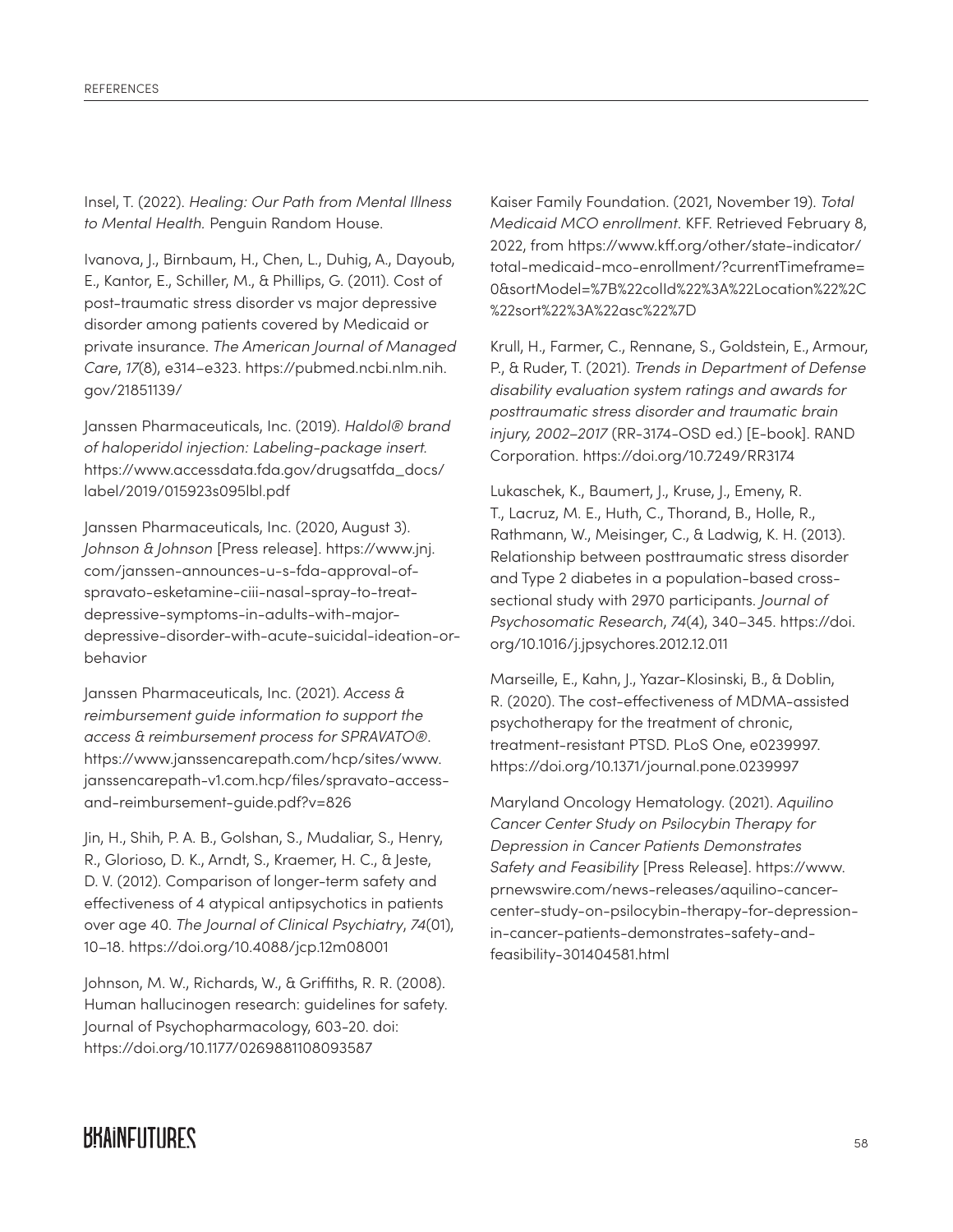Insel, T. (2022). *Healing: Our Path from Mental Illness to Mental Health.* Penguin Random House.

Ivanova, J., Birnbaum, H., Chen, L., Duhig, A., Dayoub, E., Kantor, E., Schiller, M., & Phillips, G. (2011). Cost of post-traumatic stress disorder vs major depressive disorder among patients covered by Medicaid or private insurance. *The American Journal of Managed Care*, *17*(8), e314–e323. [https://pubmed.ncbi.nlm.nih.](https://pubmed.ncbi.nlm.nih.gov/21851139/) [gov/21851139/](https://pubmed.ncbi.nlm.nih.gov/21851139/)

Janssen Pharmaceuticals, Inc. (2019). *Haldol® brand of haloperidol injection: Labeling-package insert.* [https://www.accessdata.fda.gov/drugsatfda\\_docs/](https://www.accessdata.fda.gov/drugsatfda_docs/label/2019/015923s095lbl.pdf) [label/2019/015923s095lbl.pdf](https://www.accessdata.fda.gov/drugsatfda_docs/label/2019/015923s095lbl.pdf)

Janssen Pharmaceuticals, Inc. (2020, August 3). *Johnson & Johnson* [Press release]. [https://www.jnj.](https://www.jnj.com/janssen-announces-u-s-fda-approval-of-spravato-esketamine-ciii-nasal-spray-to-treat-depressive-symptoms-in-adults-with-major-depressive-disorder-with-acute-suicidal-ideation-or-behavior) [com/janssen-announces-u-s-fda-approval-of](https://www.jnj.com/janssen-announces-u-s-fda-approval-of-spravato-esketamine-ciii-nasal-spray-to-treat-depressive-symptoms-in-adults-with-major-depressive-disorder-with-acute-suicidal-ideation-or-behavior)[spravato-esketamine-ciii-nasal-spray-to-treat](https://www.jnj.com/janssen-announces-u-s-fda-approval-of-spravato-esketamine-ciii-nasal-spray-to-treat-depressive-symptoms-in-adults-with-major-depressive-disorder-with-acute-suicidal-ideation-or-behavior)[depressive-symptoms-in-adults-with-major](https://www.jnj.com/janssen-announces-u-s-fda-approval-of-spravato-esketamine-ciii-nasal-spray-to-treat-depressive-symptoms-in-adults-with-major-depressive-disorder-with-acute-suicidal-ideation-or-behavior)[depressive-disorder-with-acute-suicidal-ideation-or](https://www.jnj.com/janssen-announces-u-s-fda-approval-of-spravato-esketamine-ciii-nasal-spray-to-treat-depressive-symptoms-in-adults-with-major-depressive-disorder-with-acute-suicidal-ideation-or-behavior)[behavior](https://www.jnj.com/janssen-announces-u-s-fda-approval-of-spravato-esketamine-ciii-nasal-spray-to-treat-depressive-symptoms-in-adults-with-major-depressive-disorder-with-acute-suicidal-ideation-or-behavior)

Janssen Pharmaceuticals, Inc. (2021). *Access & reimbursement guide information to support the access & reimbursement process for SPRAVATO®*. [https://www.janssencarepath.com/hcp/sites/www.](https://www.janssencarepath.com/hcp/sites/www.janssencarepath-v1.com.hcp/files/spravato-access-and-reimbursement-guide.pdf?v=826) [janssencarepath-v1.com.hcp/files/spravato-access](https://www.janssencarepath.com/hcp/sites/www.janssencarepath-v1.com.hcp/files/spravato-access-and-reimbursement-guide.pdf?v=826)[and-reimbursement-guide.pdf?v=826](https://www.janssencarepath.com/hcp/sites/www.janssencarepath-v1.com.hcp/files/spravato-access-and-reimbursement-guide.pdf?v=826)

Jin, H., Shih, P. A. B., Golshan, S., Mudaliar, S., Henry, R., Glorioso, D. K., Arndt, S., Kraemer, H. C., & Jeste, D. V. (2012). Comparison of longer-term safety and effectiveness of 4 atypical antipsychotics in patients over age 40. *The Journal of Clinical Psychiatry*, *74*(01), 10–18. <https://doi.org/10.4088/jcp.12m08001>

Johnson, M. W., Richards, W., & Griffiths, R. R. (2008). Human hallucinogen research: guidelines for safety. Journal of Psychopharmacology, 603-20. doi: <https://doi.org/10.1177/0269881108093587>

Kaiser Family Foundation. (2021, November 19). *Total Medicaid MCO enrollment*. KFF. Retrieved February 8, 2022, from [https://www.kff.org/other/state-indicator/](https://www.kff.org/other/state-indicator/total-medicaid-mco-enrollment/?currentTimeframe=0&sortModel=%7B%22colId%22%3A%22Location%22%2C%22sort%22%3A%22asc%22%7D) [total-medicaid-mco-enrollment/?currentTimeframe=](https://www.kff.org/other/state-indicator/total-medicaid-mco-enrollment/?currentTimeframe=0&sortModel=%7B%22colId%22%3A%22Location%22%2C%22sort%22%3A%22asc%22%7D) [0&sortModel=%7B%22colId%22%3A%22Location%22%2C](https://www.kff.org/other/state-indicator/total-medicaid-mco-enrollment/?currentTimeframe=0&sortModel=%7B%22colId%22%3A%22Location%22%2C%22sort%22%3A%22asc%22%7D) [%22sort%22%3A%22asc%22%7D](https://www.kff.org/other/state-indicator/total-medicaid-mco-enrollment/?currentTimeframe=0&sortModel=%7B%22colId%22%3A%22Location%22%2C%22sort%22%3A%22asc%22%7D)

Krull, H., Farmer, C., Rennane, S., Goldstein, E., Armour, P., & Ruder, T. (2021). *Trends in Department of Defense disability evaluation system ratings and awards for posttraumatic stress disorder and traumatic brain injury, 2002–2017* (RR-3174-OSD ed.) [E-book]. RAND Corporation. <https://doi.org/10.7249/RR3174>

Lukaschek, K., Baumert, J., Kruse, J., Emeny, R. T., Lacruz, M. E., Huth, C., Thorand, B., Holle, R., Rathmann, W., Meisinger, C., & Ladwig, K. H. (2013). Relationship between posttraumatic stress disorder and Type 2 diabetes in a population-based crosssectional study with 2970 participants. *Journal of Psychosomatic Research*, *74*(4), 340–345. [https://doi.](https://doi.org/10.1016/j.jpsychores.2012.12.011) [org/10.1016/j.jpsychores.2012.12.011](https://doi.org/10.1016/j.jpsychores.2012.12.011)

Marseille, E., Kahn, J., Yazar-Klosinski, B., & Doblin, R. (2020). The cost-effectiveness of MDMA-assisted psychotherapy for the treatment of chronic, treatment-resistant PTSD. PLoS One, e0239997. <https://doi.org/10.1371/journal.pone.0239997>

Maryland Oncology Hematology. (2021). *Aquilino Cancer Center Study on Psilocybin Therapy for Depression in Cancer Patients Demonstrates Safety and Feasibility* [Press Release]. [https://www.](https://www.prnewswire.com/news-releases/aquilino-cancer-center-study-on-psilocybin-therapy-for-depression-in-cancer-patients-demonstrates-safety-and-feasibility-301404581.html) [prnewswire.com/news-releases/aquilino-cancer](https://www.prnewswire.com/news-releases/aquilino-cancer-center-study-on-psilocybin-therapy-for-depression-in-cancer-patients-demonstrates-safety-and-feasibility-301404581.html)[center-study-on-psilocybin-therapy-for-depression](https://www.prnewswire.com/news-releases/aquilino-cancer-center-study-on-psilocybin-therapy-for-depression-in-cancer-patients-demonstrates-safety-and-feasibility-301404581.html)[in-cancer-patients-demonstrates-safety-and](https://www.prnewswire.com/news-releases/aquilino-cancer-center-study-on-psilocybin-therapy-for-depression-in-cancer-patients-demonstrates-safety-and-feasibility-301404581.html)[feasibility-301404581.html](https://www.prnewswire.com/news-releases/aquilino-cancer-center-study-on-psilocybin-therapy-for-depression-in-cancer-patients-demonstrates-safety-and-feasibility-301404581.html)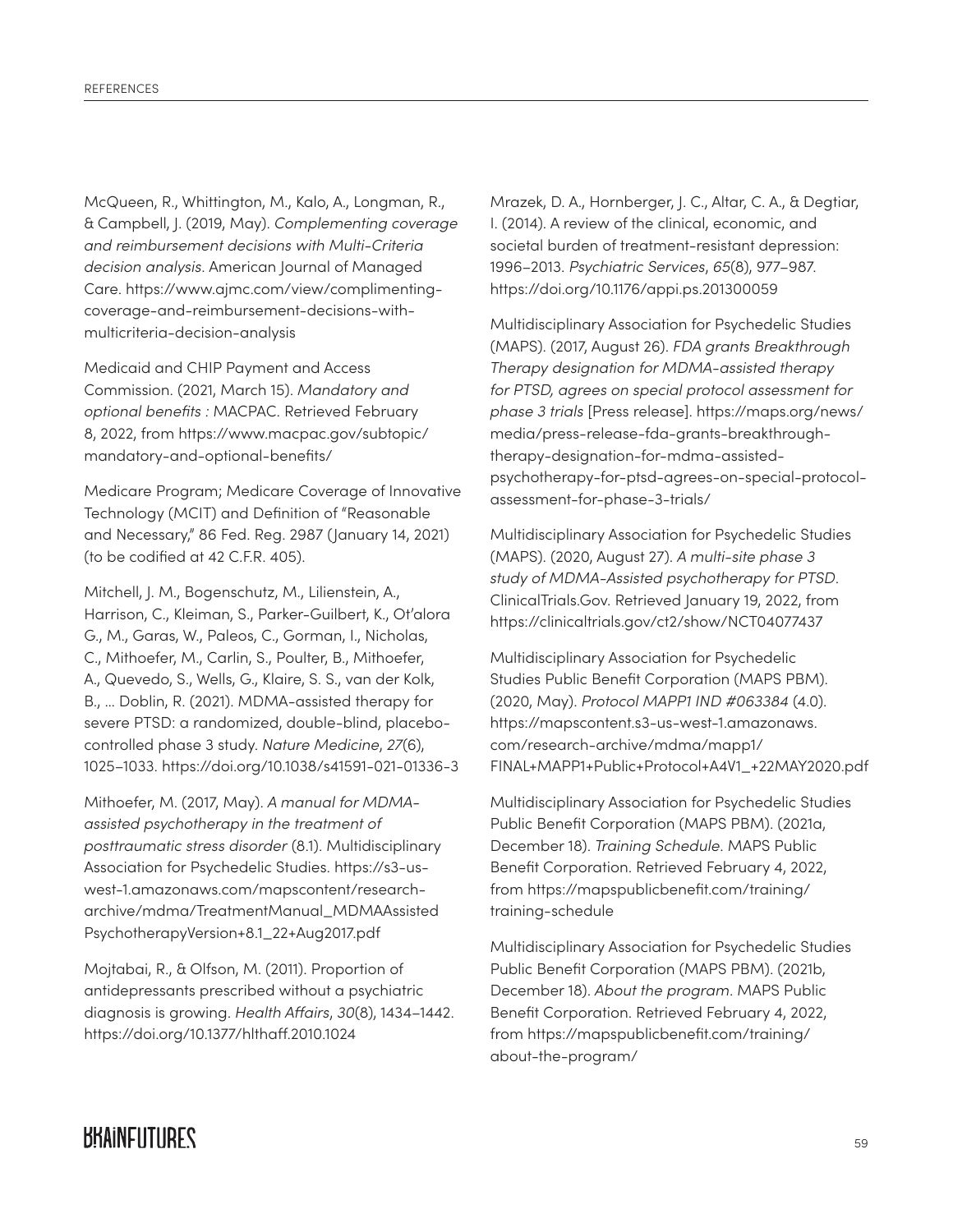McQueen, R., Whittington, M., Kalo, A., Longman, R., & Campbell, J. (2019, May). *Complementing coverage and reimbursement decisions with Multi-Criteria decision analysis*. American Journal of Managed Care. [https://www.ajmc.com/view/complimenting](https://www.ajmc.com/view/complimenting-coverage-and-reimbursement-decisions-with-multicriteria-decision-analysis)[coverage-and-reimbursement-decisions-with](https://www.ajmc.com/view/complimenting-coverage-and-reimbursement-decisions-with-multicriteria-decision-analysis)[multicriteria-decision-analysis](https://www.ajmc.com/view/complimenting-coverage-and-reimbursement-decisions-with-multicriteria-decision-analysis)

Medicaid and CHIP Payment and Access Commission. (2021, March 15). *Mandatory and optional benefits :* MACPAC. Retrieved February 8, 2022, from [https://www.macpac.gov/subtopic/](https://www.macpac.gov/subtopic/mandatory-and-optional-benefits/) [mandatory-and-optional-benefits/](https://www.macpac.gov/subtopic/mandatory-and-optional-benefits/)

Medicare Program; Medicare Coverage of Innovative Technology (MCIT) and Definition of "Reasonable and Necessary," 86 Fed. Reg. 2987 (January 14, 2021) (to be codified at 42 C.F.R. 405).

Mitchell, J. M., Bogenschutz, M., Lilienstein, A., Harrison, C., Kleiman, S., Parker-Guilbert, K., Ot'alora G., M., Garas, W., Paleos, C., Gorman, I., Nicholas, C., Mithoefer, M., Carlin, S., Poulter, B., Mithoefer, A., Quevedo, S., Wells, G., Klaire, S. S., van der Kolk, B., … Doblin, R. (2021). MDMA-assisted therapy for severe PTSD: a randomized, double-blind, placebocontrolled phase 3 study. *Nature Medicine*, *27*(6), 1025–1033.<https://doi.org/10.1038/s41591-021-01336-3>

Mithoefer, M. (2017, May). *A manual for MDMAassisted psychotherapy in the treatment of posttraumatic stress disorder* (8.1). Multidisciplinary Association for Psychedelic Studies. [https://s3-us](https://s3-us-west-1.amazonaws.com/mapscontent/research-archive/mdma/TreatmentManual_MDMAAssistedPsychotherapyVersion+8.1_22+Aug2017.pdf

)[west-1.amazonaws.com/mapscontent/research](https://s3-us-west-1.amazonaws.com/mapscontent/research-archive/mdma/TreatmentManual_MDMAAssistedPsychotherapyVersion+8.1_22+Aug2017.pdf

)[archive/mdma/TreatmentManual\\_MDMAAssisted](https://s3-us-west-1.amazonaws.com/mapscontent/research-archive/mdma/TreatmentManual_MDMAAssistedPsychotherapyVersion+8.1_22+Aug2017.pdf

) [PsychotherapyVersion+8.1\\_22+Aug2017.pdf](https://s3-us-west-1.amazonaws.com/mapscontent/research-archive/mdma/TreatmentManual_MDMAAssistedPsychotherapyVersion+8.1_22+Aug2017.pdf

)

Mojtabai, R., & Olfson, M. (2011). Proportion of antidepressants prescribed without a psychiatric diagnosis is growing. *Health Affairs*, *30*(8), 1434–1442. <https://doi.org/10.1377/hlthaff.2010.1024>

Mrazek, D. A., Hornberger, J. C., Altar, C. A., & Degtiar, I. (2014). A review of the clinical, economic, and societal burden of treatment-resistant depression: 1996–2013. *Psychiatric Services*, *65*(8), 977–987. <https://doi.org/10.1176/appi.ps.201300059>

Multidisciplinary Association for Psychedelic Studies (MAPS). (2017, August 26). *FDA grants Breakthrough Therapy designation for MDMA-assisted therapy for PTSD, agrees on special protocol assessment for phase 3 trials* [Press release]. [https://maps.org/news/](https://maps.org/news/media/press-release-fda-grants-breakthrough-therapy-designation-for-mdma-assisted-psychotherapy-for-ptsd-agrees-on-special-protocol-assessment-for-phase-3-trials/) [media/press-release-fda-grants-breakthrough](https://maps.org/news/media/press-release-fda-grants-breakthrough-therapy-designation-for-mdma-assisted-psychotherapy-for-ptsd-agrees-on-special-protocol-assessment-for-phase-3-trials/)[therapy-designation-for-mdma-assisted](https://maps.org/news/media/press-release-fda-grants-breakthrough-therapy-designation-for-mdma-assisted-psychotherapy-for-ptsd-agrees-on-special-protocol-assessment-for-phase-3-trials/)[psychotherapy-for-ptsd-agrees-on-special-protocol](https://maps.org/news/media/press-release-fda-grants-breakthrough-therapy-designation-for-mdma-assisted-psychotherapy-for-ptsd-agrees-on-special-protocol-assessment-for-phase-3-trials/)[assessment-for-phase-3-trials/](https://maps.org/news/media/press-release-fda-grants-breakthrough-therapy-designation-for-mdma-assisted-psychotherapy-for-ptsd-agrees-on-special-protocol-assessment-for-phase-3-trials/)

Multidisciplinary Association for Psychedelic Studies (MAPS). (2020, August 27). *A multi-site phase 3 study of MDMA-Assisted psychotherapy for PTSD*. ClinicalTrials.Gov. Retrieved January 19, 2022, from <https://clinicaltrials.gov/ct2/show/NCT04077437>

Multidisciplinary Association for Psychedelic Studies Public Benefit Corporation (MAPS PBM). (2020, May). *Protocol MAPP1 IND #063384* (4.0). [https://mapscontent.s3-us-west-1.amazonaws.](https://mapscontent.s3-us-west-1.amazonaws.com/research-archive/mdma/mapp1/FINAL+MAPP1+Public+Protocol+A4V1_+22MAY2020.pdf
) [com/research-archive/mdma/mapp1/](https://mapscontent.s3-us-west-1.amazonaws.com/research-archive/mdma/mapp1/FINAL+MAPP1+Public+Protocol+A4V1_+22MAY2020.pdf
) [FINAL+MAPP1+Public+Protocol+A4V1\\_+22MAY2020.pdf](https://mapscontent.s3-us-west-1.amazonaws.com/research-archive/mdma/mapp1/FINAL+MAPP1+Public+Protocol+A4V1_+22MAY2020.pdf
)

Multidisciplinary Association for Psychedelic Studies Public Benefit Corporation (MAPS PBM). (2021a, December 18). *Training Schedule*. MAPS Public Benefit Corporation. Retrieved February 4, 2022, from [https://mapspublicbenefit.com/training/](https://mapspublicbenefit.com/training/training-schedule) [training-schedule](https://mapspublicbenefit.com/training/training-schedule)

Multidisciplinary Association for Psychedelic Studies Public Benefit Corporation (MAPS PBM). (2021b, December 18). *About the program*. MAPS Public Benefit Corporation. Retrieved February 4, 2022, from [https://mapspublicbenefit.com/training/](https://mapspublicbenefit.com/training/about-the-program/) [about-the-program/](https://mapspublicbenefit.com/training/about-the-program/)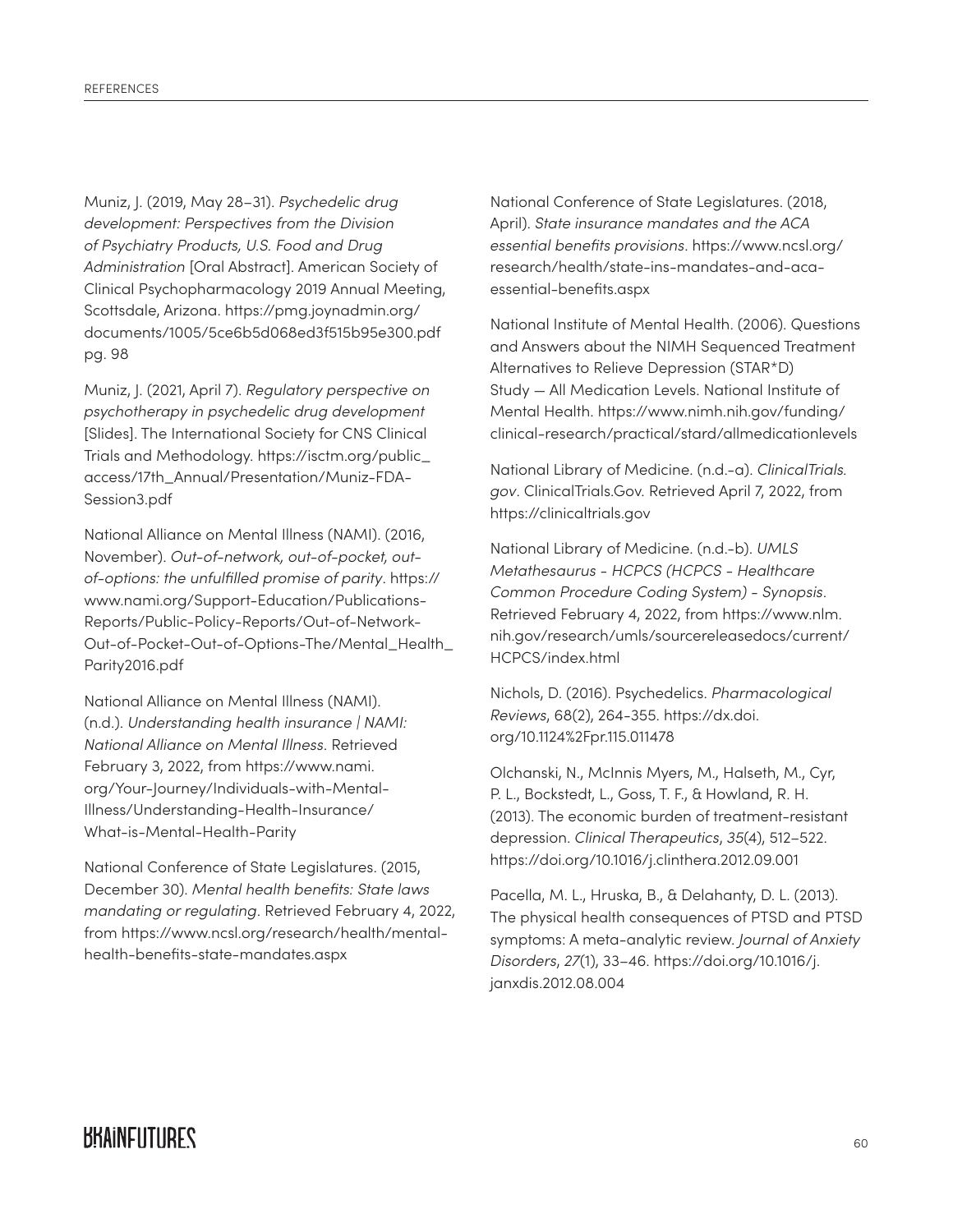Muniz, J. (2019, May 28–31). *Psychedelic drug development: Perspectives from the Division of Psychiatry Products, U.S. Food and Drug Administration* [Oral Abstract]. American Society of Clinical Psychopharmacology 2019 Annual Meeting, Scottsdale, Arizona. [https://pmg.joynadmin.org/](https://pmg.joynadmin.org/documents/1005/5ce6b5d068ed3f515b95e300.pdf) [documents/1005/5ce6b5d068ed3f515b95e300.pdf](https://pmg.joynadmin.org/documents/1005/5ce6b5d068ed3f515b95e300.pdf) pg. 98

Muniz, J. (2021, April 7). *Regulatory perspective on psychotherapy in psychedelic drug development* [Slides]. The International Society for CNS Clinical Trials and Methodology. [https://isctm.org/public\\_](https://isctm.org/public_access/17th_Annual/Presentation/Muniz-FDA-Session3.pdf) [access/17th\\_Annual/Presentation/Muniz-FDA-](https://isctm.org/public_access/17th_Annual/Presentation/Muniz-FDA-Session3.pdf)[Session3.pdf](https://isctm.org/public_access/17th_Annual/Presentation/Muniz-FDA-Session3.pdf)

National Alliance on Mental Illness (NAMI). (2016, November). *Out-of-network, out-of-pocket, outof-options: the unfulfilled promise of parity*. [https://](https://www.nami.org/Support-Education/Publications-Reports/Public-Policy-Reports/Out-of-Network-Out-of-Pocket-Out-of-Options-The/Mental_Health_Parity2016.pdf) [www.nami.org/Support-Education/Publications-](https://www.nami.org/Support-Education/Publications-Reports/Public-Policy-Reports/Out-of-Network-Out-of-Pocket-Out-of-Options-The/Mental_Health_Parity2016.pdf)[Reports/Public-Policy-Reports/Out-of-Network-](https://www.nami.org/Support-Education/Publications-Reports/Public-Policy-Reports/Out-of-Network-Out-of-Pocket-Out-of-Options-The/Mental_Health_Parity2016.pdf)[Out-of-Pocket-Out-of-Options-The/Mental\\_Health\\_](https://www.nami.org/Support-Education/Publications-Reports/Public-Policy-Reports/Out-of-Network-Out-of-Pocket-Out-of-Options-The/Mental_Health_Parity2016.pdf) [Parity2016.pdf](https://www.nami.org/Support-Education/Publications-Reports/Public-Policy-Reports/Out-of-Network-Out-of-Pocket-Out-of-Options-The/Mental_Health_Parity2016.pdf)

National Alliance on Mental Illness (NAMI). (n.d.). *Understanding health insurance | NAMI: National Alliance on Mental Illness*. Retrieved February 3, 2022, from [https://www.nami.](https://www.nami.org/Your-Journey/Individuals-with-Mental-Illness/Understanding-Health-Insurance/What-is-Mental-Health-Parity) [org/Your-Journey/Individuals-with-Mental-](https://www.nami.org/Your-Journey/Individuals-with-Mental-Illness/Understanding-Health-Insurance/What-is-Mental-Health-Parity)[Illness/Understanding-Health-Insurance/](https://www.nami.org/Your-Journey/Individuals-with-Mental-Illness/Understanding-Health-Insurance/What-is-Mental-Health-Parity) [What-is-Mental-Health-Parity](https://www.nami.org/Your-Journey/Individuals-with-Mental-Illness/Understanding-Health-Insurance/What-is-Mental-Health-Parity)

National Conference of State Legislatures. (2015, December 30). *Mental health benefits: State laws mandating or regulating*. Retrieved February 4, 2022, from [https://www.ncsl.org/research/health/mental](https://www.ncsl.org/research/health/mental-health-benefits-state-mandates.aspx)[health-benefits-state-mandates.aspx](https://www.ncsl.org/research/health/mental-health-benefits-state-mandates.aspx)

National Conference of State Legislatures. (2018, April). *State insurance mandates and the ACA essential benefits provisions*. [https://www.ncsl.org/](https://www.ncsl.org/research/health/state-ins-mandates-and-aca-essential-benefits.aspx) [research/health/state-ins-mandates-and-aca](https://www.ncsl.org/research/health/state-ins-mandates-and-aca-essential-benefits.aspx)[essential-benefits.aspx](https://www.ncsl.org/research/health/state-ins-mandates-and-aca-essential-benefits.aspx)

National Institute of Mental Health. (2006). Questions and Answers about the NIMH Sequenced Treatment Alternatives to Relieve Depression (STAR\*D) Study — All Medication Levels. National Institute of Mental Health. [https://www.nimh.nih.gov/funding/](https://www.nimh.nih.gov/funding/clinical-research/practical/stard/allmedicationlevels)  [clinical-research/practical/stard/allmedicationlevels](https://www.nimh.nih.gov/funding/clinical-research/practical/stard/allmedicationlevels)

National Library of Medicine. (n.d.-a). *ClinicalTrials. gov*. ClinicalTrials.Gov. Retrieved April 7, 2022, from <https://clinicaltrials.gov>

National Library of Medicine. (n.d.-b). *UMLS Metathesaurus - HCPCS (HCPCS - Healthcare Common Procedure Coding System) - Synopsis*. Retrieved February 4, 2022, from [https://www.nlm.](https://www.nlm.nih.gov/research/umls/sourcereleasedocs/current/HCPCS/index.html) [nih.gov/research/umls/sourcereleasedocs/current/](https://www.nlm.nih.gov/research/umls/sourcereleasedocs/current/HCPCS/index.html) [HCPCS/index.html](https://www.nlm.nih.gov/research/umls/sourcereleasedocs/current/HCPCS/index.html)

Nichols, D. (2016). Psychedelics. *Pharmacological Reviews*, 68(2), 264-355. [https://dx.doi.](https://dx.doi.org/10.1124%2Fpr.115.011478) [org/10.1124%2Fpr.115.011478](https://dx.doi.org/10.1124%2Fpr.115.011478)

Olchanski, N., McInnis Myers, M., Halseth, M., Cyr, P. L., Bockstedt, L., Goss, T. F., & Howland, R. H. (2013). The economic burden of treatment-resistant depression. *Clinical Therapeutics*, *35*(4), 512–522. <https://doi.org/10.1016/j.clinthera.2012.09.001>

Pacella, M. L., Hruska, B., & Delahanty, D. L. (2013). The physical health consequences of PTSD and PTSD symptoms: A meta-analytic review. *Journal of Anxiety Disorders*, *27*(1), 33–46. [https://doi.org/10.1016/j.](https://doi.org/10.1016/j.janxdis.2012.08.004) [janxdis.2012.08.004](https://doi.org/10.1016/j.janxdis.2012.08.004)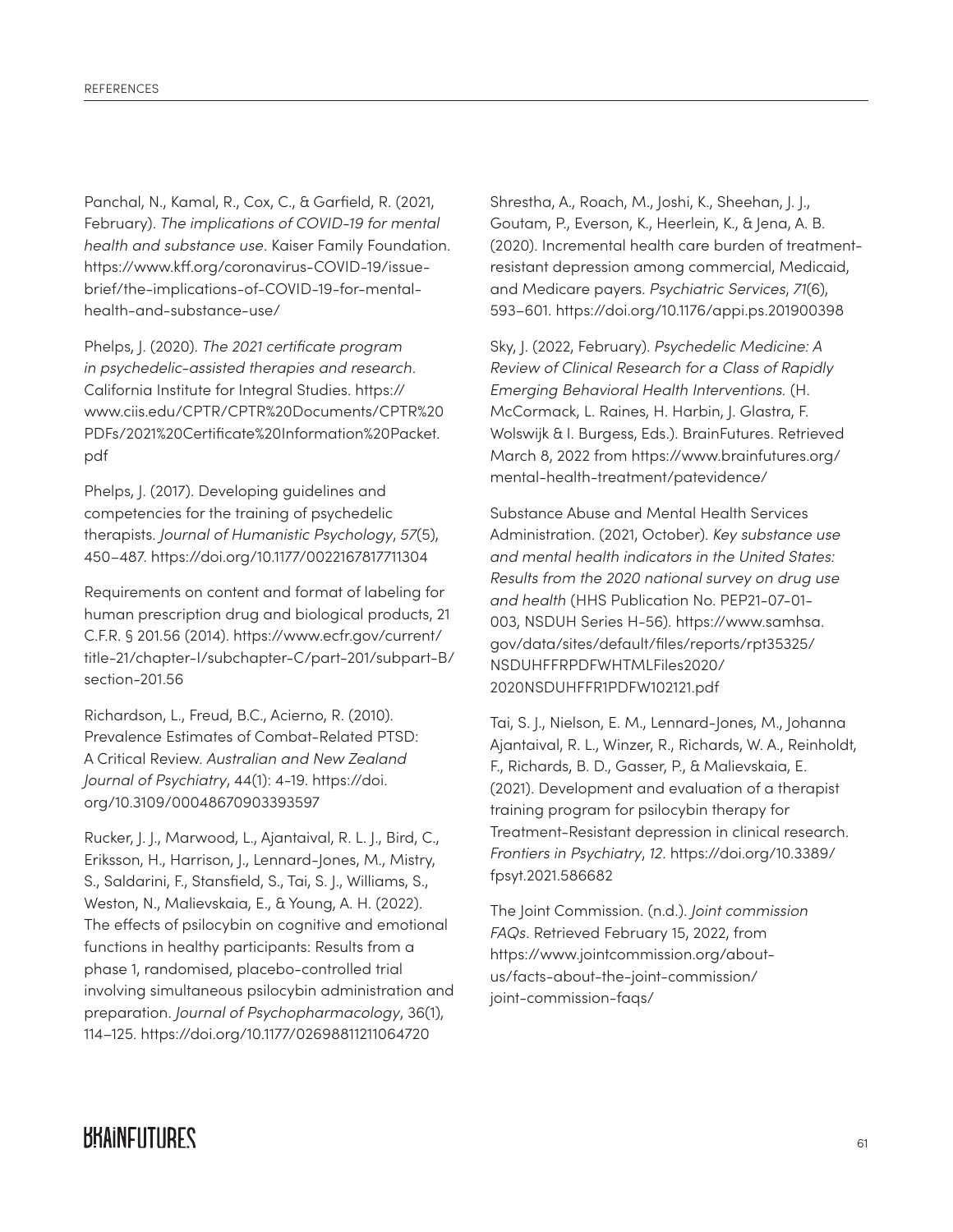Panchal, N., Kamal, R., Cox, C., & Garfield, R. (2021, February). *The implications of COVID-19 for mental health and substance use*. Kaiser Family Foundation. [https://www.kff.org/coronavirus-COVID-19/issue](https://www.kff.org/coronavirus-COVID-19/issue-brief/the-implications-of-COVID-19-for-mental-health-and-substance-use/)[brief/the-implications-of-COVID-19-for-mental](https://www.kff.org/coronavirus-COVID-19/issue-brief/the-implications-of-COVID-19-for-mental-health-and-substance-use/)[health-and-substance-use/](https://www.kff.org/coronavirus-COVID-19/issue-brief/the-implications-of-COVID-19-for-mental-health-and-substance-use/)

Phelps, J. (2020). *The 2021 certificate program in psychedelic-assisted therapies and research*. California Institute for Integral Studies. [https://](https://www.ciis.edu/CPTR/CPTR%20Documents/CPTR%20PDFs/2021%20Certificate%20Information%20Packet.pdf) [www.ciis.edu/CPTR/CPTR%20Documents/CPTR%20](https://www.ciis.edu/CPTR/CPTR%20Documents/CPTR%20PDFs/2021%20Certificate%20Information%20Packet.pdf) [PDFs/2021%20Certificate%20Information%20Packet.](https://www.ciis.edu/CPTR/CPTR%20Documents/CPTR%20PDFs/2021%20Certificate%20Information%20Packet.pdf) [pdf](https://www.ciis.edu/CPTR/CPTR%20Documents/CPTR%20PDFs/2021%20Certificate%20Information%20Packet.pdf)

Phelps, J. (2017). Developing guidelines and competencies for the training of psychedelic therapists. *Journal of Humanistic Psychology*, *57*(5), 450–487.<https://doi.org/10.1177/0022167817711304>

Requirements on content and format of labeling for human prescription drug and biological products, 21 C.F.R. § 201.56 (2014). [https://www.ecfr.gov/current/](https://www.ecfr.gov/current/title-21/chapter-I/subchapter-C/part-201/subpart-B/section-201.56) [title-21/chapter-I/subchapter-C/part-201/subpart-B/](https://www.ecfr.gov/current/title-21/chapter-I/subchapter-C/part-201/subpart-B/section-201.56) [section-201.56](https://www.ecfr.gov/current/title-21/chapter-I/subchapter-C/part-201/subpart-B/section-201.56)

Richardson, L., Freud, B.C., Acierno, R. (2010). Prevalence Estimates of Combat-Related PTSD: A Critical Review. *Australian and New Zealand Journal of Psychiatry*, 44(1): 4-19. [https://doi.](https://doi.org/10.3109/00048670903393597)  [org/10.3109/00048670903393597](https://doi.org/10.3109/00048670903393597)

Rucker, J. J., Marwood, L., Ajantaival, R. L. J., Bird, C., Eriksson, H., Harrison, J., Lennard-Jones, M., Mistry, S., Saldarini, F., Stansfield, S., Tai, S. J., Williams, S., Weston, N., Malievskaia, E., & Young, A. H. (2022). The effects of psilocybin on cognitive and emotional functions in healthy participants: Results from a phase 1, randomised, placebo-controlled trial involving simultaneous psilocybin administration and preparation. *Journal of Psychopharmacology*, 36(1), 114–125. <https://doi.org/10.1177/02698811211064720>

Shrestha, A., Roach, M., Joshi, K., Sheehan, J. J., Goutam, P., Everson, K., Heerlein, K., & Jena, A. B. (2020). Incremental health care burden of treatmentresistant depression among commercial, Medicaid, and Medicare payers. *Psychiatric Services*, *71*(6), 593–601.<https://doi.org/10.1176/appi.ps.201900398>

Sky, J. (2022, February). *Psychedelic Medicine: A Review of Clinical Research for a Class of Rapidly Emerging Behavioral Health Interventions.* (H. McCormack, L. Raines, H. Harbin, J. Glastra, F. Wolswijk & I. Burgess, Eds.). BrainFutures. Retrieved March 8, 2022 from [https://www.brainfutures.org/](https://www.brainfutures.org/mental-health-treatment/patevidence/) [mental-health-treatment/patevidence/](https://www.brainfutures.org/mental-health-treatment/patevidence/)

Substance Abuse and Mental Health Services Administration. (2021, October). *Key substance use and mental health indicators in the United States: Results from the 2020 national survey on drug use and health* (HHS Publication No. PEP21-07-01- 003, NSDUH Series H-56). [https://www.samhsa.](https://www.samhsa.gov/data/sites/default/files/reports/rpt35325/NSDUHFFRPDFWHTMLFiles2020/2020NSDUHFFR1PDFW102121.pdf) [gov/data/sites/default/files/reports/rpt35325/](https://www.samhsa.gov/data/sites/default/files/reports/rpt35325/NSDUHFFRPDFWHTMLFiles2020/2020NSDUHFFR1PDFW102121.pdf) [NSDUHFFRPDFWHTMLFiles2020/](https://www.samhsa.gov/data/sites/default/files/reports/rpt35325/NSDUHFFRPDFWHTMLFiles2020/2020NSDUHFFR1PDFW102121.pdf) [2020NSDUHFFR1PDFW102121.pdf](https://www.samhsa.gov/data/sites/default/files/reports/rpt35325/NSDUHFFRPDFWHTMLFiles2020/2020NSDUHFFR1PDFW102121.pdf)

Tai, S. J., Nielson, E. M., Lennard-Jones, M., Johanna Ajantaival, R. L., Winzer, R., Richards, W. A., Reinholdt, F., Richards, B. D., Gasser, P., & Malievskaia, E. (2021). Development and evaluation of a therapist training program for psilocybin therapy for Treatment-Resistant depression in clinical research. *Frontiers in Psychiatry*, *12*. [https://doi.org/10.3389/](https://doi.org/10.3389/fpsyt.2021.586682) [fpsyt.2021.586682](https://doi.org/10.3389/fpsyt.2021.586682)

The Joint Commission. (n.d.). *Joint commission FAQs*. Retrieved February 15, 2022, from [https://www.jointcommission.org/about](https://www.jointcommission.org/about-us/facts-about-the-joint-commission/joint-commission-faqs/)[us/facts-about-the-joint-commission/](https://www.jointcommission.org/about-us/facts-about-the-joint-commission/joint-commission-faqs/) [joint-commission-faqs/](https://www.jointcommission.org/about-us/facts-about-the-joint-commission/joint-commission-faqs/)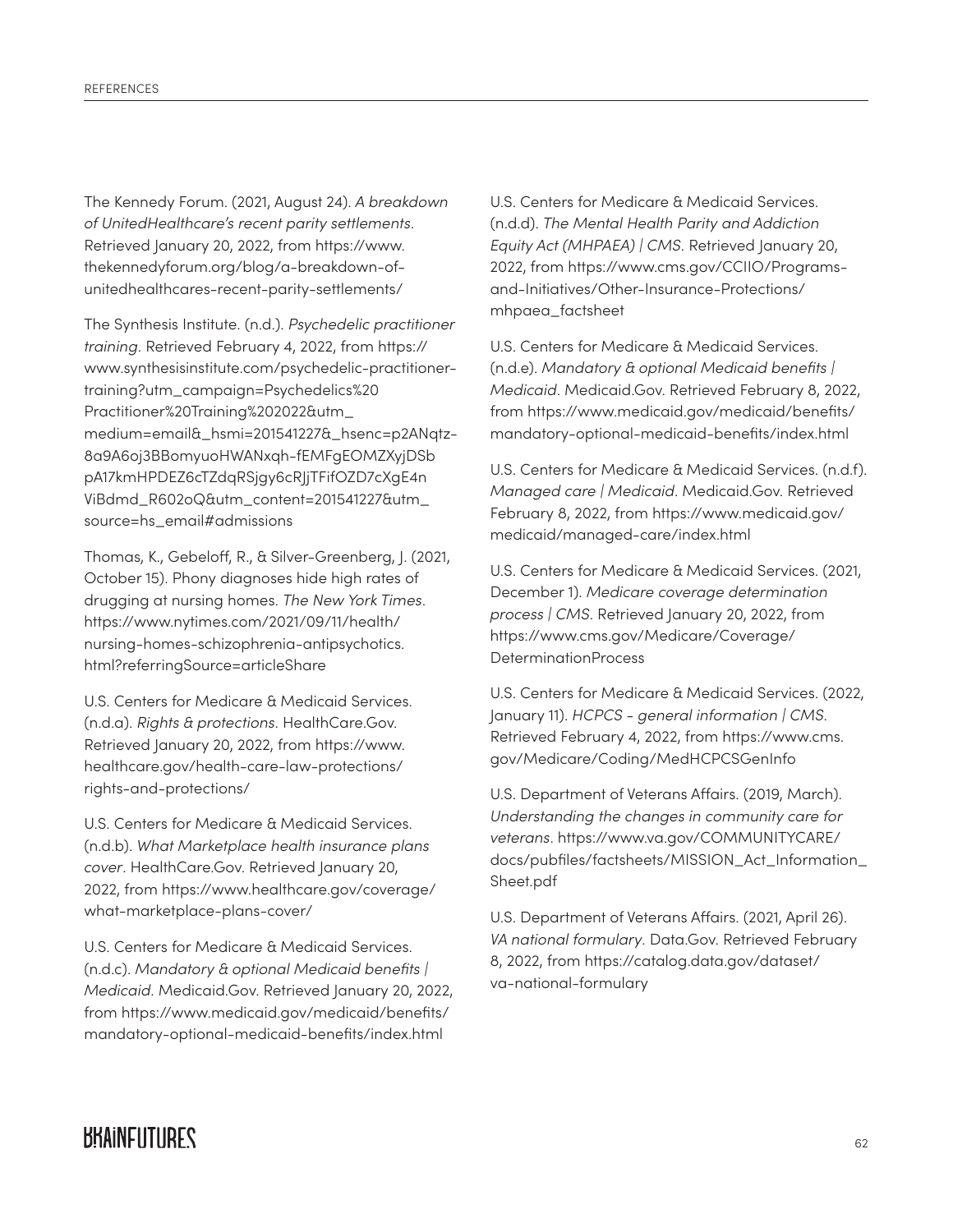The Kennedy Forum. (2021, August 24). *A breakdown of UnitedHealthcare's recent parity settlements*. Retrieved January 20, 2022, from [https://www.](https://www.thekennedyforum.org/blog/a-breakdown-of-unitedhealthcares-recent-parity-settlements/) [thekennedyforum.org/blog/a-breakdown-of](https://www.thekennedyforum.org/blog/a-breakdown-of-unitedhealthcares-recent-parity-settlements/)[unitedhealthcares-recent-parity-settlements/](https://www.thekennedyforum.org/blog/a-breakdown-of-unitedhealthcares-recent-parity-settlements/)

The Synthesis Institute. (n.d.). *Psychedelic practitioner training*. Retrieved February 4, 2022, from [https://](https://www.synthesisinstitute.com/psychedelic-practitioner-training?utm_campaign=Psychedelics%20Practitioner%20Training%202022&utm_medium=email&_hsmi=201541227&_hsenc=p2ANqtz-8a9A6oj3BBomyuoHWANxqh-fEMFgEOMZXyjDSbpA17kmHPDEZ6cTZdqRSjgy6cRJjTFifOZD7cXgE4nViBdmd_R602oQ&utm_content=201541227&utm_source=hs_email#admissions) [www.synthesisinstitute.com/psychedelic-practitioner](https://www.synthesisinstitute.com/psychedelic-practitioner-training?utm_campaign=Psychedelics%20Practitioner%20Training%202022&utm_medium=email&_hsmi=201541227&_hsenc=p2ANqtz-8a9A6oj3BBomyuoHWANxqh-fEMFgEOMZXyjDSbpA17kmHPDEZ6cTZdqRSjgy6cRJjTFifOZD7cXgE4nViBdmd_R602oQ&utm_content=201541227&utm_source=hs_email#admissions)[training?utm\\_campaign=Psychedelics%20](https://www.synthesisinstitute.com/psychedelic-practitioner-training?utm_campaign=Psychedelics%20Practitioner%20Training%202022&utm_medium=email&_hsmi=201541227&_hsenc=p2ANqtz-8a9A6oj3BBomyuoHWANxqh-fEMFgEOMZXyjDSbpA17kmHPDEZ6cTZdqRSjgy6cRJjTFifOZD7cXgE4nViBdmd_R602oQ&utm_content=201541227&utm_source=hs_email#admissions) [Practitioner%20Training%202022&utm\\_](https://www.synthesisinstitute.com/psychedelic-practitioner-training?utm_campaign=Psychedelics%20Practitioner%20Training%202022&utm_medium=email&_hsmi=201541227&_hsenc=p2ANqtz-8a9A6oj3BBomyuoHWANxqh-fEMFgEOMZXyjDSbpA17kmHPDEZ6cTZdqRSjgy6cRJjTFifOZD7cXgE4nViBdmd_R602oQ&utm_content=201541227&utm_source=hs_email#admissions) [medium=email&\\_hsmi=201541227&\\_hsenc=p2ANqtz-](https://www.synthesisinstitute.com/psychedelic-practitioner-training?utm_campaign=Psychedelics%20Practitioner%20Training%202022&utm_medium=email&_hsmi=201541227&_hsenc=p2ANqtz-8a9A6oj3BBomyuoHWANxqh-fEMFgEOMZXyjDSbpA17kmHPDEZ6cTZdqRSjgy6cRJjTFifOZD7cXgE4nViBdmd_R602oQ&utm_content=201541227&utm_source=hs_email#admissions)[8a9A6oj3BBomyuoHWANxqh-fEMFgEOMZXyjDSb](https://www.synthesisinstitute.com/psychedelic-practitioner-training?utm_campaign=Psychedelics%20Practitioner%20Training%202022&utm_medium=email&_hsmi=201541227&_hsenc=p2ANqtz-8a9A6oj3BBomyuoHWANxqh-fEMFgEOMZXyjDSbpA17kmHPDEZ6cTZdqRSjgy6cRJjTFifOZD7cXgE4nViBdmd_R602oQ&utm_content=201541227&utm_source=hs_email#admissions) [pA17kmHPDEZ6cTZdqRSjgy6cRJjTFifOZD7cXgE4n](https://www.synthesisinstitute.com/psychedelic-practitioner-training?utm_campaign=Psychedelics%20Practitioner%20Training%202022&utm_medium=email&_hsmi=201541227&_hsenc=p2ANqtz-8a9A6oj3BBomyuoHWANxqh-fEMFgEOMZXyjDSbpA17kmHPDEZ6cTZdqRSjgy6cRJjTFifOZD7cXgE4nViBdmd_R602oQ&utm_content=201541227&utm_source=hs_email#admissions) [ViBdmd\\_R602oQ&utm\\_content=201541227&utm\\_](https://www.synthesisinstitute.com/psychedelic-practitioner-training?utm_campaign=Psychedelics%20Practitioner%20Training%202022&utm_medium=email&_hsmi=201541227&_hsenc=p2ANqtz-8a9A6oj3BBomyuoHWANxqh-fEMFgEOMZXyjDSbpA17kmHPDEZ6cTZdqRSjgy6cRJjTFifOZD7cXgE4nViBdmd_R602oQ&utm_content=201541227&utm_source=hs_email#admissions) [source=hs\\_email#admissions](https://www.synthesisinstitute.com/psychedelic-practitioner-training?utm_campaign=Psychedelics%20Practitioner%20Training%202022&utm_medium=email&_hsmi=201541227&_hsenc=p2ANqtz-8a9A6oj3BBomyuoHWANxqh-fEMFgEOMZXyjDSbpA17kmHPDEZ6cTZdqRSjgy6cRJjTFifOZD7cXgE4nViBdmd_R602oQ&utm_content=201541227&utm_source=hs_email#admissions)

Thomas, K., Gebeloff, R., & Silver-Greenberg, J. (2021, October 15). Phony diagnoses hide high rates of drugging at nursing homes. *The New York Times*. [https://www.nytimes.com/2021/09/11/health/](https://www.nytimes.com/2021/09/11/health/nursing-homes-schizophrenia-antipsychotics.html?referringSource=articleShare) [nursing-homes-schizophrenia-antipsychotics.](https://www.nytimes.com/2021/09/11/health/nursing-homes-schizophrenia-antipsychotics.html?referringSource=articleShare) [html?referringSource=articleShare](https://www.nytimes.com/2021/09/11/health/nursing-homes-schizophrenia-antipsychotics.html?referringSource=articleShare)

U.S. Centers for Medicare & Medicaid Services. (n.d.a). *Rights & protections*. HealthCare.Gov. Retrieved January 20, 2022, from [https://www.](https://www.healthcare.gov/health-care-law-protections/rights-and-protections/) [healthcare.gov/health-care-law-protections/](https://www.healthcare.gov/health-care-law-protections/rights-and-protections/) [rights-and-protections/](https://www.healthcare.gov/health-care-law-protections/rights-and-protections/)

U.S. Centers for Medicare & Medicaid Services. (n.d.b). *What Marketplace health insurance plans cover*. HealthCare.Gov. Retrieved January 20, 2022, from [https://www.healthcare.gov/coverage/](https://www.healthcare.gov/coverage/what-marketplace-plans-cover/) [what-marketplace-plans-cover/](https://www.healthcare.gov/coverage/what-marketplace-plans-cover/)

U.S. Centers for Medicare & Medicaid Services. (n.d.c). *Mandatory & optional Medicaid benefits | Medicaid*. Medicaid.Gov. Retrieved January 20, 2022, from [https://www.medicaid.gov/medicaid/benefits/](https://www.medicaid.gov/medicaid/benefits/mandatory-optional-medicaid-benefits/index.html) [mandatory-optional-medicaid-benefits/index.html](https://www.medicaid.gov/medicaid/benefits/mandatory-optional-medicaid-benefits/index.html)

U.S. Centers for Medicare & Medicaid Services. (n.d.d). *The Mental Health Parity and Addiction Equity Act (MHPAEA) | CMS*. Retrieved January 20, 2022, from [https://www.cms.gov/CCIIO/Programs](https://www.cms.gov/CCIIO/Programs-and-Initiatives/Other-Insurance-Protections/mhpaea_factsheet)[and-Initiatives/Other-Insurance-Protections/](https://www.cms.gov/CCIIO/Programs-and-Initiatives/Other-Insurance-Protections/mhpaea_factsheet) [mhpaea\\_factsheet](https://www.cms.gov/CCIIO/Programs-and-Initiatives/Other-Insurance-Protections/mhpaea_factsheet)

U.S. Centers for Medicare & Medicaid Services. (n.d.e). *Mandatory & optional Medicaid benefits | Medicaid*. Medicaid.Gov. Retrieved February 8, 2022, from [https://www.medicaid.gov/medicaid/benefits/](https://www.medicaid.gov/medicaid/benefits/mandatory-optional-medicaid-benefits/index.html
) [mandatory-optional-medicaid-benefits/index.html](https://www.medicaid.gov/medicaid/benefits/mandatory-optional-medicaid-benefits/index.html
)

U.S. Centers for Medicare & Medicaid Services. (n.d.f). *Managed care | Medicaid*. Medicaid.Gov. Retrieved February 8, 2022, from [https://www.medicaid.gov/](https://www.medicaid.gov/medicaid/managed-care/index.html) [medicaid/managed-care/index.html](https://www.medicaid.gov/medicaid/managed-care/index.html)

U.S. Centers for Medicare & Medicaid Services. (2021, December 1). *Medicare coverage determination process | CMS*. Retrieved January 20, 2022, from [https://www.cms.gov/Medicare/Coverage/](https://www.cms.gov/Medicare/Coverage/DeterminationProcess) [DeterminationProcess](https://www.cms.gov/Medicare/Coverage/DeterminationProcess)

U.S. Centers for Medicare & Medicaid Services. (2022, January 11). *HCPCS - general information | CMS*. Retrieved February 4, 2022, from [https://www.cms.](https://www.cms.gov/Medicare/Coding/MedHCPCSGenInfo) [gov/Medicare/Coding/MedHCPCSGenInfo](https://www.cms.gov/Medicare/Coding/MedHCPCSGenInfo)

U.S. Department of Veterans Affairs. (2019, March). *Understanding the changes in community care for veterans*. [https://www.va.gov/COMMUNITYCARE/](https://www.va.gov/COMMUNITYCARE/docs/pubfiles/factsheets/MISSION_Act_Information_Sheet.pdf) [docs/pubfiles/factsheets/MISSION\\_Act\\_Information\\_](https://www.va.gov/COMMUNITYCARE/docs/pubfiles/factsheets/MISSION_Act_Information_Sheet.pdf) [Sheet.pdf](https://www.va.gov/COMMUNITYCARE/docs/pubfiles/factsheets/MISSION_Act_Information_Sheet.pdf)

U.S. Department of Veterans Affairs. (2021, April 26). *VA national formulary*. Data.Gov. Retrieved February 8, 2022, from [https://catalog.data.gov/dataset/](https://catalog.data.gov/dataset/va-national-formulary) [va-national-formulary](https://catalog.data.gov/dataset/va-national-formulary)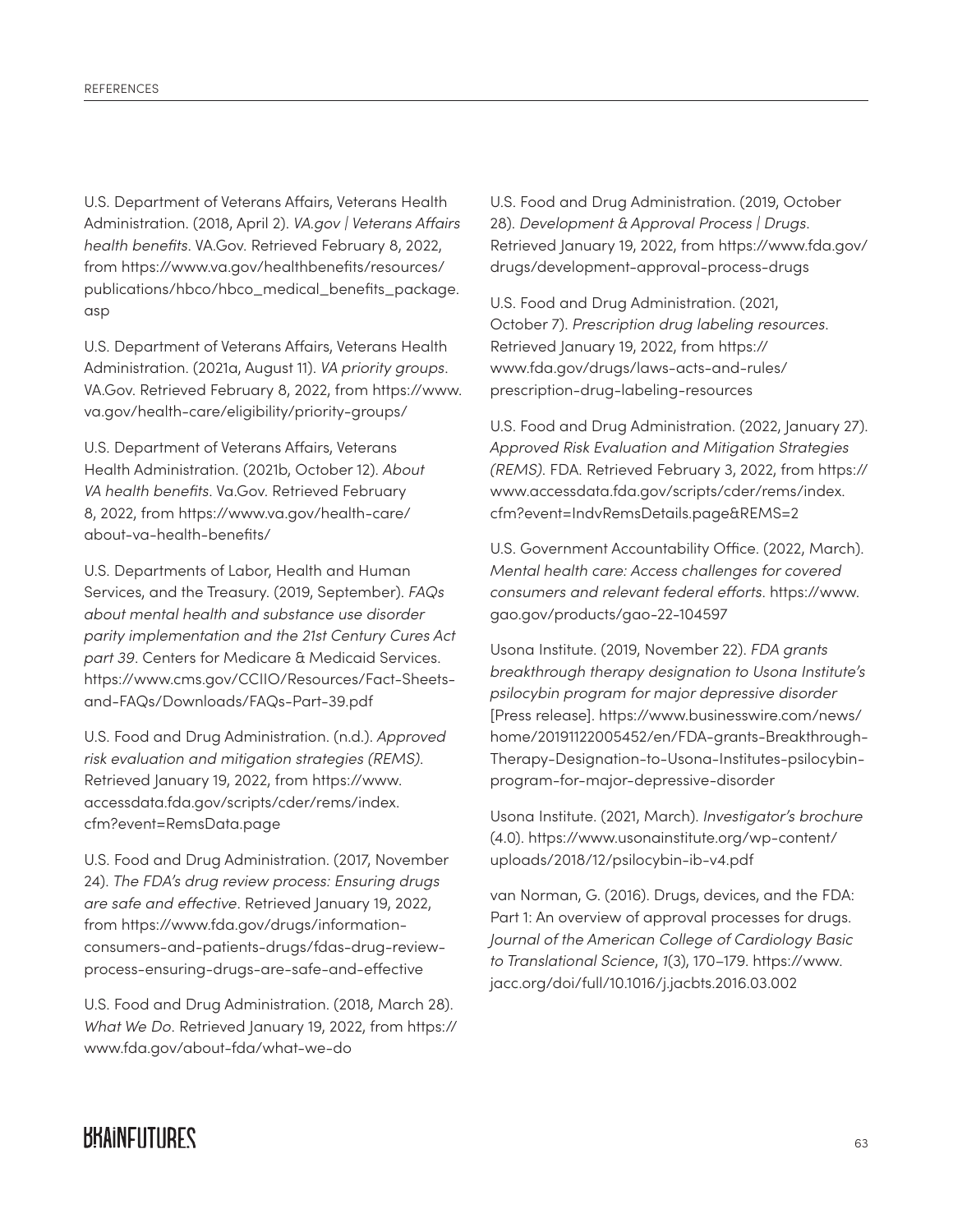U.S. Department of Veterans Affairs, Veterans Health Administration. (2018, April 2). *VA.gov | Veterans Affairs health benefits*. VA.Gov. Retrieved February 8, 2022, from [https://www.va.gov/healthbenefits/resources/](https://www.va.gov/healthbenefits/resources/publications/hbco/hbco_medical_benefits_package.asp) [publications/hbco/hbco\\_medical\\_benefits\\_package.](https://www.va.gov/healthbenefits/resources/publications/hbco/hbco_medical_benefits_package.asp) [asp](https://www.va.gov/healthbenefits/resources/publications/hbco/hbco_medical_benefits_package.asp)

U.S. Department of Veterans Affairs, Veterans Health Administration. (2021a, August 11). *VA priority groups*. VA.Gov. Retrieved February 8, 2022, from [https://www.](https://www.va.gov/health-care/eligibility/priority-groups/) [va.gov/health-care/eligibility/priority-groups/](https://www.va.gov/health-care/eligibility/priority-groups/)

U.S. Department of Veterans Affairs, Veterans Health Administration. (2021b, October 12). *About VA health benefits*. Va.Gov. Retrieved February 8, 2022, from [https://www.va.gov/health-care/](https://www.va.gov/health-care/about-va-health-benefits/) [about-va-health-benefits/](https://www.va.gov/health-care/about-va-health-benefits/)

U.S. Departments of Labor, Health and Human Services, and the Treasury. (2019, September). *FAQs about mental health and substance use disorder parity implementation and the 21st Century Cures Act part 39*. Centers for Medicare & Medicaid Services. [https://www.cms.gov/CCIIO/Resources/Fact-Sheets](https://www.cms.gov/CCIIO/Resources/Fact-Sheets-and-FAQs/Downloads/FAQs-Part-39.pdf)[and-FAQs/Downloads/FAQs-Part-39.pdf](https://www.cms.gov/CCIIO/Resources/Fact-Sheets-and-FAQs/Downloads/FAQs-Part-39.pdf)

U.S. Food and Drug Administration. (n.d.). *Approved risk evaluation and mitigation strategies (REMS)*. Retrieved January 19, 2022, from [https://www.](https://www.accessdata.fda.gov/scripts/cder/rems/index.cfm?event=RemsData.page) [accessdata.fda.gov/scripts/cder/rems/index.](https://www.accessdata.fda.gov/scripts/cder/rems/index.cfm?event=RemsData.page) [cfm?event=RemsData.page](https://www.accessdata.fda.gov/scripts/cder/rems/index.cfm?event=RemsData.page)

U.S. Food and Drug Administration. (2017, November 24). *The FDA's drug review process: Ensuring drugs are safe and effective*. Retrieved January 19, 2022, from [https://www.fda.gov/drugs/information](https://www.fda.gov/drugs/information-consumers-and-patients-drugs/fdas-drug-review-process-ensuring-drugs-are-safe-and-effective)[consumers-and-patients-drugs/fdas-drug-review](https://www.fda.gov/drugs/information-consumers-and-patients-drugs/fdas-drug-review-process-ensuring-drugs-are-safe-and-effective)[process-ensuring-drugs-are-safe-and-effective](https://www.fda.gov/drugs/information-consumers-and-patients-drugs/fdas-drug-review-process-ensuring-drugs-are-safe-and-effective)

U.S. Food and Drug Administration. (2018, March 28). *What We Do*. Retrieved January 19, 2022, from [https://](https://www.fda.gov/about-fda/what-we-do) [www.fda.gov/about-fda/what-we-do](https://www.fda.gov/about-fda/what-we-do)

U.S. Food and Drug Administration. (2019, October 28). *Development & Approval Process | Drugs*. Retrieved January 19, 2022, from [https://www.fda.gov/](https://www.fda.gov/drugs/development-approval-process-drugs) [drugs/development-approval-process-drugs](https://www.fda.gov/drugs/development-approval-process-drugs)

U.S. Food and Drug Administration. (2021, October 7). *Prescription drug labeling resources*. Retrieved January 19, 2022, from [https://](https://www.fda.gov/drugs/laws-acts-and-rules/prescription-drug-labeling-resources) [www.fda.gov/drugs/laws-acts-and-rules/](https://www.fda.gov/drugs/laws-acts-and-rules/prescription-drug-labeling-resources) [prescription-drug-labeling-resources](https://www.fda.gov/drugs/laws-acts-and-rules/prescription-drug-labeling-resources)

U.S. Food and Drug Administration. (2022, January 27). *Approved Risk Evaluation and Mitigation Strategies (REMS)*. FDA. Retrieved February 3, 2022, from [https://](https://www.accessdata.fda.gov/scripts/cder/rems/index.cfm?event=IndvRemsDetails.page&REMS=2) [www.accessdata.fda.gov/scripts/cder/rems/index.](https://www.accessdata.fda.gov/scripts/cder/rems/index.cfm?event=IndvRemsDetails.page&REMS=2) [cfm?event=IndvRemsDetails.page&REMS=2](https://www.accessdata.fda.gov/scripts/cder/rems/index.cfm?event=IndvRemsDetails.page&REMS=2)

U.S. Government Accountability Office. (2022, March). *Mental health care: Access challenges for covered consumers and relevant federal efforts*. [https://www.](https://www.gao.gov/products/gao-22-104597) [gao.gov/products/gao-22-104597](https://www.gao.gov/products/gao-22-104597)

Usona Institute. (2019, November 22). *FDA grants breakthrough therapy designation to Usona Institute's psilocybin program for major depressive disorder* [Press release]. [https://www.businesswire.com/news/](https://www.businesswire.com/news/home/20191122005452/en/FDA-grants-Breakthrough-Therapy-Designation-to-Usona-Institutes-psilocybin-program-for-major-depressive-disorder) [home/20191122005452/en/FDA-grants-Breakthrough-](https://www.businesswire.com/news/home/20191122005452/en/FDA-grants-Breakthrough-Therapy-Designation-to-Usona-Institutes-psilocybin-program-for-major-depressive-disorder)[Therapy-Designation-to-Usona-Institutes-psilocybin](https://www.businesswire.com/news/home/20191122005452/en/FDA-grants-Breakthrough-Therapy-Designation-to-Usona-Institutes-psilocybin-program-for-major-depressive-disorder)[program-for-major-depressive-disorder](https://www.businesswire.com/news/home/20191122005452/en/FDA-grants-Breakthrough-Therapy-Designation-to-Usona-Institutes-psilocybin-program-for-major-depressive-disorder)

Usona Institute. (2021, March). *Investigator's brochure* (4.0). [https://www.usonainstitute.org/wp-content/](https://www.usonainstitute.org/wp-content/uploads/2018/12/psilocybin-ib-v4.pdf) [uploads/2018/12/psilocybin-ib-v4.pdf](https://www.usonainstitute.org/wp-content/uploads/2018/12/psilocybin-ib-v4.pdf)

van Norman, G. (2016). Drugs, devices, and the FDA: Part 1: An overview of approval processes for drugs. *Journal of the American College of Cardiology Basic to Translational Science*, *1*(3), 170–179. [https://www.](https://www.jacc.org/doi/full/10.1016/j.jacbts.2016.03.002) [jacc.org/doi/full/10.1016/j.jacbts.2016.03.002](https://www.jacc.org/doi/full/10.1016/j.jacbts.2016.03.002)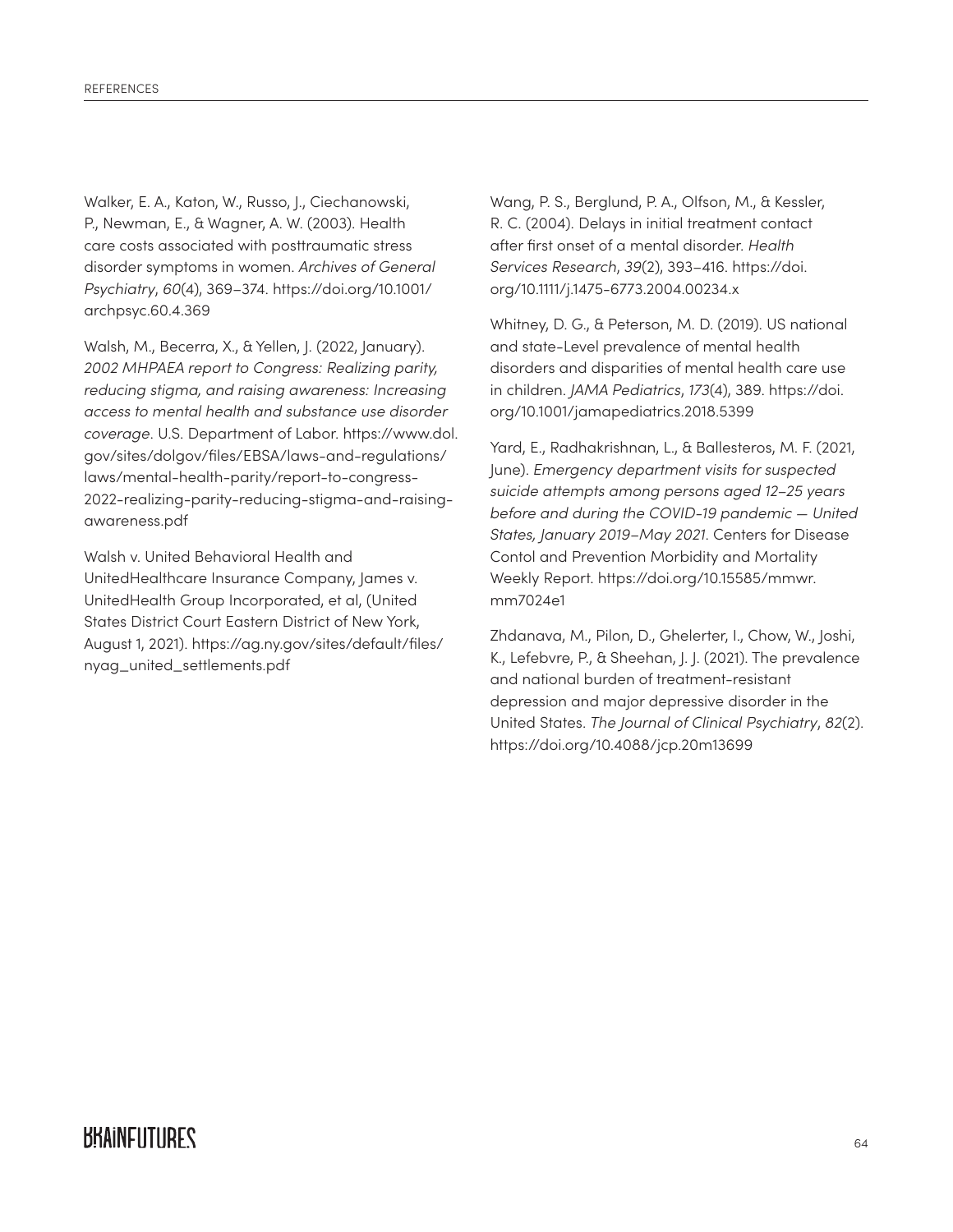Walker, E. A., Katon, W., Russo, J., Ciechanowski, P., Newman, E., & Wagner, A. W. (2003). Health care costs associated with posttraumatic stress disorder symptoms in women. *Archives of General Psychiatry*, *60*(4), 369–374. [https://doi.org/10.1001/](https://doi.org/10.1001/archpsyc.60.4.369) [archpsyc.60.4.369](https://doi.org/10.1001/archpsyc.60.4.369)

Walsh, M., Becerra, X., & Yellen, J. (2022, January). *2002 MHPAEA report to Congress: Realizing parity, reducing stigma, and raising awareness: Increasing access to mental health and substance use disorder coverage*. U.S. Department of Labor. [https://www.dol.](https://www.dol.gov/sites/dolgov/files/EBSA/laws-and-regulations/laws/mental-health-parity/report-to-congress-2022-realizing-parity-reducing-stigma-and-raising-awareness.pdf) [gov/sites/dolgov/files/EBSA/laws-and-regulations/](https://www.dol.gov/sites/dolgov/files/EBSA/laws-and-regulations/laws/mental-health-parity/report-to-congress-2022-realizing-parity-reducing-stigma-and-raising-awareness.pdf) [laws/mental-health-parity/report-to-congress-](https://www.dol.gov/sites/dolgov/files/EBSA/laws-and-regulations/laws/mental-health-parity/report-to-congress-2022-realizing-parity-reducing-stigma-and-raising-awareness.pdf)[2022-realizing-parity-reducing-stigma-and-raising](https://www.dol.gov/sites/dolgov/files/EBSA/laws-and-regulations/laws/mental-health-parity/report-to-congress-2022-realizing-parity-reducing-stigma-and-raising-awareness.pdf)[awareness.pdf](https://www.dol.gov/sites/dolgov/files/EBSA/laws-and-regulations/laws/mental-health-parity/report-to-congress-2022-realizing-parity-reducing-stigma-and-raising-awareness.pdf)

Walsh v. United Behavioral Health and UnitedHealthcare Insurance Company, James v. UnitedHealth Group Incorporated, et al, (United States District Court Eastern District of New York, August 1, 2021). [https://ag.ny.gov/sites/default/files/](https://ag.ny.gov/sites/default/files/nyag_united_settlements.pdf) [nyag\\_united\\_settlements.pdf](https://ag.ny.gov/sites/default/files/nyag_united_settlements.pdf)

Wang, P. S., Berglund, P. A., Olfson, M., & Kessler, R. C. (2004). Delays in initial treatment contact after first onset of a mental disorder. *Health Services Research*, *39*(2), 393–416. [https://doi.](https://doi.org/10.1111/j.1475-6773.2004.00234.x) [org/10.1111/j.1475-6773.2004.00234.x](https://doi.org/10.1111/j.1475-6773.2004.00234.x)

Whitney, D. G., & Peterson, M. D. (2019). US national and state-Level prevalence of mental health disorders and disparities of mental health care use in children. *JAMA Pediatrics*, *173*(4), 389. [https://doi.](https://doi.org/10.1001/jamapediatrics.2018.5399) [org/10.1001/jamapediatrics.2018.5399](https://doi.org/10.1001/jamapediatrics.2018.5399)

Yard, E., Radhakrishnan, L., & Ballesteros, M. F. (2021, June). *Emergency department visits for suspected suicide attempts among persons aged 12–25 years before and during the COVID-19 pandemic — United States, January 2019–May 2021*. Centers for Disease Contol and Prevention Morbidity and Mortality Weekly Report. [https://doi.org/10.15585/mmwr.](https://doi.org/10.15585/mmwr.mm7024e1
) [mm7024e1](https://doi.org/10.15585/mmwr.mm7024e1
)

Zhdanava, M., Pilon, D., Ghelerter, I., Chow, W., Joshi, K., Lefebvre, P., & Sheehan, J. J. (2021). The prevalence and national burden of treatment-resistant depression and major depressive disorder in the United States. *The Journal of Clinical Psychiatry*, *82*(2). <https://doi.org/10.4088/jcp.20m13699>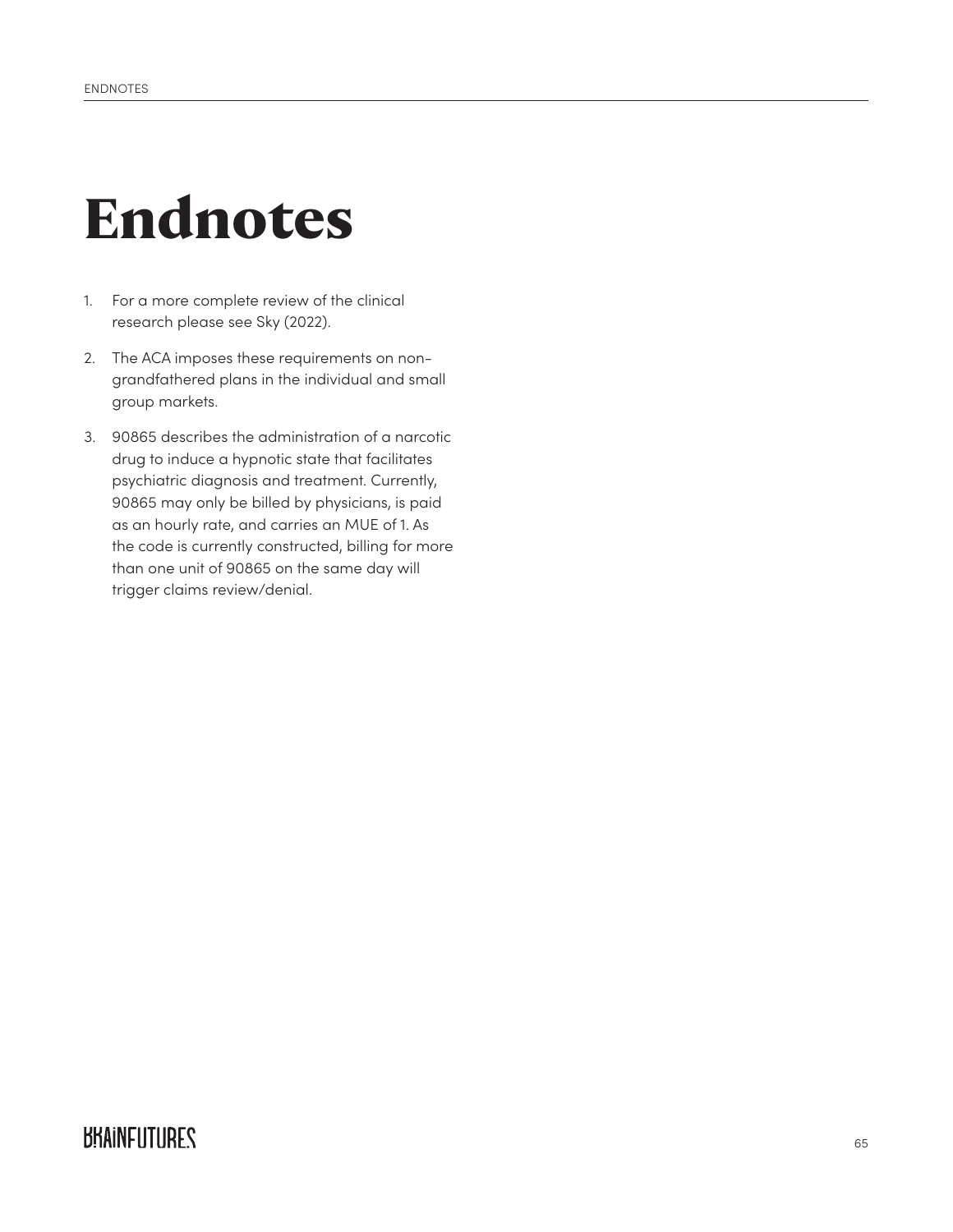## <span id="page-64-0"></span>**Endnotes**

- 1. For a more complete review of the clinical research please see Sky (2022).
- 2. The ACA imposes these requirements on nongrandfathered plans in the individual and small group markets.
- 3. 90865 describes the administration of a narcotic drug to induce a hypnotic state that facilitates psychiatric diagnosis and treatment. Currently, 90865 may only be billed by physicians, is paid as an hourly rate, and carries an MUE of 1. As the code is currently constructed, billing for more than one unit of 90865 on the same day will trigger claims review/denial.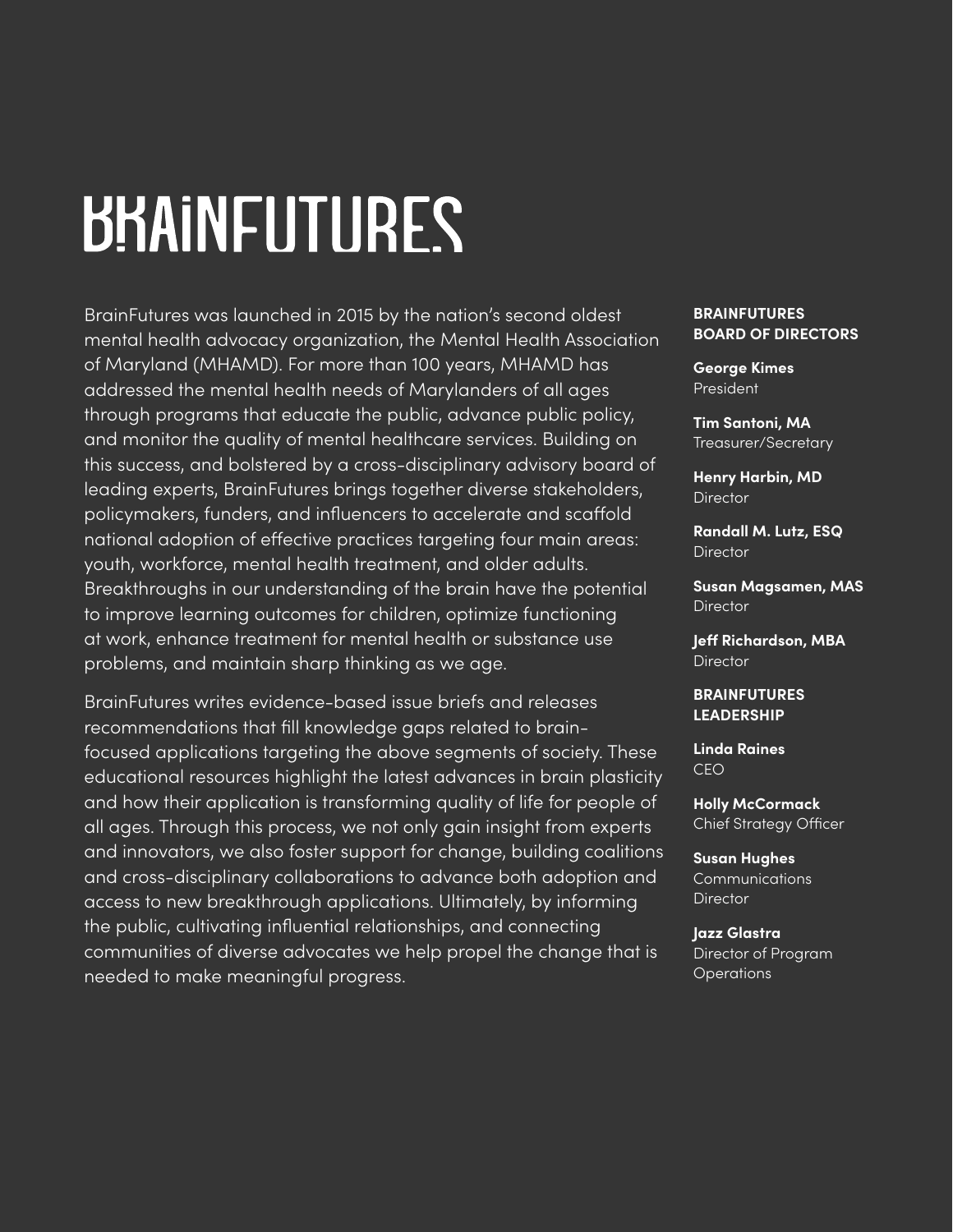# BRAINFUTURES

BrainFutures was launched in 2015 by the nation's second oldest mental health advocacy organization, the Mental Health Association of Maryland (MHAMD). For more than 100 years, MHAMD has addressed the mental health needs of Marylanders of all ages through programs that educate the public, advance public policy, and monitor the quality of mental healthcare services. Building on this success, and bolstered by a cross-disciplinary advisory board of leading experts, BrainFutures brings together diverse stakeholders, policymakers, funders, and influencers to accelerate and scaffold national adoption of effective practices targeting four main areas: youth, workforce, mental health treatment, and older adults. Breakthroughs in our understanding of the brain have the potential to improve learning outcomes for children, optimize functioning at work, enhance treatment for mental health or substance use problems, and maintain sharp thinking as we age.

BrainFutures writes evidence-based issue briefs and releases recommendations that fill knowledge gaps related to brainfocused applications targeting the above segments of society. These educational resources highlight the latest advances in brain plasticity and how their application is transforming quality of life for people of all ages. Through this process, we not only gain insight from experts and innovators, we also foster support for change, building coalitions and cross-disciplinary collaborations to advance both adoption and access to new breakthrough applications. Ultimately, by informing the public, cultivating influential relationships, and connecting communities of diverse advocates we help propel the change that is needed to make meaningful progress.

#### **BRAINFUTURES BOARD OF DIRECTORS**

**George Kimes** President

**Tim Santoni, MA** Treasurer/Secretary

**Henry Harbin, MD Director** 

**Randall M. Lutz, ESQ Director** 

**Susan Magsamen, MAS Director** 

**Jeff Richardson, MBA Director** 

**BRAINFUTURES LEADERSHIP**

**Linda Raines** CEO

**Holly McCormack** Chief Strategy Officer

**Susan Hughes** Communications **Director** 

**Jazz Glastra** Director of Program **Operations**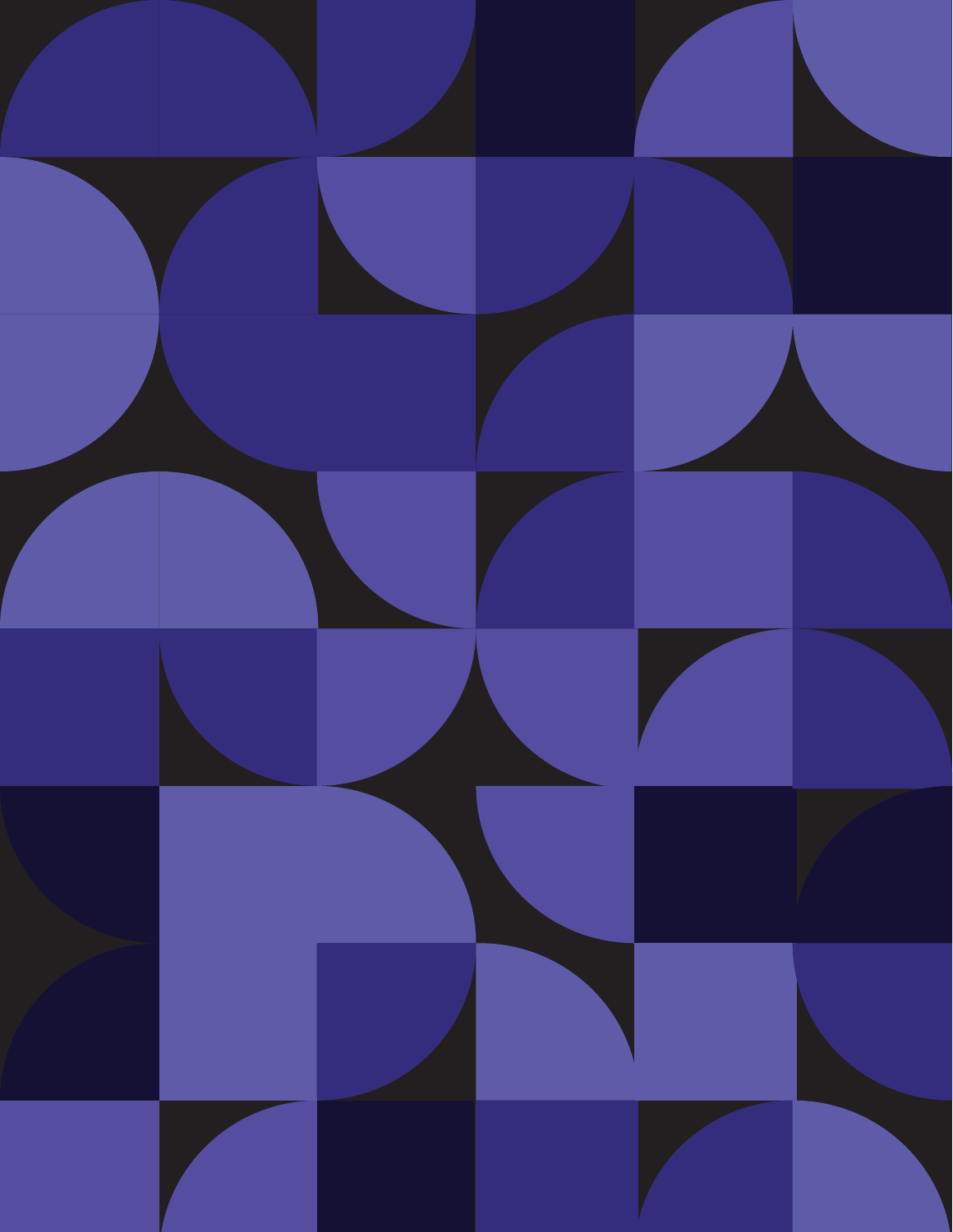